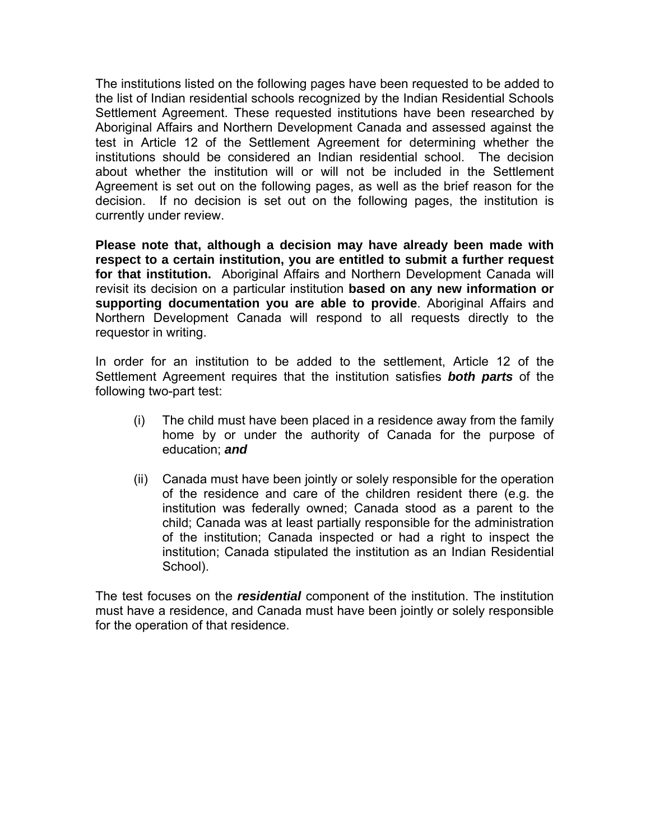The institutions listed on the following pages have been requested to be added to the list of Indian residential schools recognized by the Indian Residential Schools Settlement Agreement. These requested institutions have been researched by Aboriginal Affairs and Northern Development Canada and assessed against the test in Article 12 of the Settlement Agreement for determining whether the institutions should be considered an Indian residential school. The decision about whether the institution will or will not be included in the Settlement Agreement is set out on the following pages, as well as the brief reason for the decision. If no decision is set out on the following pages, the institution is currently under review.

**Please note that, although a decision may have already been made with respect to a certain institution, you are entitled to submit a further request for that institution.** Aboriginal Affairs and Northern Development Canada will revisit its decision on a particular institution **based on any new information or supporting documentation you are able to provide**. Aboriginal Affairs and Northern Development Canada will respond to all requests directly to the requestor in writing.

In order for an institution to be added to the settlement, Article 12 of the Settlement Agreement requires that the institution satisfies *both parts* of the following two-part test:

- (i) The child must have been placed in a residence away from the family home by or under the authority of Canada for the purpose of education; *and*
- (ii) Canada must have been jointly or solely responsible for the operation of the residence and care of the children resident there (e.g. the institution was federally owned; Canada stood as a parent to the child; Canada was at least partially responsible for the administration of the institution; Canada inspected or had a right to inspect the institution; Canada stipulated the institution as an Indian Residential School).

The test focuses on the *residential* component of the institution. The institution must have a residence, and Canada must have been jointly or solely responsible for the operation of that residence.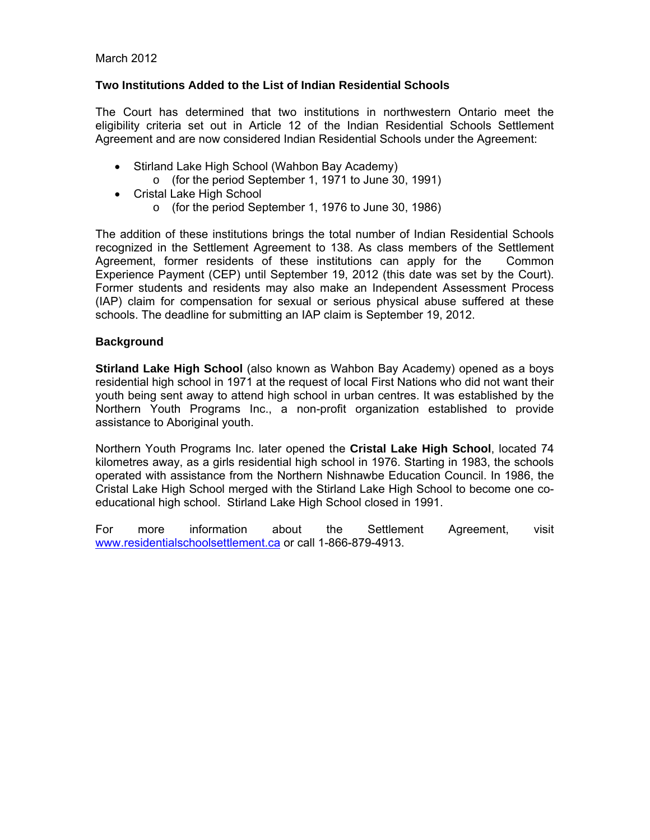#### March 2012

#### **Two Institutions Added to the List of Indian Residential Schools**

The Court has determined that two institutions in northwestern Ontario meet the eligibility criteria set out in Article 12 of the Indian Residential Schools Settlement Agreement and are now considered Indian Residential Schools under the Agreement:

- Stirland Lake High School (Wahbon Bay Academy)
	- o (for the period September 1, 1971 to June 30, 1991)
- Cristal Lake High School
	- o (for the period September 1, 1976 to June 30, 1986)

The addition of these institutions brings the total number of Indian Residential Schools recognized in the Settlement Agreement to 138. As class members of the Settlement Agreement, former residents of these institutions can apply for the Common Experience Payment (CEP) until September 19, 2012 (this date was set by the Court). Former students and residents may also make an Independent Assessment Process (IAP) claim for compensation for sexual or serious physical abuse suffered at these schools. The deadline for submitting an IAP claim is September 19, 2012.

#### **Background**

**Stirland Lake High School** (also known as Wahbon Bay Academy) opened as a boys residential high school in 1971 at the request of local First Nations who did not want their youth being sent away to attend high school in urban centres. It was established by the Northern Youth Programs Inc., a non-profit organization established to provide assistance to Aboriginal youth.

Northern Youth Programs Inc. later opened the **Cristal Lake High School**, located 74 kilometres away, as a girls residential high school in 1976. Starting in 1983, the schools operated with assistance from the Northern Nishnawbe Education Council. In 1986, the Cristal Lake High School merged with the Stirland Lake High School to become one coeducational high school. Stirland Lake High School closed in 1991.

For more information about the Settlement Agreement, visit www.residentialschoolsettlement.ca or call 1-866-879-4913.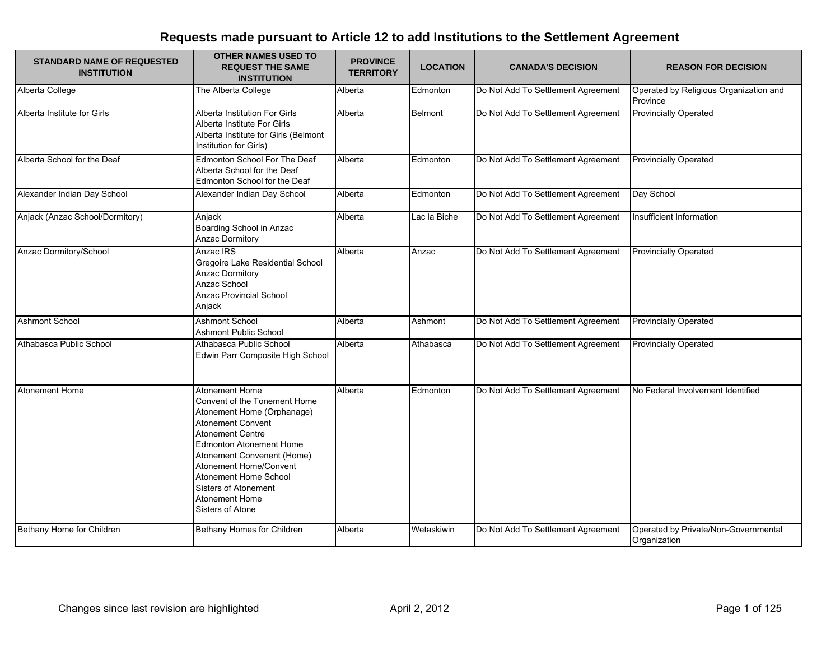| <b>STANDARD NAME OF REQUESTED</b><br><b>INSTITUTION</b> | <b>OTHER NAMES USED TO</b><br><b>REQUEST THE SAME</b><br><b>INSTITUTION</b>                                                                                                                                                                                                                                                        | <b>PROVINCE</b><br><b>TERRITORY</b> | <b>LOCATION</b> | <b>CANADA'S DECISION</b>           | <b>REASON FOR DECISION</b>                           |
|---------------------------------------------------------|------------------------------------------------------------------------------------------------------------------------------------------------------------------------------------------------------------------------------------------------------------------------------------------------------------------------------------|-------------------------------------|-----------------|------------------------------------|------------------------------------------------------|
| Alberta College                                         | The Alberta College                                                                                                                                                                                                                                                                                                                | Alberta                             | Edmonton        | Do Not Add To Settlement Agreement | Operated by Religious Organization and<br>Province   |
| Alberta Institute for Girls                             | Alberta Institution For Girls<br>Alberta Institute For Girls<br>Alberta Institute for Girls (Belmont<br>Institution for Girls)                                                                                                                                                                                                     | Alberta                             | Belmont         | Do Not Add To Settlement Agreement | <b>Provincially Operated</b>                         |
| Alberta School for the Deaf                             | Edmonton School For The Deaf<br>Alberta School for the Deaf<br>Edmonton School for the Deaf                                                                                                                                                                                                                                        | Alberta                             | Edmonton        | Do Not Add To Settlement Agreement | <b>Provincially Operated</b>                         |
| Alexander Indian Day School                             | Alexander Indian Day School                                                                                                                                                                                                                                                                                                        | Alberta                             | Edmonton        | Do Not Add To Settlement Agreement | Day School                                           |
| Anjack (Anzac School/Dormitory)                         | Anjack<br>Boarding School in Anzac<br>Anzac Dormitory                                                                                                                                                                                                                                                                              | Alberta                             | Lac la Biche    | Do Not Add To Settlement Agreement | Insufficient Information                             |
| Anzac Dormitory/School                                  | Anzac IRS<br>Gregoire Lake Residential School<br><b>Anzac Dormitory</b><br>Anzac School<br>Anzac Provincial School<br>Anjack                                                                                                                                                                                                       | Alberta                             | Anzac           | Do Not Add To Settlement Agreement | <b>Provincially Operated</b>                         |
| <b>Ashmont School</b>                                   | <b>Ashmont School</b><br><b>Ashmont Public School</b>                                                                                                                                                                                                                                                                              | Alberta                             | Ashmont         | Do Not Add To Settlement Agreement | <b>Provincially Operated</b>                         |
| Athabasca Public School                                 | Athabasca Public School<br>Edwin Parr Composite High School                                                                                                                                                                                                                                                                        | Alberta                             | Athabasca       | Do Not Add To Settlement Agreement | <b>Provincially Operated</b>                         |
| <b>Atonement Home</b>                                   | <b>Atonement Home</b><br>Convent of the Tonement Home<br>Atonement Home (Orphanage)<br>Atonement Convent<br><b>Atonement Centre</b><br><b>Edmonton Atonement Home</b><br>Atonement Convenent (Home)<br>Atonement Home/Convent<br>Atonement Home School<br><b>Sisters of Atonement</b><br><b>Atonement Home</b><br>Sisters of Atone | Alberta                             | Edmonton        | Do Not Add To Settlement Agreement | No Federal Involvement Identified                    |
| Bethany Home for Children                               | Bethany Homes for Children                                                                                                                                                                                                                                                                                                         | Alberta                             | Wetaskiwin      | Do Not Add To Settlement Agreement | Operated by Private/Non-Governmental<br>Organization |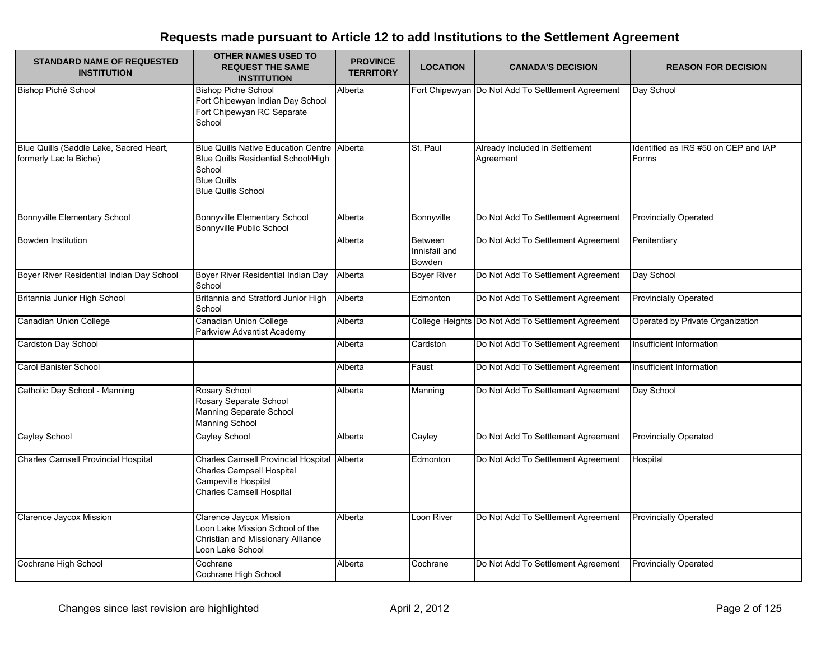| <b>STANDARD NAME OF REQUESTED</b><br><b>INSTITUTION</b>           | <b>OTHER NAMES USED TO</b><br><b>REQUEST THE SAME</b><br><b>INSTITUTION</b>                                                                    | <b>PROVINCE</b><br><b>TERRITORY</b> | <b>LOCATION</b>                           | <b>CANADA'S DECISION</b>                           | <b>REASON FOR DECISION</b>                    |
|-------------------------------------------------------------------|------------------------------------------------------------------------------------------------------------------------------------------------|-------------------------------------|-------------------------------------------|----------------------------------------------------|-----------------------------------------------|
| <b>Bishop Piché School</b>                                        | <b>Bishop Piche School</b><br>Fort Chipewyan Indian Day School<br>Fort Chipewyan RC Separate<br>School                                         | Alberta                             |                                           | Fort Chipewyan Do Not Add To Settlement Agreement  | Day School                                    |
| Blue Quills (Saddle Lake, Sacred Heart,<br>formerly Lac la Biche) | <b>Blue Quills Native Education Centre</b><br>Blue Quills Residential School/High<br>School<br><b>Blue Quills</b><br><b>Blue Quills School</b> | Alberta                             | St. Paul                                  | Already Included in Settlement<br>Agreement        | Identified as IRS #50 on CEP and IAP<br>Forms |
| <b>Bonnyville Elementary School</b>                               | <b>Bonnyville Elementary School</b><br>Bonnyville Public School                                                                                | Alberta                             | Bonnyville                                | Do Not Add To Settlement Agreement                 | <b>Provincially Operated</b>                  |
| <b>Bowden Institution</b>                                         |                                                                                                                                                | Alberta                             | Between<br>Innisfail and<br><b>Bowden</b> | Do Not Add To Settlement Agreement                 | Penitentiary                                  |
| Boyer River Residential Indian Day School                         | Boyer River Residential Indian Day<br>School                                                                                                   | Alberta                             | <b>Boyer River</b>                        | Do Not Add To Settlement Agreement                 | Day School                                    |
| Britannia Junior High School                                      | Britannia and Stratford Junior High<br>School                                                                                                  | Alberta                             | Edmonton                                  | Do Not Add To Settlement Agreement                 | <b>Provincially Operated</b>                  |
| Canadian Union College                                            | Canadian Union College<br>Parkview Advantist Academy                                                                                           | Alberta                             |                                           | College Heights Do Not Add To Settlement Agreement | Operated by Private Organization              |
| Cardston Day School                                               |                                                                                                                                                | Alberta                             | Cardston                                  | Do Not Add To Settlement Agreement                 | Insufficient Information                      |
| <b>Carol Banister School</b>                                      |                                                                                                                                                | Alberta                             | Faust                                     | Do Not Add To Settlement Agreement                 | Insufficient Information                      |
| Catholic Day School - Manning                                     | Rosary School<br>Rosary Separate School<br>Manning Separate School<br><b>Manning School</b>                                                    | Alberta                             | Manning                                   | Do Not Add To Settlement Agreement                 | Day School                                    |
| Cayley School                                                     | Cayley School                                                                                                                                  | Alberta                             | Cayley                                    | Do Not Add To Settlement Agreement                 | <b>Provincially Operated</b>                  |
| Charles Camsell Provincial Hospital                               | <b>Charles Camsell Provincial Hospital</b><br><b>Charles Campsell Hospital</b><br>Campeville Hospital<br><b>Charles Camsell Hospital</b>       | Alberta                             | Edmonton                                  | Do Not Add To Settlement Agreement                 | Hospital                                      |
| Clarence Jaycox Mission                                           | Clarence Jaycox Mission<br>Loon Lake Mission School of the<br>Christian and Missionary Alliance<br>Loon Lake School                            | Alberta                             | Loon River                                | Do Not Add To Settlement Agreement                 | <b>Provincially Operated</b>                  |
| Cochrane High School                                              | Cochrane<br>Cochrane High School                                                                                                               | Alberta                             | Cochrane                                  | Do Not Add To Settlement Agreement                 | <b>Provincially Operated</b>                  |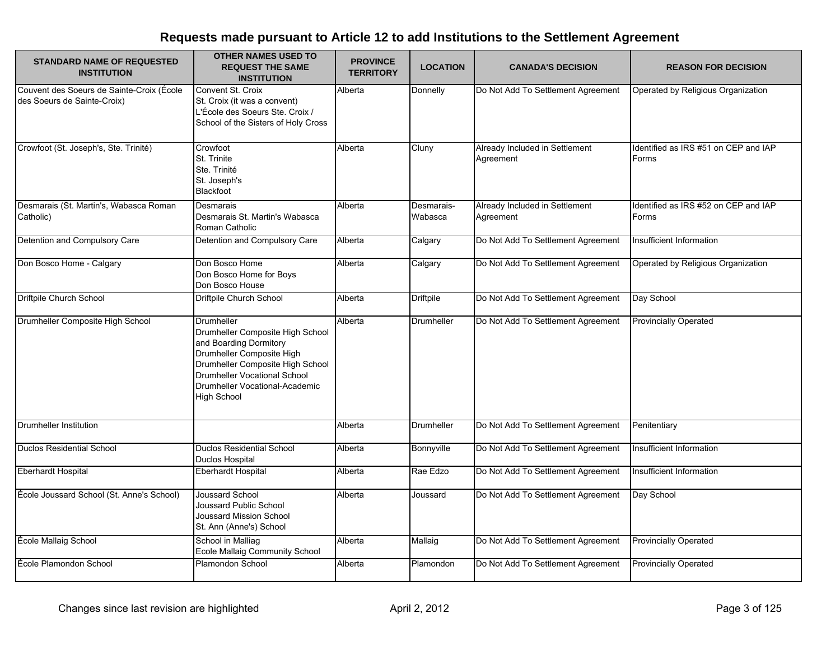| <b>STANDARD NAME OF REQUESTED</b><br><b>INSTITUTION</b>                  | <b>OTHER NAMES USED TO</b><br><b>REQUEST THE SAME</b><br><b>INSTITUTION</b>                                                                                                                                                              | <b>PROVINCE</b><br><b>TERRITORY</b> | <b>LOCATION</b>       | <b>CANADA'S DECISION</b>                    | <b>REASON FOR DECISION</b>                    |
|--------------------------------------------------------------------------|------------------------------------------------------------------------------------------------------------------------------------------------------------------------------------------------------------------------------------------|-------------------------------------|-----------------------|---------------------------------------------|-----------------------------------------------|
| Couvent des Soeurs de Sainte-Croix (École<br>des Soeurs de Sainte-Croix) | Convent St. Croix<br>St. Croix (it was a convent)<br>L'École des Soeurs Ste. Croix /<br>School of the Sisters of Holy Cross                                                                                                              | Alberta                             | Donnelly              | Do Not Add To Settlement Agreement          | Operated by Religious Organization            |
| Crowfoot (St. Joseph's, Ste. Trinité)                                    | Crowfoot<br>St. Trinite<br>Ste. Trinité<br>St. Joseph's<br>Blackfoot                                                                                                                                                                     | Alberta                             | Cluny                 | Already Included in Settlement<br>Agreement | Identified as IRS #51 on CEP and IAP<br>Forms |
| Desmarais (St. Martin's, Wabasca Roman<br>Catholic)                      | Desmarais<br>Desmarais St. Martin's Wabasca<br>Roman Catholic                                                                                                                                                                            | Alberta                             | Desmarais-<br>Wabasca | Already Included in Settlement<br>Agreement | Identified as IRS #52 on CEP and IAP<br>Forms |
| Detention and Compulsory Care                                            | Detention and Compulsory Care                                                                                                                                                                                                            | Alberta                             | Calgary               | Do Not Add To Settlement Agreement          | Insufficient Information                      |
| Don Bosco Home - Calgary                                                 | Don Bosco Home<br>Don Bosco Home for Boys<br>Don Bosco House                                                                                                                                                                             | Alberta                             | Calgary               | Do Not Add To Settlement Agreement          | Operated by Religious Organization            |
| <b>Driftpile Church School</b>                                           | Driftpile Church School                                                                                                                                                                                                                  | Alberta                             | <b>Driftpile</b>      | Do Not Add To Settlement Agreement          | Day School                                    |
| Drumheller Composite High School                                         | Drumheller<br>Drumheller Composite High School<br>and Boarding Dormitory<br>Drumheller Composite High<br>Drumheller Composite High School<br><b>Drumheller Vocational School</b><br>Drumheller Vocational-Academic<br><b>High School</b> | Alberta                             | Drumheller            | Do Not Add To Settlement Agreement          | <b>Provincially Operated</b>                  |
| Drumheller Institution                                                   |                                                                                                                                                                                                                                          | Alberta                             | Drumheller            | Do Not Add To Settlement Agreement          | Penitentiary                                  |
| <b>Duclos Residential School</b>                                         | <b>Duclos Residential School</b><br>Duclos Hospital                                                                                                                                                                                      | Alberta                             | Bonnyville            | Do Not Add To Settlement Agreement          | Insufficient Information                      |
| <b>Eberhardt Hospital</b>                                                | <b>Eberhardt Hospital</b>                                                                                                                                                                                                                | Alberta                             | Rae Edzo              | Do Not Add To Settlement Agreement          | Insufficient Information                      |
| École Joussard School (St. Anne's School)                                | Joussard School<br>Joussard Public School<br><b>Joussard Mission School</b><br>St. Ann (Anne's) School                                                                                                                                   | Alberta                             | Joussard              | Do Not Add To Settlement Agreement          | Day School                                    |
| École Mallaig School                                                     | School in Malliag<br>Ecole Mallaig Community School                                                                                                                                                                                      | Alberta                             | Mallaig               | Do Not Add To Settlement Agreement          | <b>Provincially Operated</b>                  |
| Ecole Plamondon School                                                   | Plamondon School                                                                                                                                                                                                                         | Alberta                             | Plamondon             | Do Not Add To Settlement Agreement          | <b>Provincially Operated</b>                  |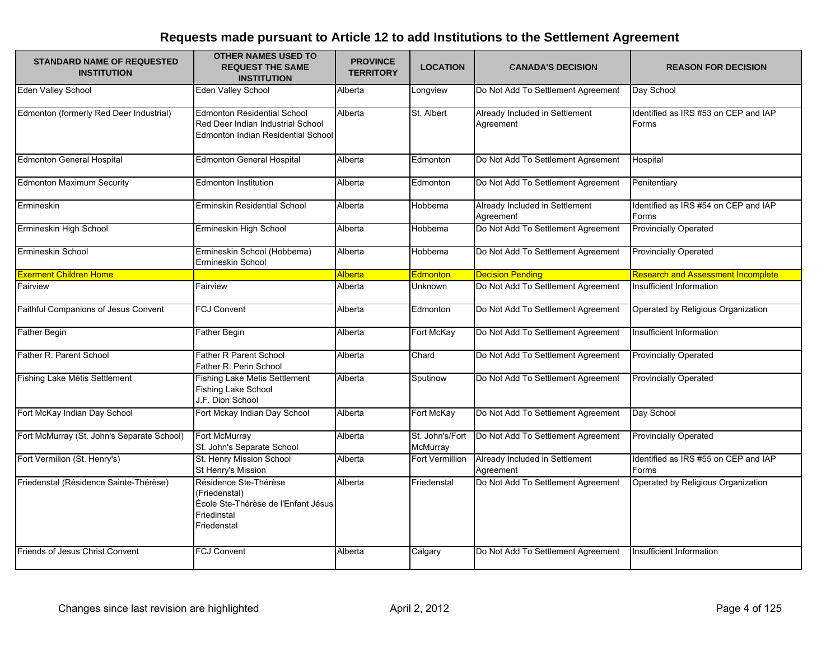| <b>STANDARD NAME OF REQUESTED</b><br><b>INSTITUTION</b> | <b>OTHER NAMES USED TO</b><br><b>REQUEST THE SAME</b><br><b>INSTITUTION</b>                                   | <b>PROVINCE</b><br><b>TERRITORY</b> | <b>LOCATION</b>             | <b>CANADA'S DECISION</b>                    | <b>REASON FOR DECISION</b>                    |
|---------------------------------------------------------|---------------------------------------------------------------------------------------------------------------|-------------------------------------|-----------------------------|---------------------------------------------|-----------------------------------------------|
| Eden Valley School                                      | Eden Valley School                                                                                            | Alberta                             | Longview                    | Do Not Add To Settlement Agreement          | Day School                                    |
| Edmonton (formerly Red Deer Industrial)                 | <b>Edmonton Residential School</b><br>Red Deer Indian Industrial School<br>Edmonton Indian Residential School | Alberta                             | St. Albert                  | Already Included in Settlement<br>Agreement | Identified as IRS #53 on CEP and IAP<br>Forms |
| <b>Edmonton General Hospital</b>                        | <b>Edmonton General Hospital</b>                                                                              | Alberta                             | Edmonton                    | Do Not Add To Settlement Agreement          | Hospital                                      |
| <b>Edmonton Maximum Security</b>                        | <b>Edmonton Institution</b>                                                                                   | Alberta                             | Edmonton                    | Do Not Add To Settlement Agreement          | Penitentiary                                  |
| Ermineskin                                              | Erminskin Residential School                                                                                  | Alberta                             | Hobbema                     | Already Included in Settlement<br>Agreement | Identified as IRS #54 on CEP and IAP<br>Forms |
| Ermineskin High School                                  | Ermineskin High School                                                                                        | Alberta                             | Hobbema                     | Do Not Add To Settlement Agreement          | <b>Provincially Operated</b>                  |
| Ermineskin School                                       | Ermineskin School (Hobbema)<br>Ermineskin School                                                              | Alberta                             | Hobbema                     | Do Not Add To Settlement Agreement          | <b>Provincially Operated</b>                  |
| <b>Exerment Children Home</b>                           |                                                                                                               | Alberta                             | Edmonton                    | <b>Decision Pending</b>                     | <b>Research and Assessment Incomplete</b>     |
| Fairview                                                | Fairview                                                                                                      | Alberta                             | Unknown                     | Do Not Add To Settlement Agreement          | Insufficient Information                      |
| Faithful Companions of Jesus Convent                    | <b>FCJ Convent</b>                                                                                            | Alberta                             | Edmonton                    | Do Not Add To Settlement Agreement          | Operated by Religious Organization            |
| <b>Father Begin</b>                                     | <b>Father Begin</b>                                                                                           | Alberta                             | Fort McKay                  | Do Not Add To Settlement Agreement          | Insufficient Information                      |
| Father R. Parent School                                 | <b>Father R Parent School</b><br>Father R. Perin School                                                       | Alberta                             | Chard                       | Do Not Add To Settlement Agreement          | <b>Provincially Operated</b>                  |
| Fishing Lake Métis Settlement                           | Fishing Lake Metis Settlement<br>Fishing Lake School<br>J.F. Dion School                                      | Alberta                             | Sputinow                    | Do Not Add To Settlement Agreement          | <b>Provincially Operated</b>                  |
| Fort McKay Indian Day School                            | Fort Mckay Indian Day School                                                                                  | Alberta                             | Fort McKay                  | Do Not Add To Settlement Agreement          | Day School                                    |
| Fort McMurray (St. John's Separate School)              | Fort McMurray<br>St. John's Separate School                                                                   | Alberta                             | St. John's/Fort<br>McMurray | Do Not Add To Settlement Agreement          | <b>Provincially Operated</b>                  |
| Fort Vermilion (St. Henry's)                            | St. Henry Mission School<br>St Henry's Mission                                                                | Alberta                             | Fort Vermillion             | Already Included in Settlement<br>Agreement | Identified as IRS #55 on CEP and IAP<br>Forms |
| Friedenstal (Résidence Sainte-Thérèse)                  | Résidence Ste-Thérèse<br>(Friedenstal)<br>École Ste-Thérèse de l'Enfant Jésus<br>Friedinstal<br>Friedenstal   | Alberta                             | Friedenstal                 | Do Not Add To Settlement Agreement          | Operated by Religious Organization            |
| Friends of Jesus Christ Convent                         | <b>FCJ Convent</b>                                                                                            | Alberta                             | Calgary                     | Do Not Add To Settlement Agreement          | Insufficient Information                      |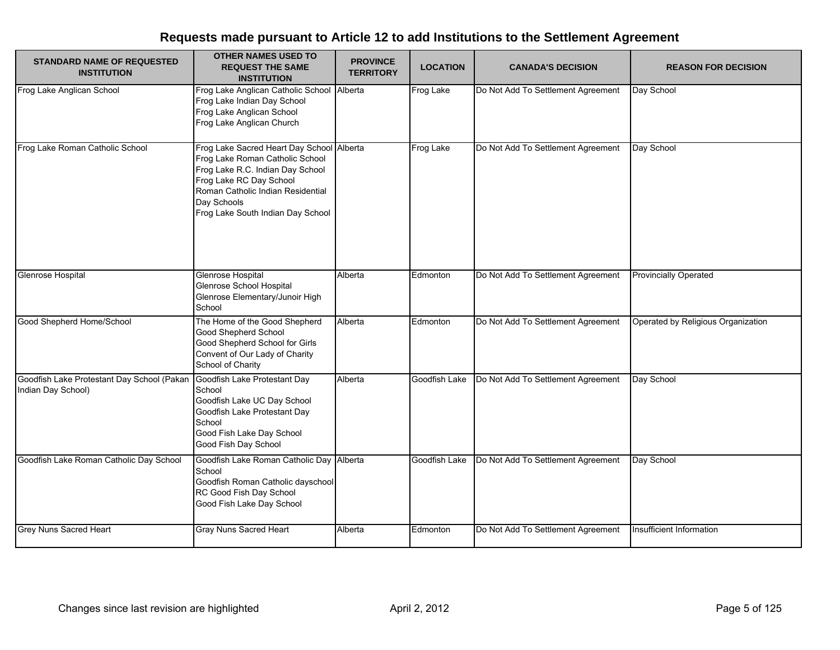| <b>STANDARD NAME OF REQUESTED</b><br><b>INSTITUTION</b>          | <b>OTHER NAMES USED TO</b><br><b>REQUEST THE SAME</b><br><b>INSTITUTION</b>                                                                                                                                                  | <b>PROVINCE</b><br><b>TERRITORY</b> | <b>LOCATION</b> | <b>CANADA'S DECISION</b>           | <b>REASON FOR DECISION</b>         |
|------------------------------------------------------------------|------------------------------------------------------------------------------------------------------------------------------------------------------------------------------------------------------------------------------|-------------------------------------|-----------------|------------------------------------|------------------------------------|
| Frog Lake Anglican School                                        | Frog Lake Anglican Catholic School Alberta<br>Frog Lake Indian Day School<br>Frog Lake Anglican School<br>Frog Lake Anglican Church                                                                                          |                                     | Frog Lake       | Do Not Add To Settlement Agreement | Day School                         |
| Frog Lake Roman Catholic School                                  | Frog Lake Sacred Heart Day School<br>Frog Lake Roman Catholic School<br>Frog Lake R.C. Indian Day School<br>Frog Lake RC Day School<br>Roman Catholic Indian Residential<br>Day Schools<br>Frog Lake South Indian Day School | Alberta                             | Frog Lake       | Do Not Add To Settlement Agreement | Day School                         |
| Glenrose Hospital                                                | Glenrose Hospital<br>Glenrose School Hospital<br>Glenrose Elementary/Junoir High<br>School                                                                                                                                   | Alberta                             | Edmonton        | Do Not Add To Settlement Agreement | <b>Provincially Operated</b>       |
| Good Shepherd Home/School                                        | The Home of the Good Shepherd<br>Good Shepherd School<br>Good Shepherd School for Girls<br>Convent of Our Lady of Charity<br>School of Charity                                                                               | Alberta                             | Edmonton        | Do Not Add To Settlement Agreement | Operated by Religious Organization |
| Goodfish Lake Protestant Day School (Pakan<br>Indian Day School) | Goodfish Lake Protestant Day<br>School<br>Goodfish Lake UC Day School<br>Goodfish Lake Protestant Day<br>School<br>Good Fish Lake Day School<br>Good Fish Day School                                                         | Alberta                             | Goodfish Lake   | Do Not Add To Settlement Agreement | Day School                         |
| Goodfish Lake Roman Catholic Day School                          | Goodfish Lake Roman Catholic Day Alberta<br>School<br>Goodfish Roman Catholic dayschool<br>RC Good Fish Day School<br>Good Fish Lake Day School                                                                              |                                     | Goodfish Lake   | Do Not Add To Settlement Agreement | Day School                         |
| Grey Nuns Sacred Heart                                           | <b>Gray Nuns Sacred Heart</b>                                                                                                                                                                                                | Alberta                             | Edmonton        | Do Not Add To Settlement Agreement | Insufficient Information           |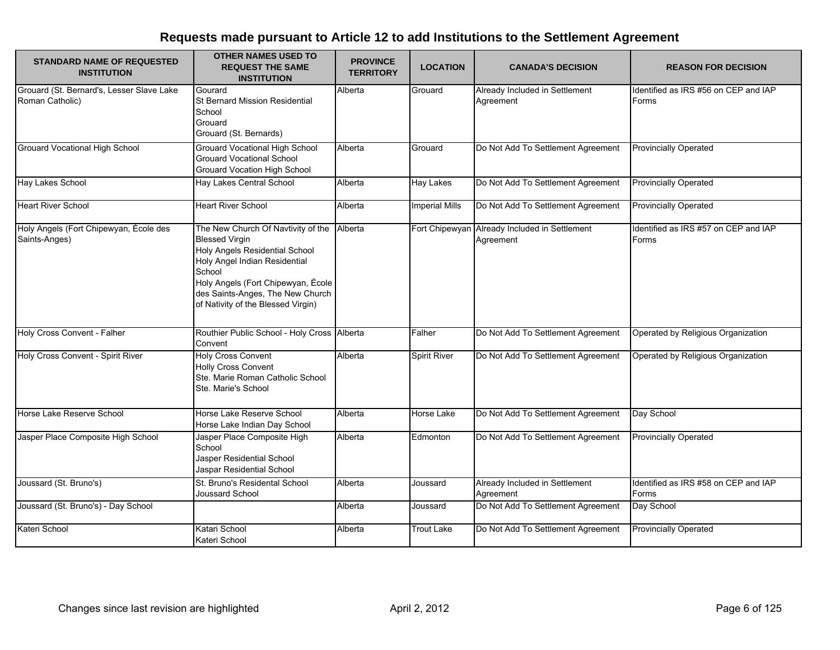| <b>STANDARD NAME OF REQUESTED</b><br><b>INSTITUTION</b>      | <b>OTHER NAMES USED TO</b><br><b>REQUEST THE SAME</b><br><b>INSTITUTION</b>                                                                                                                                                                              | <b>PROVINCE</b><br><b>TERRITORY</b> | <b>LOCATION</b>       | <b>CANADA'S DECISION</b>                                   | <b>REASON FOR DECISION</b>                    |
|--------------------------------------------------------------|----------------------------------------------------------------------------------------------------------------------------------------------------------------------------------------------------------------------------------------------------------|-------------------------------------|-----------------------|------------------------------------------------------------|-----------------------------------------------|
| Grouard (St. Bernard's, Lesser Slave Lake<br>Roman Catholic) | Gourard<br><b>St Bernard Mission Residential</b><br>School<br>Grouard<br>Grouard (St. Bernards)                                                                                                                                                          | Alberta                             | Grouard               | Already Included in Settlement<br>Agreement                | Identified as IRS #56 on CEP and IAP<br>Forms |
| <b>Grouard Vocational High School</b>                        | <b>Grouard Vocational High School</b><br><b>Grouard Vocational School</b><br><b>Grouard Vocation High School</b>                                                                                                                                         | Alberta                             | Grouard               | Do Not Add To Settlement Agreement                         | <b>Provincially Operated</b>                  |
| Hay Lakes School                                             | Hay Lakes Central School                                                                                                                                                                                                                                 | Alberta                             | <b>Hay Lakes</b>      | Do Not Add To Settlement Agreement                         | <b>Provincially Operated</b>                  |
| <b>Heart River School</b>                                    | <b>Heart River School</b>                                                                                                                                                                                                                                | Alberta                             | <b>Imperial Mills</b> | Do Not Add To Settlement Agreement                         | <b>Provincially Operated</b>                  |
| Holy Angels (Fort Chipewyan, École des<br>Saints-Anges)      | The New Church Of Navtivity of the<br><b>Blessed Virgin</b><br>Holy Angels Residential School<br>Holy Angel Indian Residential<br>School<br>Holy Angels (Fort Chipewyan, École<br>des Saints-Anges, The New Church<br>of Nativity of the Blessed Virgin) | Alberta                             |                       | Fort Chipewyan Already Included in Settlement<br>Agreement | Identified as IRS #57 on CEP and IAP<br>Forms |
| Holy Cross Convent - Falher                                  | Routhier Public School - Holy Cross Alberta<br>Convent                                                                                                                                                                                                   |                                     | Falher                | Do Not Add To Settlement Agreement                         | Operated by Religious Organization            |
| Holy Cross Convent - Spirit River                            | <b>Holy Cross Convent</b><br><b>Holly Cross Convent</b><br>Ste. Marie Roman Catholic School<br>Ste. Marie's School                                                                                                                                       | Alberta                             | <b>Spirit River</b>   | Do Not Add To Settlement Agreement                         | Operated by Religious Organization            |
| Horse Lake Reserve School                                    | Horse Lake Reserve School<br>Horse Lake Indian Day School                                                                                                                                                                                                | Alberta                             | <b>Horse Lake</b>     | Do Not Add To Settlement Agreement                         | Day School                                    |
| Jasper Place Composite High School                           | Jasper Place Composite High<br>School<br>Jasper Residential School<br>Jaspar Residential School                                                                                                                                                          | Alberta                             | Edmonton              | Do Not Add To Settlement Agreement                         | <b>Provincially Operated</b>                  |
| Joussard (St. Bruno's)                                       | St. Bruno's Residental School<br>Joussard School                                                                                                                                                                                                         | Alberta                             | Joussard              | Already Included in Settlement<br>Agreement                | Identified as IRS #58 on CEP and IAP<br>Forms |
| Joussard (St. Bruno's) - Day School                          |                                                                                                                                                                                                                                                          | Alberta                             | Joussard              | Do Not Add To Settlement Agreement                         | Day School                                    |
| Kateri School                                                | Katari School<br>Kateri School                                                                                                                                                                                                                           | Alberta                             | Trout Lake            | Do Not Add To Settlement Agreement                         | <b>Provincially Operated</b>                  |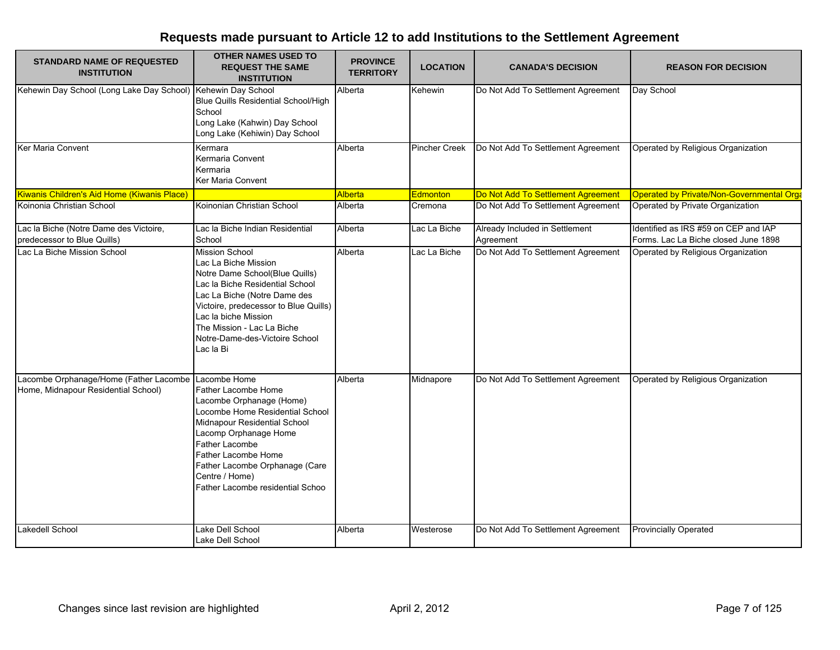| <b>STANDARD NAME OF REQUESTED</b><br><b>INSTITUTION</b>                                    | <b>OTHER NAMES USED TO</b><br><b>REQUEST THE SAME</b><br><b>INSTITUTION</b>                                                                                                                                                                                                                      | <b>PROVINCE</b><br><b>TERRITORY</b> | <b>LOCATION</b>      | <b>CANADA'S DECISION</b>                    | <b>REASON FOR DECISION</b>                                                   |
|--------------------------------------------------------------------------------------------|--------------------------------------------------------------------------------------------------------------------------------------------------------------------------------------------------------------------------------------------------------------------------------------------------|-------------------------------------|----------------------|---------------------------------------------|------------------------------------------------------------------------------|
| Kehewin Day School (Long Lake Day School) Kehewin Day School                               | Blue Quills Residential School/High<br>School<br>Long Lake (Kahwin) Day School<br>Long Lake (Kehiwin) Day School                                                                                                                                                                                 | Alberta                             | Kehewin              | Do Not Add To Settlement Agreement          | Day School                                                                   |
| Ker Maria Convent                                                                          | Kermara<br>Kermaria Convent<br>Kermaria<br>Ker Maria Convent                                                                                                                                                                                                                                     | Alberta                             | <b>Pincher Creek</b> | Do Not Add To Settlement Agreement          | Operated by Religious Organization                                           |
| Kiwanis Children's Aid Home (Kiwanis Place)                                                |                                                                                                                                                                                                                                                                                                  | Alberta                             | Edmonton             | Do Not Add To Settlement Agreement          | Operated by Private/Non-Governmental Orga                                    |
| Koinonia Christian School                                                                  | Koinonian Christian School                                                                                                                                                                                                                                                                       | Alberta                             | Cremona              | Do Not Add To Settlement Agreement          | Operated by Private Organization                                             |
| Lac la Biche (Notre Dame des Victoire,<br>predecessor to Blue Quills)                      | Lac la Biche Indian Residential<br>School                                                                                                                                                                                                                                                        | Alberta                             | Lac La Biche         | Already Included in Settlement<br>Agreement | Identified as IRS #59 on CEP and IAP<br>Forms. Lac La Biche closed June 1898 |
| Lac La Biche Mission School                                                                | <b>Mission School</b><br>Lac La Biche Mission<br>Notre Dame School(Blue Quills)<br>Lac la Biche Residential School<br>Lac La Biche (Notre Dame des<br>Victoire, predecessor to Blue Quills)<br>Lac la biche Mission<br>The Mission - Lac La Biche<br>Notre-Dame-des-Victoire School<br>Lac la Bi | Alberta                             | Lac La Biche         | Do Not Add To Settlement Agreement          | Operated by Religious Organization                                           |
| Lacombe Orphanage/Home (Father Lacombe Lacombe Home<br>Home, Midnapour Residential School) | Father Lacombe Home<br>Lacombe Orphanage (Home)<br>Locombe Home Residential School<br>Midnapour Residential School<br>Lacomp Orphanage Home<br><b>Father Lacombe</b><br>Father Lacombe Home<br>Father Lacombe Orphanage (Care<br>Centre / Home)<br>Father Lacombe residential Schoo              | Alberta                             | Midnapore            | Do Not Add To Settlement Agreement          | Operated by Religious Organization                                           |
| Lakedell School                                                                            | Lake Dell School<br>Lake Dell School                                                                                                                                                                                                                                                             | Alberta                             | Westerose            | Do Not Add To Settlement Agreement          | <b>Provincially Operated</b>                                                 |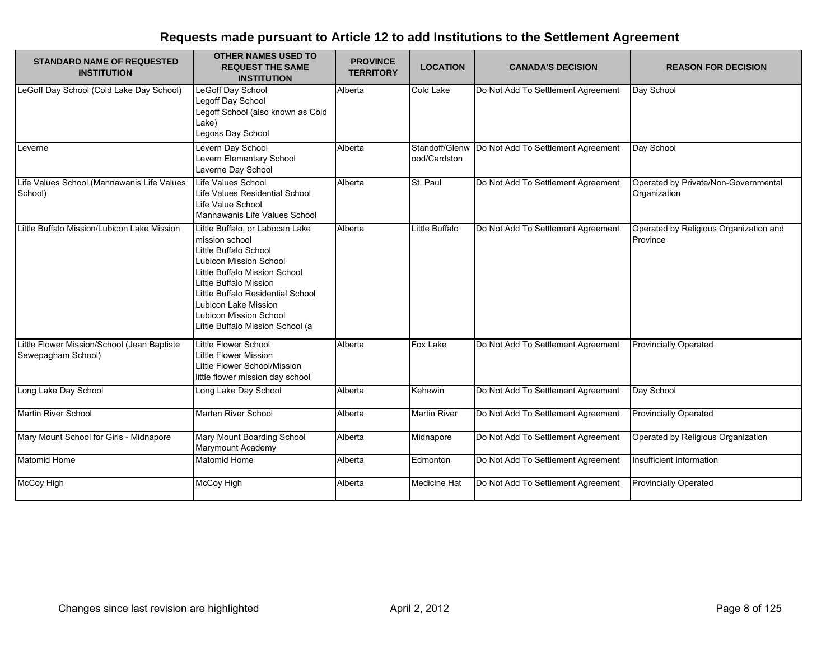| <b>STANDARD NAME OF REQUESTED</b><br><b>INSTITUTION</b>           | <b>OTHER NAMES USED TO</b><br><b>REQUEST THE SAME</b><br><b>INSTITUTION</b>                                                                                                                                                                                                                | <b>PROVINCE</b><br><b>TERRITORY</b> | <b>LOCATION</b>                | <b>CANADA'S DECISION</b>           | <b>REASON FOR DECISION</b>                           |
|-------------------------------------------------------------------|--------------------------------------------------------------------------------------------------------------------------------------------------------------------------------------------------------------------------------------------------------------------------------------------|-------------------------------------|--------------------------------|------------------------------------|------------------------------------------------------|
| LeGoff Day School (Cold Lake Day School)                          | LeGoff Day School<br>Legoff Day School<br>Legoff School (also known as Cold<br>Lake)<br>Legoss Day School                                                                                                                                                                                  | Alberta                             | <b>Cold Lake</b>               | Do Not Add To Settlement Agreement | Day School                                           |
| Leverne                                                           | Levern Day School<br>Levern Elementary School<br>Laverne Day School                                                                                                                                                                                                                        | Alberta                             | Standoff/Glenw<br>ood/Cardston | Do Not Add To Settlement Agreement | Day School                                           |
| Life Values School (Mannawanis Life Values<br>School)             | <b>Life Values School</b><br>Life Values Residential School<br>Life Value School<br>Mannawanis Life Values School                                                                                                                                                                          | Alberta                             | St. Paul                       | Do Not Add To Settlement Agreement | Operated by Private/Non-Governmental<br>Organization |
| Little Buffalo Mission/Lubicon Lake Mission                       | Little Buffalo, or Labocan Lake<br>mission school<br>Little Buffalo School<br>Lubicon Mission School<br>Little Buffalo Mission School<br>Little Buffalo Mission<br>Little Buffalo Residential School<br>Lubicon Lake Mission<br>Lubicon Mission School<br>Little Buffalo Mission School (a | Alberta                             | Little Buffalo                 | Do Not Add To Settlement Agreement | Operated by Religious Organization and<br>Province   |
| Little Flower Mission/School (Jean Baptiste<br>Sewepagham School) | Little Flower School<br>Little Flower Mission<br>Little Flower School/Mission<br>little flower mission day school                                                                                                                                                                          | Alberta                             | <b>Fox Lake</b>                | Do Not Add To Settlement Agreement | <b>Provincially Operated</b>                         |
| Long Lake Day School                                              | Long Lake Day School                                                                                                                                                                                                                                                                       | Alberta                             | Kehewin                        | Do Not Add To Settlement Agreement | Day School                                           |
| Martin River School                                               | Marten River School                                                                                                                                                                                                                                                                        | Alberta                             | <b>Martin River</b>            | Do Not Add To Settlement Agreement | <b>Provincially Operated</b>                         |
| Mary Mount School for Girls - Midnapore                           | Mary Mount Boarding School<br>Marymount Academy                                                                                                                                                                                                                                            | Alberta                             | Midnapore                      | Do Not Add To Settlement Agreement | Operated by Religious Organization                   |
| Matomid Home                                                      | <b>Matomid Home</b>                                                                                                                                                                                                                                                                        | Alberta                             | Edmonton                       | Do Not Add To Settlement Agreement | Insufficient Information                             |
| McCoy High                                                        | McCoy High                                                                                                                                                                                                                                                                                 | Alberta                             | <b>Medicine Hat</b>            | Do Not Add To Settlement Agreement | <b>Provincially Operated</b>                         |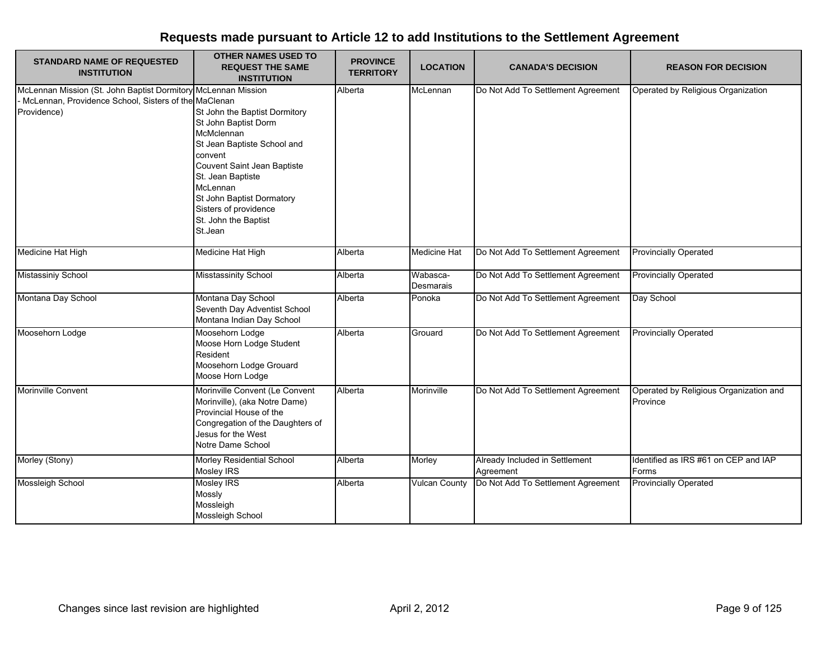| <b>STANDARD NAME OF REQUESTED</b><br><b>INSTITUTION</b>                                                                                | <b>OTHER NAMES USED TO</b><br><b>REQUEST THE SAME</b><br><b>INSTITUTION</b>                                                                                                                                                                                            | <b>PROVINCE</b><br><b>TERRITORY</b> | <b>LOCATION</b>       | <b>CANADA'S DECISION</b>                    | <b>REASON FOR DECISION</b>                         |
|----------------------------------------------------------------------------------------------------------------------------------------|------------------------------------------------------------------------------------------------------------------------------------------------------------------------------------------------------------------------------------------------------------------------|-------------------------------------|-----------------------|---------------------------------------------|----------------------------------------------------|
| McLennan Mission (St. John Baptist Dormitory McLennan Mission<br>- McLennan, Providence School, Sisters of the MaClenan<br>Providence) | St John the Baptist Dormitory<br>St John Baptist Dorm<br>McMclennan<br>St Jean Baptiste School and<br>convent<br>Couvent Saint Jean Baptiste<br>St. Jean Baptiste<br>McLennan<br>St John Baptist Dormatory<br>Sisters of providence<br>St. John the Baptist<br>St.Jean | Alberta                             | McLennan              | Do Not Add To Settlement Agreement          | Operated by Religious Organization                 |
| Medicine Hat High                                                                                                                      | Medicine Hat High                                                                                                                                                                                                                                                      | Alberta                             | <b>Medicine Hat</b>   | Do Not Add To Settlement Agreement          | <b>Provincially Operated</b>                       |
| <b>Mistassiniy School</b>                                                                                                              | <b>Misstassinity School</b>                                                                                                                                                                                                                                            | Alberta                             | Wabasca-<br>Desmarais | Do Not Add To Settlement Agreement          | <b>Provincially Operated</b>                       |
| Montana Day School                                                                                                                     | Montana Day School<br>Seventh Day Adventist School<br>Montana Indian Day School                                                                                                                                                                                        | Alberta                             | Ponoka                | Do Not Add To Settlement Agreement          | Day School                                         |
| Moosehorn Lodge                                                                                                                        | Moosehorn Lodge<br>Moose Horn Lodge Student<br>Resident<br>Moosehorn Lodge Grouard<br>Moose Horn Lodge                                                                                                                                                                 | Alberta                             | Grouard               | Do Not Add To Settlement Agreement          | <b>Provincially Operated</b>                       |
| Morinville Convent                                                                                                                     | Morinville Convent (Le Convent<br>Morinville), (aka Notre Dame)<br>Provincial House of the<br>Congregation of the Daughters of<br>Jesus for the West<br>Notre Dame School                                                                                              | Alberta                             | Morinville            | Do Not Add To Settlement Agreement          | Operated by Religious Organization and<br>Province |
| Morley (Stony)                                                                                                                         | Morley Residential School<br><b>Mosley IRS</b>                                                                                                                                                                                                                         | Alberta                             | Morley                | Already Included in Settlement<br>Agreement | Identified as IRS #61 on CEP and IAP<br>Forms      |
| Mossleigh School                                                                                                                       | <b>Mosley IRS</b><br>Mossly<br>Mossleigh<br>Mossleigh School                                                                                                                                                                                                           | Alberta                             | <b>Vulcan County</b>  | Do Not Add To Settlement Agreement          | <b>Provincially Operated</b>                       |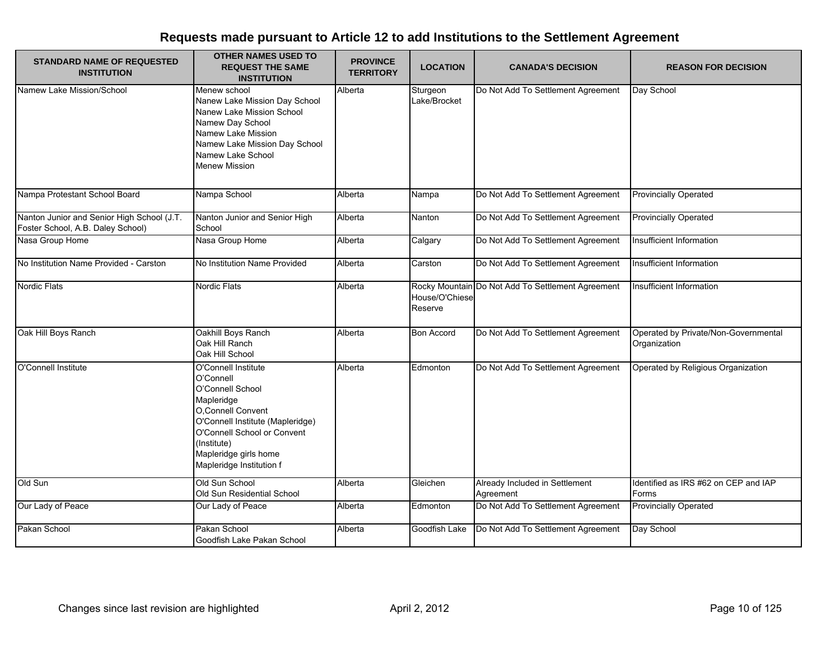| <b>STANDARD NAME OF REQUESTED</b><br><b>INSTITUTION</b>                         | <b>OTHER NAMES USED TO</b><br><b>REQUEST THE SAME</b><br><b>INSTITUTION</b>                                                                                                                                                     | <b>PROVINCE</b><br><b>TERRITORY</b> | <b>LOCATION</b>           | <b>CANADA'S DECISION</b>                          | <b>REASON FOR DECISION</b>                           |
|---------------------------------------------------------------------------------|---------------------------------------------------------------------------------------------------------------------------------------------------------------------------------------------------------------------------------|-------------------------------------|---------------------------|---------------------------------------------------|------------------------------------------------------|
| Namew Lake Mission/School                                                       | Menew school<br>Nanew Lake Mission Day School<br>Nanew Lake Mission School<br>Namew Day School<br>Namew Lake Mission<br>Namew Lake Mission Day School<br>Namew Lake School<br><b>Menew Mission</b>                              | Alberta                             | Sturgeon<br>Lake/Brocket  | Do Not Add To Settlement Agreement                | Day School                                           |
| Nampa Protestant School Board                                                   | Nampa School                                                                                                                                                                                                                    | Alberta                             | Nampa                     | Do Not Add To Settlement Agreement                | <b>Provincially Operated</b>                         |
| Nanton Junior and Senior High School (J.T.<br>Foster School, A.B. Daley School) | Nanton Junior and Senior High<br>School                                                                                                                                                                                         | Alberta                             | Nanton                    | Do Not Add To Settlement Agreement                | <b>Provincially Operated</b>                         |
| Nasa Group Home                                                                 | Nasa Group Home                                                                                                                                                                                                                 | Alberta                             | Calgary                   | Do Not Add To Settlement Agreement                | Insufficient Information                             |
| No Institution Name Provided - Carston                                          | No Institution Name Provided                                                                                                                                                                                                    | Alberta                             | Carston                   | Do Not Add To Settlement Agreement                | Insufficient Information                             |
| <b>Nordic Flats</b>                                                             | <b>Nordic Flats</b>                                                                                                                                                                                                             | Alberta                             | House/O'Chiese<br>Reserve | Rocky Mountain Do Not Add To Settlement Agreement | Insufficient Information                             |
| Oak Hill Boys Ranch                                                             | Oakhill Boys Ranch<br>Oak Hill Ranch<br>Oak Hill School                                                                                                                                                                         | Alberta                             | <b>Bon Accord</b>         | Do Not Add To Settlement Agreement                | Operated by Private/Non-Governmental<br>Organization |
| O'Connell Institute                                                             | O'Connell Institute<br>O'Connell<br>O'Connell School<br>Mapleridge<br>O, Connell Convent<br>O'Connell Institute (Mapleridge)<br>O'Connell School or Convent<br>(Institute)<br>Mapleridge girls home<br>Mapleridge Institution f | Alberta                             | Edmonton                  | Do Not Add To Settlement Agreement                | Operated by Religious Organization                   |
| Old Sun                                                                         | Old Sun School<br>Old Sun Residential School                                                                                                                                                                                    | Alberta                             | Gleichen                  | Already Included in Settlement<br>Agreement       | Identified as IRS #62 on CEP and IAP<br>Forms        |
| Our Lady of Peace                                                               | Our Lady of Peace                                                                                                                                                                                                               | Alberta                             | Edmonton                  | Do Not Add To Settlement Agreement                | <b>Provincially Operated</b>                         |
| Pakan School                                                                    | Pakan School<br>Goodfish Lake Pakan School                                                                                                                                                                                      | Alberta                             | Goodfish Lake             | Do Not Add To Settlement Agreement                | Day School                                           |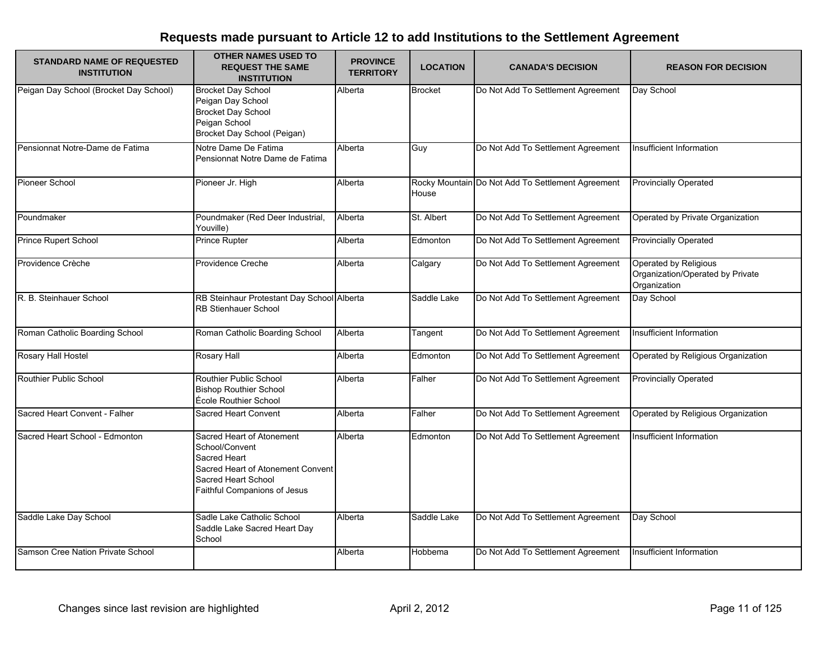| <b>STANDARD NAME OF REQUESTED</b><br><b>INSTITUTION</b> | <b>OTHER NAMES USED TO</b><br><b>REQUEST THE SAME</b><br><b>INSTITUTION</b>                                                                             | <b>PROVINCE</b><br><b>TERRITORY</b> | <b>LOCATION</b> | <b>CANADA'S DECISION</b>                          | <b>REASON FOR DECISION</b>                                                |
|---------------------------------------------------------|---------------------------------------------------------------------------------------------------------------------------------------------------------|-------------------------------------|-----------------|---------------------------------------------------|---------------------------------------------------------------------------|
| Peigan Day School (Brocket Day School)                  | <b>Brocket Day School</b><br>Peigan Day School<br><b>Brocket Day School</b><br>Peigan School<br>Brocket Day School (Peigan)                             | Alberta                             | <b>Brocket</b>  | Do Not Add To Settlement Agreement                | Day School                                                                |
| Pensionnat Notre-Dame de Fatima                         | Notre Dame De Fatima<br>Pensionnat Notre Dame de Fatima                                                                                                 | Alberta                             | Guy             | Do Not Add To Settlement Agreement                | Insufficient Information                                                  |
| Pioneer School                                          | Pioneer Jr. High                                                                                                                                        | Alberta                             | House           | Rocky Mountain Do Not Add To Settlement Agreement | <b>Provincially Operated</b>                                              |
| Poundmaker                                              | Poundmaker (Red Deer Industrial,<br>Youville)                                                                                                           | Alberta                             | St. Albert      | Do Not Add To Settlement Agreement                | Operated by Private Organization                                          |
| <b>Prince Rupert School</b>                             | <b>Prince Rupter</b>                                                                                                                                    | Alberta                             | Edmonton        | Do Not Add To Settlement Agreement                | <b>Provincially Operated</b>                                              |
| Providence Crèche                                       | Providence Creche                                                                                                                                       | Alberta                             | Calgary         | Do Not Add To Settlement Agreement                | Operated by Religious<br>Organization/Operated by Private<br>Organization |
| R. B. Steinhauer School                                 | RB Steinhaur Protestant Day School Alberta<br><b>RB Stienhauer School</b>                                                                               |                                     | Saddle Lake     | Do Not Add To Settlement Agreement                | Day School                                                                |
| Roman Catholic Boarding School                          | Roman Catholic Boarding School                                                                                                                          | Alberta                             | Tangent         | Do Not Add To Settlement Agreement                | Insufficient Information                                                  |
| Rosary Hall Hostel                                      | Rosary Hall                                                                                                                                             | Alberta                             | Edmonton        | Do Not Add To Settlement Agreement                | Operated by Religious Organization                                        |
| Routhier Public School                                  | Routhier Public School<br><b>Bishop Routhier School</b><br>École Routhier School                                                                        | Alberta                             | Falher          | Do Not Add To Settlement Agreement                | <b>Provincially Operated</b>                                              |
| Sacred Heart Convent - Falher                           | <b>Sacred Heart Convent</b>                                                                                                                             | Alberta                             | Falher          | Do Not Add To Settlement Agreement                | Operated by Religious Organization                                        |
| Sacred Heart School - Edmonton                          | Sacred Heart of Atonement<br>School/Convent<br>Sacred Heart<br>Sacred Heart of Atonement Convent<br>Sacred Heart School<br>Faithful Companions of Jesus | Alberta                             | Edmonton        | Do Not Add To Settlement Agreement                | Insufficient Information                                                  |
| Saddle Lake Day School                                  | Sadle Lake Catholic School<br>Saddle Lake Sacred Heart Day<br>School                                                                                    | Alberta                             | Saddle Lake     | Do Not Add To Settlement Agreement                | Day School                                                                |
| Samson Cree Nation Private School                       |                                                                                                                                                         | Alberta                             | Hobbema         | Do Not Add To Settlement Agreement                | Insufficient Information                                                  |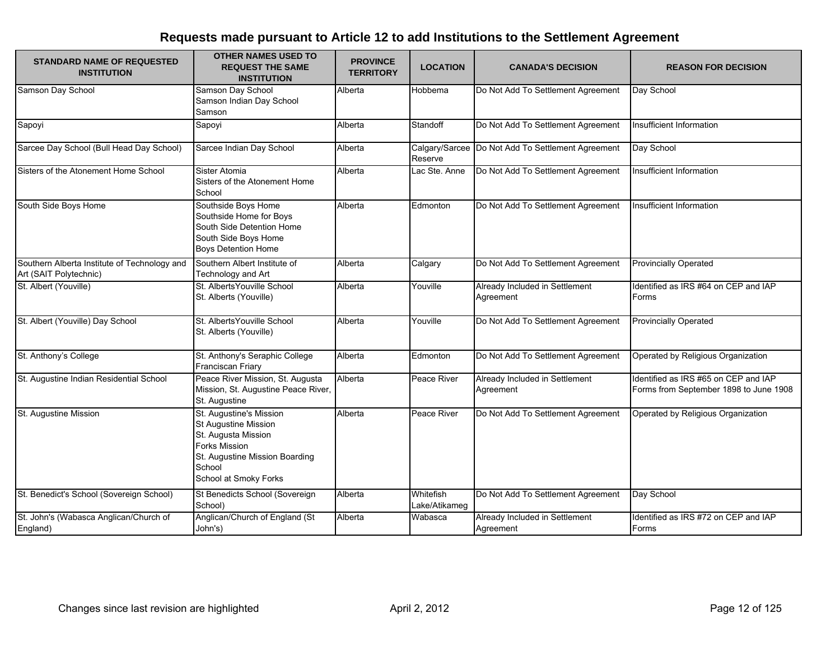| <b>STANDARD NAME OF REQUESTED</b><br><b>INSTITUTION</b>                | <b>OTHER NAMES USED TO</b><br><b>REQUEST THE SAME</b><br><b>INSTITUTION</b>                                                                                                | <b>PROVINCE</b><br><b>TERRITORY</b> | <b>LOCATION</b>            | <b>CANADA'S DECISION</b>                            | <b>REASON FOR DECISION</b>                                                     |
|------------------------------------------------------------------------|----------------------------------------------------------------------------------------------------------------------------------------------------------------------------|-------------------------------------|----------------------------|-----------------------------------------------------|--------------------------------------------------------------------------------|
| Samson Day School                                                      | Samson Day School<br>Samson Indian Day School<br>Samson                                                                                                                    | Alberta                             | Hobbema                    | Do Not Add To Settlement Agreement                  | Day School                                                                     |
| Sapoyi                                                                 | Sapoyi                                                                                                                                                                     | Alberta                             | Standoff                   | Do Not Add To Settlement Agreement                  | Insufficient Information                                                       |
| Sarcee Day School (Bull Head Day School)                               | Sarcee Indian Day School                                                                                                                                                   | Alberta                             | Reserve                    | Calgary/Sarcee   Do Not Add To Settlement Agreement | Day School                                                                     |
| Sisters of the Atonement Home School                                   | Sister Atomia<br>Sisters of the Atonement Home<br>School                                                                                                                   | Alberta                             | Lac Ste. Anne              | Do Not Add To Settlement Agreement                  | <b>Insufficient Information</b>                                                |
| South Side Boys Home                                                   | Southside Boys Home<br>Southside Home for Boys<br>South Side Detention Home<br>South Side Boys Home<br><b>Boys Detention Home</b>                                          | Alberta                             | Edmonton                   | Do Not Add To Settlement Agreement                  | Insufficient Information                                                       |
| Southern Alberta Institute of Technology and<br>Art (SAIT Polytechnic) | Southern Albert Institute of<br>Technology and Art                                                                                                                         | Alberta                             | Calgary                    | Do Not Add To Settlement Agreement                  | <b>Provincially Operated</b>                                                   |
| St. Albert (Youville)                                                  | St. Alberts Youville School<br>St. Alberts (Youville)                                                                                                                      | Alberta                             | Youville                   | Already Included in Settlement<br>Agreement         | Identified as IRS #64 on CEP and IAP<br>Forms                                  |
| St. Albert (Youville) Day School                                       | St. Alberts Youville School<br>St. Alberts (Youville)                                                                                                                      | Alberta                             | Youville                   | Do Not Add To Settlement Agreement                  | <b>Provincially Operated</b>                                                   |
| St. Anthony's College                                                  | St. Anthony's Seraphic College<br>Franciscan Friary                                                                                                                        | Alberta                             | Edmonton                   | Do Not Add To Settlement Agreement                  | Operated by Religious Organization                                             |
| St. Augustine Indian Residential School                                | Peace River Mission, St. Augusta<br>Mission, St. Augustine Peace River,<br>St. Augustine                                                                                   | Alberta                             | Peace River                | Already Included in Settlement<br>Agreement         | Identified as IRS #65 on CEP and IAP<br>Forms from September 1898 to June 1908 |
| St. Augustine Mission                                                  | St. Augustine's Mission<br><b>St Augustine Mission</b><br>St. Augusta Mission<br><b>Forks Mission</b><br>St. Augustine Mission Boarding<br>School<br>School at Smoky Forks | Alberta                             | Peace River                | Do Not Add To Settlement Agreement                  | Operated by Religious Organization                                             |
| St. Benedict's School (Sovereign School)                               | St Benedicts School (Sovereign<br>School)                                                                                                                                  | Alberta                             | Whitefish<br>Lake/Atikameg | Do Not Add To Settlement Agreement                  | Day School                                                                     |
| St. John's (Wabasca Anglican/Church of<br>England)                     | Anglican/Church of England (St<br>John's)                                                                                                                                  | Alberta                             | Wabasca                    | Already Included in Settlement<br>Agreement         | Identified as IRS #72 on CEP and IAP<br>Forms                                  |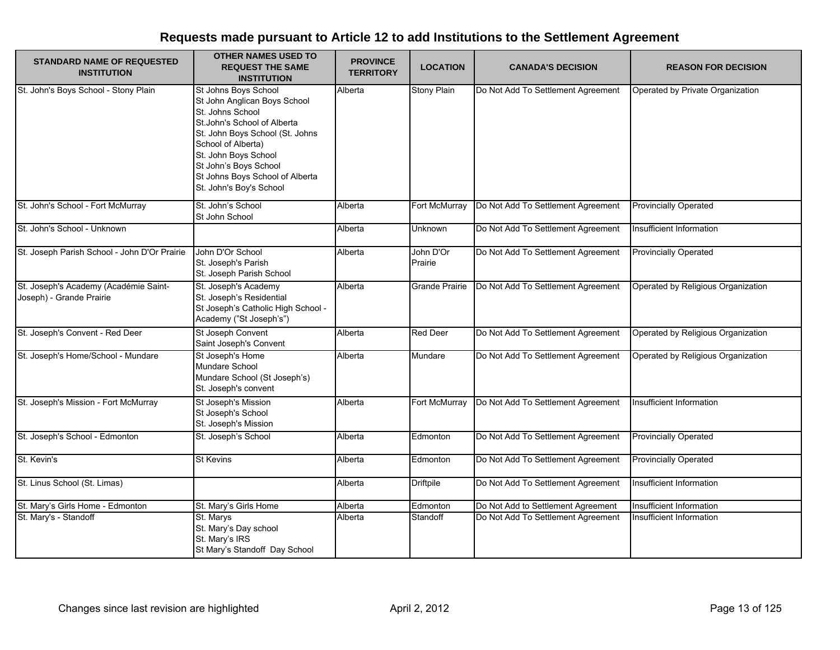| <b>STANDARD NAME OF REQUESTED</b><br><b>INSTITUTION</b>           | <b>OTHER NAMES USED TO</b><br><b>REQUEST THE SAME</b><br><b>INSTITUTION</b>                                                                                                                                                                                                      | <b>PROVINCE</b><br><b>TERRITORY</b> | <b>LOCATION</b>      | <b>CANADA'S DECISION</b>           | <b>REASON FOR DECISION</b>         |
|-------------------------------------------------------------------|----------------------------------------------------------------------------------------------------------------------------------------------------------------------------------------------------------------------------------------------------------------------------------|-------------------------------------|----------------------|------------------------------------|------------------------------------|
| St. John's Boys School - Stony Plain                              | St Johns Boys School<br>St John Anglican Boys School<br>St. Johns School<br>St. John's School of Alberta<br>St. John Boys School (St. Johns<br>School of Alberta)<br>St. John Boys School<br>St John's Boys School<br>St Johns Boys School of Alberta<br>St. John's Boy's School | Alberta                             | <b>Stony Plain</b>   | Do Not Add To Settlement Agreement | Operated by Private Organization   |
| St. John's School - Fort McMurray                                 | St. John's School<br>St John School                                                                                                                                                                                                                                              | Alberta                             | Fort McMurray        | Do Not Add To Settlement Agreement | <b>Provincially Operated</b>       |
| St. John's School - Unknown                                       |                                                                                                                                                                                                                                                                                  | Alberta                             | Unknown              | Do Not Add To Settlement Agreement | Insufficient Information           |
| St. Joseph Parish School - John D'Or Prairie                      | John D'Or School<br>St. Joseph's Parish<br>St. Joseph Parish School                                                                                                                                                                                                              | Alberta                             | John D'Or<br>Prairie | Do Not Add To Settlement Agreement | <b>Provincially Operated</b>       |
| St. Joseph's Academy (Académie Saint-<br>Joseph) - Grande Prairie | St. Joseph's Academy<br>St. Joseph's Residential<br>St Joseph's Catholic High School -<br>Academy ("St Joseph's")                                                                                                                                                                | Alberta                             | Grande Prairie       | Do Not Add To Settlement Agreement | Operated by Religious Organization |
| St. Joseph's Convent - Red Deer                                   | St Joseph Convent<br>Saint Joseph's Convent                                                                                                                                                                                                                                      | Alberta                             | <b>Red Deer</b>      | Do Not Add To Settlement Agreement | Operated by Religious Organization |
| St. Joseph's Home/School - Mundare                                | St Joseph's Home<br>Mundare School<br>Mundare School (St Joseph's)<br>St. Joseph's convent                                                                                                                                                                                       | Alberta                             | Mundare              | Do Not Add To Settlement Agreement | Operated by Religious Organization |
| St. Joseph's Mission - Fort McMurray                              | St Joseph's Mission<br>St Joseph's School<br>St. Joseph's Mission                                                                                                                                                                                                                | Alberta                             | Fort McMurray        | Do Not Add To Settlement Agreement | Insufficient Information           |
| St. Joseph's School - Edmonton                                    | St. Joseph's School                                                                                                                                                                                                                                                              | Alberta                             | Edmonton             | Do Not Add To Settlement Agreement | <b>Provincially Operated</b>       |
| St. Kevin's                                                       | <b>St Kevins</b>                                                                                                                                                                                                                                                                 | Alberta                             | Edmonton             | Do Not Add To Settlement Agreement | <b>Provincially Operated</b>       |
| St. Linus School (St. Limas)                                      |                                                                                                                                                                                                                                                                                  | Alberta                             | <b>Driftpile</b>     | Do Not Add To Settlement Agreement | Insufficient Information           |
| St. Mary's Girls Home - Edmonton                                  | St. Mary's Girls Home                                                                                                                                                                                                                                                            | Alberta                             | Edmonton             | Do Not Add to Settlement Agreement | Insufficient Information           |
| St. Mary's - Standoff                                             | St. Marys<br>St. Mary's Day school<br>St. Mary's IRS<br>St Mary's Standoff Day School                                                                                                                                                                                            | Alberta                             | Standoff             | Do Not Add To Settlement Agreement | Insufficient Information           |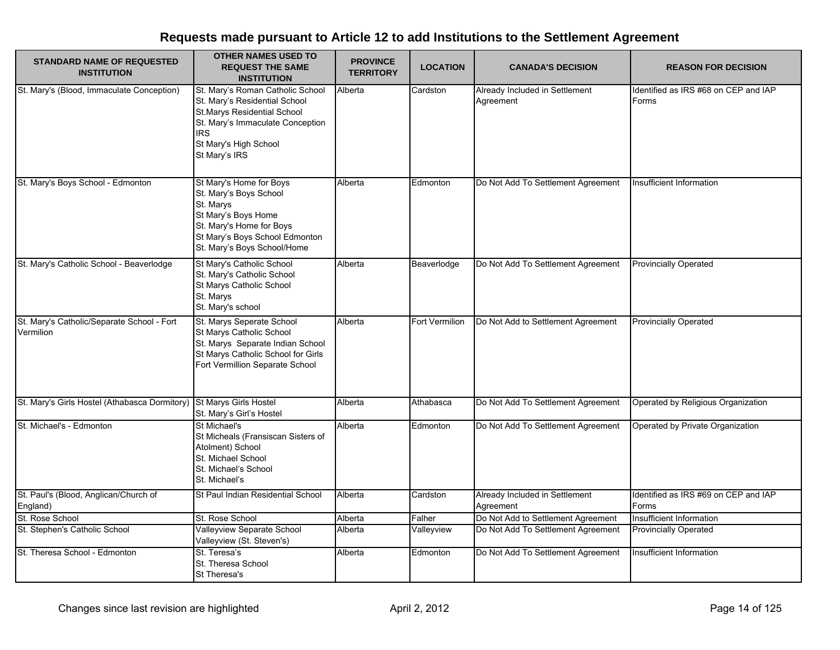| <b>STANDARD NAME OF REQUESTED</b><br><b>INSTITUTION</b>             | <b>OTHER NAMES USED TO</b><br><b>REQUEST THE SAME</b><br><b>INSTITUTION</b>                                                                                                                         | <b>PROVINCE</b><br><b>TERRITORY</b> | <b>LOCATION</b> | <b>CANADA'S DECISION</b>                    | <b>REASON FOR DECISION</b>                    |
|---------------------------------------------------------------------|-----------------------------------------------------------------------------------------------------------------------------------------------------------------------------------------------------|-------------------------------------|-----------------|---------------------------------------------|-----------------------------------------------|
| St. Mary's (Blood, Immaculate Conception)                           | St. Mary's Roman Catholic School<br>St. Mary's Residential School<br><b>St.Marys Residential School</b><br>St. Mary's Immaculate Conception<br><b>IRS</b><br>St Mary's High School<br>St Mary's IRS | Alberta                             | Cardston        | Already Included in Settlement<br>Agreement | Identified as IRS #68 on CEP and IAP<br>Forms |
| St. Mary's Boys School - Edmonton                                   | St Mary's Home for Boys<br>St. Mary's Boys School<br>St. Marys<br>St Mary's Boys Home<br>St. Mary's Home for Boys<br>St Mary's Boys School Edmonton<br>St. Mary's Boys School/Home                  | Alberta                             | Edmonton        | Do Not Add To Settlement Agreement          | Insufficient Information                      |
| St. Mary's Catholic School - Beaverlodge                            | St Mary's Catholic School<br>St. Mary's Catholic School<br>St Marys Catholic School<br>St. Marys<br>St. Mary's school                                                                               | Alberta                             | Beaverlodge     | Do Not Add To Settlement Agreement          | <b>Provincially Operated</b>                  |
| St. Mary's Catholic/Separate School - Fort<br>Vermilion             | St. Marys Seperate School<br>St Marys Catholic School<br>St. Marys Separate Indian School<br>St Marys Catholic School for Girls<br>Fort Vermillion Separate School                                  | Alberta                             | Fort Vermilion  | Do Not Add to Settlement Agreement          | <b>Provincially Operated</b>                  |
| St. Mary's Girls Hostel (Athabasca Dormitory) St Marys Girls Hostel | St. Mary's Girl's Hostel                                                                                                                                                                            | Alberta                             | Athabasca       | Do Not Add To Settlement Agreement          | Operated by Religious Organization            |
| St. Michael's - Edmonton                                            | St Michael's<br>St Micheals (Fransiscan Sisters of<br>Atolment) School<br>St. Michael School<br>St. Michael's School<br>St. Michael's                                                               | Alberta                             | Edmonton        | Do Not Add To Settlement Agreement          | Operated by Private Organization              |
| St. Paul's (Blood, Anglican/Church of<br>England)                   | St Paul Indian Residential School                                                                                                                                                                   | Alberta                             | Cardston        | Already Included in Settlement<br>Agreement | Identified as IRS #69 on CEP and IAP<br>Forms |
| St. Rose School                                                     | St. Rose School                                                                                                                                                                                     | Alberta                             | Falher          | Do Not Add to Settlement Agreement          | Insufficient Information                      |
| St. Stephen's Catholic School                                       | Valleyview Separate School<br>Valleyview (St. Steven's)                                                                                                                                             | Alberta                             | Valleyview      | Do Not Add To Settlement Agreement          | <b>Provincially Operated</b>                  |
| St. Theresa School - Edmonton                                       | St. Teresa's<br>St. Theresa School<br>St Theresa's                                                                                                                                                  | Alberta                             | Edmonton        | Do Not Add To Settlement Agreement          | Insufficient Information                      |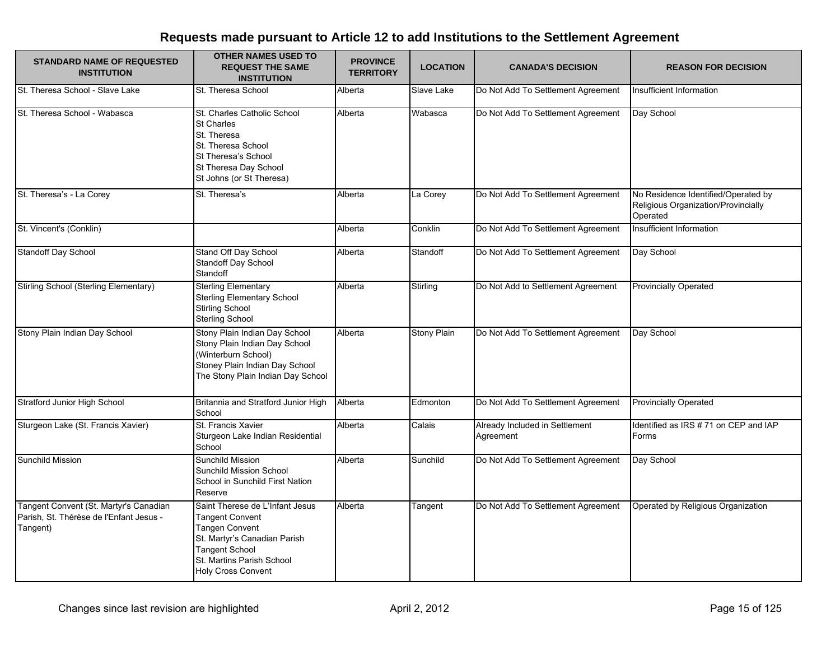| <b>STANDARD NAME OF REQUESTED</b><br><b>INSTITUTION</b>                                       | <b>OTHER NAMES USED TO</b><br><b>REQUEST THE SAME</b><br><b>INSTITUTION</b>                                                                                                                           | <b>PROVINCE</b><br><b>TERRITORY</b> | <b>LOCATION</b>    | <b>CANADA'S DECISION</b>                    | <b>REASON FOR DECISION</b>                                                             |
|-----------------------------------------------------------------------------------------------|-------------------------------------------------------------------------------------------------------------------------------------------------------------------------------------------------------|-------------------------------------|--------------------|---------------------------------------------|----------------------------------------------------------------------------------------|
| St. Theresa School - Slave Lake                                                               | St. Theresa School                                                                                                                                                                                    | Alberta                             | Slave Lake         | Do Not Add To Settlement Agreement          | Insufficient Information                                                               |
| St. Theresa School - Wabasca                                                                  | St. Charles Catholic School<br>St Charles<br>St. Theresa<br>St. Theresa School<br>St Theresa's School<br>St Theresa Day School<br>St Johns (or St Theresa)                                            | Alberta                             | Wabasca            | Do Not Add To Settlement Agreement          | Day School                                                                             |
| St. Theresa's - La Corey                                                                      | St. Theresa's                                                                                                                                                                                         | Alberta                             | La Corey           | Do Not Add To Settlement Agreement          | No Residence Identified/Operated by<br>Religious Organization/Provincially<br>Operated |
| St. Vincent's (Conklin)                                                                       |                                                                                                                                                                                                       | Alberta                             | Conklin            | Do Not Add To Settlement Agreement          | Insufficient Information                                                               |
| Standoff Day School                                                                           | Stand Off Day School<br>Standoff Day School<br>Standoff                                                                                                                                               | Alberta                             | Standoff           | Do Not Add To Settlement Agreement          | Day School                                                                             |
| Stirling School (Sterling Elementary)                                                         | <b>Sterling Elementary</b><br><b>Sterling Elementary School</b><br><b>Stirling School</b><br>Sterling School                                                                                          | Alberta                             | Stirling           | Do Not Add to Settlement Agreement          | <b>Provincially Operated</b>                                                           |
| Stony Plain Indian Day School                                                                 | Stony Plain Indian Day School<br>Stony Plain Indian Day School<br>(Winterburn School)<br>Stoney Plain Indian Day School<br>The Stony Plain Indian Day School                                          | Alberta                             | <b>Stony Plain</b> | Do Not Add To Settlement Agreement          | Day School                                                                             |
| <b>Stratford Junior High School</b>                                                           | Britannia and Stratford Junior High<br>School                                                                                                                                                         | Alberta                             | Edmonton           | Do Not Add To Settlement Agreement          | <b>Provincially Operated</b>                                                           |
| Sturgeon Lake (St. Francis Xavier)                                                            | St. Francis Xavier<br>Sturgeon Lake Indian Residential<br>School                                                                                                                                      | Alberta                             | Calais             | Already Included in Settlement<br>Agreement | Identified as IRS #71 on CEP and IAP<br>Forms                                          |
| Sunchild Mission                                                                              | Sunchild Mission<br>Sunchild Mission School<br>School in Sunchild First Nation<br>Reserve                                                                                                             | Alberta                             | Sunchild           | Do Not Add To Settlement Agreement          | Day School                                                                             |
| Tangent Convent (St. Martyr's Canadian<br>Parish, St. Thérèse de l'Enfant Jesus -<br>Tangent) | Saint Therese de L'Infant Jesus<br><b>Tangent Convent</b><br><b>Tangen Convent</b><br>St. Martyr's Canadian Parish<br><b>Tangent School</b><br>St. Martins Parish School<br><b>Holy Cross Convent</b> | Alberta                             | Tangent            | Do Not Add To Settlement Agreement          | Operated by Religious Organization                                                     |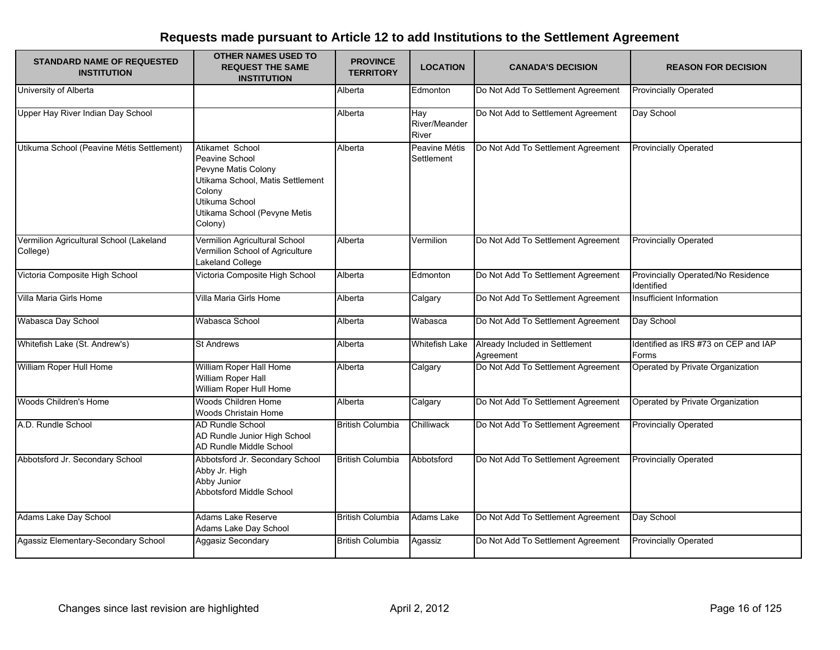| <b>STANDARD NAME OF REQUESTED</b><br><b>INSTITUTION</b> | <b>OTHER NAMES USED TO</b><br><b>REQUEST THE SAME</b><br><b>INSTITUTION</b>                                                                                         | <b>PROVINCE</b><br><b>TERRITORY</b> | <b>LOCATION</b>               | <b>CANADA'S DECISION</b>                    | <b>REASON FOR DECISION</b>                       |
|---------------------------------------------------------|---------------------------------------------------------------------------------------------------------------------------------------------------------------------|-------------------------------------|-------------------------------|---------------------------------------------|--------------------------------------------------|
| University of Alberta                                   |                                                                                                                                                                     | Alberta                             | Edmonton                      | Do Not Add To Settlement Agreement          | <b>Provincially Operated</b>                     |
| Upper Hay River Indian Day School                       |                                                                                                                                                                     | Alberta                             | Hay<br>River/Meander<br>River | Do Not Add to Settlement Agreement          | Day School                                       |
| Utikuma School (Peavine Métis Settlement)               | Atikamet School<br>Peavine School<br>Pevyne Matis Colony<br>Utikama School, Matis Settlement<br>Colony<br>Utikuma School<br>Utikama School (Pevyne Metis<br>Colony) | Alberta                             | Peavine Métis<br>Settlement   | Do Not Add To Settlement Agreement          | <b>Provincially Operated</b>                     |
| Vermilion Agricultural School (Lakeland<br>College)     | Vermilion Agricultural School<br>Vermilion School of Agriculture<br>Lakeland College                                                                                | Alberta                             | Vermilion                     | Do Not Add To Settlement Agreement          | <b>Provincially Operated</b>                     |
| Victoria Composite High School                          | Victoria Composite High School                                                                                                                                      | Alberta                             | Edmonton                      | Do Not Add To Settlement Agreement          | Provincially Operated/No Residence<br>Identified |
| Villa Maria Girls Home                                  | Villa Maria Girls Home                                                                                                                                              | Alberta                             | Calgary                       | Do Not Add To Settlement Agreement          | Insufficient Information                         |
| Wabasca Day School                                      | Wabasca School                                                                                                                                                      | Alberta                             | Wabasca                       | Do Not Add To Settlement Agreement          | Day School                                       |
| Whitefish Lake (St. Andrew's)                           | <b>St Andrews</b>                                                                                                                                                   | Alberta                             | <b>Whitefish Lake</b>         | Already Included in Settlement<br>Agreement | Identified as IRS #73 on CEP and IAP<br>Forms    |
| William Roper Hull Home                                 | William Roper Hall Home<br>William Roper Hall<br>William Roper Hull Home                                                                                            | Alberta                             | Calgary                       | Do Not Add To Settlement Agreement          | Operated by Private Organization                 |
| Woods Children's Home                                   | Woods Children Home<br>Woods Christain Home                                                                                                                         | Alberta                             | Calgary                       | Do Not Add To Settlement Agreement          | Operated by Private Organization                 |
| A.D. Rundle School                                      | AD Rundle School<br>AD Rundle Junior High School<br>AD Rundle Middle School                                                                                         | <b>British Columbia</b>             | Chilliwack                    | Do Not Add To Settlement Agreement          | <b>Provincially Operated</b>                     |
| Abbotsford Jr. Secondary School                         | Abbotsford Jr. Secondary School<br>Abby Jr. High<br>Abby Junior<br>Abbotsford Middle School                                                                         | <b>British Columbia</b>             | Abbotsford                    | Do Not Add To Settlement Agreement          | <b>Provincially Operated</b>                     |
| Adams Lake Day School                                   | Adams Lake Reserve<br>Adams Lake Day School                                                                                                                         | <b>British Columbia</b>             | Adams Lake                    | Do Not Add To Settlement Agreement          | Day School                                       |
| Agassiz Elementary-Secondary School                     | Aggasiz Secondary                                                                                                                                                   | <b>British Columbia</b>             | Agassiz                       | Do Not Add To Settlement Agreement          | <b>Provincially Operated</b>                     |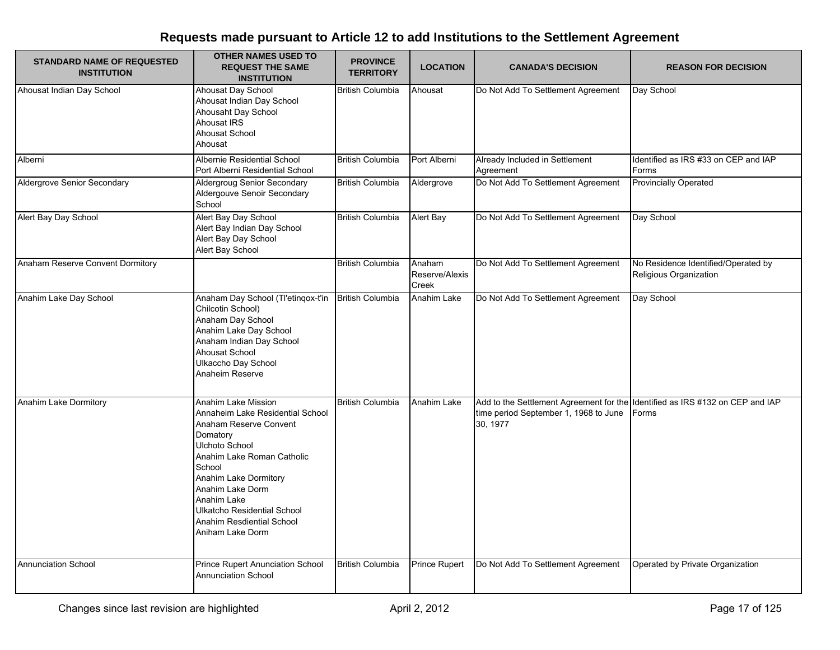| <b>STANDARD NAME OF REQUESTED</b><br><b>INSTITUTION</b> | <b>OTHER NAMES USED TO</b><br><b>REQUEST THE SAME</b><br><b>INSTITUTION</b>                                                                                                                                                                                                                                | <b>PROVINCE</b><br><b>TERRITORY</b> | <b>LOCATION</b>                   | <b>CANADA'S DECISION</b>                                                                                                           | <b>REASON FOR DECISION</b>                                    |
|---------------------------------------------------------|------------------------------------------------------------------------------------------------------------------------------------------------------------------------------------------------------------------------------------------------------------------------------------------------------------|-------------------------------------|-----------------------------------|------------------------------------------------------------------------------------------------------------------------------------|---------------------------------------------------------------|
| Ahousat Indian Day School                               | Ahousat Day School<br>Ahousat Indian Day School<br>Ahousaht Day School<br>Ahousat IRS<br>Ahousat School<br>Ahousat                                                                                                                                                                                         | <b>British Columbia</b>             | Ahousat                           | Do Not Add To Settlement Agreement                                                                                                 | Day School                                                    |
| Alberni                                                 | Albernie Residential School<br>Port Alberni Residential School                                                                                                                                                                                                                                             | <b>British Columbia</b>             | Port Alberni                      | Already Included in Settlement<br>Agreement                                                                                        | Identified as IRS #33 on CEP and IAP<br>Forms                 |
| <b>Aldergrove Senior Secondary</b>                      | Aldergroug Senior Secondary<br>Aldergouve Senoir Secondary<br>School                                                                                                                                                                                                                                       | <b>British Columbia</b>             | Aldergrove                        | Do Not Add To Settlement Agreement                                                                                                 | <b>Provincially Operated</b>                                  |
| Alert Bay Day School                                    | Alert Bay Day School<br>Alert Bay Indian Day School<br>Alert Bay Day School<br>Alert Bay School                                                                                                                                                                                                            | <b>British Columbia</b>             | Alert Bay                         | Do Not Add To Settlement Agreement                                                                                                 | Day School                                                    |
| Anaham Reserve Convent Dormitory                        |                                                                                                                                                                                                                                                                                                            | <b>British Columbia</b>             | Anaham<br>Reserve/Alexis<br>Creek | Do Not Add To Settlement Agreement                                                                                                 | No Residence Identified/Operated by<br>Religious Organization |
| Anahim Lake Day School                                  | Anaham Day School (Tl'etinqox-t'in<br>Chilcotin School)<br>Anaham Day School<br>Anahim Lake Day School<br>Anaham Indian Day School<br>Ahousat School<br>Ulkaccho Day School<br>Anaheim Reserve                                                                                                             | <b>British Columbia</b>             | Anahim Lake                       | Do Not Add To Settlement Agreement                                                                                                 | Day School                                                    |
| Anahim Lake Dormitory                                   | Anahim Lake Mission<br>Annaheim Lake Residential School<br>Anaham Reserve Convent<br>Domatory<br>Ulchoto School<br>Anahim Lake Roman Catholic<br>School<br>Anahim Lake Dormitory<br>Anahim Lake Dorm<br>Anahim Lake<br><b>Ulkatcho Residential School</b><br>Anahim Resdiential School<br>Aniham Lake Dorm | <b>British Columbia</b>             | Anahim Lake                       | Add to the Settlement Agreement for the Identified as IRS #132 on CEP and IAP<br>time period September 1, 1968 to June<br>30, 1977 | Forms                                                         |
| <b>Annunciation School</b>                              | <b>Prince Rupert Anunciation School</b><br><b>Annunciation School</b>                                                                                                                                                                                                                                      | <b>British Columbia</b>             | Prince Rupert                     | Do Not Add To Settlement Agreement                                                                                                 | Operated by Private Organization                              |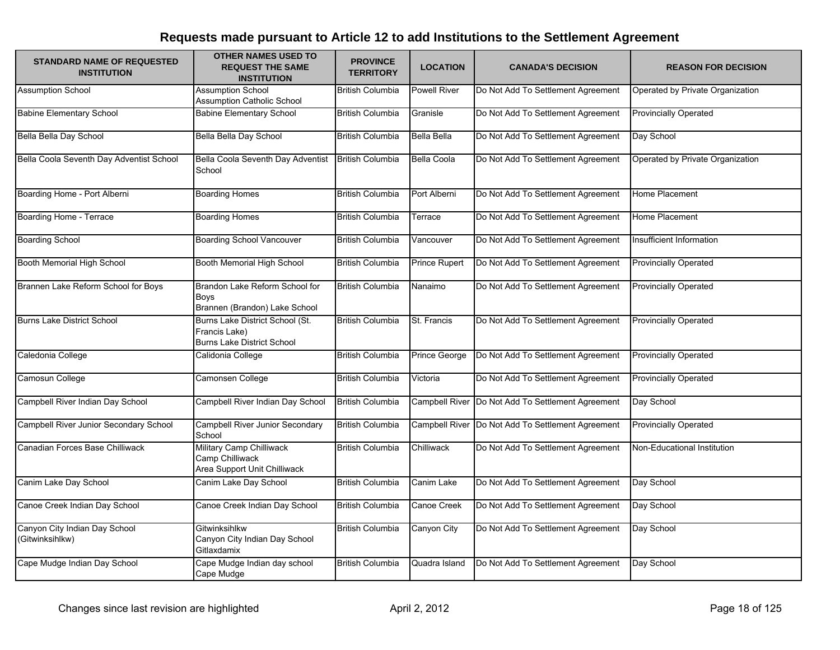| <b>STANDARD NAME OF REQUESTED</b><br><b>INSTITUTION</b> | <b>OTHER NAMES USED TO</b><br><b>REQUEST THE SAME</b><br><b>INSTITUTION</b>           | <b>PROVINCE</b><br><b>TERRITORY</b> | <b>LOCATION</b>    | <b>CANADA'S DECISION</b>                          | <b>REASON FOR DECISION</b>       |
|---------------------------------------------------------|---------------------------------------------------------------------------------------|-------------------------------------|--------------------|---------------------------------------------------|----------------------------------|
| <b>Assumption School</b>                                | <b>Assumption School</b><br><b>Assumption Catholic School</b>                         | <b>British Columbia</b>             | Powell River       | Do Not Add To Settlement Agreement                | Operated by Private Organization |
| <b>Babine Elementary School</b>                         | <b>Babine Elementary School</b>                                                       | <b>British Columbia</b>             | Granisle           | Do Not Add To Settlement Agreement                | <b>Provincially Operated</b>     |
| Bella Bella Day School                                  | Bella Bella Day School                                                                | <b>British Columbia</b>             | Bella Bella        | Do Not Add To Settlement Agreement                | Day School                       |
| Bella Coola Seventh Day Adventist School                | Bella Coola Seventh Day Adventist<br>School                                           | <b>British Columbia</b>             | <b>Bella Coola</b> | Do Not Add To Settlement Agreement                | Operated by Private Organization |
| Boarding Home - Port Alberni                            | <b>Boarding Homes</b>                                                                 | <b>British Columbia</b>             | Port Alberni       | Do Not Add To Settlement Agreement                | Home Placement                   |
| Boarding Home - Terrace                                 | <b>Boarding Homes</b>                                                                 | <b>British Columbia</b>             | Terrace            | Do Not Add To Settlement Agreement                | Home Placement                   |
| <b>Boarding School</b>                                  | <b>Boarding School Vancouver</b>                                                      | <b>British Columbia</b>             | Vancouver          | Do Not Add To Settlement Agreement                | Insufficient Information         |
| Booth Memorial High School                              | Booth Memorial High School                                                            | <b>British Columbia</b>             | Prince Rupert      | Do Not Add To Settlement Agreement                | <b>Provincially Operated</b>     |
| Brannen Lake Reform School for Boys                     | Brandon Lake Reform School for<br>Boys<br>Brannen (Brandon) Lake School               | <b>British Columbia</b>             | Nanaimo            | Do Not Add To Settlement Agreement                | <b>Provincially Operated</b>     |
| <b>Burns Lake District School</b>                       | Burns Lake District School (St.<br>Francis Lake)<br><b>Burns Lake District School</b> | <b>British Columbia</b>             | St. Francis        | Do Not Add To Settlement Agreement                | <b>Provincially Operated</b>     |
| Caledonia College                                       | Calidonia College                                                                     | <b>British Columbia</b>             | Prince George      | Do Not Add To Settlement Agreement                | <b>Provincially Operated</b>     |
| Camosun College                                         | Camonsen College                                                                      | <b>British Columbia</b>             | Victoria           | Do Not Add To Settlement Agreement                | <b>Provincially Operated</b>     |
| Campbell River Indian Day School                        | Campbell River Indian Day School                                                      | <b>British Columbia</b>             |                    | Campbell River Do Not Add To Settlement Agreement | Day School                       |
| Campbell River Junior Secondary School                  | <b>Campbell River Junior Secondary</b><br>School                                      | <b>British Columbia</b>             |                    | Campbell River Do Not Add To Settlement Agreement | <b>Provincially Operated</b>     |
| Canadian Forces Base Chilliwack                         | Military Camp Chilliwack<br>Camp Chilliwack<br>Area Support Unit Chilliwack           | <b>British Columbia</b>             | Chilliwack         | Do Not Add To Settlement Agreement                | Non-Educational Institution      |
| Canim Lake Day School                                   | Canim Lake Day School                                                                 | <b>British Columbia</b>             | Canim Lake         | Do Not Add To Settlement Agreement                | Day School                       |
| Canoe Creek Indian Day School                           | Canoe Creek Indian Day School                                                         | <b>British Columbia</b>             | Canoe Creek        | Do Not Add To Settlement Agreement                | Day School                       |
| Canyon City Indian Day School<br>(Gitwinksihlkw)        | Gitwinksihlkw<br>Canyon City Indian Day School<br>Gitlaxdamix                         | <b>British Columbia</b>             | Canyon City        | Do Not Add To Settlement Agreement                | Day School                       |
| Cape Mudge Indian Day School                            | Cape Mudge Indian day school<br>Cape Mudge                                            | <b>British Columbia</b>             | Quadra Island      | Do Not Add To Settlement Agreement                | Day School                       |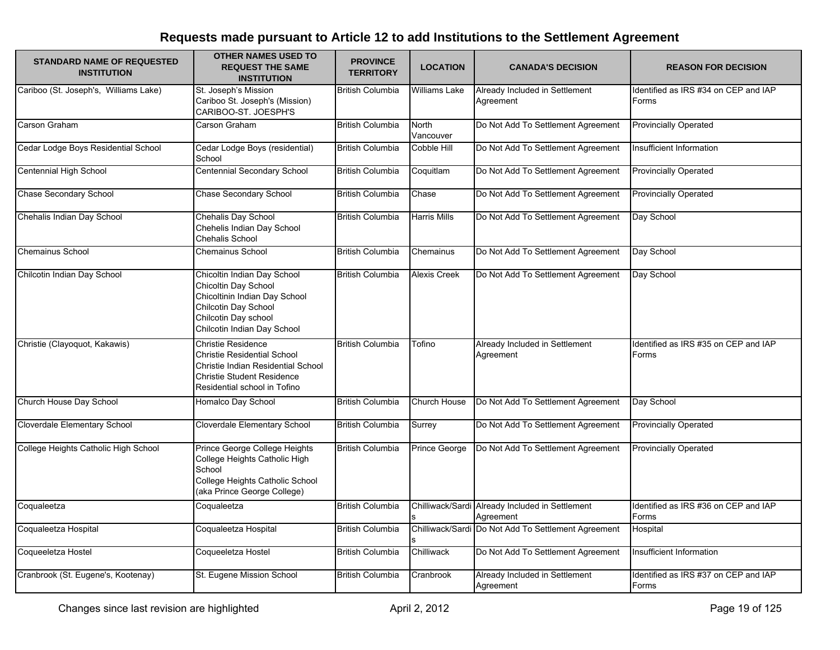| <b>STANDARD NAME OF REQUESTED</b><br><b>INSTITUTION</b> | <b>OTHER NAMES USED TO</b><br><b>REQUEST THE SAME</b><br><b>INSTITUTION</b>                                                                                                | <b>PROVINCE</b><br><b>TERRITORY</b> | <b>LOCATION</b>      | <b>CANADA'S DECISION</b>                                     | <b>REASON FOR DECISION</b>                    |
|---------------------------------------------------------|----------------------------------------------------------------------------------------------------------------------------------------------------------------------------|-------------------------------------|----------------------|--------------------------------------------------------------|-----------------------------------------------|
| Cariboo (St. Joseph's, Williams Lake)                   | St. Joseph's Mission<br>Cariboo St. Joseph's (Mission)<br>CARIBOO-ST. JOESPH'S                                                                                             | <b>British Columbia</b>             | <b>Williams Lake</b> | Already Included in Settlement<br>Agreement                  | Identified as IRS #34 on CEP and IAP<br>Forms |
| Carson Graham                                           | Carson Graham                                                                                                                                                              | <b>British Columbia</b>             | North<br>Vancouver   | Do Not Add To Settlement Agreement                           | <b>Provincially Operated</b>                  |
| Cedar Lodge Boys Residential School                     | Cedar Lodge Boys (residential)<br>School                                                                                                                                   | <b>British Columbia</b>             | <b>Cobble Hill</b>   | Do Not Add To Settlement Agreement                           | Insufficient Information                      |
| Centennial High School                                  | <b>Centennial Secondary School</b>                                                                                                                                         | <b>British Columbia</b>             | Coquitlam            | Do Not Add To Settlement Agreement                           | <b>Provincially Operated</b>                  |
| <b>Chase Secondary School</b>                           | <b>Chase Secondary School</b>                                                                                                                                              | <b>British Columbia</b>             | Chase                | Do Not Add To Settlement Agreement                           | <b>Provincially Operated</b>                  |
| Chehalis Indian Day School                              | Chehalis Day School<br>Chehelis Indian Day School<br>Chehalis School                                                                                                       | <b>British Columbia</b>             | <b>Harris Mills</b>  | Do Not Add To Settlement Agreement                           | Day School                                    |
| Chemainus School                                        | <b>Chemainus School</b>                                                                                                                                                    | <b>British Columbia</b>             | Chemainus            | Do Not Add To Settlement Agreement                           | Day School                                    |
| Chilcotin Indian Day School                             | Chicoltin Indian Day School<br>Chicoltin Day School<br>Chicoltinin Indian Day School<br>Chilcotin Day School<br>Chilcotin Day school<br>Chilcotin Indian Day School        | <b>British Columbia</b>             | <b>Alexis Creek</b>  | Do Not Add To Settlement Agreement                           | Day School                                    |
| Christie (Clayoquot, Kakawis)                           | <b>Christie Residence</b><br><b>Christie Residential School</b><br>Christie Indian Residential School<br><b>Christie Student Residence</b><br>Residential school in Tofino | <b>British Columbia</b>             | Tofino               | Already Included in Settlement<br>Agreement                  | Identified as IRS #35 on CEP and IAP<br>Forms |
| Church House Day School                                 | Homalco Day School                                                                                                                                                         | <b>British Columbia</b>             | Church House         | Do Not Add To Settlement Agreement                           | Day School                                    |
| Cloverdale Elementary School                            | Cloverdale Elementary School                                                                                                                                               | <b>British Columbia</b>             | Surrey               | Do Not Add To Settlement Agreement                           | <b>Provincially Operated</b>                  |
| College Heights Catholic High School                    | Prince George College Heights<br>College Heights Catholic High<br>School<br>College Heights Catholic School<br>(aka Prince George College)                                 | <b>British Columbia</b>             | Prince George        | Do Not Add To Settlement Agreement                           | <b>Provincially Operated</b>                  |
| Coqualeetza                                             | Coqualeetza                                                                                                                                                                | <b>British Columbia</b>             |                      | Chilliwack/Sardi Already Included in Settlement<br>Agreement | Identified as IRS #36 on CEP and IAP<br>Forms |
| Coqualeetza Hospital                                    | Coqualeetza Hospital                                                                                                                                                       | <b>British Columbia</b>             |                      | Chilliwack/Sardi Do Not Add To Settlement Agreement          | Hospital                                      |
| Coqueeletza Hostel                                      | Coqueeletza Hostel                                                                                                                                                         | <b>British Columbia</b>             | Chilliwack           | Do Not Add To Settlement Agreement                           | Insufficient Information                      |
| Cranbrook (St. Eugene's, Kootenay)                      | St. Eugene Mission School                                                                                                                                                  | <b>British Columbia</b>             | Cranbrook            | Already Included in Settlement<br>Agreement                  | Identified as IRS #37 on CEP and IAP<br>Forms |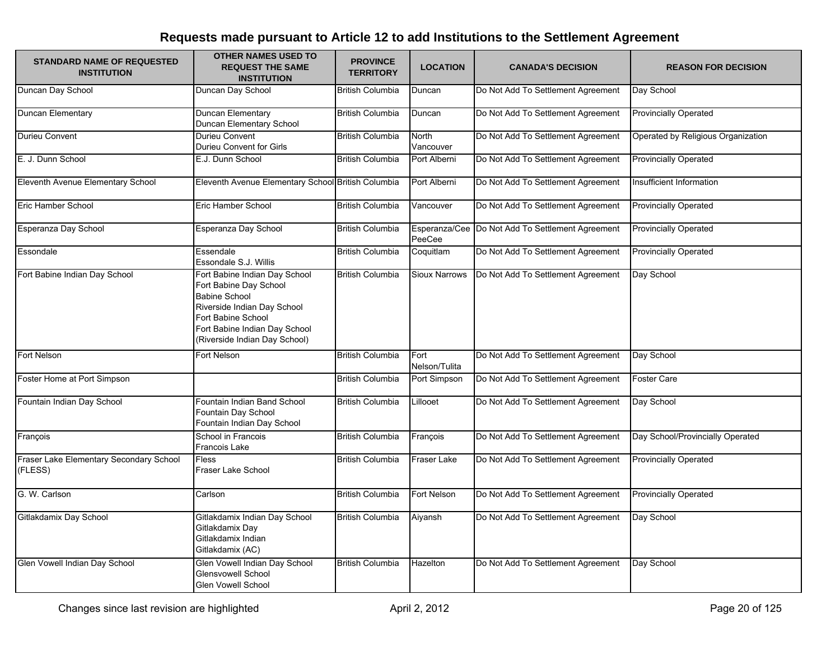| <b>STANDARD NAME OF REQUESTED</b><br><b>INSTITUTION</b> | <b>OTHER NAMES USED TO</b><br><b>REQUEST THE SAME</b><br><b>INSTITUTION</b>                                                                                                                            | <b>PROVINCE</b><br><b>TERRITORY</b> | <b>LOCATION</b>       | <b>CANADA'S DECISION</b>                         | <b>REASON FOR DECISION</b>         |
|---------------------------------------------------------|--------------------------------------------------------------------------------------------------------------------------------------------------------------------------------------------------------|-------------------------------------|-----------------------|--------------------------------------------------|------------------------------------|
| Duncan Day School                                       | Duncan Day School                                                                                                                                                                                      | <b>British Columbia</b>             | Duncan                | Do Not Add To Settlement Agreement               | Day School                         |
| Duncan Elementary                                       | Duncan Elementary<br>Duncan Elementary School                                                                                                                                                          | <b>British Columbia</b>             | Duncan                | Do Not Add To Settlement Agreement               | <b>Provincially Operated</b>       |
| Durieu Convent                                          | Durieu Convent<br>Durieu Convent for Girls                                                                                                                                                             | <b>British Columbia</b>             | North<br>Vancouver    | Do Not Add To Settlement Agreement               | Operated by Religious Organization |
| E. J. Dunn School                                       | E.J. Dunn School                                                                                                                                                                                       | <b>British Columbia</b>             | Port Alberni          | Do Not Add To Settlement Agreement               | <b>Provincially Operated</b>       |
| Eleventh Avenue Elementary School                       | Eleventh Avenue Elementary School British Columbia                                                                                                                                                     |                                     | Port Alberni          | Do Not Add To Settlement Agreement               | Insufficient Information           |
| Eric Hamber School                                      | Eric Hamber School                                                                                                                                                                                     | <b>British Columbia</b>             | Vancouver             | Do Not Add To Settlement Agreement               | <b>Provincially Operated</b>       |
| Esperanza Day School                                    | Esperanza Day School                                                                                                                                                                                   | <b>British Columbia</b>             | PeeCee                | Esperanza/Cee Do Not Add To Settlement Agreement | <b>Provincially Operated</b>       |
| Essondale                                               | Essendale<br>Essondale S.J. Willis                                                                                                                                                                     | <b>British Columbia</b>             | Coquitlam             | Do Not Add To Settlement Agreement               | <b>Provincially Operated</b>       |
| Fort Babine Indian Day School                           | Fort Babine Indian Day School<br>Fort Babine Day School<br><b>Babine School</b><br>Riverside Indian Day School<br>Fort Babine School<br>Fort Babine Indian Day School<br>(Riverside Indian Day School) | <b>British Columbia</b>             | <b>Sioux Narrows</b>  | Do Not Add To Settlement Agreement               | Day School                         |
| Fort Nelson                                             | Fort Nelson                                                                                                                                                                                            | <b>British Columbia</b>             | Fort<br>Nelson/Tulita | Do Not Add To Settlement Agreement               | Day School                         |
| Foster Home at Port Simpson                             |                                                                                                                                                                                                        | <b>British Columbia</b>             | Port Simpson          | Do Not Add To Settlement Agreement               | Foster Care                        |
| Fountain Indian Day School                              | Fountain Indian Band School<br>Fountain Day School<br>Fountain Indian Day School                                                                                                                       | <b>British Columbia</b>             | Lillooet              | Do Not Add To Settlement Agreement               | Day School                         |
| François                                                | School in Francois<br>Francois Lake                                                                                                                                                                    | <b>British Columbia</b>             | François              | Do Not Add To Settlement Agreement               | Day School/Provincially Operated   |
| Fraser Lake Elementary Secondary School<br>(FLESS)      | <b>Fless</b><br>Fraser Lake School                                                                                                                                                                     | <b>British Columbia</b>             | Fraser Lake           | Do Not Add To Settlement Agreement               | <b>Provincially Operated</b>       |
| G. W. Carlson                                           | Carlson                                                                                                                                                                                                | <b>British Columbia</b>             | Fort Nelson           | Do Not Add To Settlement Agreement               | <b>Provincially Operated</b>       |
| Gitlakdamix Day School                                  | Gitlakdamix Indian Day School<br>Gitlakdamix Day<br>Gitlakdamix Indian<br>Gitlakdamix (AC)                                                                                                             | <b>British Columbia</b>             | Aiyansh               | Do Not Add To Settlement Agreement               | Day School                         |
| Glen Vowell Indian Day School                           | Glen Vowell Indian Day School<br>Glensvowell School<br><b>Glen Vowell School</b>                                                                                                                       | <b>British Columbia</b>             | Hazelton              | Do Not Add To Settlement Agreement               | Day School                         |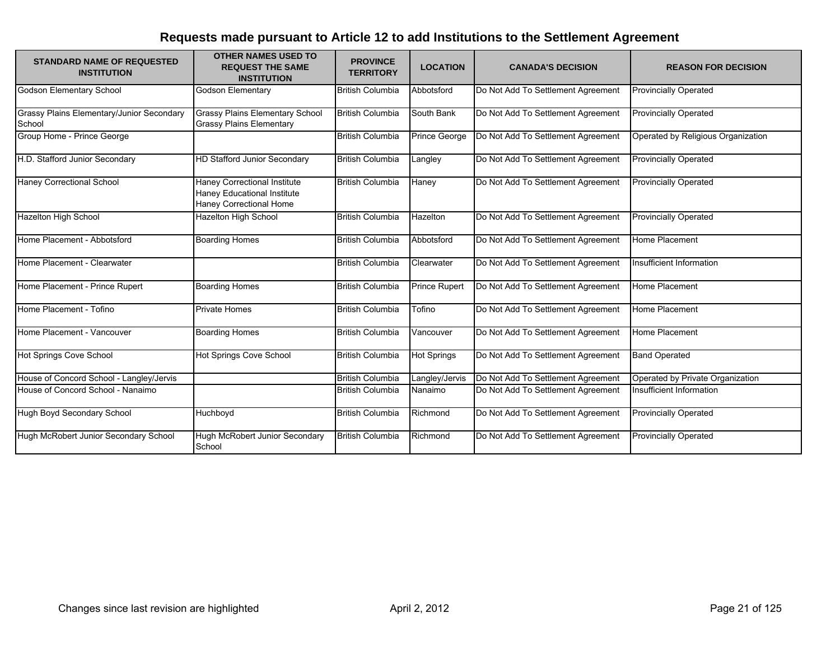| <b>STANDARD NAME OF REQUESTED</b><br><b>INSTITUTION</b> | <b>OTHER NAMES USED TO</b><br><b>REQUEST THE SAME</b><br><b>INSTITUTION</b>                   | <b>PROVINCE</b><br><b>TERRITORY</b> | <b>LOCATION</b>      | <b>CANADA'S DECISION</b>           | <b>REASON FOR DECISION</b>         |
|---------------------------------------------------------|-----------------------------------------------------------------------------------------------|-------------------------------------|----------------------|------------------------------------|------------------------------------|
| Godson Elementary School                                | Godson Elementary                                                                             | <b>British Columbia</b>             | Abbotsford           | Do Not Add To Settlement Agreement | <b>Provincially Operated</b>       |
| Grassy Plains Elementary/Junior Secondary<br>School     | <b>Grassy Plains Elementary School</b><br><b>Grassy Plains Elementary</b>                     | <b>British Columbia</b>             | South Bank           | Do Not Add To Settlement Agreement | <b>Provincially Operated</b>       |
| Group Home - Prince George                              |                                                                                               | <b>British Columbia</b>             | Prince George        | Do Not Add To Settlement Agreement | Operated by Religious Organization |
| H.D. Stafford Junior Secondary                          | HD Stafford Junior Secondary                                                                  | <b>British Columbia</b>             | Langley              | Do Not Add To Settlement Agreement | <b>Provincially Operated</b>       |
| Haney Correctional School                               | <b>Haney Correctional Institute</b><br>Haney Educational Institute<br>Haney Correctional Home | <b>British Columbia</b>             | Haney                | Do Not Add To Settlement Agreement | <b>Provincially Operated</b>       |
| Hazelton High School                                    | Hazelton High School                                                                          | <b>British Columbia</b>             | Hazelton             | Do Not Add To Settlement Agreement | <b>Provincially Operated</b>       |
| Home Placement - Abbotsford                             | <b>Boarding Homes</b>                                                                         | <b>British Columbia</b>             | Abbotsford           | Do Not Add To Settlement Agreement | Home Placement                     |
| Home Placement - Clearwater                             |                                                                                               | <b>British Columbia</b>             | Clearwater           | Do Not Add To Settlement Agreement | Insufficient Information           |
| Home Placement - Prince Rupert                          | <b>Boarding Homes</b>                                                                         | <b>British Columbia</b>             | <b>Prince Rupert</b> | Do Not Add To Settlement Agreement | Home Placement                     |
| Home Placement - Tofino                                 | <b>Private Homes</b>                                                                          | <b>British Columbia</b>             | Tofino               | Do Not Add To Settlement Agreement | Home Placement                     |
| Home Placement - Vancouver                              | <b>Boarding Homes</b>                                                                         | <b>British Columbia</b>             | Vancouver            | Do Not Add To Settlement Agreement | Home Placement                     |
| Hot Springs Cove School                                 | Hot Springs Cove School                                                                       | <b>British Columbia</b>             | <b>Hot Springs</b>   | Do Not Add To Settlement Agreement | <b>Band Operated</b>               |
| House of Concord School - Langley/Jervis                |                                                                                               | <b>British Columbia</b>             | Langley/Jervis       | Do Not Add To Settlement Agreement | Operated by Private Organization   |
| House of Concord School - Nanaimo                       |                                                                                               | <b>British Columbia</b>             | Nanaimo              | Do Not Add To Settlement Agreement | Insufficient Information           |
| Hugh Boyd Secondary School                              | Huchboyd                                                                                      | <b>British Columbia</b>             | Richmond             | Do Not Add To Settlement Agreement | <b>Provincially Operated</b>       |
| Hugh McRobert Junior Secondary School                   | Hugh McRobert Junior Secondary<br>School                                                      | <b>British Columbia</b>             | Richmond             | Do Not Add To Settlement Agreement | <b>Provincially Operated</b>       |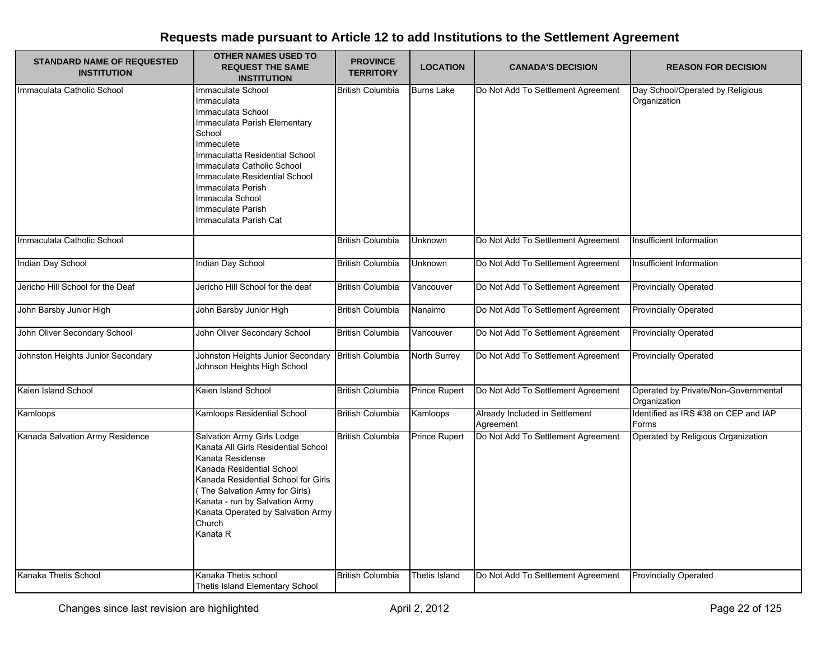| <b>STANDARD NAME OF REQUESTED</b><br><b>INSTITUTION</b> | <b>OTHER NAMES USED TO</b><br><b>REQUEST THE SAME</b><br><b>INSTITUTION</b>                                                                                                                                                                                                                         | <b>PROVINCE</b><br><b>TERRITORY</b> | <b>LOCATION</b>   | <b>CANADA'S DECISION</b>                    | <b>REASON FOR DECISION</b>                           |
|---------------------------------------------------------|-----------------------------------------------------------------------------------------------------------------------------------------------------------------------------------------------------------------------------------------------------------------------------------------------------|-------------------------------------|-------------------|---------------------------------------------|------------------------------------------------------|
| Immaculata Catholic School                              | Immaculate School<br>Immaculata<br>Immaculata School<br>Immaculata Parish Elementary<br>School<br>Immeculete<br>Immaculatta Residential School<br>Immaculata Catholic School<br>Immaculate Residential School<br>Immaculata Perish<br>Immacula School<br>Immaculate Parish<br>Immaculata Parish Cat | <b>British Columbia</b>             | <b>Burns Lake</b> | Do Not Add To Settlement Agreement          | Day School/Operated by Religious<br>Organization     |
| Immaculata Catholic School                              |                                                                                                                                                                                                                                                                                                     | <b>British Columbia</b>             | <b>Unknown</b>    | Do Not Add To Settlement Agreement          | Insufficient Information                             |
| Indian Day School                                       | Indian Day School                                                                                                                                                                                                                                                                                   | <b>British Columbia</b>             | Unknown           | Do Not Add To Settlement Agreement          | Insufficient Information                             |
| Jericho Hill School for the Deaf                        | Jericho Hill School for the deaf                                                                                                                                                                                                                                                                    | <b>British Columbia</b>             | Vancouver         | Do Not Add To Settlement Agreement          | <b>Provincially Operated</b>                         |
| John Barsby Junior High                                 | John Barsby Junior High                                                                                                                                                                                                                                                                             | <b>British Columbia</b>             | Nanaimo           | Do Not Add To Settlement Agreement          | <b>Provincially Operated</b>                         |
| John Oliver Secondary School                            | John Oliver Secondary School                                                                                                                                                                                                                                                                        | <b>British Columbia</b>             | Vancouver         | Do Not Add To Settlement Agreement          | <b>Provincially Operated</b>                         |
| Johnston Heights Junior Secondary                       | Johnston Heights Junior Secondary<br>Johnson Heights High School                                                                                                                                                                                                                                    | <b>British Columbia</b>             | North Surrey      | Do Not Add To Settlement Agreement          | Provincially Operated                                |
| Kaien Island School                                     | Kaien Island School                                                                                                                                                                                                                                                                                 | <b>British Columbia</b>             | Prince Rupert     | Do Not Add To Settlement Agreement          | Operated by Private/Non-Governmental<br>Organization |
| Kamloops                                                | Kamloops Residential School                                                                                                                                                                                                                                                                         | <b>British Columbia</b>             | Kamloops          | Already Included in Settlement<br>Agreement | Identified as IRS #38 on CEP and IAP<br>Forms        |
| Kanada Salvation Army Residence                         | Salvation Army Girls Lodge<br>Kanata All Girls Residential School<br>Kanata Residense<br>Kanada Residential School<br>Kanada Residential School for Girls<br>(The Salvation Army for Girls)<br>Kanata - run by Salvation Army<br>Kanata Operated by Salvation Army<br>Church<br>Kanata R            | <b>British Columbia</b>             | Prince Rupert     | Do Not Add To Settlement Agreement          | Operated by Religious Organization                   |
| Kanaka Thetis School                                    | Kanaka Thetis school<br>Thetis Island Elementary School                                                                                                                                                                                                                                             | <b>British Columbia</b>             | Thetis Island     | Do Not Add To Settlement Agreement          | <b>Provincially Operated</b>                         |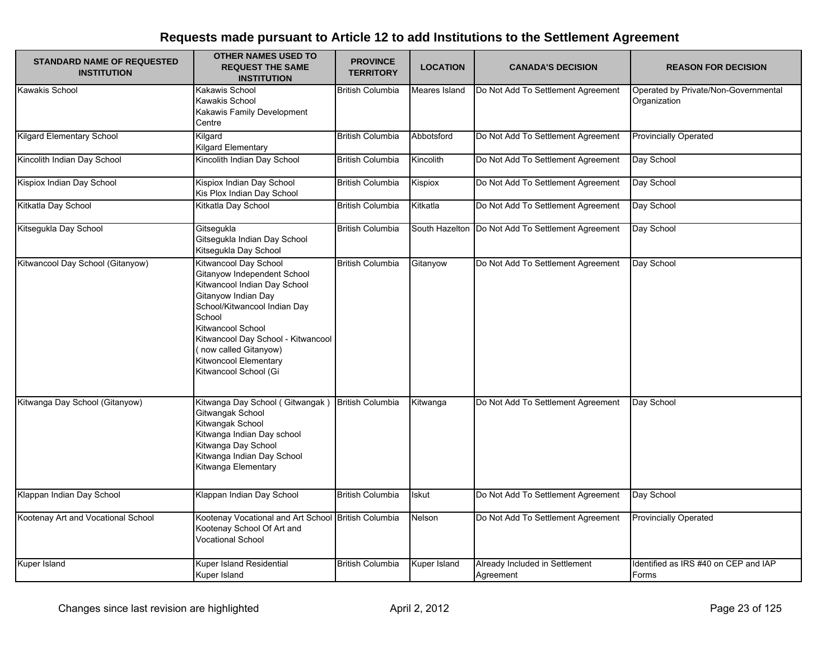| <b>STANDARD NAME OF REQUESTED</b><br><b>INSTITUTION</b> | <b>OTHER NAMES USED TO</b><br><b>REQUEST THE SAME</b><br><b>INSTITUTION</b>                                                                                                                                                                                                                 | <b>PROVINCE</b><br><b>TERRITORY</b> | <b>LOCATION</b> | <b>CANADA'S DECISION</b>                            | <b>REASON FOR DECISION</b>                           |
|---------------------------------------------------------|---------------------------------------------------------------------------------------------------------------------------------------------------------------------------------------------------------------------------------------------------------------------------------------------|-------------------------------------|-----------------|-----------------------------------------------------|------------------------------------------------------|
| <b>Kawakis School</b>                                   | Kakawis School<br>Kawakis School<br>Kakawis Family Development<br>Centre                                                                                                                                                                                                                    | <b>British Columbia</b>             | Meares Island   | Do Not Add To Settlement Agreement                  | Operated by Private/Non-Governmental<br>Organization |
| <b>Kilgard Elementary School</b>                        | Kilgard<br><b>Kilgard Elementary</b>                                                                                                                                                                                                                                                        | British Columbia                    | Abbotsford      | Do Not Add To Settlement Agreement                  | <b>Provincially Operated</b>                         |
| Kincolith Indian Day School                             | Kincolith Indian Day School                                                                                                                                                                                                                                                                 | <b>British Columbia</b>             | Kincolith       | Do Not Add To Settlement Agreement                  | Day School                                           |
| Kispiox Indian Day School                               | Kispiox Indian Day School<br>Kis Plox Indian Day School                                                                                                                                                                                                                                     | <b>British Columbia</b>             | Kispiox         | Do Not Add To Settlement Agreement                  | Day School                                           |
| Kitkatla Day School                                     | Kitkatla Day School                                                                                                                                                                                                                                                                         | <b>British Columbia</b>             | Kitkatla        | Do Not Add To Settlement Agreement                  | Day School                                           |
| Kitsegukla Day School                                   | Gitsequkla<br>Gitsegukla Indian Day School<br>Kitsegukla Day School                                                                                                                                                                                                                         | <b>British Columbia</b>             |                 | South Hazelton   Do Not Add To Settlement Agreement | Day School                                           |
| Kitwancool Day School (Gitanyow)                        | Kitwancool Day School<br>Gitanyow Independent School<br>Kitwancool Indian Day School<br>Gitanyow Indian Day<br>School/Kitwancool Indian Day<br>School<br>Kitwancool School<br>Kitwancool Day School - Kitwancool<br>(now called Gitanyow)<br>Kitwoncool Elementary<br>Kitwancool School (Gi | British Columbia                    | Gitanyow        | Do Not Add To Settlement Agreement                  | Day School                                           |
| Kitwanga Day School (Gitanyow)                          | Kitwanga Day School (Gitwangak)<br>Gitwangak School<br>Kitwangak School<br>Kitwanga Indian Day school<br>Kitwanga Day School<br>Kitwanga Indian Day School<br>Kitwanga Elementary                                                                                                           | <b>British Columbia</b>             | Kitwanga        | Do Not Add To Settlement Agreement                  | Day School                                           |
| Klappan Indian Day School                               | Klappan Indian Day School                                                                                                                                                                                                                                                                   | <b>British Columbia</b>             | <b>Iskut</b>    | Do Not Add To Settlement Agreement                  | Day School                                           |
| Kootenay Art and Vocational School                      | Kootenay Vocational and Art School<br>Kootenay School Of Art and<br><b>Vocational School</b>                                                                                                                                                                                                | <b>British Columbia</b>             | Nelson          | Do Not Add To Settlement Agreement                  | <b>Provincially Operated</b>                         |
| Kuper Island                                            | Kuper Island Residential<br>Kuper Island                                                                                                                                                                                                                                                    | <b>British Columbia</b>             | Kuper Island    | Already Included in Settlement<br>Agreement         | Identified as IRS #40 on CEP and IAP<br>Forms        |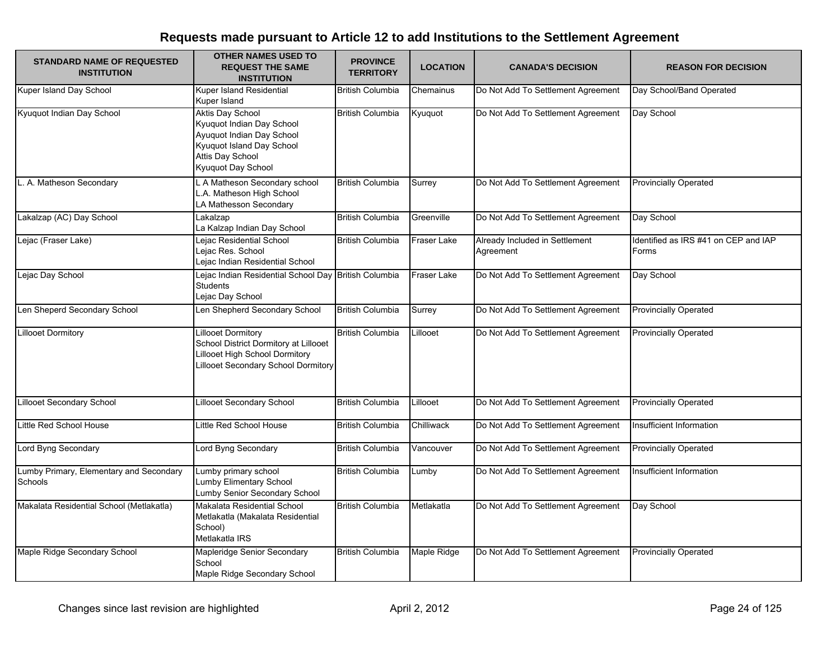| <b>STANDARD NAME OF REQUESTED</b><br><b>INSTITUTION</b>   | <b>OTHER NAMES USED TO</b><br><b>REQUEST THE SAME</b><br><b>INSTITUTION</b>                                                                              | <b>PROVINCE</b><br><b>TERRITORY</b> | <b>LOCATION</b> | <b>CANADA'S DECISION</b>                    | <b>REASON FOR DECISION</b>                    |
|-----------------------------------------------------------|----------------------------------------------------------------------------------------------------------------------------------------------------------|-------------------------------------|-----------------|---------------------------------------------|-----------------------------------------------|
| Kuper Island Day School                                   | Kuper Island Residential<br>Kuper Island                                                                                                                 | <b>British Columbia</b>             | Chemainus       | Do Not Add To Settlement Agreement          | Day School/Band Operated                      |
| Kyuquot Indian Day School                                 | <b>Aktis Day School</b><br>Kyuquot Indian Day School<br>Ayuquot Indian Day School<br>Kyuquot Island Day School<br>Attis Day School<br>Kyuquot Day School | <b>British Columbia</b>             | Kyuquot         | Do Not Add To Settlement Agreement          | Day School                                    |
| L. A. Matheson Secondary                                  | L A Matheson Secondary school<br>L.A. Matheson High School<br>LA Mathesson Secondary                                                                     | <b>British Columbia</b>             | Surrey          | Do Not Add To Settlement Agreement          | <b>Provincially Operated</b>                  |
| Lakalzap (AC) Day School                                  | Lakalzap<br>La Kalzap Indian Day School                                                                                                                  | <b>British Columbia</b>             | Greenville      | Do Not Add To Settlement Agreement          | Day School                                    |
| Lejac (Fraser Lake)                                       | Lejac Residential School<br>Lejac Res. School<br>Lejac Indian Residential School                                                                         | <b>British Columbia</b>             | Fraser Lake     | Already Included in Settlement<br>Agreement | Identified as IRS #41 on CEP and IAP<br>Forms |
| Lejac Day School                                          | Lejac Indian Residential School Day British Columbia<br><b>Students</b><br>Lejac Day School                                                              |                                     | Fraser Lake     | Do Not Add To Settlement Agreement          | Day School                                    |
| Len Sheperd Secondary School                              | Len Shepherd Secondary School                                                                                                                            | <b>British Columbia</b>             | Surrey          | Do Not Add To Settlement Agreement          | <b>Provincially Operated</b>                  |
| <b>Lillooet Dormitory</b>                                 | <b>Lillooet Dormitory</b><br>School District Dormitory at Lillooet<br><b>Lillooet High School Dormitory</b><br>Lillooet Secondary School Dormitory       | <b>British Columbia</b>             | Lillooet        | Do Not Add To Settlement Agreement          | <b>Provincially Operated</b>                  |
| <b>Lillooet Secondary School</b>                          | <b>Lillooet Secondary School</b>                                                                                                                         | <b>British Columbia</b>             | Lillooet        | Do Not Add To Settlement Agreement          | <b>Provincially Operated</b>                  |
| Little Red School House                                   | Little Red School House                                                                                                                                  | <b>British Columbia</b>             | Chilliwack      | Do Not Add To Settlement Agreement          | Insufficient Information                      |
| Lord Byng Secondary                                       | Lord Byng Secondary                                                                                                                                      | <b>British Columbia</b>             | Vancouver       | Do Not Add To Settlement Agreement          | <b>Provincially Operated</b>                  |
| Lumby Primary, Elementary and Secondary<br><b>Schools</b> | Lumby primary school<br>Lumby Elimentary School<br>Lumby Senior Secondary School                                                                         | <b>British Columbia</b>             | Lumby           | Do Not Add To Settlement Agreement          | Insufficient Information                      |
| Makalata Residential School (Metlakatla)                  | Makalata Residential School<br>Metlakatla (Makalata Residential<br>School)<br>Metlakatla IRS                                                             | <b>British Columbia</b>             | Metlakatla      | Do Not Add To Settlement Agreement          | Day School                                    |
| Maple Ridge Secondary School                              | Mapleridge Senior Secondary<br>School<br>Maple Ridge Secondary School                                                                                    | <b>British Columbia</b>             | Maple Ridge     | Do Not Add To Settlement Agreement          | <b>Provincially Operated</b>                  |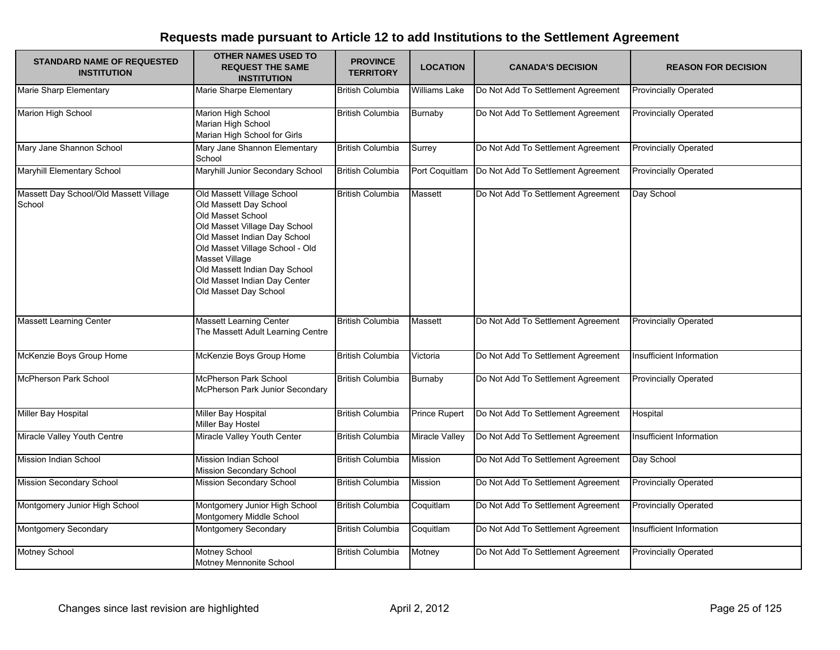| <b>STANDARD NAME OF REQUESTED</b><br><b>INSTITUTION</b> | <b>OTHER NAMES USED TO</b><br><b>REQUEST THE SAME</b><br><b>INSTITUTION</b>                                                                                                                                                                                                               | <b>PROVINCE</b><br><b>TERRITORY</b> | <b>LOCATION</b> | <b>CANADA'S DECISION</b>           | <b>REASON FOR DECISION</b>   |
|---------------------------------------------------------|-------------------------------------------------------------------------------------------------------------------------------------------------------------------------------------------------------------------------------------------------------------------------------------------|-------------------------------------|-----------------|------------------------------------|------------------------------|
| <b>Marie Sharp Elementary</b>                           | Marie Sharpe Elementary                                                                                                                                                                                                                                                                   | <b>British Columbia</b>             | Williams Lake   | Do Not Add To Settlement Agreement | <b>Provincially Operated</b> |
| Marion High School                                      | Marion High School<br>Marian High School<br>Marian High School for Girls                                                                                                                                                                                                                  | <b>British Columbia</b>             | Burnaby         | Do Not Add To Settlement Agreement | <b>Provincially Operated</b> |
| Mary Jane Shannon School                                | Mary Jane Shannon Elementary<br>School                                                                                                                                                                                                                                                    | <b>British Columbia</b>             | Surrey          | Do Not Add To Settlement Agreement | <b>Provincially Operated</b> |
| Maryhill Elementary School                              | Maryhill Junior Secondary School                                                                                                                                                                                                                                                          | <b>British Columbia</b>             | Port Coquitlam  | Do Not Add To Settlement Agreement | <b>Provincially Operated</b> |
| Massett Day School/Old Massett Village<br>School        | Old Massett Village School<br>Old Massett Day School<br>Old Masset School<br>Old Masset Village Day School<br>Old Masset Indian Day School<br>Old Masset Village School - Old<br>Masset Village<br>Old Massett Indian Day School<br>Old Masset Indian Day Center<br>Old Masset Day School | <b>British Columbia</b>             | Massett         | Do Not Add To Settlement Agreement | Day School                   |
| <b>Massett Learning Center</b>                          | <b>Massett Learning Center</b><br>The Massett Adult Learning Centre                                                                                                                                                                                                                       | <b>British Columbia</b>             | Massett         | Do Not Add To Settlement Agreement | <b>Provincially Operated</b> |
| McKenzie Boys Group Home                                | McKenzie Boys Group Home                                                                                                                                                                                                                                                                  | <b>British Columbia</b>             | Victoria        | Do Not Add To Settlement Agreement | Insufficient Information     |
| <b>McPherson Park School</b>                            | McPherson Park School<br>McPherson Park Junior Secondary                                                                                                                                                                                                                                  | <b>British Columbia</b>             | <b>Burnaby</b>  | Do Not Add To Settlement Agreement | <b>Provincially Operated</b> |
| Miller Bay Hospital                                     | Miller Bay Hospital<br>Miller Bay Hostel                                                                                                                                                                                                                                                  | <b>British Columbia</b>             | Prince Rupert   | Do Not Add To Settlement Agreement | Hospital                     |
| Miracle Valley Youth Centre                             | Miracle Valley Youth Center                                                                                                                                                                                                                                                               | <b>British Columbia</b>             | Miracle Valley  | Do Not Add To Settlement Agreement | Insufficient Information     |
| Mission Indian School                                   | <b>Mission Indian School</b><br>Mission Secondary School                                                                                                                                                                                                                                  | <b>British Columbia</b>             | Mission         | Do Not Add To Settlement Agreement | Day School                   |
| <b>Mission Secondary School</b>                         | <b>Mission Secondary School</b>                                                                                                                                                                                                                                                           | <b>British Columbia</b>             | Mission         | Do Not Add To Settlement Agreement | <b>Provincially Operated</b> |
| Montgomery Junior High School                           | Montgomery Junior High School<br>Montgomery Middle School                                                                                                                                                                                                                                 | <b>British Columbia</b>             | Coquitlam       | Do Not Add To Settlement Agreement | <b>Provincially Operated</b> |
| Montgomery Secondary                                    | Montgomery Secondary                                                                                                                                                                                                                                                                      | <b>British Columbia</b>             | Coquitlam       | Do Not Add To Settlement Agreement | Insufficient Information     |
| <b>Motney School</b>                                    | Motney School<br>Motney Mennonite School                                                                                                                                                                                                                                                  | <b>British Columbia</b>             | Motney          | Do Not Add To Settlement Agreement | <b>Provincially Operated</b> |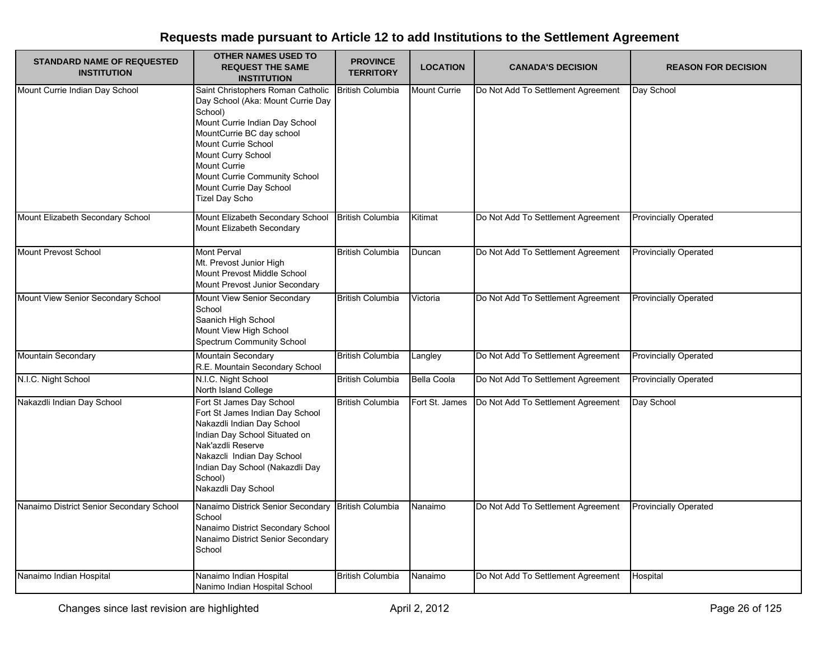| <b>STANDARD NAME OF REQUESTED</b><br><b>INSTITUTION</b> | <b>OTHER NAMES USED TO</b><br><b>REQUEST THE SAME</b><br><b>INSTITUTION</b>                                                                                                                                                                                                                 | <b>PROVINCE</b><br><b>TERRITORY</b> | <b>LOCATION</b>    | <b>CANADA'S DECISION</b>           | <b>REASON FOR DECISION</b>   |
|---------------------------------------------------------|---------------------------------------------------------------------------------------------------------------------------------------------------------------------------------------------------------------------------------------------------------------------------------------------|-------------------------------------|--------------------|------------------------------------|------------------------------|
| Mount Currie Indian Day School                          | Saint Christophers Roman Catholic<br>Day School (Aka: Mount Currie Day<br>School)<br>Mount Currie Indian Day School<br>MountCurrie BC day school<br>Mount Currie School<br>Mount Curry School<br>Mount Currie<br>Mount Currie Community School<br>Mount Currie Day School<br>Tizel Day Scho | <b>British Columbia</b>             | Mount Currie       | Do Not Add To Settlement Agreement | Day School                   |
| Mount Elizabeth Secondary School                        | Mount Elizabeth Secondary School<br>Mount Elizabeth Secondary                                                                                                                                                                                                                               | <b>British Columbia</b>             | Kitimat            | Do Not Add To Settlement Agreement | <b>Provincially Operated</b> |
| Mount Prevost School                                    | <b>Mont Perval</b><br>Mt. Prevost Junior High<br>Mount Prevost Middle School<br>Mount Prevost Junior Secondary                                                                                                                                                                              | <b>British Columbia</b>             | Duncan             | Do Not Add To Settlement Agreement | <b>Provincially Operated</b> |
| Mount View Senior Secondary School                      | Mount View Senior Secondary<br>School<br>Saanich High School<br>Mount View High School<br>Spectrum Community School                                                                                                                                                                         | <b>British Columbia</b>             | Victoria           | Do Not Add To Settlement Agreement | <b>Provincially Operated</b> |
| <b>Mountain Secondary</b>                               | Mountain Secondary<br>R.E. Mountain Secondary School                                                                                                                                                                                                                                        | <b>British Columbia</b>             | Langley            | Do Not Add To Settlement Agreement | <b>Provincially Operated</b> |
| N.I.C. Night School                                     | N.I.C. Night School<br>North Island College                                                                                                                                                                                                                                                 | <b>British Columbia</b>             | <b>Bella Coola</b> | Do Not Add To Settlement Agreement | <b>Provincially Operated</b> |
| Nakazdli Indian Day School                              | Fort St James Day School<br>Fort St James Indian Day School<br>Nakazdli Indian Day School<br>Indian Day School Situated on<br>Nak'azdli Reserve<br>Nakazcli Indian Day School<br>Indian Day School (Nakazdli Day<br>School)<br>Nakazdli Day School                                          | <b>British Columbia</b>             | Fort St. James     | Do Not Add To Settlement Agreement | Day School                   |
| Nanaimo District Senior Secondary School                | Nanaimo Districk Senior Secondary<br>School<br>Nanaimo District Secondary School<br>Nanaimo District Senior Secondary<br>School                                                                                                                                                             | <b>British Columbia</b>             | Nanaimo            | Do Not Add To Settlement Agreement | <b>Provincially Operated</b> |
| Nanaimo Indian Hospital                                 | Nanaimo Indian Hospital<br>Nanimo Indian Hospital School                                                                                                                                                                                                                                    | <b>British Columbia</b>             | Nanaimo            | Do Not Add To Settlement Agreement | Hospital                     |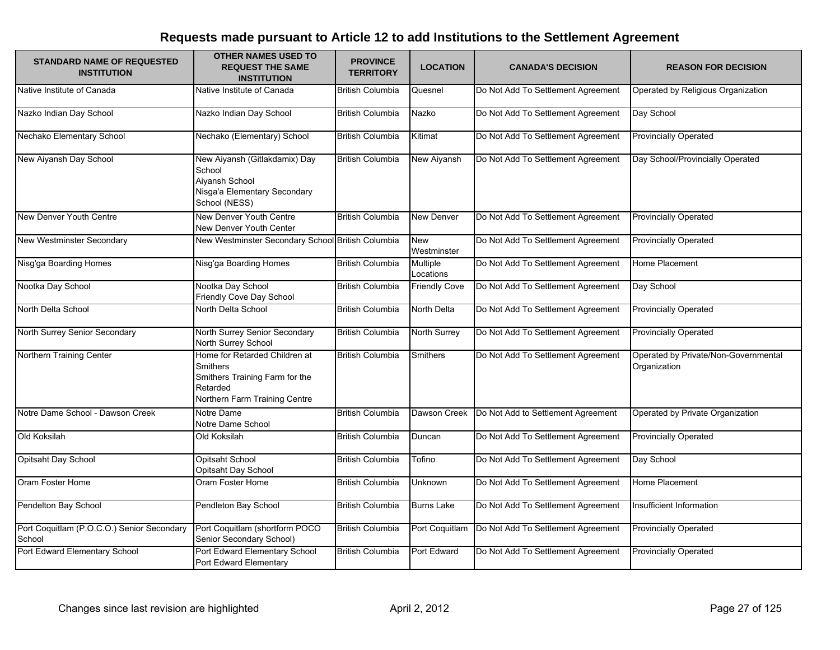| <b>STANDARD NAME OF REQUESTED</b><br><b>INSTITUTION</b> | <b>OTHER NAMES USED TO</b><br><b>REQUEST THE SAME</b><br><b>INSTITUTION</b>                                                     | <b>PROVINCE</b><br><b>TERRITORY</b> | <b>LOCATION</b>       | <b>CANADA'S DECISION</b>           | <b>REASON FOR DECISION</b>                           |
|---------------------------------------------------------|---------------------------------------------------------------------------------------------------------------------------------|-------------------------------------|-----------------------|------------------------------------|------------------------------------------------------|
| Native Institute of Canada                              | Native Institute of Canada                                                                                                      | <b>British Columbia</b>             | Quesnel               | Do Not Add To Settlement Agreement | Operated by Religious Organization                   |
| Nazko Indian Day School                                 | Nazko Indian Day School                                                                                                         | <b>British Columbia</b>             | Nazko                 | Do Not Add To Settlement Agreement | Day School                                           |
| Nechako Elementary School                               | Nechako (Elementary) School                                                                                                     | <b>British Columbia</b>             | Kitimat               | Do Not Add To Settlement Agreement | <b>Provincially Operated</b>                         |
| New Aiyansh Day School                                  | New Aiyansh (Gitlakdamix) Day<br>School<br>Aiyansh School<br>Nisga'a Elementary Secondary<br>School (NESS)                      | <b>British Columbia</b>             | New Aiyansh           | Do Not Add To Settlement Agreement | Day School/Provincially Operated                     |
| New Denver Youth Centre                                 | New Denver Youth Centre<br>New Denver Youth Center                                                                              | <b>British Columbia</b>             | New Denver            | Do Not Add To Settlement Agreement | <b>Provincially Operated</b>                         |
| New Westminster Secondary                               | New Westminster Secondary School British Columbia                                                                               |                                     | New<br>Westminster    | Do Not Add To Settlement Agreement | <b>Provincially Operated</b>                         |
| Nisg'ga Boarding Homes                                  | Nisg'ga Boarding Homes                                                                                                          | <b>British Columbia</b>             | Multiple<br>Locations | Do Not Add To Settlement Agreement | Home Placement                                       |
| Nootka Day School                                       | Nootka Day School<br>Friendly Cove Day School                                                                                   | <b>British Columbia</b>             | <b>Friendly Cove</b>  | Do Not Add To Settlement Agreement | Day School                                           |
| North Delta School                                      | North Delta School                                                                                                              | <b>British Columbia</b>             | North Delta           | Do Not Add To Settlement Agreement | <b>Provincially Operated</b>                         |
| North Surrey Senior Secondary                           | North Surrey Senior Secondary<br>North Surrey School                                                                            | <b>British Columbia</b>             | <b>North Surrey</b>   | Do Not Add To Settlement Agreement | <b>Provincially Operated</b>                         |
| Northern Training Center                                | Home for Retarded Children at<br><b>Smithers</b><br>Smithers Training Farm for the<br>Retarded<br>Northern Farm Training Centre | <b>British Columbia</b>             | <b>Smithers</b>       | Do Not Add To Settlement Agreement | Operated by Private/Non-Governmental<br>Organization |
| Notre Dame School - Dawson Creek                        | Notre Dame<br>Notre Dame School                                                                                                 | <b>British Columbia</b>             | Dawson Creek          | Do Not Add to Settlement Agreement | Operated by Private Organization                     |
| Old Koksilah                                            | Old Koksilah                                                                                                                    | <b>British Columbia</b>             | Duncan                | Do Not Add To Settlement Agreement | <b>Provincially Operated</b>                         |
| Opitsaht Day School                                     | <b>Opitsaht School</b><br>Opitsaht Day School                                                                                   | <b>British Columbia</b>             | Tofino                | Do Not Add To Settlement Agreement | Day School                                           |
| Oram Foster Home                                        | Oram Foster Home                                                                                                                | <b>British Columbia</b>             | Unknown               | Do Not Add To Settlement Agreement | Home Placement                                       |
| Pendelton Bay School                                    | Pendleton Bay School                                                                                                            | <b>British Columbia</b>             | <b>Burns Lake</b>     | Do Not Add To Settlement Agreement | Insufficient Information                             |
| Port Coquitlam (P.O.C.O.) Senior Secondary<br>School    | Port Coquitlam (shortform POCO<br>Senior Secondary School)                                                                      | <b>British Columbia</b>             | Port Coquitlam        | Do Not Add To Settlement Agreement | <b>Provincially Operated</b>                         |
| Port Edward Elementary School                           | Port Edward Elementary School<br>Port Edward Elementary                                                                         | <b>British Columbia</b>             | Port Edward           | Do Not Add To Settlement Agreement | <b>Provincially Operated</b>                         |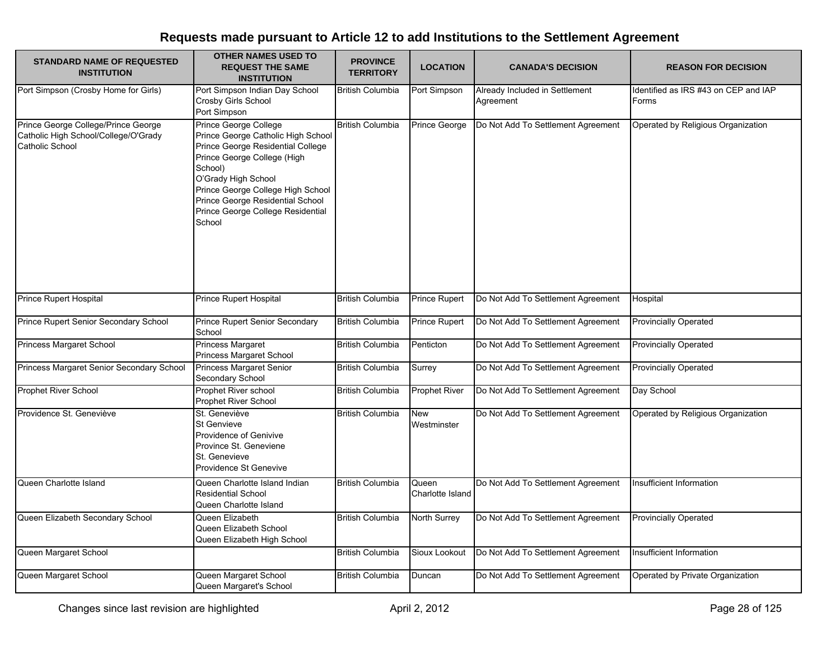| <b>STANDARD NAME OF REQUESTED</b><br><b>INSTITUTION</b>                                        | <b>OTHER NAMES USED TO</b><br><b>REQUEST THE SAME</b><br><b>INSTITUTION</b>                                                                                                                                                                                                               | <b>PROVINCE</b><br><b>TERRITORY</b> | <b>LOCATION</b>           | <b>CANADA'S DECISION</b>                    | <b>REASON FOR DECISION</b>                    |
|------------------------------------------------------------------------------------------------|-------------------------------------------------------------------------------------------------------------------------------------------------------------------------------------------------------------------------------------------------------------------------------------------|-------------------------------------|---------------------------|---------------------------------------------|-----------------------------------------------|
| Port Simpson (Crosby Home for Girls)                                                           | Port Simpson Indian Day School<br>Crosby Girls School<br>Port Simpson                                                                                                                                                                                                                     | <b>British Columbia</b>             | Port Simpson              | Already Included in Settlement<br>Agreement | Identified as IRS #43 on CEP and IAP<br>Forms |
| Prince George College/Prince George<br>Catholic High School/College/O'Grady<br>Catholic School | Prince George College<br>Prince George Catholic High School<br>Prince George Residential College<br>Prince George College (High<br>School)<br>O'Grady High School<br>Prince George College High School<br>Prince George Residential School<br>Prince George College Residential<br>School | <b>British Columbia</b>             | Prince George             | Do Not Add To Settlement Agreement          | Operated by Religious Organization            |
| <b>Prince Rupert Hospital</b>                                                                  | <b>Prince Rupert Hospital</b>                                                                                                                                                                                                                                                             | <b>British Columbia</b>             | <b>Prince Rupert</b>      | Do Not Add To Settlement Agreement          | Hospital                                      |
| Prince Rupert Senior Secondary School                                                          | <b>Prince Rupert Senior Secondary</b><br>School                                                                                                                                                                                                                                           | <b>British Columbia</b>             | <b>Prince Rupert</b>      | Do Not Add To Settlement Agreement          | <b>Provincially Operated</b>                  |
| <b>Princess Margaret School</b>                                                                | <b>Princess Margaret</b><br>Princess Margaret School                                                                                                                                                                                                                                      | <b>British Columbia</b>             | Penticton                 | Do Not Add To Settlement Agreement          | <b>Provincially Operated</b>                  |
| Princess Margaret Senior Secondary School                                                      | Princess Margaret Senior<br>Secondary School                                                                                                                                                                                                                                              | <b>British Columbia</b>             | Surrey                    | Do Not Add To Settlement Agreement          | <b>Provincially Operated</b>                  |
| Prophet River School                                                                           | Prophet River school<br><b>Prophet River School</b>                                                                                                                                                                                                                                       | British Columbia                    | <b>Prophet River</b>      | Do Not Add To Settlement Agreement          | Day School                                    |
| Providence St. Geneviève                                                                       | St. Geneviève<br><b>St Genvieve</b><br>Providence of Genivive<br>Province St. Geneviene<br>St. Genevieve<br>Providence St Genevive                                                                                                                                                        | <b>British Columbia</b>             | <b>New</b><br>Westminster | Do Not Add To Settlement Agreement          | Operated by Religious Organization            |
| Queen Charlotte Island                                                                         | Queen Charlotte Island Indian<br><b>Residential School</b><br>Queen Charlotte Island                                                                                                                                                                                                      | <b>British Columbia</b>             | Queen<br>Charlotte Island | Do Not Add To Settlement Agreement          | Insufficient Information                      |
| Queen Elizabeth Secondary School                                                               | Queen Elizabeth<br>Queen Elizabeth School<br>Queen Elizabeth High School                                                                                                                                                                                                                  | <b>British Columbia</b>             | North Surrey              | Do Not Add To Settlement Agreement          | <b>Provincially Operated</b>                  |
| Queen Margaret School                                                                          |                                                                                                                                                                                                                                                                                           | <b>British Columbia</b>             | Sioux Lookout             | Do Not Add To Settlement Agreement          | Insufficient Information                      |
| Queen Margaret School                                                                          | Queen Margaret School<br>Queen Margaret's School                                                                                                                                                                                                                                          | <b>British Columbia</b>             | Duncan                    | Do Not Add To Settlement Agreement          | Operated by Private Organization              |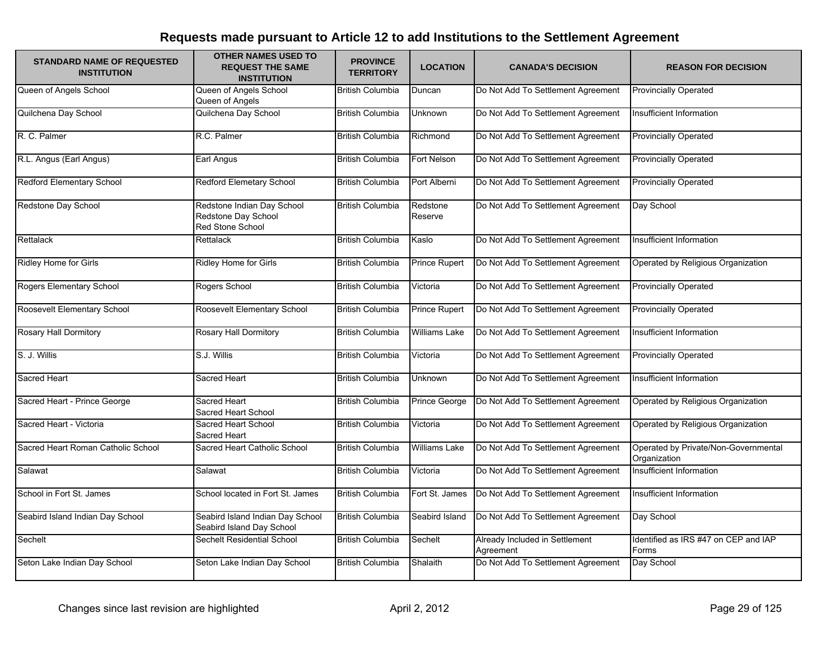| <b>STANDARD NAME OF REQUESTED</b><br><b>INSTITUTION</b> | <b>OTHER NAMES USED TO</b><br><b>REQUEST THE SAME</b><br><b>INSTITUTION</b> | <b>PROVINCE</b><br><b>TERRITORY</b> | <b>LOCATION</b>      | <b>CANADA'S DECISION</b>                    | <b>REASON FOR DECISION</b>                           |
|---------------------------------------------------------|-----------------------------------------------------------------------------|-------------------------------------|----------------------|---------------------------------------------|------------------------------------------------------|
| Queen of Angels School                                  | Queen of Angels School<br>Queen of Angels                                   | <b>British Columbia</b>             | Duncan               | Do Not Add To Settlement Agreement          | <b>Provincially Operated</b>                         |
| Quilchena Day School                                    | Quilchena Day School                                                        | <b>British Columbia</b>             | Unknown              | Do Not Add To Settlement Agreement          | Insufficient Information                             |
| R. C. Palmer                                            | R.C. Palmer                                                                 | <b>British Columbia</b>             | Richmond             | Do Not Add To Settlement Agreement          | <b>Provincially Operated</b>                         |
| R.L. Angus (Earl Angus)                                 | Earl Angus                                                                  | <b>British Columbia</b>             | Fort Nelson          | Do Not Add To Settlement Agreement          | <b>Provincially Operated</b>                         |
| Redford Elementary School                               | Redford Elemetary School                                                    | <b>British Columbia</b>             | Port Alberni         | Do Not Add To Settlement Agreement          | <b>Provincially Operated</b>                         |
| Redstone Day School                                     | Redstone Indian Day School<br>Redstone Day School<br>Red Stone School       | <b>British Columbia</b>             | Redstone<br>Reserve  | Do Not Add To Settlement Agreement          | Day School                                           |
| Rettalack                                               | Rettalack                                                                   | <b>British Columbia</b>             | Kaslo                | Do Not Add To Settlement Agreement          | Insufficient Information                             |
| Ridley Home for Girls                                   | Ridley Home for Girls                                                       | <b>British Columbia</b>             | <b>Prince Rupert</b> | Do Not Add To Settlement Agreement          | Operated by Religious Organization                   |
| Rogers Elementary School                                | Rogers School                                                               | <b>British Columbia</b>             | Victoria             | Do Not Add To Settlement Agreement          | <b>Provincially Operated</b>                         |
| Roosevelt Elementary School                             | Roosevelt Elementary School                                                 | <b>British Columbia</b>             | Prince Rupert        | Do Not Add To Settlement Agreement          | <b>Provincially Operated</b>                         |
| <b>Rosary Hall Dormitory</b>                            | <b>Rosary Hall Dormitory</b>                                                | <b>British Columbia</b>             | <b>Williams Lake</b> | Do Not Add To Settlement Agreement          | Insufficient Information                             |
| S. J. Willis                                            | S.J. Willis                                                                 | <b>British Columbia</b>             | Victoria             | Do Not Add To Settlement Agreement          | <b>Provincially Operated</b>                         |
| Sacred Heart                                            | <b>Sacred Heart</b>                                                         | <b>British Columbia</b>             | <b>Unknown</b>       | Do Not Add To Settlement Agreement          | Insufficient Information                             |
| Sacred Heart - Prince George                            | <b>Sacred Heart</b><br>Sacred Heart School                                  | <b>British Columbia</b>             | Prince George        | Do Not Add To Settlement Agreement          | Operated by Religious Organization                   |
| Sacred Heart - Victoria                                 | Sacred Heart School<br><b>Sacred Heart</b>                                  | <b>British Columbia</b>             | Victoria             | Do Not Add To Settlement Agreement          | Operated by Religious Organization                   |
| Sacred Heart Roman Catholic School                      | Sacred Heart Catholic School                                                | <b>British Columbia</b>             | <b>Williams Lake</b> | Do Not Add To Settlement Agreement          | Operated by Private/Non-Governmental<br>Organization |
| Salawat                                                 | Salawat                                                                     | <b>British Columbia</b>             | Victoria             | Do Not Add To Settlement Agreement          | Insufficient Information                             |
| School in Fort St. James                                | School located in Fort St. James                                            | <b>British Columbia</b>             | Fort St. James       | Do Not Add To Settlement Agreement          | Insufficient Information                             |
| Seabird Island Indian Day School                        | Seabird Island Indian Day School<br>Seabird Island Day School               | <b>British Columbia</b>             | Seabird Island       | Do Not Add To Settlement Agreement          | Day School                                           |
| Sechelt                                                 | Sechelt Residential School                                                  | <b>British Columbia</b>             | Sechelt              | Already Included in Settlement<br>Agreement | Identified as IRS #47 on CEP and IAP<br>Forms        |
| Seton Lake Indian Day School                            | Seton Lake Indian Day School                                                | <b>British Columbia</b>             | Shalaith             | Do Not Add To Settlement Agreement          | Day School                                           |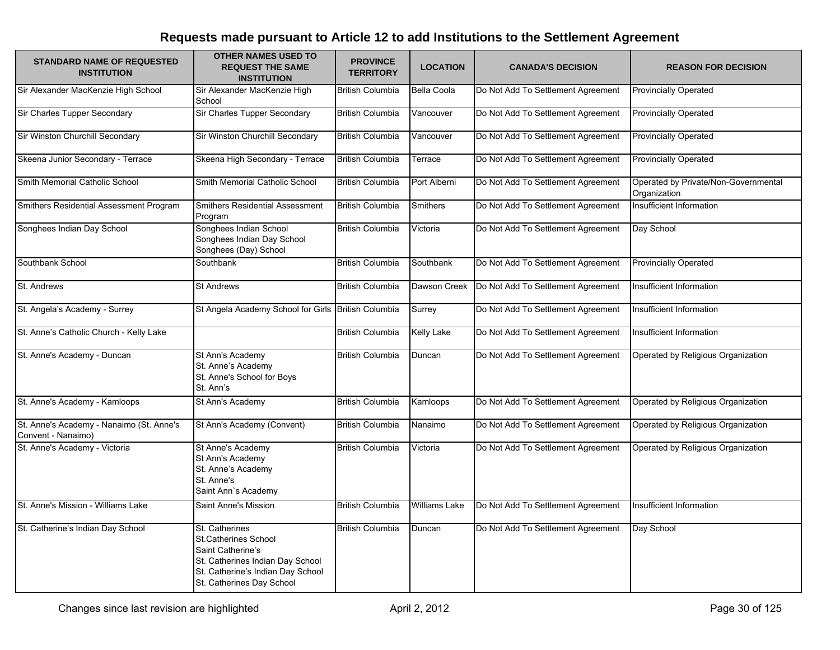| <b>STANDARD NAME OF REQUESTED</b><br><b>INSTITUTION</b>        | <b>OTHER NAMES USED TO</b><br><b>REQUEST THE SAME</b><br><b>INSTITUTION</b>                                                                                              | <b>PROVINCE</b><br><b>TERRITORY</b> | <b>LOCATION</b>      | <b>CANADA'S DECISION</b>           | <b>REASON FOR DECISION</b>                           |
|----------------------------------------------------------------|--------------------------------------------------------------------------------------------------------------------------------------------------------------------------|-------------------------------------|----------------------|------------------------------------|------------------------------------------------------|
| Sir Alexander MacKenzie High School                            | Sir Alexander MacKenzie High<br>School                                                                                                                                   | <b>British Columbia</b>             | Bella Coola          | Do Not Add To Settlement Agreement | Provincially Operated                                |
| Sir Charles Tupper Secondary                                   | Sir Charles Tupper Secondary                                                                                                                                             | <b>British Columbia</b>             | Vancouver            | Do Not Add To Settlement Agreement | <b>Provincially Operated</b>                         |
| Sir Winston Churchill Secondary                                | Sir Winston Churchill Secondary                                                                                                                                          | <b>British Columbia</b>             | Vancouver            | Do Not Add To Settlement Agreement | <b>Provincially Operated</b>                         |
| Skeena Junior Secondary - Terrace                              | Skeena High Secondary - Terrace                                                                                                                                          | <b>British Columbia</b>             | Terrace              | Do Not Add To Settlement Agreement | <b>Provincially Operated</b>                         |
| Smith Memorial Catholic School                                 | Smith Memorial Catholic School                                                                                                                                           | <b>British Columbia</b>             | Port Alberni         | Do Not Add To Settlement Agreement | Operated by Private/Non-Governmental<br>Organization |
| Smithers Residential Assessment Program                        | Smithers Residential Assessment<br>Program                                                                                                                               | <b>British Columbia</b>             | Smithers             | Do Not Add To Settlement Agreement | Insufficient Information                             |
| Songhees Indian Day School                                     | Songhees Indian School<br>Songhees Indian Day School<br>Songhees (Day) School                                                                                            | <b>British Columbia</b>             | Victoria             | Do Not Add To Settlement Agreement | Day School                                           |
| Southbank School                                               | Southbank                                                                                                                                                                | <b>British Columbia</b>             | Southbank            | Do Not Add To Settlement Agreement | <b>Provincially Operated</b>                         |
| St. Andrews                                                    | <b>St Andrews</b>                                                                                                                                                        | <b>British Columbia</b>             | Dawson Creek         | Do Not Add To Settlement Agreement | Insufficient Information                             |
| St. Angela's Academy - Surrey                                  | St Angela Academy School for Girls British Columbia                                                                                                                      |                                     | Surrey               | Do Not Add To Settlement Agreement | Insufficient Information                             |
| St. Anne's Catholic Church - Kelly Lake                        |                                                                                                                                                                          | <b>British Columbia</b>             | <b>Kelly Lake</b>    | Do Not Add To Settlement Agreement | Insufficient Information                             |
| St. Anne's Academy - Duncan                                    | St Ann's Academy<br>St. Anne's Academy<br>St. Anne's School for Boys<br>St. Ann's                                                                                        | <b>British Columbia</b>             | Duncan               | Do Not Add To Settlement Agreement | Operated by Religious Organization                   |
| St. Anne's Academy - Kamloops                                  | St Ann's Academy                                                                                                                                                         | <b>British Columbia</b>             | Kamloops             | Do Not Add To Settlement Agreement | Operated by Religious Organization                   |
| St. Anne's Academy - Nanaimo (St. Anne's<br>Convent - Nanaimo) | St Ann's Academy (Convent)                                                                                                                                               | <b>British Columbia</b>             | Nanaimo              | Do Not Add To Settlement Agreement | Operated by Religious Organization                   |
| St. Anne's Academy - Victoria                                  | St Anne's Academy<br>St Ann's Academy<br>St. Anne's Academy<br>St. Anne's<br>Saint Ann's Academy                                                                         | <b>British Columbia</b>             | Victoria             | Do Not Add To Settlement Agreement | Operated by Religious Organization                   |
| St. Anne's Mission - Williams Lake                             | Saint Anne's Mission                                                                                                                                                     | <b>British Columbia</b>             | <b>Williams Lake</b> | Do Not Add To Settlement Agreement | Insufficient Information                             |
| St. Catherine's Indian Day School                              | St. Catherines<br><b>St.Catherines School</b><br>Saint Catherine's<br>St. Catherines Indian Day School<br>St. Catherine's Indian Day School<br>St. Catherines Day School | <b>British Columbia</b>             | Duncan               | Do Not Add To Settlement Agreement | Day School                                           |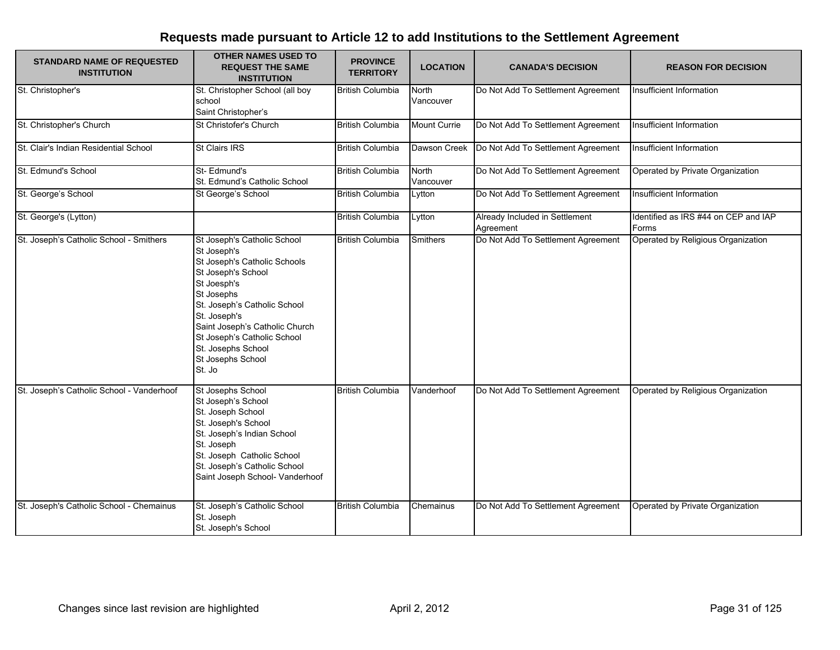| <b>STANDARD NAME OF REQUESTED</b><br><b>INSTITUTION</b> | <b>OTHER NAMES USED TO</b><br><b>REQUEST THE SAME</b><br><b>INSTITUTION</b>                                                                                                                                                                                                                         | <b>PROVINCE</b><br><b>TERRITORY</b> | <b>LOCATION</b>           | <b>CANADA'S DECISION</b>                    | <b>REASON FOR DECISION</b>                    |
|---------------------------------------------------------|-----------------------------------------------------------------------------------------------------------------------------------------------------------------------------------------------------------------------------------------------------------------------------------------------------|-------------------------------------|---------------------------|---------------------------------------------|-----------------------------------------------|
| St. Christopher's                                       | St. Christopher School (all boy<br>school<br>Saint Christopher's                                                                                                                                                                                                                                    | <b>British Columbia</b>             | North<br>Vancouver        | Do Not Add To Settlement Agreement          | Insufficient Information                      |
| St. Christopher's Church                                | St Christofer's Church                                                                                                                                                                                                                                                                              | <b>British Columbia</b>             | <b>Mount Currie</b>       | Do Not Add To Settlement Agreement          | Insufficient Information                      |
| St. Clair's Indian Residential School                   | <b>St Clairs IRS</b>                                                                                                                                                                                                                                                                                | <b>British Columbia</b>             | Dawson Creek              | Do Not Add To Settlement Agreement          | Insufficient Information                      |
| St. Edmund's School                                     | St-Edmund's<br>St. Edmund's Catholic School                                                                                                                                                                                                                                                         | <b>British Columbia</b>             | <b>North</b><br>Vancouver | Do Not Add To Settlement Agreement          | Operated by Private Organization              |
| St. George's School                                     | St George's School                                                                                                                                                                                                                                                                                  | <b>British Columbia</b>             | Lytton                    | Do Not Add To Settlement Agreement          | Insufficient Information                      |
| St. George's (Lytton)                                   |                                                                                                                                                                                                                                                                                                     | <b>British Columbia</b>             | Lytton                    | Already Included in Settlement<br>Agreement | Identified as IRS #44 on CEP and IAP<br>Forms |
| St. Joseph's Catholic School - Smithers                 | St Joseph's Catholic School<br>St Joseph's<br>St Joseph's Catholic Schools<br>St Joseph's School<br>St Joesph's<br>St Josephs<br>St. Joseph's Catholic School<br>St. Joseph's<br>Saint Joseph's Catholic Church<br>St Joseph's Catholic School<br>St. Josephs School<br>St Josephs School<br>St. Jo | <b>British Columbia</b>             | <b>Smithers</b>           | Do Not Add To Settlement Agreement          | Operated by Religious Organization            |
| St. Joseph's Catholic School - Vanderhoof               | St Josephs School<br>St Joseph's School<br>St. Joseph School<br>St. Joseph's School<br>St. Joseph's Indian School<br>St. Joseph<br>St. Joseph Catholic School<br>St. Joseph's Catholic School<br>Saint Joseph School- Vanderhoof                                                                    | <b>British Columbia</b>             | Vanderhoof                | Do Not Add To Settlement Agreement          | Operated by Religious Organization            |
| St. Joseph's Catholic School - Chemainus                | St. Joseph's Catholic School<br>St. Joseph<br>St. Joseph's School                                                                                                                                                                                                                                   | <b>British Columbia</b>             | Chemainus                 | Do Not Add To Settlement Agreement          | Operated by Private Organization              |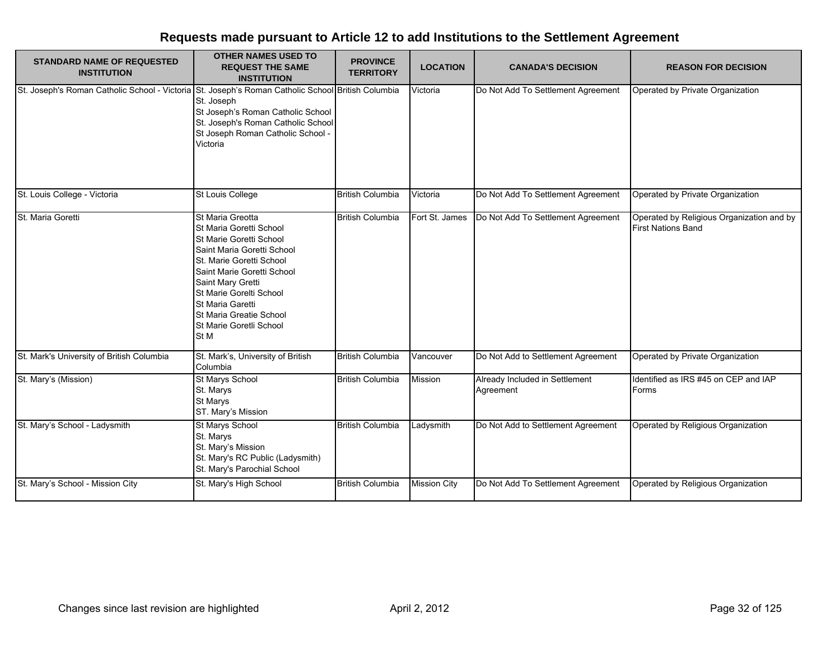| <b>STANDARD NAME OF REQUESTED</b><br><b>INSTITUTION</b>                                           | <b>OTHER NAMES USED TO</b><br><b>REQUEST THE SAME</b><br><b>INSTITUTION</b>                                                                                                                                                                                                                             | <b>PROVINCE</b><br><b>TERRITORY</b> | <b>LOCATION</b>     | <b>CANADA'S DECISION</b>                    | <b>REASON FOR DECISION</b>                                             |
|---------------------------------------------------------------------------------------------------|---------------------------------------------------------------------------------------------------------------------------------------------------------------------------------------------------------------------------------------------------------------------------------------------------------|-------------------------------------|---------------------|---------------------------------------------|------------------------------------------------------------------------|
| St. Joseph's Roman Catholic School - Victoria St. Joseph's Roman Catholic School British Columbia | St. Joseph<br>St Joseph's Roman Catholic School<br>St. Joseph's Roman Catholic School<br>St Joseph Roman Catholic School -<br>Victoria                                                                                                                                                                  |                                     | Victoria            | Do Not Add To Settlement Agreement          | Operated by Private Organization                                       |
| St. Louis College - Victoria                                                                      | St Louis College                                                                                                                                                                                                                                                                                        | <b>British Columbia</b>             | Victoria            | Do Not Add To Settlement Agreement          | Operated by Private Organization                                       |
| St. Maria Goretti                                                                                 | St Maria Greotta<br>St Maria Goretti School<br>St Marie Goretti School<br>Saint Maria Goretti School<br>St. Marie Goretti School<br>Saint Marie Goretti School<br>Saint Mary Gretti<br>St Marie Gorelti School<br><b>St Maria Garetti</b><br>St Maria Greatie School<br>St Marie Goretli School<br>St M | <b>British Columbia</b>             | Fort St. James      | Do Not Add To Settlement Agreement          | Operated by Religious Organization and by<br><b>First Nations Band</b> |
| St. Mark's University of British Columbia                                                         | St. Mark's, University of British<br>Columbia                                                                                                                                                                                                                                                           | <b>British Columbia</b>             | Vancouver           | Do Not Add to Settlement Agreement          | Operated by Private Organization                                       |
| St. Mary's (Mission)                                                                              | St Marys School<br>St. Marys<br><b>St Marys</b><br>ST. Mary's Mission                                                                                                                                                                                                                                   | <b>British Columbia</b>             | Mission             | Already Included in Settlement<br>Agreement | Identified as IRS #45 on CEP and IAP<br>Forms                          |
| St. Mary's School - Ladysmith                                                                     | St Marys School<br>St. Marys<br>St. Mary's Mission<br>St. Mary's RC Public (Ladysmith)<br>St. Mary's Parochial School                                                                                                                                                                                   | <b>British Columbia</b>             | Ladysmith           | Do Not Add to Settlement Agreement          | Operated by Religious Organization                                     |
| St. Mary's School - Mission City                                                                  | St. Mary's High School                                                                                                                                                                                                                                                                                  | <b>British Columbia</b>             | <b>Mission City</b> | Do Not Add To Settlement Agreement          | Operated by Religious Organization                                     |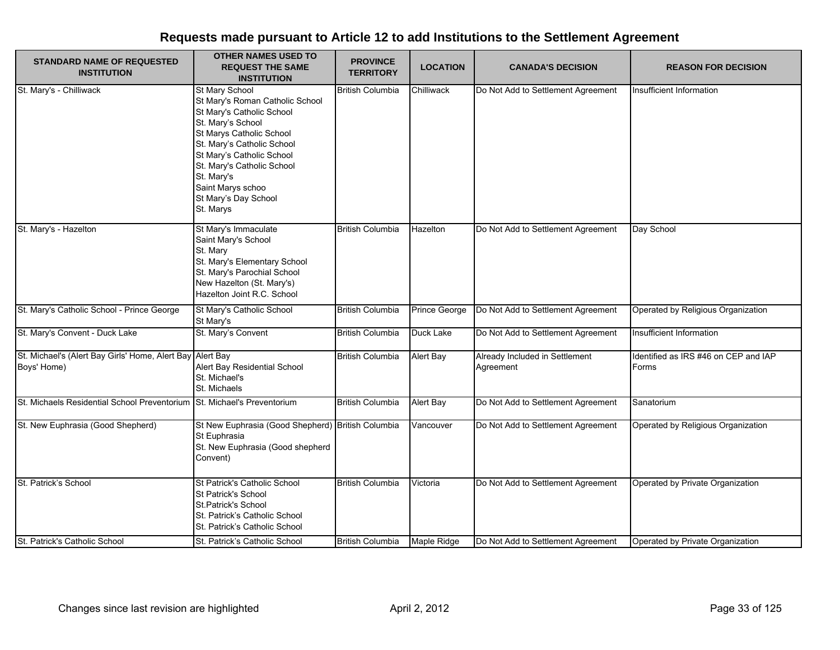| <b>STANDARD NAME OF REQUESTED</b><br><b>INSTITUTION</b>                  | <b>OTHER NAMES USED TO</b><br><b>REQUEST THE SAME</b><br><b>INSTITUTION</b>                                                                                                                                                                                                                      | <b>PROVINCE</b><br><b>TERRITORY</b> | <b>LOCATION</b>  | <b>CANADA'S DECISION</b>                    | <b>REASON FOR DECISION</b>                    |
|--------------------------------------------------------------------------|--------------------------------------------------------------------------------------------------------------------------------------------------------------------------------------------------------------------------------------------------------------------------------------------------|-------------------------------------|------------------|---------------------------------------------|-----------------------------------------------|
| St. Mary's - Chilliwack                                                  | St Mary School<br>St Mary's Roman Catholic School<br>St Mary's Catholic School<br>St. Mary's School<br>St Marys Catholic School<br>St. Mary's Catholic School<br>St Mary's Catholic School<br>St. Mary's Catholic School<br>St. Mary's<br>Saint Marys schoo<br>St Mary's Day School<br>St. Marys | <b>British Columbia</b>             | Chilliwack       | Do Not Add to Settlement Agreement          | Insufficient Information                      |
| St. Mary's - Hazelton                                                    | St Mary's Immaculate<br>Saint Mary's School<br>St. Mary<br>St. Mary's Elementary School<br>St. Mary's Parochial School<br>New Hazelton (St. Mary's)<br>Hazelton Joint R.C. School                                                                                                                | <b>British Columbia</b>             | Hazelton         | Do Not Add to Settlement Agreement          | Day School                                    |
| St. Mary's Catholic School - Prince George                               | St Mary's Catholic School<br>St Mary's                                                                                                                                                                                                                                                           | <b>British Columbia</b>             | Prince George    | Do Not Add to Settlement Agreement          | Operated by Religious Organization            |
| St. Mary's Convent - Duck Lake                                           | St. Mary's Convent                                                                                                                                                                                                                                                                               | <b>British Columbia</b>             | Duck Lake        | Do Not Add to Settlement Agreement          | Insufficient Information                      |
| St. Michael's (Alert Bay Girls' Home, Alert Bay Alert Bay<br>Boys' Home) | Alert Bay Residential School<br>St. Michael's<br>St. Michaels                                                                                                                                                                                                                                    | <b>British Columbia</b>             | Alert Bay        | Already Included in Settlement<br>Agreement | Identified as IRS #46 on CEP and IAP<br>Forms |
| St. Michaels Residential School Preventorium St. Michael's Preventorium  |                                                                                                                                                                                                                                                                                                  | <b>British Columbia</b>             | <b>Alert Bay</b> | Do Not Add to Settlement Agreement          | Sanatorium                                    |
| St. New Euphrasia (Good Shepherd)                                        | St New Euphrasia (Good Shepherd) British Columbia<br>St Euphrasia<br>St. New Euphrasia (Good shepherd<br>Convent)                                                                                                                                                                                |                                     | Vancouver        | Do Not Add to Settlement Agreement          | Operated by Religious Organization            |
| St. Patrick's School                                                     | St Patrick's Catholic School<br>St Patrick's School<br>St.Patrick's School<br>St. Patrick's Catholic School<br>St. Patrick's Catholic School                                                                                                                                                     | <b>British Columbia</b>             | Victoria         | Do Not Add to Settlement Agreement          | Operated by Private Organization              |
| St. Patrick's Catholic School                                            | St. Patrick's Catholic School                                                                                                                                                                                                                                                                    | <b>British Columbia</b>             | Maple Ridge      | Do Not Add to Settlement Agreement          | Operated by Private Organization              |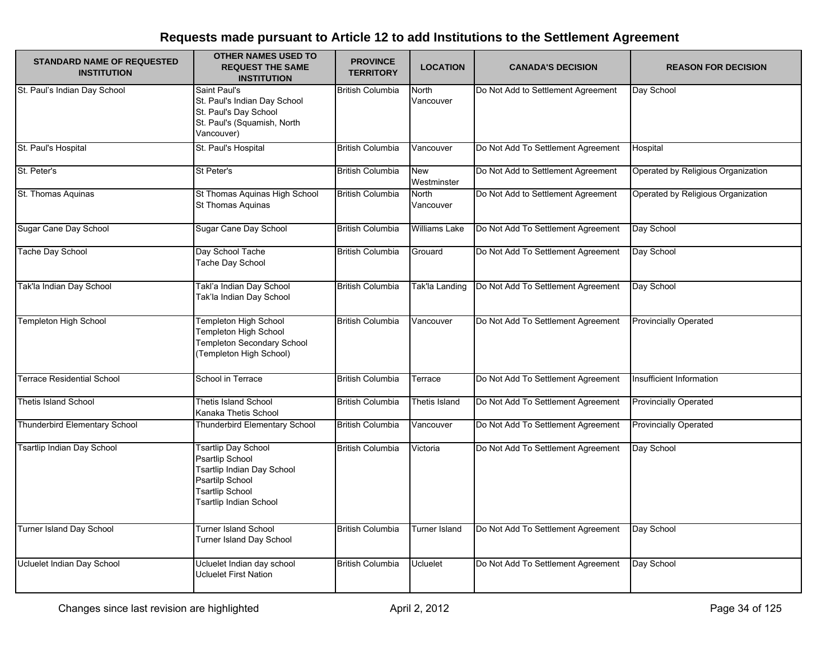| <b>STANDARD NAME OF REQUESTED</b><br><b>INSTITUTION</b> | <b>OTHER NAMES USED TO</b><br><b>REQUEST THE SAME</b><br><b>INSTITUTION</b>                                                                               | <b>PROVINCE</b><br><b>TERRITORY</b> | <b>LOCATION</b>      | <b>CANADA'S DECISION</b>           | <b>REASON FOR DECISION</b>         |
|---------------------------------------------------------|-----------------------------------------------------------------------------------------------------------------------------------------------------------|-------------------------------------|----------------------|------------------------------------|------------------------------------|
| St. Paul's Indian Day School                            | Saint Paul's<br>St. Paul's Indian Day School<br>St. Paul's Day School<br>St. Paul's (Squamish, North<br>Vancouver)                                        | <b>British Columbia</b>             | North<br>Vancouver   | Do Not Add to Settlement Agreement | Day School                         |
| St. Paul's Hospital                                     | St. Paul's Hospital                                                                                                                                       | <b>British Columbia</b>             | Vancouver            | Do Not Add To Settlement Agreement | Hospital                           |
| St. Peter's                                             | St Peter's                                                                                                                                                | <b>British Columbia</b>             | New<br>Westminster   | Do Not Add to Settlement Agreement | Operated by Religious Organization |
| St. Thomas Aquinas                                      | St Thomas Aquinas High School<br>St Thomas Aquinas                                                                                                        | <b>British Columbia</b>             | North<br>Vancouver   | Do Not Add to Settlement Agreement | Operated by Religious Organization |
| Sugar Cane Day School                                   | Sugar Cane Day School                                                                                                                                     | <b>British Columbia</b>             | <b>Williams Lake</b> | Do Not Add To Settlement Agreement | Day School                         |
| <b>Tache Day School</b>                                 | Day School Tache<br>Tache Day School                                                                                                                      | <b>British Columbia</b>             | Grouard              | Do Not Add To Settlement Agreement | Day School                         |
| Tak'la Indian Day School                                | Takl'a Indian Day School<br>Tak'la Indian Day School                                                                                                      | <b>British Columbia</b>             | Tak'la Landing       | Do Not Add To Settlement Agreement | Day School                         |
| <b>Templeton High School</b>                            | Templeton High School<br>Templeton High School<br><b>Templeton Secondary School</b><br>(Templeton High School)                                            | <b>British Columbia</b>             | Vancouver            | Do Not Add To Settlement Agreement | <b>Provincially Operated</b>       |
| Terrace Residential School                              | School in Terrace                                                                                                                                         | <b>British Columbia</b>             | Terrace              | Do Not Add To Settlement Agreement | Insufficient Information           |
| <b>Thetis Island School</b>                             | <b>Thetis Island School</b><br>Kanaka Thetis School                                                                                                       | <b>British Columbia</b>             | Thetis Island        | Do Not Add To Settlement Agreement | <b>Provincially Operated</b>       |
| Thunderbird Elementary School                           | Thunderbird Elementary School                                                                                                                             | <b>British Columbia</b>             | Vancouver            | Do Not Add To Settlement Agreement | <b>Provincially Operated</b>       |
| <b>Tsartlip Indian Day School</b>                       | <b>Tsartlip Day School</b><br><b>Psartlip School</b><br>Tsartlip Indian Day School<br>Psartilp School<br><b>Tsartlip School</b><br>Tsartlip Indian School | <b>British Columbia</b>             | Victoria             | Do Not Add To Settlement Agreement | Day School                         |
| Turner Island Day School                                | Turner Island School<br>Turner Island Day School                                                                                                          | <b>British Columbia</b>             | Turner Island        | Do Not Add To Settlement Agreement | Day School                         |
| Ucluelet Indian Day School                              | Ucluelet Indian day school<br><b>Ucluelet First Nation</b>                                                                                                | <b>British Columbia</b>             | <b>Ucluelet</b>      | Do Not Add To Settlement Agreement | Day School                         |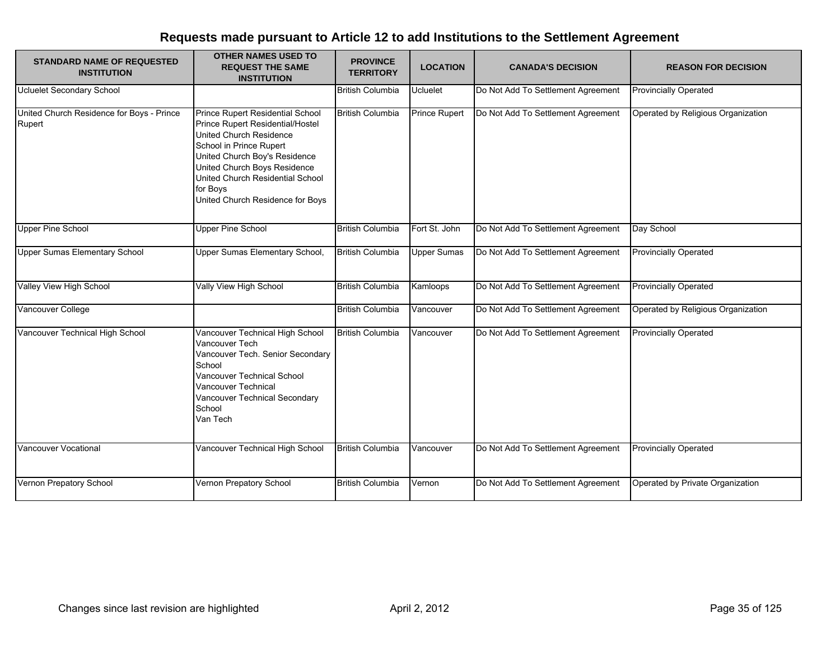| <b>STANDARD NAME OF REQUESTED</b><br><b>INSTITUTION</b> | <b>OTHER NAMES USED TO</b><br><b>REQUEST THE SAME</b><br><b>INSTITUTION</b>                                                                                                                                                                                                     | <b>PROVINCE</b><br><b>TERRITORY</b> | <b>LOCATION</b>      | <b>CANADA'S DECISION</b>           | <b>REASON FOR DECISION</b>         |
|---------------------------------------------------------|---------------------------------------------------------------------------------------------------------------------------------------------------------------------------------------------------------------------------------------------------------------------------------|-------------------------------------|----------------------|------------------------------------|------------------------------------|
| <b>Ucluelet Secondary School</b>                        |                                                                                                                                                                                                                                                                                 | <b>British Columbia</b>             | <b>Ucluelet</b>      | Do Not Add To Settlement Agreement | <b>Provincially Operated</b>       |
| United Church Residence for Boys - Prince<br>Rupert     | Prince Rupert Residential School<br>Prince Rupert Residential/Hostel<br>United Church Residence<br>School in Prince Rupert<br>United Church Boy's Residence<br>United Church Boys Residence<br>United Church Residential School<br>for Boys<br>United Church Residence for Boys | <b>British Columbia</b>             | <b>Prince Rupert</b> | Do Not Add To Settlement Agreement | Operated by Religious Organization |
| Upper Pine School                                       | <b>Upper Pine School</b>                                                                                                                                                                                                                                                        | <b>British Columbia</b>             | Fort St. John        | Do Not Add To Settlement Agreement | Day School                         |
| <b>Upper Sumas Elementary School</b>                    | Upper Sumas Elementary School,                                                                                                                                                                                                                                                  | <b>British Columbia</b>             | <b>Upper Sumas</b>   | Do Not Add To Settlement Agreement | <b>Provincially Operated</b>       |
| Valley View High School                                 | Vally View High School                                                                                                                                                                                                                                                          | <b>British Columbia</b>             | Kamloops             | Do Not Add To Settlement Agreement | <b>Provincially Operated</b>       |
| Vancouver College                                       |                                                                                                                                                                                                                                                                                 | <b>British Columbia</b>             | Vancouver            | Do Not Add To Settlement Agreement | Operated by Religious Organization |
| Vancouver Technical High School                         | Vancouver Technical High School<br>Vancouver Tech<br>Vancouver Tech. Senior Secondary<br>School<br>Vancouver Technical School<br>Vancouver Technical<br>Vancouver Technical Secondary<br>School<br>Van Tech                                                                     | <b>British Columbia</b>             | Vancouver            | Do Not Add To Settlement Agreement | <b>Provincially Operated</b>       |
| Vancouver Vocational                                    | Vancouver Technical High School                                                                                                                                                                                                                                                 | <b>British Columbia</b>             | Vancouver            | Do Not Add To Settlement Agreement | <b>Provincially Operated</b>       |
| Vernon Prepatory School                                 | Vernon Prepatory School                                                                                                                                                                                                                                                         | <b>British Columbia</b>             | Vernon               | Do Not Add To Settlement Agreement | Operated by Private Organization   |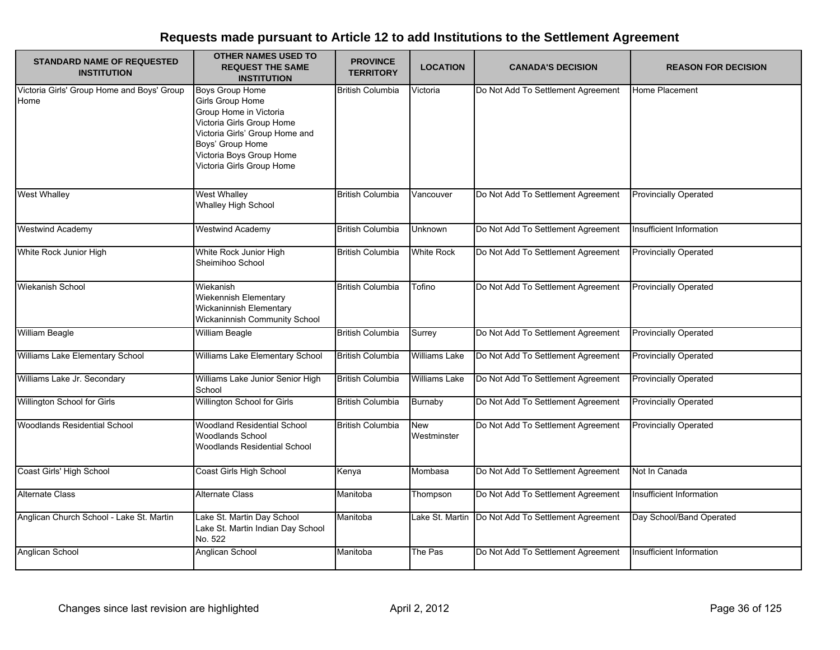| <b>STANDARD NAME OF REQUESTED</b><br><b>INSTITUTION</b> | <b>OTHER NAMES USED TO</b><br><b>REQUEST THE SAME</b><br><b>INSTITUTION</b>                                                                                                                                      | <b>PROVINCE</b><br><b>TERRITORY</b> | <b>LOCATION</b>           | <b>CANADA'S DECISION</b>           | <b>REASON FOR DECISION</b>   |
|---------------------------------------------------------|------------------------------------------------------------------------------------------------------------------------------------------------------------------------------------------------------------------|-------------------------------------|---------------------------|------------------------------------|------------------------------|
| Victoria Girls' Group Home and Boys' Group<br>Home      | <b>Boys Group Home</b><br>Girls Group Home<br>Group Home in Victoria<br>Victoria Girls Group Home<br>Victoria Girls' Group Home and<br>Boys' Group Home<br>Victoria Boys Group Home<br>Victoria Girls Group Home | <b>British Columbia</b>             | Victoria                  | Do Not Add To Settlement Agreement | Home Placement               |
| <b>West Whalley</b>                                     | <b>West Whalley</b><br><b>Whalley High School</b>                                                                                                                                                                | <b>British Columbia</b>             | Vancouver                 | Do Not Add To Settlement Agreement | <b>Provincially Operated</b> |
| <b>Westwind Academy</b>                                 | <b>Westwind Academy</b>                                                                                                                                                                                          | <b>British Columbia</b>             | Unknown                   | Do Not Add To Settlement Agreement | Insufficient Information     |
| White Rock Junior High                                  | White Rock Junior High<br>Sheimihoo School                                                                                                                                                                       | <b>British Columbia</b>             | <b>White Rock</b>         | Do Not Add To Settlement Agreement | <b>Provincially Operated</b> |
| Wiekanish School                                        | Wiekanish<br>Wiekennish Elementary<br><b>Wickaninnish Elementary</b><br>Wickaninnish Community School                                                                                                            | <b>British Columbia</b>             | Tofino                    | Do Not Add To Settlement Agreement | <b>Provincially Operated</b> |
| William Beagle                                          | <b>William Beagle</b>                                                                                                                                                                                            | <b>British Columbia</b>             | Surrey                    | Do Not Add To Settlement Agreement | <b>Provincially Operated</b> |
| Williams Lake Elementary School                         | Williams Lake Elementary School                                                                                                                                                                                  | <b>British Columbia</b>             | <b>Williams Lake</b>      | Do Not Add To Settlement Agreement | <b>Provincially Operated</b> |
| Williams Lake Jr. Secondary                             | Williams Lake Junior Senior High<br>School                                                                                                                                                                       | <b>British Columbia</b>             | <b>Williams Lake</b>      | Do Not Add To Settlement Agreement | <b>Provincially Operated</b> |
| Willington School for Girls                             | Willington School for Girls                                                                                                                                                                                      | <b>British Columbia</b>             | Burnaby                   | Do Not Add To Settlement Agreement | <b>Provincially Operated</b> |
| <b>Woodlands Residential School</b>                     | Woodland Residential School<br><b>Woodlands School</b><br>Woodlands Residential School                                                                                                                           | <b>British Columbia</b>             | <b>New</b><br>Westminster | Do Not Add To Settlement Agreement | <b>Provincially Operated</b> |
| Coast Girls' High School                                | Coast Girls High School                                                                                                                                                                                          | Kenya                               | Mombasa                   | Do Not Add To Settlement Agreement | Not In Canada                |
| <b>Alternate Class</b>                                  | <b>Alternate Class</b>                                                                                                                                                                                           | Manitoba                            | Thompson                  | Do Not Add To Settlement Agreement | Insufficient Information     |
| Anglican Church School - Lake St. Martin                | Lake St. Martin Day School<br>Lake St. Martin Indian Day School<br>No. 522                                                                                                                                       | Manitoba                            | Lake St. Martin           | Do Not Add To Settlement Agreement | Day School/Band Operated     |
| Anglican School                                         | Anglican School                                                                                                                                                                                                  | Manitoba                            | The Pas                   | Do Not Add To Settlement Agreement | Insufficient Information     |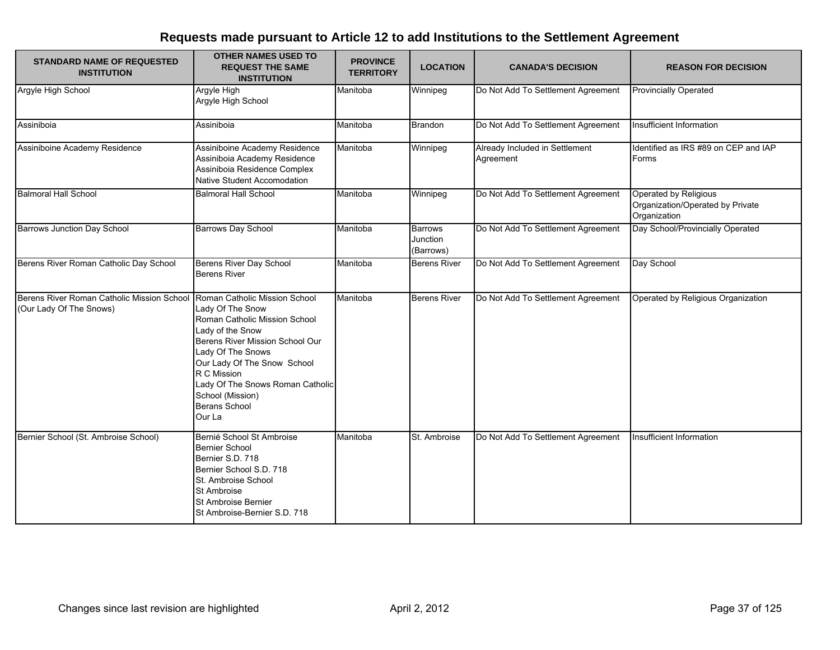| <b>STANDARD NAME OF REQUESTED</b><br><b>INSTITUTION</b>               | <b>OTHER NAMES USED TO</b><br><b>REQUEST THE SAME</b><br><b>INSTITUTION</b>                                                                                                                                                                                                                            | <b>PROVINCE</b><br><b>TERRITORY</b> | <b>LOCATION</b>                         | <b>CANADA'S DECISION</b>                    | <b>REASON FOR DECISION</b>                                                |
|-----------------------------------------------------------------------|--------------------------------------------------------------------------------------------------------------------------------------------------------------------------------------------------------------------------------------------------------------------------------------------------------|-------------------------------------|-----------------------------------------|---------------------------------------------|---------------------------------------------------------------------------|
| Argyle High School                                                    | Argyle High<br>Argyle High School                                                                                                                                                                                                                                                                      | Manitoba                            | Winnipeg                                | Do Not Add To Settlement Agreement          | <b>Provincially Operated</b>                                              |
| Assiniboia                                                            | Assiniboia                                                                                                                                                                                                                                                                                             | Manitoba                            | <b>Brandon</b>                          | Do Not Add To Settlement Agreement          | Insufficient Information                                                  |
| Assiniboine Academy Residence                                         | Assiniboine Academy Residence<br>Assiniboia Academy Residence<br>Assiniboia Residence Complex<br>Native Student Accomodation                                                                                                                                                                           | Manitoba                            | Winnipeg                                | Already Included in Settlement<br>Agreement | Identified as IRS #89 on CEP and IAP<br>Forms                             |
| <b>Balmoral Hall School</b>                                           | <b>Balmoral Hall School</b>                                                                                                                                                                                                                                                                            | Manitoba                            | Winnipeg                                | Do Not Add To Settlement Agreement          | Operated by Religious<br>Organization/Operated by Private<br>Organization |
| <b>Barrows Junction Day School</b>                                    | <b>Barrows Day School</b>                                                                                                                                                                                                                                                                              | Manitoba                            | <b>Barrows</b><br>Junction<br>(Barrows) | Do Not Add To Settlement Agreement          | Day School/Provincially Operated                                          |
| Berens River Roman Catholic Day School                                | Berens River Day School<br><b>Berens River</b>                                                                                                                                                                                                                                                         | Manitoba                            | <b>Berens River</b>                     | Do Not Add To Settlement Agreement          | Day School                                                                |
| Berens River Roman Catholic Mission School<br>(Our Lady Of The Snows) | Roman Catholic Mission School<br>Lady Of The Snow<br>Roman Catholic Mission School<br>Lady of the Snow<br>Berens River Mission School Our<br>Lady Of The Snows<br>Our Lady Of The Snow School<br>R C Mission<br>Lady Of The Snows Roman Catholic<br>School (Mission)<br><b>Berans School</b><br>Our La | Manitoba                            | <b>Berens River</b>                     | Do Not Add To Settlement Agreement          | Operated by Religious Organization                                        |
| Bernier School (St. Ambroise School)                                  | Bernié School St Ambroise<br><b>Bernier School</b><br>Bernier S.D. 718<br>Bernier School S.D. 718<br>St. Ambroise School<br>St Ambroise<br>St Ambroise Bernier<br>St Ambroise-Bernier S.D. 718                                                                                                         | Manitoba                            | St. Ambroise                            | Do Not Add To Settlement Agreement          | Insufficient Information                                                  |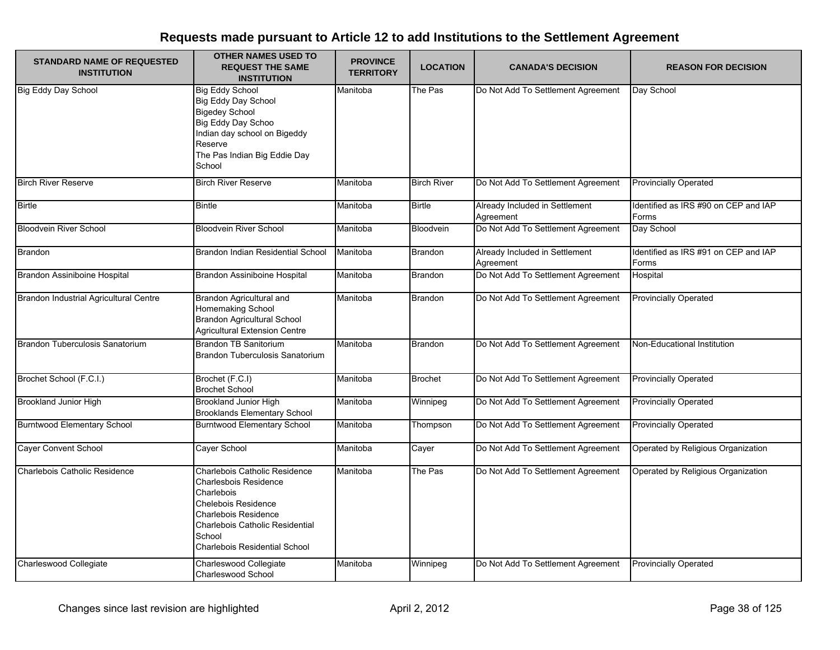| <b>STANDARD NAME OF REQUESTED</b><br><b>INSTITUTION</b> | <b>OTHER NAMES USED TO</b><br><b>REQUEST THE SAME</b><br><b>INSTITUTION</b>                                                                                                                                     | <b>PROVINCE</b><br><b>TERRITORY</b> | <b>LOCATION</b>    | <b>CANADA'S DECISION</b>                    | <b>REASON FOR DECISION</b>                    |
|---------------------------------------------------------|-----------------------------------------------------------------------------------------------------------------------------------------------------------------------------------------------------------------|-------------------------------------|--------------------|---------------------------------------------|-----------------------------------------------|
| <b>Big Eddy Day School</b>                              | <b>Big Eddy School</b><br><b>Big Eddy Day School</b><br><b>Bigedey School</b><br>Big Eddy Day Schoo<br>Indian day school on Bigeddy<br>Reserve<br>The Pas Indian Big Eddie Day<br>School                        | Manitoba                            | The Pas            | Do Not Add To Settlement Agreement          | Day School                                    |
| <b>Birch River Reserve</b>                              | <b>Birch River Reserve</b>                                                                                                                                                                                      | Manitoba                            | <b>Birch River</b> | Do Not Add To Settlement Agreement          | <b>Provincially Operated</b>                  |
| <b>Birtle</b>                                           | <b>Bintle</b>                                                                                                                                                                                                   | Manitoba                            | <b>Birtle</b>      | Already Included in Settlement<br>Agreement | Identified as IRS #90 on CEP and IAP<br>Forms |
| <b>Bloodvein River School</b>                           | <b>Bloodvein River School</b>                                                                                                                                                                                   | Manitoba                            | Bloodvein          | Do Not Add To Settlement Agreement          | Day School                                    |
| <b>Brandon</b>                                          | Brandon Indian Residential School                                                                                                                                                                               | Manitoba                            | Brandon            | Already Included in Settlement<br>Agreement | Identified as IRS #91 on CEP and IAP<br>Forms |
| Brandon Assiniboine Hospital                            | Brandon Assiniboine Hospital                                                                                                                                                                                    | Manitoba                            | <b>Brandon</b>     | Do Not Add To Settlement Agreement          | Hospital                                      |
| Brandon Industrial Agricultural Centre                  | Brandon Agricultural and<br>Homemaking School<br>Brandon Agricultural School<br><b>Agricultural Extension Centre</b>                                                                                            | Manitoba                            | <b>Brandon</b>     | Do Not Add To Settlement Agreement          | <b>Provincially Operated</b>                  |
| Brandon Tuberculosis Sanatorium                         | Brandon TB Sanitorium<br>Brandon Tuberculosis Sanatorium                                                                                                                                                        | Manitoba                            | <b>Brandon</b>     | Do Not Add To Settlement Agreement          | Non-Educational Institution                   |
| Brochet School (F.C.I.)                                 | Brochet (F.C.I)<br><b>Brochet School</b>                                                                                                                                                                        | Manitoba                            | <b>Brochet</b>     | Do Not Add To Settlement Agreement          | <b>Provincially Operated</b>                  |
| <b>Brookland Junior High</b>                            | <b>Brookland Junior High</b><br><b>Brooklands Elementary School</b>                                                                                                                                             | Manitoba                            | Winnipeg           | Do Not Add To Settlement Agreement          | <b>Provincially Operated</b>                  |
| <b>Burntwood Elementary School</b>                      | <b>Burntwood Elementary School</b>                                                                                                                                                                              | Manitoba                            | Thompson           | Do Not Add To Settlement Agreement          | <b>Provincially Operated</b>                  |
| <b>Cayer Convent School</b>                             | Cayer School                                                                                                                                                                                                    | Manitoba                            | Cayer              | Do Not Add To Settlement Agreement          | Operated by Religious Organization            |
| Charlebois Catholic Residence                           | Charlebois Catholic Residence<br><b>Charlesbois Residence</b><br>Charlebois<br><b>Chelebois Residence</b><br>Charlebois Residence<br>Charlebois Catholic Residential<br>School<br>Charlebois Residential School | Manitoba                            | The Pas            | Do Not Add To Settlement Agreement          | Operated by Religious Organization            |
| Charleswood Collegiate                                  | Charleswood Collegiate<br>Charleswood School                                                                                                                                                                    | Manitoba                            | Winnipeg           | Do Not Add To Settlement Agreement          | <b>Provincially Operated</b>                  |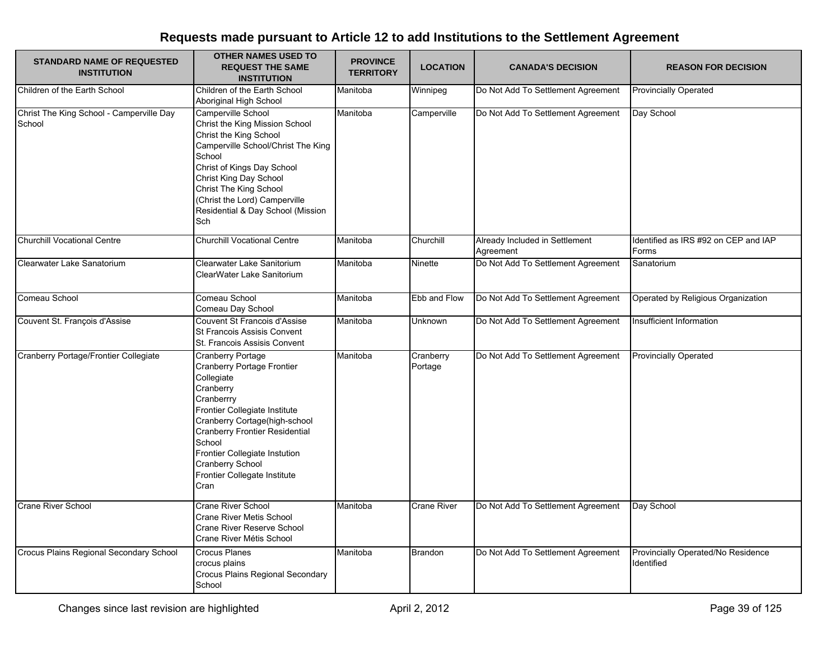| <b>STANDARD NAME OF REQUESTED</b><br><b>INSTITUTION</b> | <b>OTHER NAMES USED TO</b><br><b>REQUEST THE SAME</b><br><b>INSTITUTION</b>                                                                                                                                                                                                                                       | <b>PROVINCE</b><br><b>TERRITORY</b> | <b>LOCATION</b>      | <b>CANADA'S DECISION</b>                    | <b>REASON FOR DECISION</b>                       |
|---------------------------------------------------------|-------------------------------------------------------------------------------------------------------------------------------------------------------------------------------------------------------------------------------------------------------------------------------------------------------------------|-------------------------------------|----------------------|---------------------------------------------|--------------------------------------------------|
| Children of the Earth School                            | Children of the Earth School<br>Aboriginal High School                                                                                                                                                                                                                                                            | Manitoba                            | Winnipeg             | Do Not Add To Settlement Agreement          | <b>Provincially Operated</b>                     |
| Christ The King School - Camperville Day<br>School      | Camperville School<br>Christ the King Mission School<br>Christ the King School<br>Camperville School/Christ The King<br>School<br>Christ of Kings Day School<br>Christ King Day School<br>Christ The King School<br>(Christ the Lord) Camperville<br>Residential & Day School (Mission<br>Sch                     | Manitoba                            | Camperville          | Do Not Add To Settlement Agreement          | Day School                                       |
| <b>Churchill Vocational Centre</b>                      | <b>Churchill Vocational Centre</b>                                                                                                                                                                                                                                                                                | Manitoba                            | Churchill            | Already Included in Settlement<br>Agreement | Identified as IRS #92 on CEP and IAP<br>Forms    |
| Clearwater Lake Sanatorium                              | Clearwater Lake Sanitorium<br>ClearWater Lake Sanitorium                                                                                                                                                                                                                                                          | Manitoba                            | Ninette              | Do Not Add To Settlement Agreement          | Sanatorium                                       |
| Comeau School                                           | Comeau School<br>Comeau Day School                                                                                                                                                                                                                                                                                | Manitoba                            | Ebb and Flow         | Do Not Add To Settlement Agreement          | Operated by Religious Organization               |
| Couvent St. François d'Assise                           | Couvent St Francois d'Assise<br>St Francois Assisis Convent<br>St. Francois Assisis Convent                                                                                                                                                                                                                       | Manitoba                            | Unknown              | Do Not Add To Settlement Agreement          | Insufficient Information                         |
| Cranberry Portage/Frontier Collegiate                   | <b>Cranberry Portage</b><br>Cranberry Portage Frontier<br>Collegiate<br>Cranberry<br>Cranberrry<br>Frontier Collegiate Institute<br>Cranberry Cortage(high-school<br><b>Cranberry Frontier Residential</b><br>School<br>Frontier Collegiate Instution<br>Cranberry School<br>Frontier Collegate Institute<br>Cran | Manitoba                            | Cranberry<br>Portage | Do Not Add To Settlement Agreement          | <b>Provincially Operated</b>                     |
| <b>Crane River School</b>                               | <b>Crane River School</b><br>Crane River Metis School<br>Crane River Reserve School<br>Crane River Métis School                                                                                                                                                                                                   | Manitoba                            | <b>Crane River</b>   | Do Not Add To Settlement Agreement          | Day School                                       |
| Crocus Plains Regional Secondary School                 | <b>Crocus Planes</b><br>crocus plains<br>Crocus Plains Regional Secondary<br>School                                                                                                                                                                                                                               | Manitoba                            | Brandon              | Do Not Add To Settlement Agreement          | Provincially Operated/No Residence<br>Identified |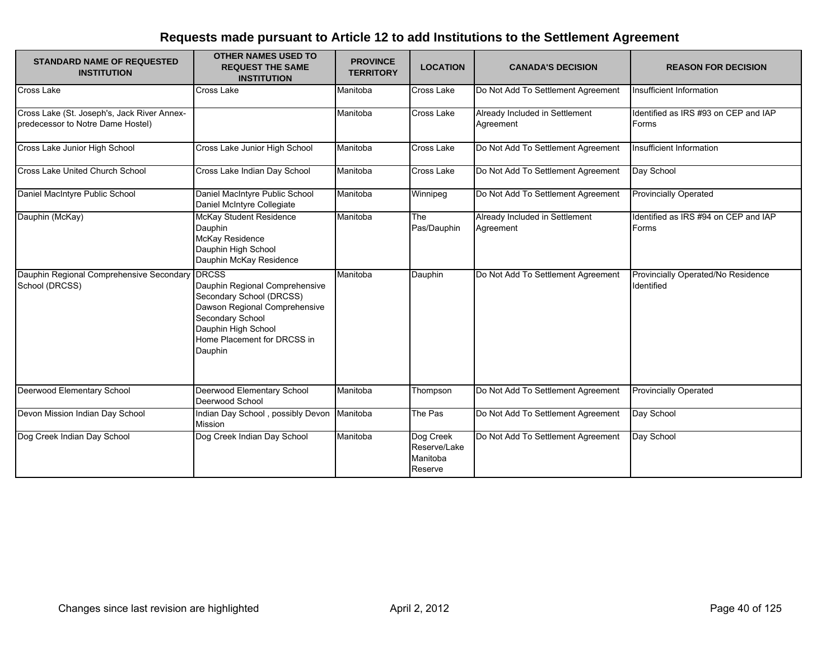| <b>STANDARD NAME OF REQUESTED</b><br><b>INSTITUTION</b>                          | <b>OTHER NAMES USED TO</b><br><b>REQUEST THE SAME</b><br><b>INSTITUTION</b>                                                                                                      | <b>PROVINCE</b><br><b>TERRITORY</b> | <b>LOCATION</b>                                  | <b>CANADA'S DECISION</b>                    | <b>REASON FOR DECISION</b>                       |
|----------------------------------------------------------------------------------|----------------------------------------------------------------------------------------------------------------------------------------------------------------------------------|-------------------------------------|--------------------------------------------------|---------------------------------------------|--------------------------------------------------|
| Cross Lake                                                                       | <b>Cross Lake</b>                                                                                                                                                                | Manitoba                            | Cross Lake                                       | Do Not Add To Settlement Agreement          | Insufficient Information                         |
| Cross Lake (St. Joseph's, Jack River Annex-<br>predecessor to Notre Dame Hostel) |                                                                                                                                                                                  | Manitoba                            | Cross Lake                                       | Already Included in Settlement<br>Agreement | Identified as IRS #93 on CEP and IAP<br>Forms    |
| Cross Lake Junior High School                                                    | Cross Lake Junior High School                                                                                                                                                    | Manitoba                            | Cross Lake                                       | Do Not Add To Settlement Agreement          | Insufficient Information                         |
| Cross Lake United Church School                                                  | Cross Lake Indian Day School                                                                                                                                                     | Manitoba                            | Cross Lake                                       | Do Not Add To Settlement Agreement          | Day School                                       |
| Daniel MacIntyre Public School                                                   | Daniel MacIntyre Public School<br>Daniel McIntyre Collegiate                                                                                                                     | Manitoba                            | Winnipeg                                         | Do Not Add To Settlement Agreement          | <b>Provincially Operated</b>                     |
| Dauphin (McKay)                                                                  | McKay Student Residence<br>Dauphin<br><b>McKay Residence</b><br>Dauphin High School<br>Dauphin McKay Residence                                                                   | Manitoba                            | <b>The</b><br>Pas/Dauphin                        | Already Included in Settlement<br>Agreement | Identified as IRS #94 on CEP and IAP<br>Forms    |
| Dauphin Regional Comprehensive Secondary DRCSS<br>School (DRCSS)                 | Dauphin Regional Comprehensive<br>Secondary School (DRCSS)<br>Dawson Regional Comprehensive<br>Secondary School<br>Dauphin High School<br>Home Placement for DRCSS in<br>Dauphin | Manitoba                            | Dauphin                                          | Do Not Add To Settlement Agreement          | Provincially Operated/No Residence<br>Identified |
| Deerwood Elementary School                                                       | Deerwood Elementary School<br>Deerwood School                                                                                                                                    | Manitoba                            | Thompson                                         | Do Not Add To Settlement Agreement          | <b>Provincially Operated</b>                     |
| Devon Mission Indian Day School                                                  | Indian Day School, possibly Devon<br>Mission                                                                                                                                     | Manitoba                            | The Pas                                          | Do Not Add To Settlement Agreement          | Day School                                       |
| Dog Creek Indian Day School                                                      | Dog Creek Indian Day School                                                                                                                                                      | Manitoba                            | Dog Creek<br>Reserve/Lake<br>Manitoba<br>Reserve | Do Not Add To Settlement Agreement          | Day School                                       |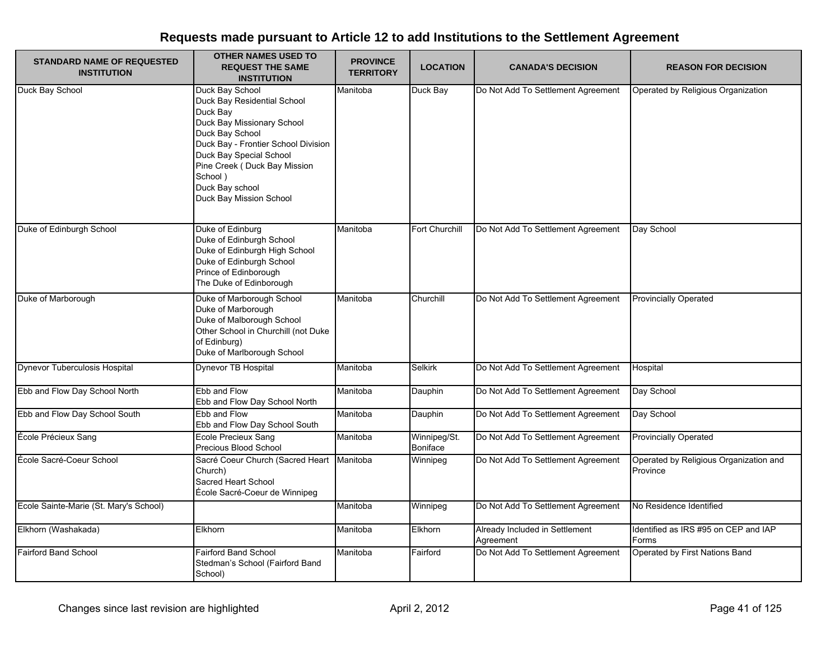| <b>STANDARD NAME OF REQUESTED</b><br><b>INSTITUTION</b> | <b>OTHER NAMES USED TO</b><br><b>REQUEST THE SAME</b><br><b>INSTITUTION</b>                                                                                                                                                                                            | <b>PROVINCE</b><br><b>TERRITORY</b> | <b>LOCATION</b>                 | <b>CANADA'S DECISION</b>                    | <b>REASON FOR DECISION</b>                         |
|---------------------------------------------------------|------------------------------------------------------------------------------------------------------------------------------------------------------------------------------------------------------------------------------------------------------------------------|-------------------------------------|---------------------------------|---------------------------------------------|----------------------------------------------------|
| Duck Bay School                                         | Duck Bay School<br>Duck Bay Residential School<br>Duck Bay<br>Duck Bay Missionary School<br>Duck Bay School<br>Duck Bay - Frontier School Division<br>Duck Bay Special School<br>Pine Creek (Duck Bay Mission<br>School)<br>Duck Bay school<br>Duck Bay Mission School | Manitoba                            | Duck Bay                        | Do Not Add To Settlement Agreement          | Operated by Religious Organization                 |
| Duke of Edinburgh School                                | Duke of Edinburg<br>Duke of Edinburgh School<br>Duke of Edinburgh High School<br>Duke of Edinburgh School<br>Prince of Edinborough<br>The Duke of Edinborough                                                                                                          | Manitoba                            | Fort Churchill                  | Do Not Add To Settlement Agreement          | Day School                                         |
| Duke of Marborough                                      | Duke of Marborough School<br>Duke of Marborough<br>Duke of Malborough School<br>Other School in Churchill (not Duke<br>of Edinburg)<br>Duke of Marlborough School                                                                                                      | Manitoba                            | Churchill                       | Do Not Add To Settlement Agreement          | <b>Provincially Operated</b>                       |
| <b>Dynevor Tuberculosis Hospital</b>                    | Dynevor TB Hospital                                                                                                                                                                                                                                                    | Manitoba                            | <b>Selkirk</b>                  | Do Not Add To Settlement Agreement          | Hospital                                           |
| Ebb and Flow Day School North                           | Ebb and Flow<br>Ebb and Flow Day School North                                                                                                                                                                                                                          | Manitoba                            | Dauphin                         | Do Not Add To Settlement Agreement          | Day School                                         |
| Ebb and Flow Day School South                           | Ebb and Flow<br>Ebb and Flow Day School South                                                                                                                                                                                                                          | Manitoba                            | Dauphin                         | Do Not Add To Settlement Agreement          | Day School                                         |
| École Précieux Sang                                     | Ecole Precieux Sang<br>Precious Blood School                                                                                                                                                                                                                           | Manitoba                            | Winnipeg/St.<br><b>Boniface</b> | Do Not Add To Settlement Agreement          | <b>Provincially Operated</b>                       |
| École Sacré-Coeur School                                | Sacré Coeur Church (Sacred Heart<br>Church)<br>Sacred Heart School<br>École Sacré-Coeur de Winnipeg                                                                                                                                                                    | Manitoba                            | Winnipeg                        | Do Not Add To Settlement Agreement          | Operated by Religious Organization and<br>Province |
| Ecole Sainte-Marie (St. Mary's School)                  |                                                                                                                                                                                                                                                                        | Manitoba                            | Winnipeg                        | Do Not Add To Settlement Agreement          | No Residence Identified                            |
| Elkhorn (Washakada)                                     | Elkhorn                                                                                                                                                                                                                                                                | Manitoba                            | Elkhorn                         | Already Included in Settlement<br>Agreement | Identified as IRS #95 on CEP and IAP<br>Forms      |
| <b>Fairford Band School</b>                             | <b>Fairford Band School</b><br>Stedman's School (Fairford Band<br>School)                                                                                                                                                                                              | Manitoba                            | Fairford                        | Do Not Add To Settlement Agreement          | Operated by First Nations Band                     |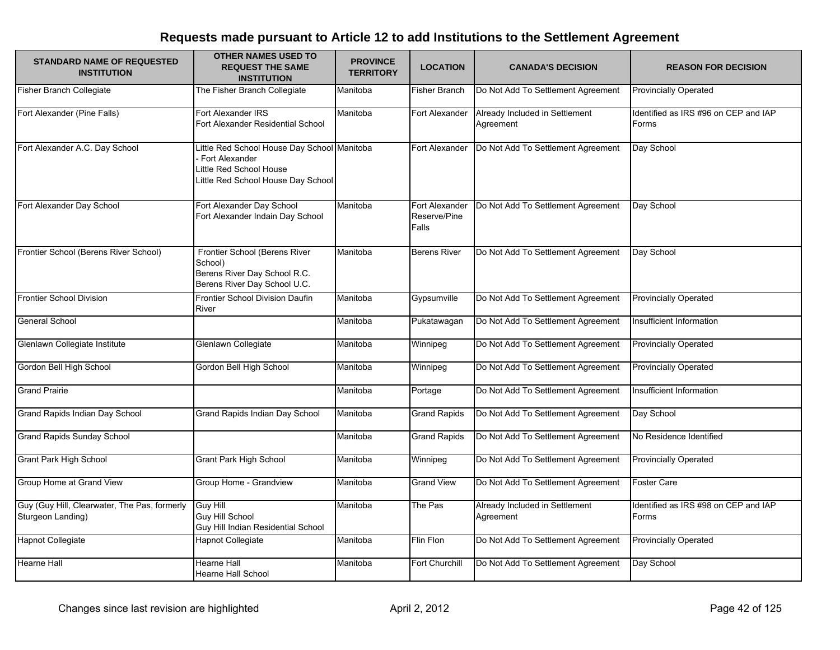| <b>STANDARD NAME OF REQUESTED</b><br><b>INSTITUTION</b>           | <b>OTHER NAMES USED TO</b><br><b>REQUEST THE SAME</b><br><b>INSTITUTION</b>                                                    | <b>PROVINCE</b><br><b>TERRITORY</b> | <b>LOCATION</b>                         | <b>CANADA'S DECISION</b>                    | <b>REASON FOR DECISION</b>                    |
|-------------------------------------------------------------------|--------------------------------------------------------------------------------------------------------------------------------|-------------------------------------|-----------------------------------------|---------------------------------------------|-----------------------------------------------|
| <b>Fisher Branch Collegiate</b>                                   | The Fisher Branch Collegiate                                                                                                   | Manitoba                            | <b>Fisher Branch</b>                    | Do Not Add To Settlement Agreement          | <b>Provincially Operated</b>                  |
| Fort Alexander (Pine Falls)                                       | Fort Alexander IRS<br>Fort Alexander Residential School                                                                        | Manitoba                            | Fort Alexander                          | Already Included in Settlement<br>Agreement | Identified as IRS #96 on CEP and IAP<br>Forms |
| Fort Alexander A.C. Day School                                    | Little Red School House Day School Manitoba<br>Fort Alexander<br>Little Red School House<br>Little Red School House Day School |                                     | Fort Alexander                          | Do Not Add To Settlement Agreement          | Day School                                    |
| Fort Alexander Day School                                         | Fort Alexander Day School<br>Fort Alexander Indain Day School                                                                  | Manitoba                            | Fort Alexander<br>Reserve/Pine<br>Falls | Do Not Add To Settlement Agreement          | Day School                                    |
| Frontier School (Berens River School)                             | Frontier School (Berens River<br>School)<br>Berens River Day School R.C.<br>Berens River Day School U.C.                       | Manitoba                            | <b>Berens River</b>                     | Do Not Add To Settlement Agreement          | Day School                                    |
| <b>Frontier School Division</b>                                   | Frontier School Division Daufin<br>River                                                                                       | Manitoba                            | Gypsumville                             | Do Not Add To Settlement Agreement          | <b>Provincially Operated</b>                  |
| General School                                                    |                                                                                                                                | Manitoba                            | Pukatawagan                             | Do Not Add To Settlement Agreement          | Insufficient Information                      |
| Glenlawn Collegiate Institute                                     | Glenlawn Collegiate                                                                                                            | Manitoba                            | Winnipeg                                | Do Not Add To Settlement Agreement          | <b>Provincially Operated</b>                  |
| Gordon Bell High School                                           | Gordon Bell High School                                                                                                        | Manitoba                            | Winnipeg                                | Do Not Add To Settlement Agreement          | <b>Provincially Operated</b>                  |
| <b>Grand Prairie</b>                                              |                                                                                                                                | Manitoba                            | Portage                                 | Do Not Add To Settlement Agreement          | Insufficient Information                      |
| Grand Rapids Indian Day School                                    | Grand Rapids Indian Day School                                                                                                 | Manitoba                            | <b>Grand Rapids</b>                     | Do Not Add To Settlement Agreement          | Day School                                    |
| <b>Grand Rapids Sunday School</b>                                 |                                                                                                                                | Manitoba                            | <b>Grand Rapids</b>                     | Do Not Add To Settlement Agreement          | No Residence Identified                       |
| <b>Grant Park High School</b>                                     | <b>Grant Park High School</b>                                                                                                  | Manitoba                            | Winnipeg                                | Do Not Add To Settlement Agreement          | <b>Provincially Operated</b>                  |
| Group Home at Grand View                                          | Group Home - Grandview                                                                                                         | Manitoba                            | <b>Grand View</b>                       | Do Not Add To Settlement Agreement          | <b>Foster Care</b>                            |
| Guy (Guy Hill, Clearwater, The Pas, formerly<br>Sturgeon Landing) | <b>Guy Hill</b><br><b>Guy Hill School</b><br>Guy Hill Indian Residential School                                                | Manitoba                            | The Pas                                 | Already Included in Settlement<br>Agreement | Identified as IRS #98 on CEP and IAP<br>Forms |
| <b>Hapnot Collegiate</b>                                          | <b>Hapnot Collegiate</b>                                                                                                       | Manitoba                            | Flin Flon                               | Do Not Add To Settlement Agreement          | <b>Provincially Operated</b>                  |
| <b>Hearne Hall</b>                                                | <b>Hearne Hall</b><br>Hearne Hall School                                                                                       | Manitoba                            | Fort Churchill                          | Do Not Add To Settlement Agreement          | Day School                                    |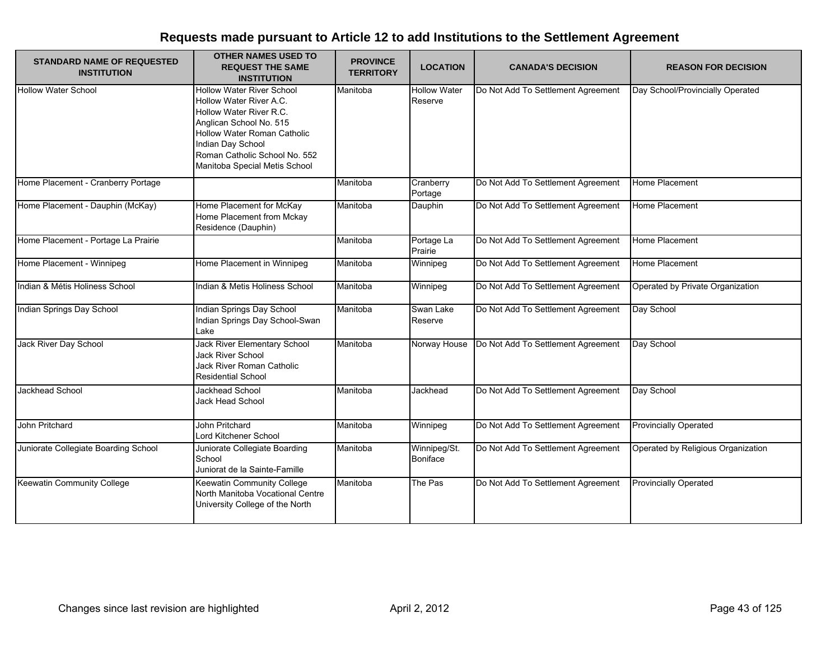| <b>STANDARD NAME OF REQUESTED</b><br><b>INSTITUTION</b> | <b>OTHER NAMES USED TO</b><br><b>REQUEST THE SAME</b><br><b>INSTITUTION</b>                                                                                                                                                             | <b>PROVINCE</b><br><b>TERRITORY</b> | <b>LOCATION</b>                | <b>CANADA'S DECISION</b>           | <b>REASON FOR DECISION</b>         |
|---------------------------------------------------------|-----------------------------------------------------------------------------------------------------------------------------------------------------------------------------------------------------------------------------------------|-------------------------------------|--------------------------------|------------------------------------|------------------------------------|
| <b>Hollow Water School</b>                              | <b>Hollow Water River School</b><br>Hollow Water River A.C.<br>Hollow Water River R.C.<br>Anglican School No. 515<br>Hollow Water Roman Catholic<br>Indian Day School<br>Roman Catholic School No. 552<br>Manitoba Special Metis School | Manitoba                            | <b>Hollow Water</b><br>Reserve | Do Not Add To Settlement Agreement | Day School/Provincially Operated   |
| Home Placement - Cranberry Portage                      |                                                                                                                                                                                                                                         | Manitoba                            | Cranberry<br>Portage           | Do Not Add To Settlement Agreement | Home Placement                     |
| Home Placement - Dauphin (McKay)                        | Home Placement for McKay<br>Home Placement from Mckay<br>Residence (Dauphin)                                                                                                                                                            | Manitoba                            | Dauphin                        | Do Not Add To Settlement Agreement | Home Placement                     |
| Home Placement - Portage La Prairie                     |                                                                                                                                                                                                                                         | Manitoba                            | Portage La<br>Prairie          | Do Not Add To Settlement Agreement | Home Placement                     |
| Home Placement - Winnipeg                               | Home Placement in Winnipeg                                                                                                                                                                                                              | Manitoba                            | Winnipeg                       | Do Not Add To Settlement Agreement | Home Placement                     |
| Indian & Métis Holiness School                          | Indian & Metis Holiness School                                                                                                                                                                                                          | Manitoba                            | Winnipeg                       | Do Not Add To Settlement Agreement | Operated by Private Organization   |
| Indian Springs Day School                               | Indian Springs Day School<br>Indian Springs Day School-Swan<br>Lake                                                                                                                                                                     | Manitoba                            | Swan Lake<br>Reserve           | Do Not Add To Settlement Agreement | Day School                         |
| Jack River Day School                                   | Jack River Elementary School<br><b>Jack River School</b><br>Jack River Roman Catholic<br><b>Residential School</b>                                                                                                                      | Manitoba                            | Norway House                   | Do Not Add To Settlement Agreement | Day School                         |
| Jackhead School                                         | Jackhead School<br>Jack Head School                                                                                                                                                                                                     | Manitoba                            | Jackhead                       | Do Not Add To Settlement Agreement | Day School                         |
| John Pritchard                                          | John Pritchard<br>Lord Kitchener School                                                                                                                                                                                                 | Manitoba                            | Winnipeg                       | Do Not Add To Settlement Agreement | <b>Provincially Operated</b>       |
| Juniorate Collegiate Boarding School                    | Juniorate Collegiate Boarding<br>School<br>Juniorat de la Sainte-Famille                                                                                                                                                                | Manitoba                            | Winnipeg/St.<br>Boniface       | Do Not Add To Settlement Agreement | Operated by Religious Organization |
| Keewatin Community College                              | Keewatin Community College<br>North Manitoba Vocational Centre<br>University College of the North                                                                                                                                       | Manitoba                            | The Pas                        | Do Not Add To Settlement Agreement | <b>Provincially Operated</b>       |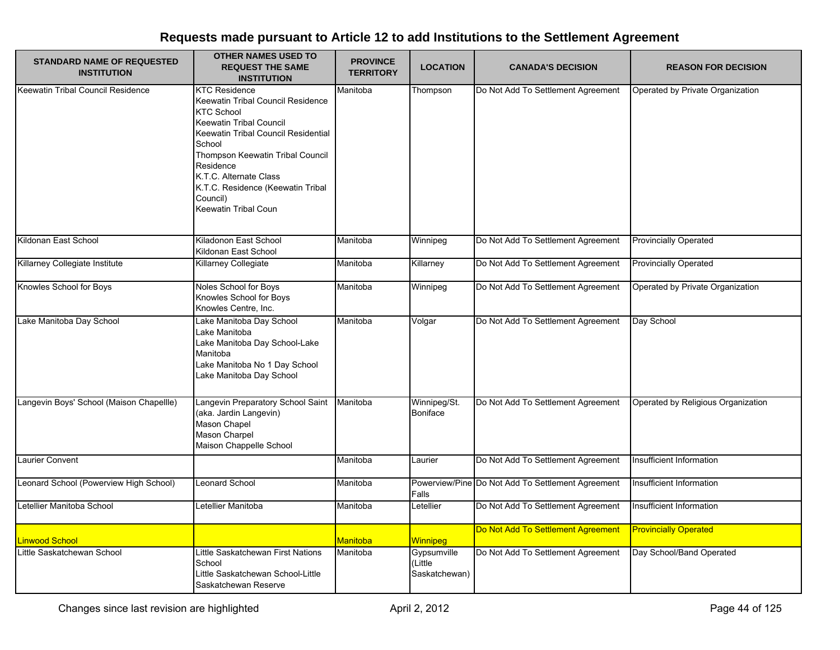| <b>STANDARD NAME OF REQUESTED</b><br><b>INSTITUTION</b> | <b>OTHER NAMES USED TO</b><br><b>REQUEST THE SAME</b><br><b>INSTITUTION</b>                                                                                                                                                                                                                                                  | <b>PROVINCE</b><br><b>TERRITORY</b> | <b>LOCATION</b>                         | <b>CANADA'S DECISION</b>                          | <b>REASON FOR DECISION</b>         |
|---------------------------------------------------------|------------------------------------------------------------------------------------------------------------------------------------------------------------------------------------------------------------------------------------------------------------------------------------------------------------------------------|-------------------------------------|-----------------------------------------|---------------------------------------------------|------------------------------------|
| Keewatin Tribal Council Residence                       | <b>KTC Residence</b><br>Keewatin Tribal Council Residence<br><b>KTC School</b><br><b>Keewatin Tribal Council</b><br>Keewatin Tribal Council Residential<br>School<br>Thompson Keewatin Tribal Council<br>Residence<br>K.T.C. Alternate Class<br>K.T.C. Residence (Keewatin Tribal<br>Council)<br><b>Keewatin Tribal Coun</b> | Manitoba                            | Thompson                                | Do Not Add To Settlement Agreement                | Operated by Private Organization   |
| Kildonan East School                                    | Kiladonon East School<br>Kildonan East School                                                                                                                                                                                                                                                                                | Manitoba                            | Winnipeg                                | Do Not Add To Settlement Agreement                | <b>Provincially Operated</b>       |
| Killarney Collegiate Institute                          | Killarney Collegiate                                                                                                                                                                                                                                                                                                         | Manitoba                            | Killarney                               | Do Not Add To Settlement Agreement                | <b>Provincially Operated</b>       |
| Knowles School for Boys                                 | Noles School for Boys<br>Knowles School for Boys<br>Knowles Centre, Inc.                                                                                                                                                                                                                                                     | Manitoba                            | Winnipeg                                | Do Not Add To Settlement Agreement                | Operated by Private Organization   |
| Lake Manitoba Day School                                | Lake Manitoba Day School<br>Lake Manitoba<br>Lake Manitoba Day School-Lake<br>Manitoba<br>Lake Manitoba No 1 Day School<br>Lake Manitoba Day School                                                                                                                                                                          | Manitoba                            | Volgar                                  | Do Not Add To Settlement Agreement                | Day School                         |
| Langevin Boys' School (Maison Chapellle)                | Langevin Preparatory School Saint<br>(aka. Jardin Langevin)<br>Mason Chapel<br>Mason Charpel<br>Maison Chappelle School                                                                                                                                                                                                      | Manitoba                            | Winnipeg/St.<br>Boniface                | Do Not Add To Settlement Agreement                | Operated by Religious Organization |
| Laurier Convent                                         |                                                                                                                                                                                                                                                                                                                              | Manitoba                            | Laurier                                 | Do Not Add To Settlement Agreement                | Insufficient Information           |
| Leonard School (Powerview High School)                  | eonard School                                                                                                                                                                                                                                                                                                                | Manitoba                            | Falls                                   | Powerview/Pine Do Not Add To Settlement Agreement | Insufficient Information           |
| Letellier Manitoba School                               | Letellier Manitoba                                                                                                                                                                                                                                                                                                           | Manitoba                            | Letellier                               | Do Not Add To Settlement Agreement                | Insufficient Information           |
| Linwood School                                          |                                                                                                                                                                                                                                                                                                                              | <mark>Manitoba</mark>               | <b>Winnipeg</b>                         | Do Not Add To Settlement Agreement                | <b>Provincially Operated</b>       |
| Little Saskatchewan School                              | Little Saskatchewan First Nations<br>School<br>Little Saskatchewan School-Little<br>Saskatchewan Reserve                                                                                                                                                                                                                     | Manitoba                            | Gypsumville<br>(Little<br>Saskatchewan) | Do Not Add To Settlement Agreement                | Day School/Band Operated           |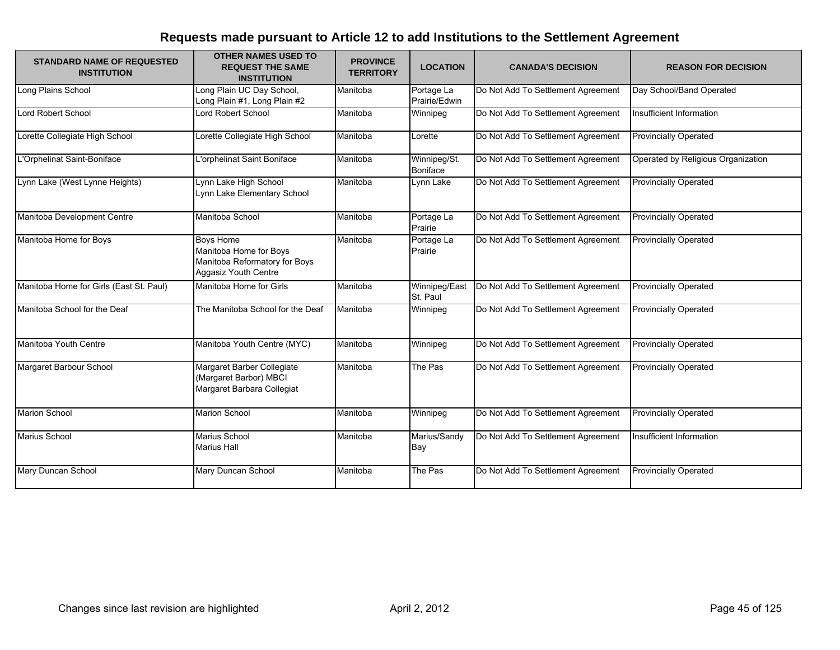| <b>STANDARD NAME OF REQUESTED</b><br><b>INSTITUTION</b> | <b>OTHER NAMES USED TO</b><br><b>REQUEST THE SAME</b><br><b>INSTITUTION</b>                         | <b>PROVINCE</b><br><b>TERRITORY</b> | <b>LOCATION</b>                 | <b>CANADA'S DECISION</b>           | <b>REASON FOR DECISION</b>         |
|---------------------------------------------------------|-----------------------------------------------------------------------------------------------------|-------------------------------------|---------------------------------|------------------------------------|------------------------------------|
| Long Plains School                                      | ong Plain UC Day School,<br>Long Plain #1, Long Plain #2                                            | Manitoba                            | Portage La<br>Prairie/Edwin     | Do Not Add To Settlement Agreement | Day School/Band Operated           |
| Lord Robert School                                      | Lord Robert School                                                                                  | Manitoba                            | Winnipeg                        | Do Not Add To Settlement Agreement | Insufficient Information           |
| Lorette Collegiate High School                          | Lorette Collegiate High School                                                                      | Manitoba                            | Lorette                         | Do Not Add To Settlement Agreement | <b>Provincially Operated</b>       |
| L'Orphelinat Saint-Boniface                             | L'orphelinat Saint Boniface                                                                         | Manitoba                            | Winnipeg/St.<br><b>Boniface</b> | Do Not Add To Settlement Agreement | Operated by Religious Organization |
| Lynn Lake (West Lynne Heights)                          | Lynn Lake High School<br>Lynn Lake Elementary School                                                | Manitoba                            | Lynn Lake                       | Do Not Add To Settlement Agreement | <b>Provincially Operated</b>       |
| Manitoba Development Centre                             | Manitoba School                                                                                     | Manitoba                            | Portage La<br>Prairie           | Do Not Add To Settlement Agreement | <b>Provincially Operated</b>       |
| Manitoba Home for Boys                                  | <b>Boys Home</b><br>Manitoba Home for Boys<br>Manitoba Reformatory for Boys<br>Aggasiz Youth Centre | Manitoba                            | Portage La<br>Prairie           | Do Not Add To Settlement Agreement | <b>Provincially Operated</b>       |
| Manitoba Home for Girls (East St. Paul)                 | Manitoba Home for Girls                                                                             | Manitoba                            | Winnipeg/East<br>St. Paul       | Do Not Add To Settlement Agreement | <b>Provincially Operated</b>       |
| Manitoba School for the Deaf                            | The Manitoba School for the Deaf                                                                    | Manitoba                            | Winnipeg                        | Do Not Add To Settlement Agreement | <b>Provincially Operated</b>       |
| Manitoba Youth Centre                                   | Manitoba Youth Centre (MYC)                                                                         | Manitoba                            | Winnipeg                        | Do Not Add To Settlement Agreement | <b>Provincially Operated</b>       |
| Margaret Barbour School                                 | Margaret Barber Collegiate<br>(Margaret Barbor) MBCI<br>Margaret Barbara Collegiat                  | Manitoba                            | The Pas                         | Do Not Add To Settlement Agreement | <b>Provincially Operated</b>       |
| <b>Marion School</b>                                    | <b>Marion School</b>                                                                                | Manitoba                            | Winnipeg                        | Do Not Add To Settlement Agreement | <b>Provincially Operated</b>       |
| Marius School                                           | <b>Marius School</b><br><b>Marius Hall</b>                                                          | Manitoba                            | Marius/Sandy<br>Bay             | Do Not Add To Settlement Agreement | Insufficient Information           |
| Mary Duncan School                                      | Mary Duncan School                                                                                  | Manitoba                            | The Pas                         | Do Not Add To Settlement Agreement | <b>Provincially Operated</b>       |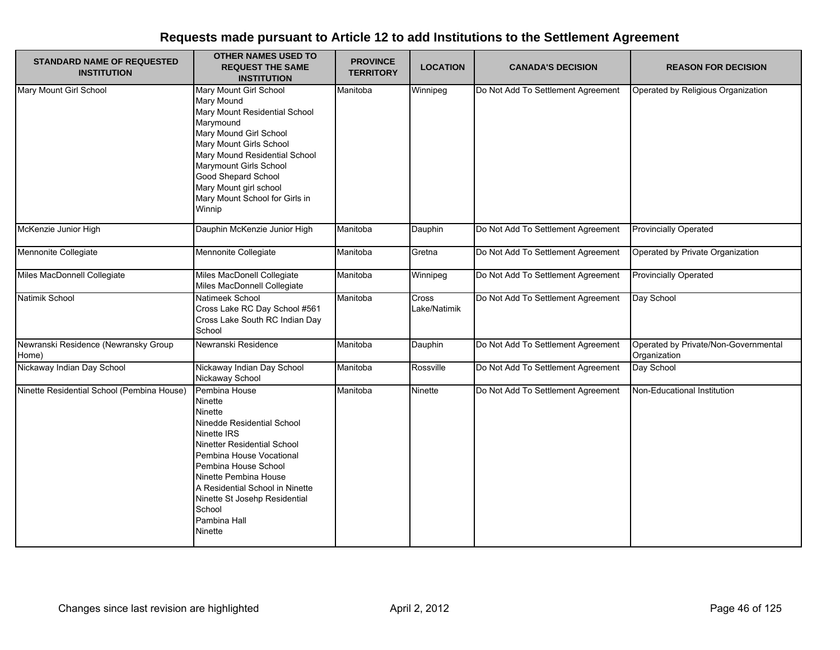| <b>STANDARD NAME OF REQUESTED</b><br><b>INSTITUTION</b> | <b>OTHER NAMES USED TO</b><br><b>REQUEST THE SAME</b><br><b>INSTITUTION</b>                                                                                                                                                                                                                                  | <b>PROVINCE</b><br><b>TERRITORY</b> | <b>LOCATION</b>       | <b>CANADA'S DECISION</b>           | <b>REASON FOR DECISION</b>                           |
|---------------------------------------------------------|--------------------------------------------------------------------------------------------------------------------------------------------------------------------------------------------------------------------------------------------------------------------------------------------------------------|-------------------------------------|-----------------------|------------------------------------|------------------------------------------------------|
| Mary Mount Girl School                                  | Mary Mount Girl School<br>Mary Mound<br>Mary Mount Residential School<br>Marymound<br>Mary Mound Girl School<br>Mary Mount Girls School<br>Mary Mound Residential School<br>Marymount Girls School<br>Good Shepard School<br>Mary Mount girl school<br>Mary Mount School for Girls in<br>Winnip              | Manitoba                            | Winnipeg              | Do Not Add To Settlement Agreement | Operated by Religious Organization                   |
| McKenzie Junior High                                    | Dauphin McKenzie Junior High                                                                                                                                                                                                                                                                                 | Manitoba                            | Dauphin               | Do Not Add To Settlement Agreement | <b>Provincially Operated</b>                         |
| Mennonite Collegiate                                    | Mennonite Collegiate                                                                                                                                                                                                                                                                                         | Manitoba                            | Gretna                | Do Not Add To Settlement Agreement | Operated by Private Organization                     |
| Miles MacDonnell Collegiate                             | Miles MacDonell Collegiate<br>Miles MacDonnell Collegiate                                                                                                                                                                                                                                                    | Manitoba                            | Winnipeg              | Do Not Add To Settlement Agreement | <b>Provincially Operated</b>                         |
| Natimik School                                          | Natimeek School<br>Cross Lake RC Day School #561<br>Cross Lake South RC Indian Day<br>School                                                                                                                                                                                                                 | Manitoba                            | Cross<br>Lake/Natimik | Do Not Add To Settlement Agreement | Day School                                           |
| Newranski Residence (Newransky Group<br>Home)           | Newranski Residence                                                                                                                                                                                                                                                                                          | Manitoba                            | Dauphin               | Do Not Add To Settlement Agreement | Operated by Private/Non-Governmental<br>Organization |
| Nickaway Indian Day School                              | Nickaway Indian Day School<br>Nickaway School                                                                                                                                                                                                                                                                | Manitoba                            | Rossville             | Do Not Add To Settlement Agreement | Day School                                           |
| Ninette Residential School (Pembina House)              | Pembina House<br>Ninette<br>Ninette<br>Ninedde Residential School<br>Ninette IRS<br>Ninetter Residential School<br>Pembina House Vocational<br>Pembina House School<br>Ninette Pembina House<br>A Residential School in Ninette<br>Ninette St Josehp Residential<br>School<br>Pambina Hall<br><b>Ninette</b> | Manitoba                            | Ninette               | Do Not Add To Settlement Agreement | Non-Educational Institution                          |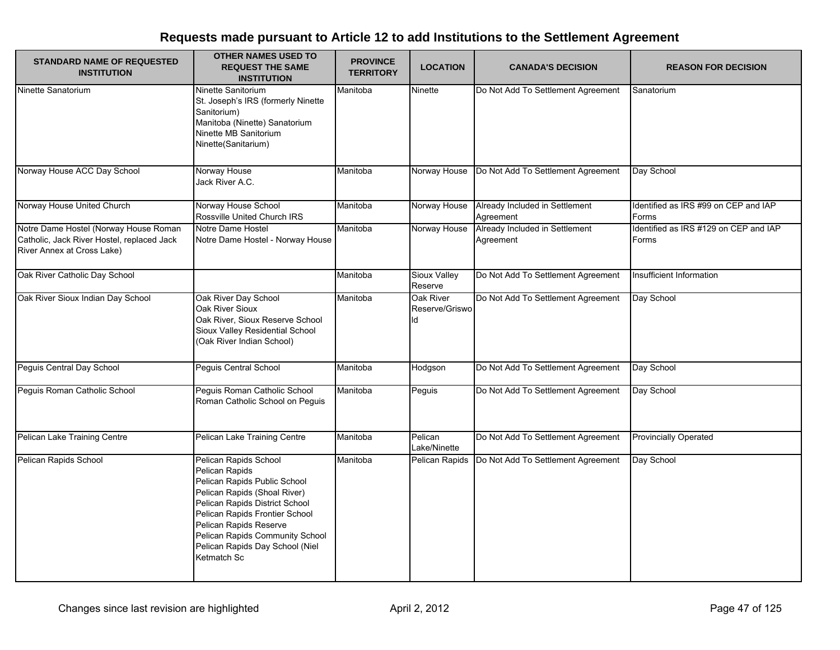| <b>STANDARD NAME OF REQUESTED</b><br><b>INSTITUTION</b>                                                           | <b>OTHER NAMES USED TO</b><br><b>REQUEST THE SAME</b><br><b>INSTITUTION</b>                                                                                                                                                                                                                | <b>PROVINCE</b><br><b>TERRITORY</b> | <b>LOCATION</b>                   | <b>CANADA'S DECISION</b>                    | <b>REASON FOR DECISION</b>                     |
|-------------------------------------------------------------------------------------------------------------------|--------------------------------------------------------------------------------------------------------------------------------------------------------------------------------------------------------------------------------------------------------------------------------------------|-------------------------------------|-----------------------------------|---------------------------------------------|------------------------------------------------|
| Ninette Sanatorium                                                                                                | Ninette Sanitorium<br>St. Joseph's IRS (formerly Ninette<br>Sanitorium)<br>Manitoba (Ninette) Sanatorium<br>Ninette MB Sanitorium<br>Ninette(Sanitarium)                                                                                                                                   | Manitoba                            | Ninette                           | Do Not Add To Settlement Agreement          | Sanatorium                                     |
| Norway House ACC Day School                                                                                       | Norway House<br>Jack River A.C.                                                                                                                                                                                                                                                            | Manitoba                            | Norway House                      | Do Not Add To Settlement Agreement          | Day School                                     |
| Norway House United Church                                                                                        | Norway House School<br>Rossville United Church IRS                                                                                                                                                                                                                                         | Manitoba                            | Norway House                      | Already Included in Settlement<br>Agreement | Identified as IRS #99 on CEP and IAP<br>Forms  |
| Notre Dame Hostel (Norway House Roman<br>Catholic, Jack River Hostel, replaced Jack<br>River Annex at Cross Lake) | Notre Dame Hostel<br>Notre Dame Hostel - Norway House                                                                                                                                                                                                                                      | Manitoba                            | Norway House                      | Already Included in Settlement<br>Agreement | Identified as IRS #129 on CEP and IAP<br>Forms |
| Oak River Catholic Day School                                                                                     |                                                                                                                                                                                                                                                                                            | Manitoba                            | Sioux Valley<br>Reserve           | Do Not Add To Settlement Agreement          | Insufficient Information                       |
| Oak River Sioux Indian Day School                                                                                 | Oak River Day School<br>Oak River Sioux<br>Oak River, Sioux Reserve School<br>Sioux Valley Residential School<br>(Oak River Indian School)                                                                                                                                                 | Manitoba                            | Oak River<br>Reserve/Griswo<br>ld | Do Not Add To Settlement Agreement          | Day School                                     |
| Peguis Central Day School                                                                                         | Peguis Central School                                                                                                                                                                                                                                                                      | Manitoba                            | Hodgson                           | Do Not Add To Settlement Agreement          | Day School                                     |
| Peguis Roman Catholic School                                                                                      | Peguis Roman Catholic School<br>Roman Catholic School on Peguis                                                                                                                                                                                                                            | Manitoba                            | Peguis                            | Do Not Add To Settlement Agreement          | Day School                                     |
| Pelican Lake Training Centre                                                                                      | Pelican Lake Training Centre                                                                                                                                                                                                                                                               | Manitoba                            | Pelican<br>Lake/Ninette           | Do Not Add To Settlement Agreement          | <b>Provincially Operated</b>                   |
| Pelican Rapids School                                                                                             | Pelican Rapids School<br>Pelican Rapids<br>Pelican Rapids Public School<br>Pelican Rapids (Shoal River)<br>Pelican Rapids District School<br>Pelican Rapids Frontier School<br>Pelican Rapids Reserve<br>Pelican Rapids Community School<br>Pelican Rapids Day School (Niel<br>Ketmatch Sc | Manitoba                            | Pelican Rapids                    | Do Not Add To Settlement Agreement          | Day School                                     |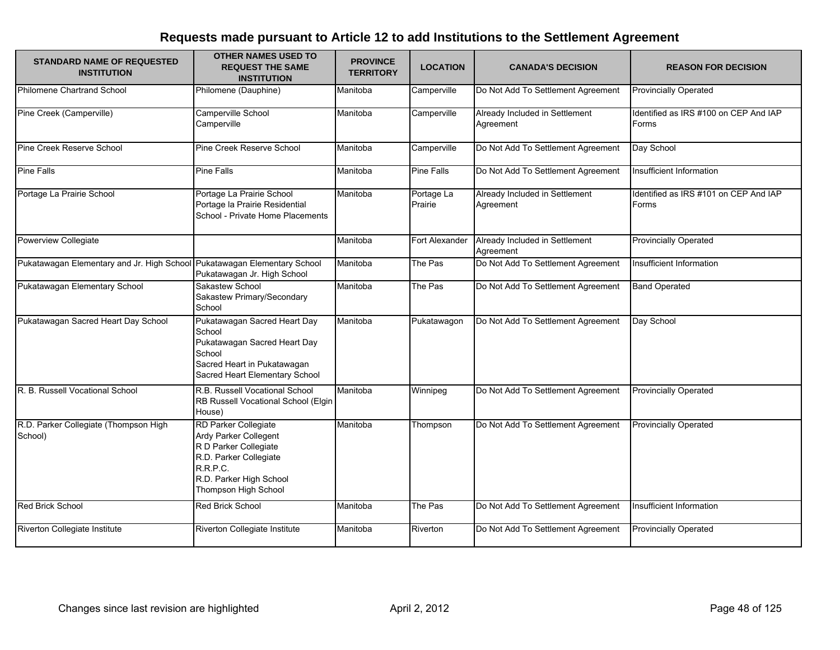| <b>STANDARD NAME OF REQUESTED</b><br><b>INSTITUTION</b>                  | <b>OTHER NAMES USED TO</b><br><b>REQUEST THE SAME</b><br><b>INSTITUTION</b>                                                                                     | <b>PROVINCE</b><br><b>TERRITORY</b> | <b>LOCATION</b>       | <b>CANADA'S DECISION</b>                    | <b>REASON FOR DECISION</b>                     |
|--------------------------------------------------------------------------|-----------------------------------------------------------------------------------------------------------------------------------------------------------------|-------------------------------------|-----------------------|---------------------------------------------|------------------------------------------------|
| <b>Philomene Chartrand School</b>                                        | Philomene (Dauphine)                                                                                                                                            | Manitoba                            | Camperville           | Do Not Add To Settlement Agreement          | <b>Provincially Operated</b>                   |
| Pine Creek (Camperville)                                                 | Camperville School<br>Camperville                                                                                                                               | Manitoba                            | Camperville           | Already Included in Settlement<br>Agreement | Identified as IRS #100 on CEP And IAP<br>Forms |
| Pine Creek Reserve School                                                | Pine Creek Reserve School                                                                                                                                       | Manitoba                            | Camperville           | Do Not Add To Settlement Agreement          | Day School                                     |
| <b>Pine Falls</b>                                                        | <b>Pine Falls</b>                                                                                                                                               | Manitoba                            | Pine Falls            | Do Not Add To Settlement Agreement          | Insufficient Information                       |
| Portage La Prairie School                                                | Portage La Prairie School<br>Portage la Prairie Residential<br>School - Private Home Placements                                                                 | Manitoba                            | Portage La<br>Prairie | Already Included in Settlement<br>Agreement | Identified as IRS #101 on CEP And IAP<br>Forms |
| Powerview Collegiate                                                     |                                                                                                                                                                 | Manitoba                            | Fort Alexander        | Already Included in Settlement<br>Agreement | <b>Provincially Operated</b>                   |
| Pukatawagan Elementary and Jr. High School Pukatawagan Elementary School | Pukatawagan Jr. High School                                                                                                                                     | Manitoba                            | The Pas               | Do Not Add To Settlement Agreement          | Insufficient Information                       |
| Pukatawagan Elementary School                                            | Sakastew School<br>Sakastew Primary/Secondary<br>School                                                                                                         | Manitoba                            | The Pas               | Do Not Add To Settlement Agreement          | <b>Band Operated</b>                           |
| Pukatawagan Sacred Heart Day School                                      | Pukatawagan Sacred Heart Day<br>School<br>Pukatawagan Sacred Heart Day<br>School<br>Sacred Heart in Pukatawagan<br>Sacred Heart Elementary School               | Manitoba                            | Pukatawagon           | Do Not Add To Settlement Agreement          | Day School                                     |
| R. B. Russell Vocational School                                          | R.B. Russell Vocational School<br>RB Russell Vocational School (Elgin<br>House)                                                                                 | Manitoba                            | Winnipeg              | Do Not Add To Settlement Agreement          | <b>Provincially Operated</b>                   |
| R.D. Parker Collegiate (Thompson High<br>School)                         | RD Parker Collegiate<br>Ardy Parker Collegent<br>R D Parker Collegiate<br>R.D. Parker Collegiate<br>R.R.P.C.<br>R.D. Parker High School<br>Thompson High School | Manitoba                            | Thompson              | Do Not Add To Settlement Agreement          | <b>Provincially Operated</b>                   |
| <b>Red Brick School</b>                                                  | <b>Red Brick School</b>                                                                                                                                         | Manitoba                            | The Pas               | Do Not Add To Settlement Agreement          | Insufficient Information                       |
| Riverton Collegiate Institute                                            | Riverton Collegiate Institute                                                                                                                                   | Manitoba                            | Riverton              | Do Not Add To Settlement Agreement          | <b>Provincially Operated</b>                   |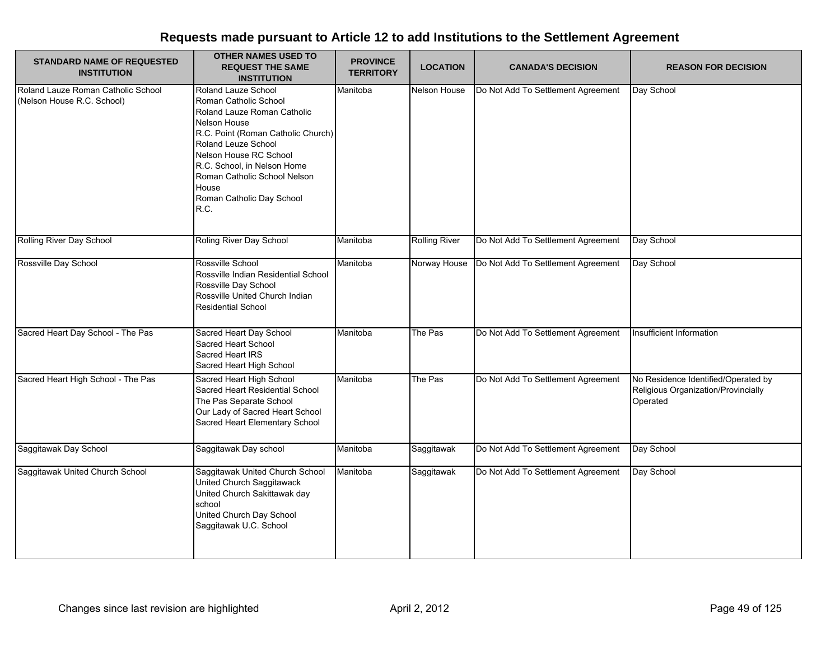| <b>STANDARD NAME OF REQUESTED</b><br><b>INSTITUTION</b>          | <b>OTHER NAMES USED TO</b><br><b>REQUEST THE SAME</b><br><b>INSTITUTION</b>                                                                                                                                                                                                                            | <b>PROVINCE</b><br><b>TERRITORY</b> | <b>LOCATION</b>      | <b>CANADA'S DECISION</b>           | <b>REASON FOR DECISION</b>                                                             |
|------------------------------------------------------------------|--------------------------------------------------------------------------------------------------------------------------------------------------------------------------------------------------------------------------------------------------------------------------------------------------------|-------------------------------------|----------------------|------------------------------------|----------------------------------------------------------------------------------------|
| Roland Lauze Roman Catholic School<br>(Nelson House R.C. School) | Roland Lauze School<br>Roman Catholic School<br>Roland Lauze Roman Catholic<br><b>Nelson House</b><br>R.C. Point (Roman Catholic Church)<br>Roland Leuze School<br>Nelson House RC School<br>R.C. School, in Nelson Home<br>Roman Catholic School Nelson<br>House<br>Roman Catholic Day School<br>R.C. | Manitoba                            | Nelson House         | Do Not Add To Settlement Agreement | Day School                                                                             |
| <b>Rolling River Day School</b>                                  | Roling River Day School                                                                                                                                                                                                                                                                                | Manitoba                            | <b>Rolling River</b> | Do Not Add To Settlement Agreement | Day School                                                                             |
| Rossville Day School                                             | Rossville School<br>Rossville Indian Residential School<br>Rossville Day School<br>Rossville United Church Indian<br><b>Residential School</b>                                                                                                                                                         | Manitoba                            | Norway House         | Do Not Add To Settlement Agreement | Day School                                                                             |
| Sacred Heart Day School - The Pas                                | Sacred Heart Day School<br>Sacred Heart School<br><b>Sacred Heart IRS</b><br>Sacred Heart High School                                                                                                                                                                                                  | Manitoba                            | The Pas              | Do Not Add To Settlement Agreement | Insufficient Information                                                               |
| Sacred Heart High School - The Pas                               | Sacred Heart High School<br>Sacred Heart Residential School<br>The Pas Separate School<br>Our Lady of Sacred Heart School<br>Sacred Heart Elementary School                                                                                                                                            | Manitoba                            | The Pas              | Do Not Add To Settlement Agreement | No Residence Identified/Operated by<br>Religious Organization/Provincially<br>Operated |
| Saggitawak Day School                                            | Saggitawak Day school                                                                                                                                                                                                                                                                                  | Manitoba                            | Saggitawak           | Do Not Add To Settlement Agreement | Day School                                                                             |
| Saggitawak United Church School                                  | Saggitawak United Church School<br>United Church Saggitawack<br>United Church Sakittawak day<br>school<br>United Church Day School<br>Saggitawak U.C. School                                                                                                                                           | Manitoba                            | Saggitawak           | Do Not Add To Settlement Agreement | Day School                                                                             |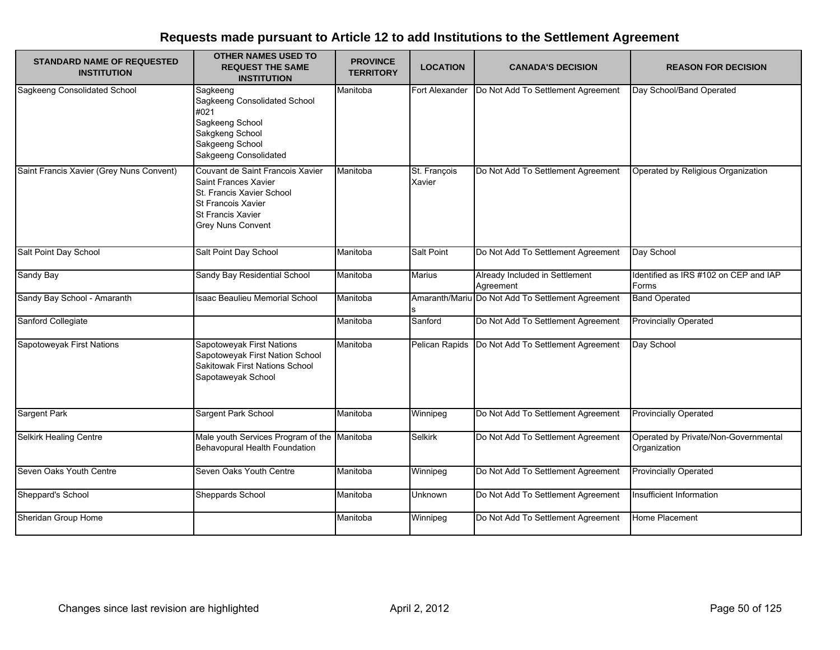| <b>STANDARD NAME OF REQUESTED</b><br><b>INSTITUTION</b> | <b>OTHER NAMES USED TO</b><br><b>REQUEST THE SAME</b><br><b>INSTITUTION</b>                                                                                         | <b>PROVINCE</b><br><b>TERRITORY</b> | <b>LOCATION</b>        | <b>CANADA'S DECISION</b>                          | <b>REASON FOR DECISION</b>                           |
|---------------------------------------------------------|---------------------------------------------------------------------------------------------------------------------------------------------------------------------|-------------------------------------|------------------------|---------------------------------------------------|------------------------------------------------------|
| Sagkeeng Consolidated School                            | Sagkeeng<br>Sagkeeng Consolidated School<br>#021<br>Sagkeeng School<br>Sakgkeng School<br>Sakgeeng School<br>Sakgeeng Consolidated                                  | Manitoba                            | Fort Alexander         | Do Not Add To Settlement Agreement                | Day School/Band Operated                             |
| Saint Francis Xavier (Grey Nuns Convent)                | Couvant de Saint Francois Xavier<br>Saint Frances Xavier<br>St. Francis Xavier School<br><b>St Francois Xavier</b><br><b>St Francis Xavier</b><br>Grey Nuns Convent | Manitoba                            | St. François<br>Xavier | Do Not Add To Settlement Agreement                | Operated by Religious Organization                   |
| Salt Point Day School                                   | Salt Point Day School                                                                                                                                               | Manitoba                            | Salt Point             | Do Not Add To Settlement Agreement                | Day School                                           |
| Sandy Bay                                               | Sandy Bay Residential School                                                                                                                                        | Manitoba                            | <b>Marius</b>          | Already Included in Settlement<br>Agreement       | Identified as IRS #102 on CEP and IAP<br>Forms       |
| Sandy Bay School - Amaranth                             | <b>Isaac Beaulieu Memorial School</b>                                                                                                                               | Manitoba                            |                        | Amaranth/Mariu Do Not Add To Settlement Agreement | <b>Band Operated</b>                                 |
| Sanford Collegiate                                      |                                                                                                                                                                     | Manitoba                            | Sanford                | Do Not Add To Settlement Agreement                | <b>Provincially Operated</b>                         |
| Sapotoweyak First Nations                               | Sapotoweyak First Nations<br>Sapotoweyak First Nation School<br>Sakitowak First Nations School<br>Sapotaweyak School                                                | Manitoba                            | Pelican Rapids         | Do Not Add To Settlement Agreement                | Day School                                           |
| Sargent Park                                            | Sargent Park School                                                                                                                                                 | Manitoba                            | Winnipeg               | Do Not Add To Settlement Agreement                | <b>Provincially Operated</b>                         |
| Selkirk Healing Centre                                  | Male youth Services Program of the Manitoba<br>Behavopural Health Foundation                                                                                        |                                     | <b>Selkirk</b>         | Do Not Add To Settlement Agreement                | Operated by Private/Non-Governmental<br>Organization |
| Seven Oaks Youth Centre                                 | Seven Oaks Youth Centre                                                                                                                                             | Manitoba                            | Winnipeg               | Do Not Add To Settlement Agreement                | <b>Provincially Operated</b>                         |
| Sheppard's School                                       | Sheppards School                                                                                                                                                    | Manitoba                            | Unknown                | Do Not Add To Settlement Agreement                | Insufficient Information                             |
| Sheridan Group Home                                     |                                                                                                                                                                     | Manitoba                            | Winnipeg               | Do Not Add To Settlement Agreement                | Home Placement                                       |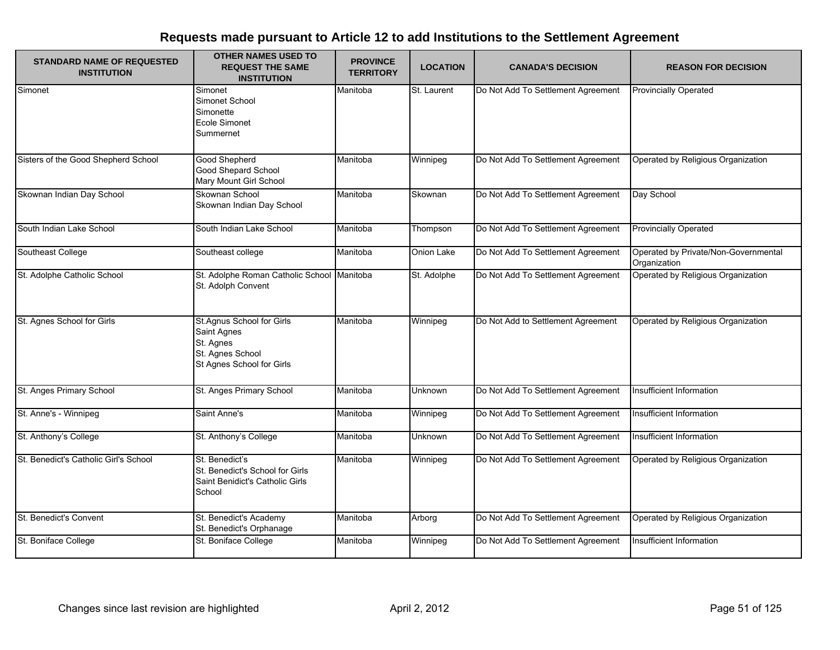| <b>STANDARD NAME OF REQUESTED</b><br><b>INSTITUTION</b> | <b>OTHER NAMES USED TO</b><br><b>REQUEST THE SAME</b><br><b>INSTITUTION</b>                                   | <b>PROVINCE</b><br><b>TERRITORY</b> | <b>LOCATION</b> | <b>CANADA'S DECISION</b>           | <b>REASON FOR DECISION</b>                           |
|---------------------------------------------------------|---------------------------------------------------------------------------------------------------------------|-------------------------------------|-----------------|------------------------------------|------------------------------------------------------|
| Simonet                                                 | Simonet<br>Simonet School<br>Simonette<br>Ecole Simonet<br>Summernet                                          | Manitoba                            | St. Laurent     | Do Not Add To Settlement Agreement | <b>Provincially Operated</b>                         |
| Sisters of the Good Shepherd School                     | <b>Good Shepherd</b><br>Good Shepard School<br>Mary Mount Girl School                                         | Manitoba                            | Winnipeg        | Do Not Add To Settlement Agreement | Operated by Religious Organization                   |
| Skownan Indian Day School                               | Skownan School<br>Skownan Indian Day School                                                                   | Manitoba                            | Skownan         | Do Not Add To Settlement Agreement | Day School                                           |
| South Indian Lake School                                | South Indian Lake School                                                                                      | Manitoba                            | Thompson        | Do Not Add To Settlement Agreement | <b>Provincially Operated</b>                         |
| Southeast College                                       | Southeast college                                                                                             | Manitoba                            | Onion Lake      | Do Not Add To Settlement Agreement | Operated by Private/Non-Governmental<br>Organization |
| St. Adolphe Catholic School                             | St. Adolphe Roman Catholic School Manitoba<br>St. Adolph Convent                                              |                                     | St. Adolphe     | Do Not Add To Settlement Agreement | Operated by Religious Organization                   |
| St. Agnes School for Girls                              | St.Agnus School for Girls<br><b>Saint Agnes</b><br>St. Agnes<br>St. Agnes School<br>St Agnes School for Girls | Manitoba                            | Winnipeg        | Do Not Add to Settlement Agreement | Operated by Religious Organization                   |
| St. Anges Primary School                                | St. Anges Primary School                                                                                      | Manitoba                            | Unknown         | Do Not Add To Settlement Agreement | Insufficient Information                             |
| St. Anne's - Winnipeg                                   | Saint Anne's                                                                                                  | Manitoba                            | Winnipeg        | Do Not Add To Settlement Agreement | Insufficient Information                             |
| St. Anthony's College                                   | St. Anthony's College                                                                                         | Manitoba                            | Unknown         | Do Not Add To Settlement Agreement | Insufficient Information                             |
| St. Benedict's Catholic Girl's School                   | St. Benedict's<br>St. Benedict's School for Girls<br>Saint Benidict's Catholic Girls<br>School                | Manitoba                            | Winnipeg        | Do Not Add To Settlement Agreement | Operated by Religious Organization                   |
| St. Benedict's Convent                                  | St. Benedict's Academy<br>St. Benedict's Orphanage                                                            | Manitoba                            | Arborg          | Do Not Add To Settlement Agreement | Operated by Religious Organization                   |
| St. Boniface College                                    | St. Boniface College                                                                                          | Manitoba                            | Winnipeg        | Do Not Add To Settlement Agreement | Insufficient Information                             |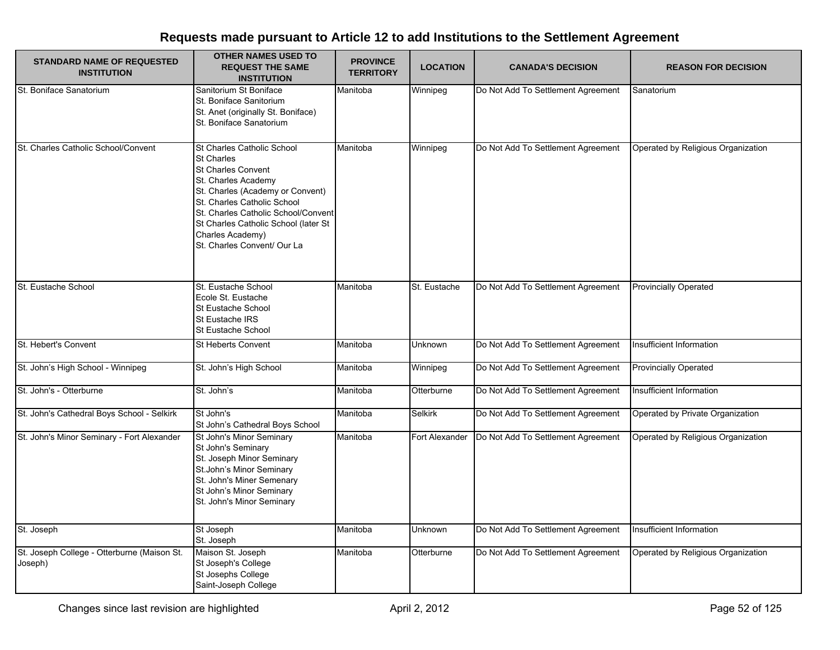| <b>STANDARD NAME OF REQUESTED</b><br><b>INSTITUTION</b> | <b>OTHER NAMES USED TO</b><br><b>REQUEST THE SAME</b><br><b>INSTITUTION</b>                                                                                                                                                                                                                              | <b>PROVINCE</b><br><b>TERRITORY</b> | <b>LOCATION</b> | <b>CANADA'S DECISION</b>           | <b>REASON FOR DECISION</b>         |
|---------------------------------------------------------|----------------------------------------------------------------------------------------------------------------------------------------------------------------------------------------------------------------------------------------------------------------------------------------------------------|-------------------------------------|-----------------|------------------------------------|------------------------------------|
| St. Boniface Sanatorium                                 | Sanitorium St Boniface<br>St. Boniface Sanitorium<br>St. Anet (originally St. Boniface)<br>St. Boniface Sanatorium                                                                                                                                                                                       | Manitoba                            | Winnipeg        | Do Not Add To Settlement Agreement | Sanatorium                         |
| St. Charles Catholic School/Convent                     | St Charles Catholic School<br><b>St Charles</b><br><b>St Charles Convent</b><br>St. Charles Academy<br>St. Charles (Academy or Convent)<br>St. Charles Catholic School<br>St. Charles Catholic School/Convent<br>St Charles Catholic School (later St<br>Charles Academy)<br>St. Charles Convent/ Our La | Manitoba                            | Winnipeg        | Do Not Add To Settlement Agreement | Operated by Religious Organization |
| St. Eustache School                                     | St. Eustache School<br>Ecole St. Eustache<br>St Eustache School<br>St Eustache IRS<br><b>St Eustache School</b>                                                                                                                                                                                          | Manitoba                            | St. Eustache    | Do Not Add To Settlement Agreement | <b>Provincially Operated</b>       |
| St. Hebert's Convent                                    | St Heberts Convent                                                                                                                                                                                                                                                                                       | Manitoba                            | Unknown         | Do Not Add To Settlement Agreement | Insufficient Information           |
| St. John's High School - Winnipeg                       | St. John's High School                                                                                                                                                                                                                                                                                   | Manitoba                            | Winnipeg        | Do Not Add To Settlement Agreement | <b>Provincially Operated</b>       |
| St. John's - Otterburne                                 | St. John's                                                                                                                                                                                                                                                                                               | Manitoba                            | Otterburne      | Do Not Add To Settlement Agreement | Insufficient Information           |
| St. John's Cathedral Boys School - Selkirk              | St John's<br>St John's Cathedral Boys School                                                                                                                                                                                                                                                             | Manitoba                            | Selkirk         | Do Not Add To Settlement Agreement | Operated by Private Organization   |
| St. John's Minor Seminary - Fort Alexander              | St John's Minor Seminary<br>St John's Seminary<br>St. Joseph Minor Seminary<br>St.John's Minor Seminary<br>St. John's Miner Semenary<br>St John's Minor Seminary<br>St. John's Minor Seminary                                                                                                            | Manitoba                            | Fort Alexander  | Do Not Add To Settlement Agreement | Operated by Religious Organization |
| St. Joseph                                              | St Joseph<br>St. Joseph                                                                                                                                                                                                                                                                                  | Manitoba                            | Unknown         | Do Not Add To Settlement Agreement | Insufficient Information           |
| St. Joseph College - Otterburne (Maison St.<br>Joseph)  | Maison St. Joseph<br>St Joseph's College<br>St Josephs College<br>Saint-Joseph College                                                                                                                                                                                                                   | Manitoba                            | Otterburne      | Do Not Add To Settlement Agreement | Operated by Religious Organization |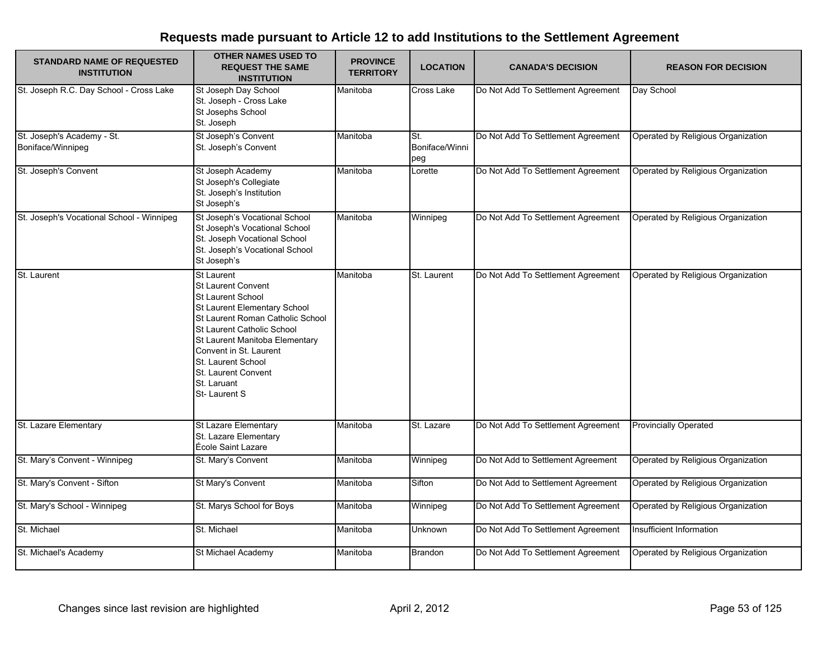| <b>STANDARD NAME OF REQUESTED</b><br><b>INSTITUTION</b> | <b>OTHER NAMES USED TO</b><br><b>REQUEST THE SAME</b><br><b>INSTITUTION</b>                                                                                                                                                                                                                                          | <b>PROVINCE</b><br><b>TERRITORY</b> | <b>LOCATION</b>              | <b>CANADA'S DECISION</b>           | <b>REASON FOR DECISION</b>         |
|---------------------------------------------------------|----------------------------------------------------------------------------------------------------------------------------------------------------------------------------------------------------------------------------------------------------------------------------------------------------------------------|-------------------------------------|------------------------------|------------------------------------|------------------------------------|
| St. Joseph R.C. Day School - Cross Lake                 | St Joseph Day School<br>St. Joseph - Cross Lake<br>St Josephs School<br>St. Joseph                                                                                                                                                                                                                                   | Manitoba                            | Cross Lake                   | Do Not Add To Settlement Agreement | Day School                         |
| St. Joseph's Academy - St.<br>Boniface/Winnipeg         | St Joseph's Convent<br>St. Joseph's Convent                                                                                                                                                                                                                                                                          | Manitoba                            | St.<br>Boniface/Winni<br>peg | Do Not Add To Settlement Agreement | Operated by Religious Organization |
| St. Joseph's Convent                                    | St Joseph Academy<br>St Joseph's Collegiate<br>St. Joseph's Institution<br>St Joseph's                                                                                                                                                                                                                               | Manitoba                            | Lorette                      | Do Not Add To Settlement Agreement | Operated by Religious Organization |
| St. Joseph's Vocational School - Winnipeg               | St Joseph's Vocational School<br>St Joseph's Vocational School<br>St. Joseph Vocational School<br>St. Joseph's Vocational School<br>St Joseph's                                                                                                                                                                      | Manitoba                            | Winnipeg                     | Do Not Add To Settlement Agreement | Operated by Religious Organization |
| St. Laurent                                             | <b>St Laurent</b><br><b>St Laurent Convent</b><br><b>St Laurent School</b><br>St Laurent Elementary School<br>St Laurent Roman Catholic School<br>St Laurent Catholic School<br>St Laurent Manitoba Elementary<br>Convent in St. Laurent<br>St. Laurent School<br>St. Laurent Convent<br>St. Laruant<br>St-Laurent S | Manitoba                            | St. Laurent                  | Do Not Add To Settlement Agreement | Operated by Religious Organization |
| St. Lazare Elementary                                   | <b>St Lazare Elementary</b><br>St. Lazare Elementary<br>École Saint Lazare                                                                                                                                                                                                                                           | Manitoba                            | St. Lazare                   | Do Not Add To Settlement Agreement | <b>Provincially Operated</b>       |
| St. Mary's Convent - Winnipeg                           | St. Mary's Convent                                                                                                                                                                                                                                                                                                   | Manitoba                            | Winnipeg                     | Do Not Add to Settlement Agreement | Operated by Religious Organization |
| St. Mary's Convent - Sifton                             | St Mary's Convent                                                                                                                                                                                                                                                                                                    | Manitoba                            | Sifton                       | Do Not Add to Settlement Agreement | Operated by Religious Organization |
| St. Mary's School - Winnipeg                            | St. Marys School for Boys                                                                                                                                                                                                                                                                                            | Manitoba                            | Winnipeg                     | Do Not Add To Settlement Agreement | Operated by Religious Organization |
| St. Michael                                             | St. Michael                                                                                                                                                                                                                                                                                                          | Manitoba                            | Unknown                      | Do Not Add To Settlement Agreement | Insufficient Information           |
| St. Michael's Academy                                   | St Michael Academy                                                                                                                                                                                                                                                                                                   | Manitoba                            | <b>Brandon</b>               | Do Not Add To Settlement Agreement | Operated by Religious Organization |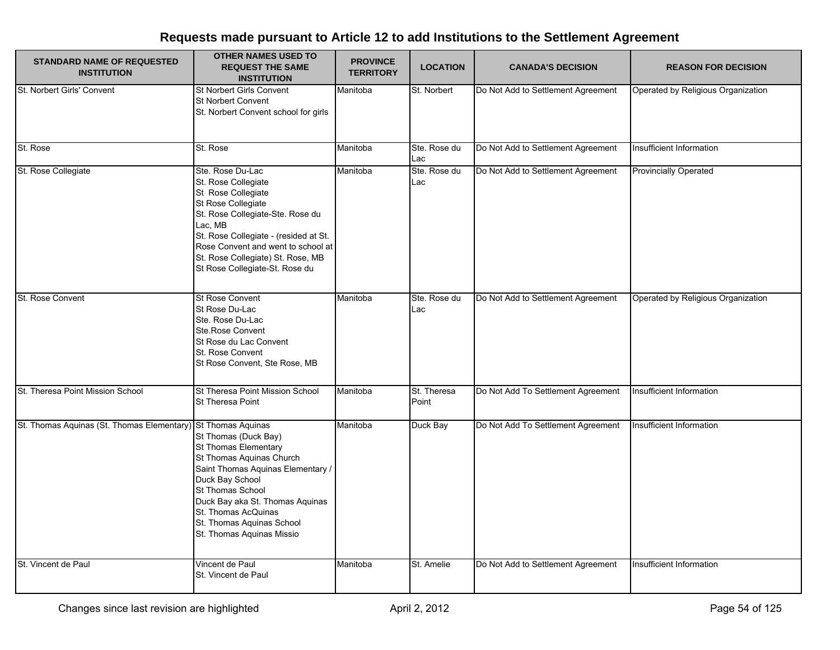| <b>STANDARD NAME OF REQUESTED</b><br><b>INSTITUTION</b>      | <b>OTHER NAMES USED TO</b><br><b>REQUEST THE SAME</b><br><b>INSTITUTION</b>                                                                                                                                                                                                              | <b>PROVINCE</b><br><b>TERRITORY</b> | <b>LOCATION</b>      | <b>CANADA'S DECISION</b>           | <b>REASON FOR DECISION</b>         |
|--------------------------------------------------------------|------------------------------------------------------------------------------------------------------------------------------------------------------------------------------------------------------------------------------------------------------------------------------------------|-------------------------------------|----------------------|------------------------------------|------------------------------------|
| St. Norbert Girls' Convent                                   | St Norbert Girls Convent<br>St Norbert Convent<br>St. Norbert Convent school for girls                                                                                                                                                                                                   | Manitoba                            | St. Norbert          | Do Not Add to Settlement Agreement | Operated by Religious Organization |
| St. Rose                                                     | St. Rose                                                                                                                                                                                                                                                                                 | Manitoba                            | Ste. Rose du<br>Lac  | Do Not Add to Settlement Agreement | Insufficient Information           |
| St. Rose Collegiate                                          | Ste. Rose Du-Lac<br>St. Rose Collegiate<br>St Rose Collegiate<br>St Rose Collegiate<br>St. Rose Collegiate-Ste. Rose du<br>Lac, MB<br>St. Rose Collegiate - (resided at St.<br>Rose Convent and went to school at<br>St. Rose Collegiate) St. Rose, MB<br>St Rose Collegiate-St. Rose du | Manitoba                            | Ste. Rose du<br>Lac  | Do Not Add to Settlement Agreement | <b>Provincially Operated</b>       |
| St. Rose Convent                                             | St Rose Convent<br>St Rose Du-Lac<br>Ste. Rose Du-Lac<br>Ste.Rose Convent<br>St Rose du Lac Convent<br>St. Rose Convent<br>St Rose Convent, Ste Rose, MB                                                                                                                                 | Manitoba                            | Ste. Rose du<br>Lac  | Do Not Add to Settlement Agreement | Operated by Religious Organization |
| St. Theresa Point Mission School                             | St Theresa Point Mission School<br>St Theresa Point                                                                                                                                                                                                                                      | Manitoba                            | St. Theresa<br>Point | Do Not Add To Settlement Agreement | Insufficient Information           |
| St. Thomas Aquinas (St. Thomas Elementary) St Thomas Aquinas | St Thomas (Duck Bay)<br>St Thomas Elementary<br>St Thomas Aquinas Church<br>Saint Thomas Aquinas Elementary /<br>Duck Bay School<br>St Thomas School<br>Duck Bay aka St. Thomas Aquinas<br>St. Thomas AcQuinas<br>St. Thomas Aquinas School<br>St. Thomas Aquinas Missio                 | Manitoba                            | Duck Bay             | Do Not Add To Settlement Agreement | Insufficient Information           |
| St. Vincent de Paul                                          | Vincent de Paul<br>St. Vincent de Paul                                                                                                                                                                                                                                                   | Manitoba                            | St. Amelie           | Do Not Add to Settlement Agreement | Insufficient Information           |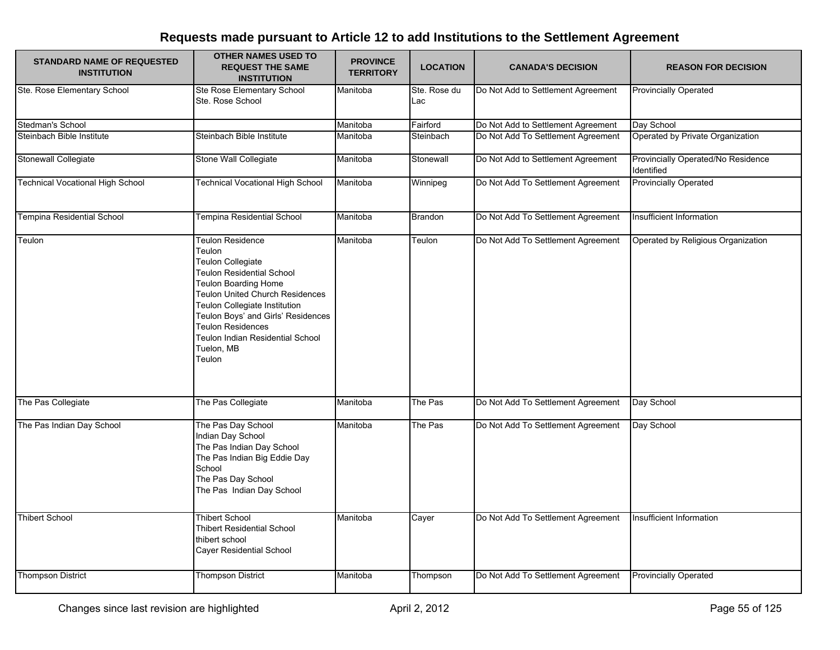| <b>STANDARD NAME OF REQUESTED</b><br><b>INSTITUTION</b> | <b>OTHER NAMES USED TO</b><br><b>REQUEST THE SAME</b><br><b>INSTITUTION</b>                                                                                                                                                                                                                                                        | <b>PROVINCE</b><br><b>TERRITORY</b> | <b>LOCATION</b>     | <b>CANADA'S DECISION</b>                                                 | <b>REASON FOR DECISION</b>                       |
|---------------------------------------------------------|------------------------------------------------------------------------------------------------------------------------------------------------------------------------------------------------------------------------------------------------------------------------------------------------------------------------------------|-------------------------------------|---------------------|--------------------------------------------------------------------------|--------------------------------------------------|
| Ste. Rose Elementary School                             | Ste Rose Elementary School<br>Ste. Rose School                                                                                                                                                                                                                                                                                     | Manitoba                            | Ste. Rose du<br>Lac | Do Not Add to Settlement Agreement                                       | <b>Provincially Operated</b>                     |
| Stedman's School                                        |                                                                                                                                                                                                                                                                                                                                    | Manitoba                            | Fairford            | Do Not Add to Settlement Agreement                                       | Day School                                       |
| Steinbach Bible Institute                               | Steinbach Bible Institute                                                                                                                                                                                                                                                                                                          | Manitoba                            | Steinbach           | Do Not Add To Settlement Agreement                                       | Operated by Private Organization                 |
| Stonewall Collegiate                                    | Stone Wall Collegiate                                                                                                                                                                                                                                                                                                              | Manitoba                            | Stonewall           | Do Not Add to Settlement Agreement                                       | Provincially Operated/No Residence<br>Identified |
| Technical Vocational High School                        | <b>Technical Vocational High School</b>                                                                                                                                                                                                                                                                                            | Manitoba                            | Winnipeg            | Do Not Add To Settlement Agreement                                       | <b>Provincially Operated</b>                     |
| Tempina Residential School                              | <b>Tempina Residential School</b>                                                                                                                                                                                                                                                                                                  | Manitoba                            | <b>Brandon</b>      | Do Not Add To Settlement Agreement                                       | Insufficient Information                         |
| Teulon                                                  | Teulon Residence<br>Teulon<br><b>Teulon Collegiate</b><br><b>Teulon Residential School</b><br><b>Teulon Boarding Home</b><br><b>Teulon United Church Residences</b><br>Teulon Collegiate Institution<br>Teulon Boys' and Girls' Residences<br><b>Teulon Residences</b><br>Teulon Indian Residential School<br>Tuelon, MB<br>Teulon | Manitoba                            | Teulon              | Do Not Add To Settlement Agreement                                       | Operated by Religious Organization               |
| The Pas Collegiate                                      | The Pas Collegiate                                                                                                                                                                                                                                                                                                                 | Manitoba                            | The Pas             | Do Not Add To Settlement Agreement                                       | Day School                                       |
| The Pas Indian Day School<br><b>Thibert School</b>      | The Pas Day School<br>Indian Day School<br>The Pas Indian Day School<br>The Pas Indian Big Eddie Day<br>School<br>The Pas Day School<br>The Pas Indian Day School<br><b>Thibert School</b>                                                                                                                                         | Manitoba<br>Manitoba                | The Pas<br>Cayer    | Do Not Add To Settlement Agreement<br>Do Not Add To Settlement Agreement | Day School<br>Insufficient Information           |
|                                                         | <b>Thibert Residential School</b><br>thibert school<br>Cayer Residential School                                                                                                                                                                                                                                                    |                                     |                     |                                                                          |                                                  |
| <b>Thompson District</b>                                | <b>Thompson District</b>                                                                                                                                                                                                                                                                                                           | Manitoba                            | Thompson            | Do Not Add To Settlement Agreement                                       | <b>Provincially Operated</b>                     |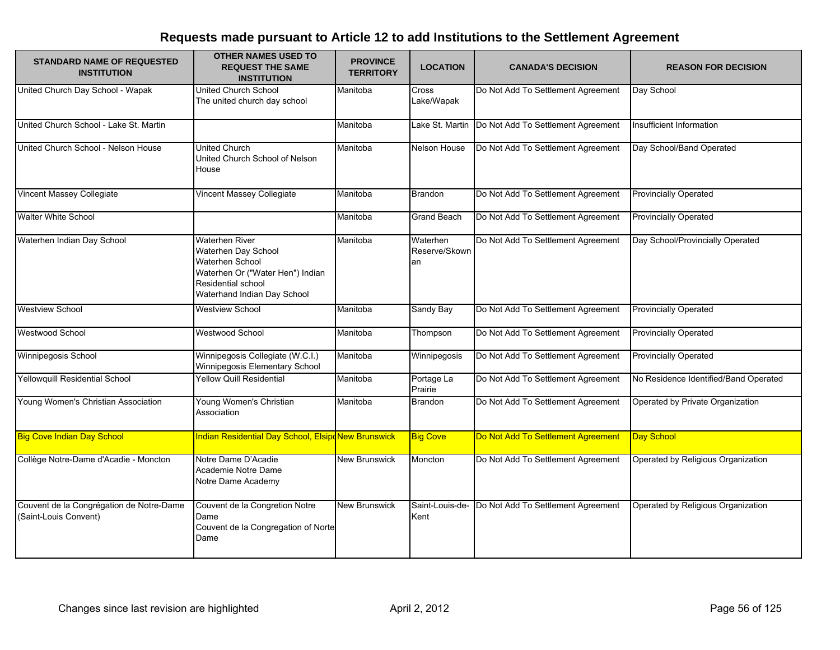| <b>STANDARD NAME OF REQUESTED</b><br><b>INSTITUTION</b>           | <b>OTHER NAMES USED TO</b><br><b>REQUEST THE SAME</b><br><b>INSTITUTION</b>                                                                                            | <b>PROVINCE</b><br><b>TERRITORY</b> | <b>LOCATION</b>                 | <b>CANADA'S DECISION</b>           | <b>REASON FOR DECISION</b>            |
|-------------------------------------------------------------------|------------------------------------------------------------------------------------------------------------------------------------------------------------------------|-------------------------------------|---------------------------------|------------------------------------|---------------------------------------|
| United Church Day School - Wapak                                  | <b>United Church School</b><br>The united church day school                                                                                                            | Manitoba                            | Cross<br>Lake/Wapak             | Do Not Add To Settlement Agreement | Day School                            |
| United Church School - Lake St. Martin                            |                                                                                                                                                                        | Manitoba                            | Lake St. Martin                 | Do Not Add To Settlement Agreement | Insufficient Information              |
| United Church School - Nelson House                               | United Church<br>United Church School of Nelson<br>House                                                                                                               | Manitoba                            | Nelson House                    | Do Not Add To Settlement Agreement | Day School/Band Operated              |
| <b>Vincent Massey Collegiate</b>                                  | Vincent Massey Collegiate                                                                                                                                              | Manitoba                            | <b>Brandon</b>                  | Do Not Add To Settlement Agreement | <b>Provincially Operated</b>          |
| <b>Walter White School</b>                                        |                                                                                                                                                                        | Manitoba                            | Grand Beach                     | Do Not Add To Settlement Agreement | <b>Provincially Operated</b>          |
| Waterhen Indian Day School                                        | <b>Waterhen River</b><br>Waterhen Day School<br><b>Waterhen School</b><br>Waterhen Or ("Water Hen") Indian<br><b>Residential school</b><br>Waterhand Indian Day School | Manitoba                            | Waterhen<br>Reserve/Skown<br>an | Do Not Add To Settlement Agreement | Day School/Provincially Operated      |
| <b>Westview School</b>                                            | <b>Westview School</b>                                                                                                                                                 | Manitoba                            | Sandy Bay                       | Do Not Add To Settlement Agreement | <b>Provincially Operated</b>          |
| <b>Westwood School</b>                                            | Westwood School                                                                                                                                                        | Manitoba                            | Thompson                        | Do Not Add To Settlement Agreement | <b>Provincially Operated</b>          |
| Winnipegosis School                                               | Winnipegosis Collegiate (W.C.I.)<br>Winnipegosis Elementary School                                                                                                     | Manitoba                            | Winnipegosis                    | Do Not Add To Settlement Agreement | <b>Provincially Operated</b>          |
| <b>Yellowquill Residential School</b>                             | Yellow Quill Residential                                                                                                                                               | Manitoba                            | Portage La<br>Prairie           | Do Not Add To Settlement Agreement | No Residence Identified/Band Operated |
| Young Women's Christian Association                               | Young Women's Christian<br>Association                                                                                                                                 | Manitoba                            | Brandon                         | Do Not Add To Settlement Agreement | Operated by Private Organization      |
| <b>Big Cove Indian Day School</b>                                 | Indian Residential Day School, ElsipoNew Brunswick                                                                                                                     |                                     | <b>Big Cove</b>                 | Do Not Add To Settlement Agreement | Day School                            |
| Collège Notre-Dame d'Acadie - Moncton                             | Notre Dame D'Acadie<br>Academie Notre Dame<br>Notre Dame Academy                                                                                                       | <b>New Brunswick</b>                | Moncton                         | Do Not Add To Settlement Agreement | Operated by Religious Organization    |
| Couvent de la Congrégation de Notre-Dame<br>(Saint-Louis Convent) | Couvent de la Congretion Notre<br>Dame<br>Couvent de la Congregation of Norte<br>Dame                                                                                  | <b>New Brunswick</b>                | Saint-Louis-de-<br>Kent         | Do Not Add To Settlement Agreement | Operated by Religious Organization    |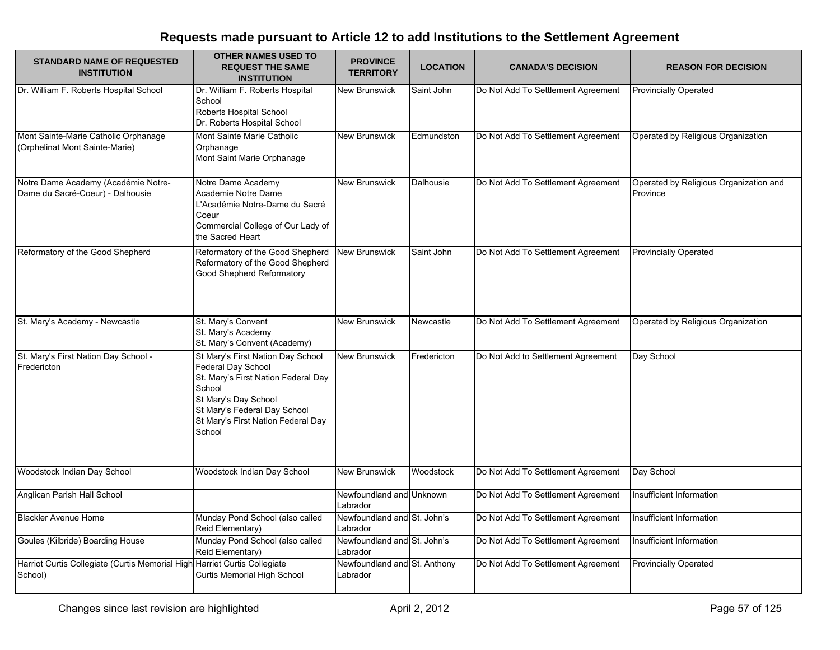| <b>STANDARD NAME OF REQUESTED</b><br><b>INSTITUTION</b>                              | <b>OTHER NAMES USED TO</b><br><b>REQUEST THE SAME</b><br><b>INSTITUTION</b>                                                                                                                                      | <b>PROVINCE</b><br><b>TERRITORY</b>      | <b>LOCATION</b> | <b>CANADA'S DECISION</b>           | <b>REASON FOR DECISION</b>                         |
|--------------------------------------------------------------------------------------|------------------------------------------------------------------------------------------------------------------------------------------------------------------------------------------------------------------|------------------------------------------|-----------------|------------------------------------|----------------------------------------------------|
| Dr. William F. Roberts Hospital School                                               | Dr. William F. Roberts Hospital<br>School<br>Roberts Hospital School<br>Dr. Roberts Hospital School                                                                                                              | <b>New Brunswick</b>                     | Saint John      | Do Not Add To Settlement Agreement | <b>Provincially Operated</b>                       |
| Mont Sainte-Marie Catholic Orphanage<br>(Orphelinat Mont Sainte-Marie)               | Mont Sainte Marie Catholic<br>Orphanage<br>Mont Saint Marie Orphanage                                                                                                                                            | <b>New Brunswick</b>                     | Edmundston      | Do Not Add To Settlement Agreement | Operated by Religious Organization                 |
| Notre Dame Academy (Académie Notre-<br>Dame du Sacré-Coeur) - Dalhousie              | Notre Dame Academy<br>Academie Notre Dame<br>L'Académie Notre-Dame du Sacré<br>Coeur<br>Commercial College of Our Lady of<br>the Sacred Heart                                                                    | <b>New Brunswick</b>                     | Dalhousie       | Do Not Add To Settlement Agreement | Operated by Religious Organization and<br>Province |
| Reformatory of the Good Shepherd                                                     | Reformatory of the Good Shepherd<br>Reformatory of the Good Shepherd<br>Good Shepherd Reformatory                                                                                                                | <b>New Brunswick</b>                     | Saint John      | Do Not Add To Settlement Agreement | <b>Provincially Operated</b>                       |
| St. Mary's Academy - Newcastle                                                       | St. Mary's Convent<br>St. Mary's Academy<br>St. Mary's Convent (Academy)                                                                                                                                         | <b>New Brunswick</b>                     | Newcastle       | Do Not Add To Settlement Agreement | Operated by Religious Organization                 |
| St. Mary's First Nation Day School -<br>Fredericton                                  | St Mary's First Nation Day School<br>Federal Day School<br>St. Mary's First Nation Federal Day<br>School<br>St Mary's Day School<br>St Mary's Federal Day School<br>St Mary's First Nation Federal Day<br>School | <b>New Brunswick</b>                     | Fredericton     | Do Not Add to Settlement Agreement | Day School                                         |
| Woodstock Indian Day School                                                          | Woodstock Indian Day School                                                                                                                                                                                      | <b>New Brunswick</b>                     | Woodstock       | Do Not Add To Settlement Agreement | Day School                                         |
| Anglican Parish Hall School                                                          |                                                                                                                                                                                                                  | Newfoundland and Unknown<br>Labrador     |                 | Do Not Add To Settlement Agreement | Insufficient Information                           |
| <b>Blackler Avenue Home</b>                                                          | Munday Pond School (also called<br>Reid Elementary)                                                                                                                                                              | Newfoundland and St. John's<br>Labrador  |                 | Do Not Add To Settlement Agreement | Insufficient Information                           |
| Goules (Kilbride) Boarding House                                                     | Munday Pond School (also called<br>Reid Elementary)                                                                                                                                                              | Newfoundland and St. John's<br>Labrador  |                 | Do Not Add To Settlement Agreement | Insufficient Information                           |
| Harriot Curtis Collegiate (Curtis Memorial High Harriet Curtis Collegiate<br>School) | Curtis Memorial High School                                                                                                                                                                                      | Newfoundland and St. Anthony<br>Labrador |                 | Do Not Add To Settlement Agreement | <b>Provincially Operated</b>                       |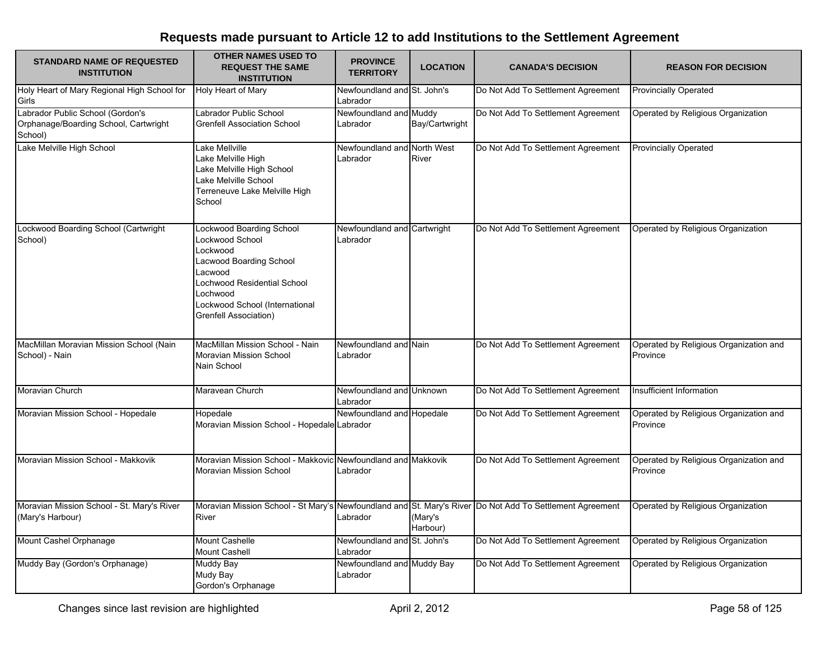| <b>STANDARD NAME OF REQUESTED</b><br><b>INSTITUTION</b>                              | <b>OTHER NAMES USED TO</b><br><b>REQUEST THE SAME</b><br><b>INSTITUTION</b>                                                                                                                                | <b>PROVINCE</b><br><b>TERRITORY</b>     | <b>LOCATION</b>     | <b>CANADA'S DECISION</b>                                             | <b>REASON FOR DECISION</b>                         |
|--------------------------------------------------------------------------------------|------------------------------------------------------------------------------------------------------------------------------------------------------------------------------------------------------------|-----------------------------------------|---------------------|----------------------------------------------------------------------|----------------------------------------------------|
| Holy Heart of Mary Regional High School for<br>Girls                                 | <b>Holy Heart of Mary</b>                                                                                                                                                                                  | Newfoundland and St. John's<br>Labrador |                     | Do Not Add To Settlement Agreement                                   | <b>Provincially Operated</b>                       |
| Labrador Public School (Gordon's<br>Orphanage/Boarding School, Cartwright<br>School) | Labrador Public School<br><b>Grenfell Association School</b>                                                                                                                                               | Newfoundland and Muddy<br>Labrador      | Bay/Cartwright      | Do Not Add To Settlement Agreement                                   | Operated by Religious Organization                 |
| Lake Melville High School                                                            | Lake Mellville<br>Lake Melville High<br>Lake Melville High School<br>Lake Melville School<br>Terreneuve Lake Melville High<br>School                                                                       | Newfoundland and North West<br>Labrador | River               | Do Not Add To Settlement Agreement                                   | <b>Provincially Operated</b>                       |
| Lockwood Boarding School (Cartwright<br>School)                                      | Lockwood Boarding School<br>Lockwood School<br>Lockwood<br><b>Lacwood Boarding School</b><br>Lacwood<br>Lochwood Residential School<br>Lochwood<br>Lockwood School (International<br>Grenfell Association) | Newfoundland and Cartwright<br>Labrador |                     | Do Not Add To Settlement Agreement                                   | Operated by Religious Organization                 |
| MacMillan Moravian Mission School (Nain<br>School) - Nain                            | MacMillan Mission School - Nain<br>Moravian Mission School<br>Nain School                                                                                                                                  | Newfoundland and Nain<br>Labrador       |                     | Do Not Add To Settlement Agreement                                   | Operated by Religious Organization and<br>Province |
| Moravian Church                                                                      | Maravean Church                                                                                                                                                                                            | Newfoundland and Unknown<br>Labrador    |                     | Do Not Add To Settlement Agreement                                   | Insufficient Information                           |
| Moravian Mission School - Hopedale                                                   | Hopedale<br>Moravian Mission School - Hopedale Labrador                                                                                                                                                    | Newfoundland and Hopedale               |                     | Do Not Add To Settlement Agreement                                   | Operated by Religious Organization and<br>Province |
| Moravian Mission School - Makkovik                                                   | Moravian Mission School - Makkovic<br>Moravian Mission School                                                                                                                                              | Newfoundland and Makkovik<br>Labrador   |                     | Do Not Add To Settlement Agreement                                   | Operated by Religious Organization and<br>Province |
| Moravian Mission School - St. Mary's River<br>(Mary's Harbour)                       | Moravian Mission School - St Mary's<br>River                                                                                                                                                               | Labrador                                | (Mary's<br>Harbour) | Newfoundland and St. Mary's River Do Not Add To Settlement Agreement | Operated by Religious Organization                 |
| Mount Cashel Orphanage                                                               | <b>Mount Cashelle</b><br><b>Mount Cashell</b>                                                                                                                                                              | Newfoundland and St. John's<br>Labrador |                     | Do Not Add To Settlement Agreement                                   | Operated by Religious Organization                 |
| Muddy Bay (Gordon's Orphanage)                                                       | <b>Muddy Bay</b><br>Mudy Bay<br>Gordon's Orphanage                                                                                                                                                         | Newfoundland and Muddy Bay<br>Labrador  |                     | Do Not Add To Settlement Agreement                                   | Operated by Religious Organization                 |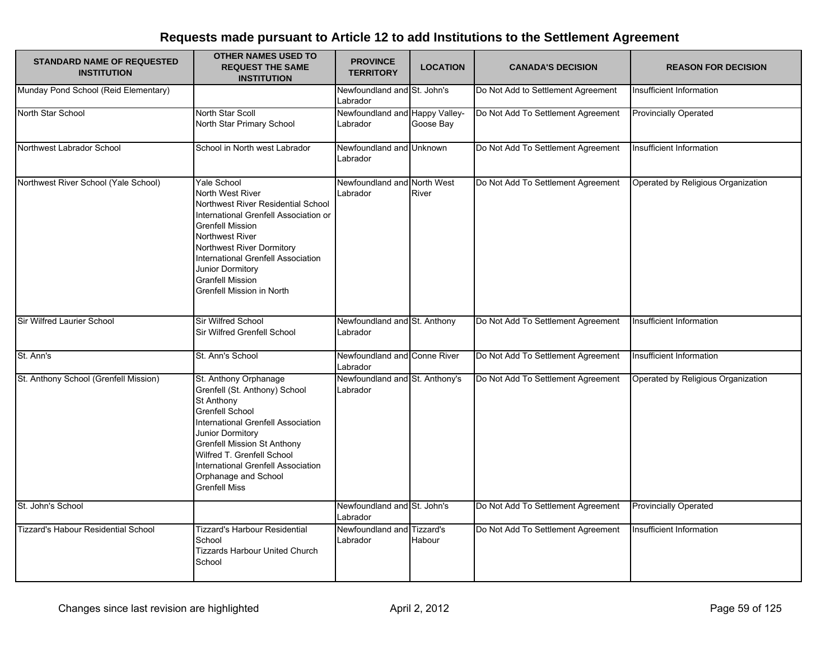| <b>STANDARD NAME OF REQUESTED</b><br><b>INSTITUTION</b> | <b>OTHER NAMES USED TO</b><br><b>REQUEST THE SAME</b><br><b>INSTITUTION</b>                                                                                                                                                                                                                                        | <b>PROVINCE</b><br><b>TERRITORY</b>        | <b>LOCATION</b>     | <b>CANADA'S DECISION</b>           | <b>REASON FOR DECISION</b>         |
|---------------------------------------------------------|--------------------------------------------------------------------------------------------------------------------------------------------------------------------------------------------------------------------------------------------------------------------------------------------------------------------|--------------------------------------------|---------------------|------------------------------------|------------------------------------|
| Munday Pond School (Reid Elementary)                    |                                                                                                                                                                                                                                                                                                                    | Newfoundland and St. John's<br>Labrador    |                     | Do Not Add to Settlement Agreement | Insufficient Information           |
| North Star School                                       | North Star Scoll<br>North Star Primary School                                                                                                                                                                                                                                                                      | Newfoundland and Happy Valley-<br>Labrador | Goose Bay           | Do Not Add To Settlement Agreement | <b>Provincially Operated</b>       |
| Northwest Labrador School                               | School in North west Labrador                                                                                                                                                                                                                                                                                      | Newfoundland and Unknown<br>Labrador       |                     | Do Not Add To Settlement Agreement | Insufficient Information           |
| Northwest River School (Yale School)                    | <b>Yale School</b><br>North West River<br>Northwest River Residential School<br>International Grenfell Association or<br><b>Grenfell Mission</b><br>Northwest River<br>Northwest River Dormitory<br>International Grenfell Association<br>Junior Dormitory<br><b>Granfell Mission</b><br>Grenfell Mission in North | Newfoundland and North West<br>Labrador    | River               | Do Not Add To Settlement Agreement | Operated by Religious Organization |
| Sir Wilfred Laurier School                              | Sir Wilfred School<br>Sir Wilfred Grenfell School                                                                                                                                                                                                                                                                  | Newfoundland and St. Anthony<br>Labrador   |                     | Do Not Add To Settlement Agreement | Insufficient Information           |
| St. Ann's                                               | St. Ann's School                                                                                                                                                                                                                                                                                                   | Newfoundland and Conne River<br>Labrador   |                     | Do Not Add To Settlement Agreement | Insufficient Information           |
| St. Anthony School (Grenfell Mission)                   | St. Anthony Orphanage<br>Grenfell (St. Anthony) School<br>St Anthony<br><b>Grenfell School</b><br>International Grenfell Association<br>Junior Dormitory<br><b>Grenfell Mission St Anthony</b><br>Wilfred T. Grenfell School<br>International Grenfell Association<br>Orphanage and School<br><b>Grenfell Miss</b> | Newfoundland and St. Anthony's<br>Labrador |                     | Do Not Add To Settlement Agreement | Operated by Religious Organization |
| St. John's School                                       |                                                                                                                                                                                                                                                                                                                    | Newfoundland and St. John's<br>Labrador    |                     | Do Not Add To Settlement Agreement | <b>Provincially Operated</b>       |
| <b>Tizzard's Habour Residential School</b>              | <b>Tizzard's Harbour Residential</b><br>School<br><b>Tizzards Harbour United Church</b><br>School                                                                                                                                                                                                                  | Newfoundland and<br>Labrador               | Tizzard's<br>Habour | Do Not Add To Settlement Agreement | Insufficient Information           |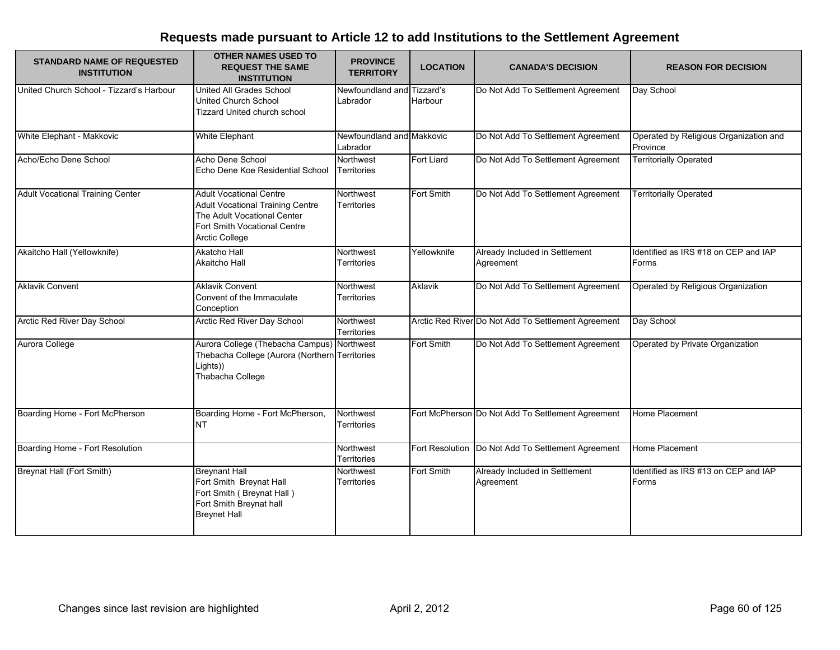| <b>STANDARD NAME OF REQUESTED</b><br><b>INSTITUTION</b> | <b>OTHER NAMES USED TO</b><br><b>REQUEST THE SAME</b><br><b>INSTITUTION</b>                                                                                       | <b>PROVINCE</b><br><b>TERRITORY</b>    | <b>LOCATION</b> | <b>CANADA'S DECISION</b>                             | <b>REASON FOR DECISION</b>                         |
|---------------------------------------------------------|-------------------------------------------------------------------------------------------------------------------------------------------------------------------|----------------------------------------|-----------------|------------------------------------------------------|----------------------------------------------------|
| United Church School - Tizzard's Harbour                | United All Grades School<br>United Church School<br><b>Tizzard United church school</b>                                                                           | Newfoundland and Tizzard's<br>Labrador | Harbour         | Do Not Add To Settlement Agreement                   | Day School                                         |
| White Elephant - Makkovic                               | White Elephant                                                                                                                                                    | Newfoundland and Makkovic<br>Labrador  |                 | Do Not Add To Settlement Agreement                   | Operated by Religious Organization and<br>Province |
| Acho/Echo Dene School                                   | Acho Dene School<br>Echo Dene Koe Residential School                                                                                                              | Northwest<br><b>Territories</b>        | Fort Liard      | Do Not Add To Settlement Agreement                   | <b>Territorially Operated</b>                      |
| <b>Adult Vocational Training Center</b>                 | <b>Adult Vocational Centre</b><br><b>Adult Vocational Training Centre</b><br>The Adult Vocational Center<br>Fort Smith Vocational Centre<br><b>Arctic College</b> | Northwest<br><b>Territories</b>        | Fort Smith      | Do Not Add To Settlement Agreement                   | <b>Territorially Operated</b>                      |
| Akaitcho Hall (Yellowknife)                             | <b>Akatcho Hall</b><br>Akaitcho Hall                                                                                                                              | Northwest<br>Territories               | Yellowknife     | Already Included in Settlement<br>Agreement          | Identified as IRS #18 on CEP and IAP<br>Forms      |
| <b>Aklavik Convent</b>                                  | <b>Aklavik Convent</b><br>Convent of the Immaculate<br>Conception                                                                                                 | Northwest<br><b>Territories</b>        | Aklavik         | Do Not Add To Settlement Agreement                   | Operated by Religious Organization                 |
| Arctic Red River Day School                             | Arctic Red River Day School                                                                                                                                       | Northwest<br><b>Territories</b>        |                 | Arctic Red River Do Not Add To Settlement Agreement  | Day School                                         |
| Aurora College                                          | Aurora College (Thebacha Campus)<br>Thebacha College (Aurora (Northern Territories<br>Lights))<br>Thabacha College                                                | Northwest                              | Fort Smith      | Do Not Add To Settlement Agreement                   | Operated by Private Organization                   |
| Boarding Home - Fort McPherson                          | Boarding Home - Fort McPherson,<br><b>NT</b>                                                                                                                      | Northwest<br>Territories               |                 | Fort McPherson Do Not Add To Settlement Agreement    | Home Placement                                     |
| Boarding Home - Fort Resolution                         |                                                                                                                                                                   | Northwest<br><b>Territories</b>        |                 | Fort Resolution   Do Not Add To Settlement Agreement | Home Placement                                     |
| Breynat Hall (Fort Smith)                               | <b>Breynant Hall</b><br>Fort Smith Breynat Hall<br>Fort Smith (Breynat Hall)<br>Fort Smith Breynat hall<br><b>Breynet Hall</b>                                    | Northwest<br><b>Territories</b>        | Fort Smith      | Already Included in Settlement<br>Agreement          | Identified as IRS #13 on CEP and IAP<br>Forms      |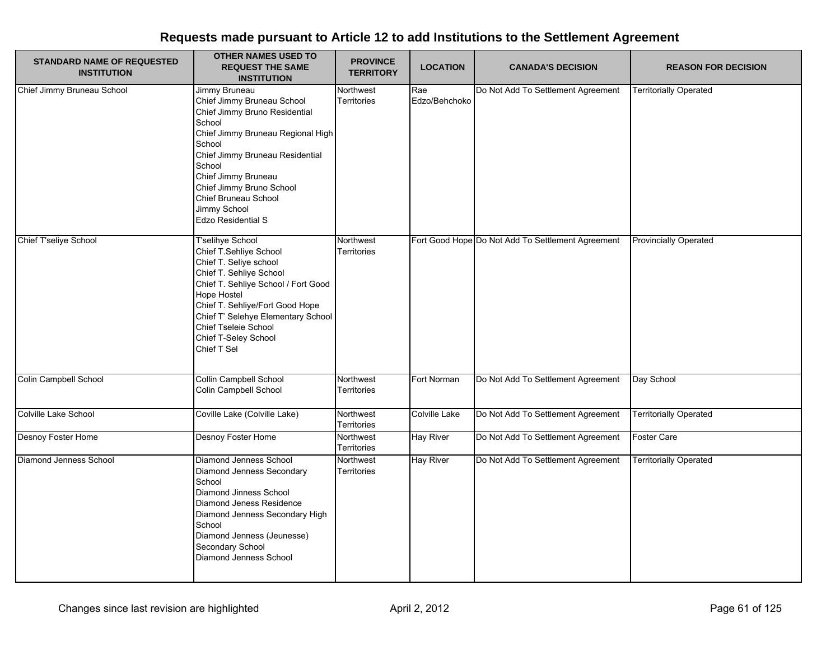| <b>STANDARD NAME OF REQUESTED</b><br><b>INSTITUTION</b> | <b>OTHER NAMES USED TO</b><br><b>REQUEST THE SAME</b><br><b>INSTITUTION</b>                                                                                                                                                                                                                                | <b>PROVINCE</b><br><b>TERRITORY</b> | <b>LOCATION</b>      | <b>CANADA'S DECISION</b>                          | <b>REASON FOR DECISION</b>    |
|---------------------------------------------------------|------------------------------------------------------------------------------------------------------------------------------------------------------------------------------------------------------------------------------------------------------------------------------------------------------------|-------------------------------------|----------------------|---------------------------------------------------|-------------------------------|
| Chief Jimmy Bruneau School                              | Jimmy Bruneau<br>Chief Jimmy Bruneau School<br>Chief Jimmy Bruno Residential<br>School<br>Chief Jimmy Bruneau Regional High<br>School<br>Chief Jimmy Bruneau Residential<br>School<br>Chief Jimmy Bruneau<br>Chief Jimmy Bruno School<br>Chief Bruneau School<br>Jimmy School<br><b>Edzo Residential S</b> | Northwest<br>Territories            | Rae<br>Edzo/Behchoko | Do Not Add To Settlement Agreement                | <b>Territorially Operated</b> |
| Chief T'seliye School                                   | <b>T'selihye School</b><br>Chief T.Sehliye School<br>Chief T. Seliye school<br>Chief T. Sehliye School<br>Chief T. Sehliye School / Fort Good<br>Hope Hostel<br>Chief T. Sehliye/Fort Good Hope<br>Chief T' Selehye Elementary School<br>Chief Tseleie School<br>Chief T-Seley School<br>Chief T Sel       | Northwest<br>Territories            |                      | Fort Good Hope Do Not Add To Settlement Agreement | <b>Provincially Operated</b>  |
| Colin Campbell School                                   | Collin Campbell School<br>Colin Campbell School                                                                                                                                                                                                                                                            | Northwest<br>Territories            | Fort Norman          | Do Not Add To Settlement Agreement                | Day School                    |
| Colville Lake School                                    | Coville Lake (Colville Lake)                                                                                                                                                                                                                                                                               | Northwest<br>Territories            | <b>Colville Lake</b> | Do Not Add To Settlement Agreement                | <b>Territorially Operated</b> |
| Desnoy Foster Home                                      | Desnoy Foster Home                                                                                                                                                                                                                                                                                         | Northwest<br>Territories            | <b>Hay River</b>     | Do Not Add To Settlement Agreement                | Foster Care                   |
| Diamond Jenness School                                  | Diamond Jenness School<br>Diamond Jenness Secondary<br>School<br>Diamond Jinness School<br>Diamond Jeness Residence<br>Diamond Jenness Secondary High<br>School<br>Diamond Jenness (Jeunesse)<br>Secondary School<br>Diamond Jenness School                                                                | Northwest<br>Territories            | <b>Hay River</b>     | Do Not Add To Settlement Agreement                | <b>Territorially Operated</b> |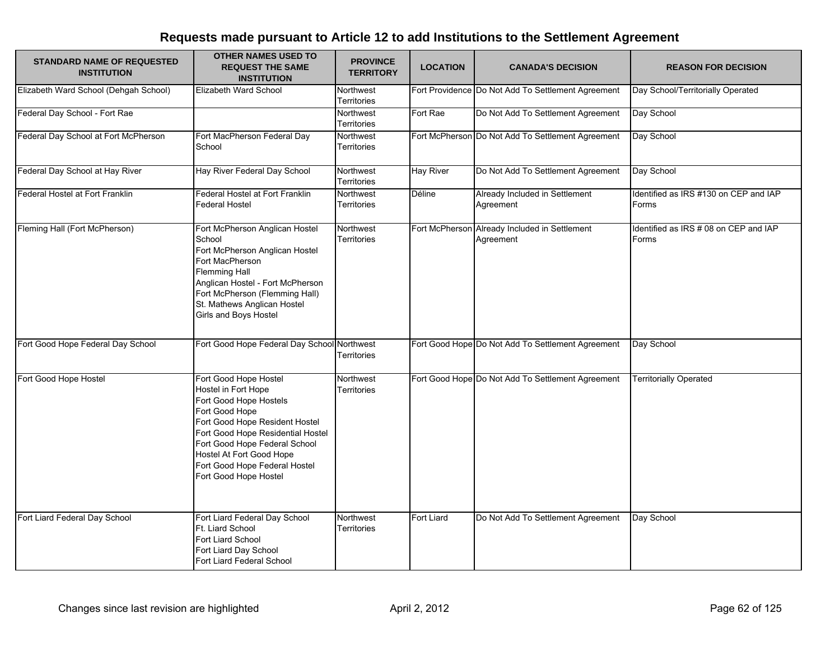| <b>STANDARD NAME OF REQUESTED</b><br><b>INSTITUTION</b> | <b>OTHER NAMES USED TO</b><br><b>REQUEST THE SAME</b><br><b>INSTITUTION</b>                                                                                                                                                                                                            | <b>PROVINCE</b><br><b>TERRITORY</b> | <b>LOCATION</b>   | <b>CANADA'S DECISION</b>                                   | <b>REASON FOR DECISION</b>                     |
|---------------------------------------------------------|----------------------------------------------------------------------------------------------------------------------------------------------------------------------------------------------------------------------------------------------------------------------------------------|-------------------------------------|-------------------|------------------------------------------------------------|------------------------------------------------|
| Elizabeth Ward School (Dehgah School)                   | Elizabeth Ward School                                                                                                                                                                                                                                                                  | Northwest<br>Territories            |                   | Fort Providence Do Not Add To Settlement Agreement         | Day School/Territorially Operated              |
| Federal Day School - Fort Rae                           |                                                                                                                                                                                                                                                                                        | Northwest<br>Territories            | Fort Rae          | Do Not Add To Settlement Agreement                         | Day School                                     |
| Federal Day School at Fort McPherson                    | Fort MacPherson Federal Day<br>School                                                                                                                                                                                                                                                  | Northwest<br>Territories            |                   | Fort McPherson Do Not Add To Settlement Agreement          | Day School                                     |
| Federal Day School at Hay River                         | Hay River Federal Day School                                                                                                                                                                                                                                                           | Northwest<br>Territories            | <b>Hay River</b>  | Do Not Add To Settlement Agreement                         | Day School                                     |
| Federal Hostel at Fort Franklin                         | Federal Hostel at Fort Franklin<br><b>Federal Hostel</b>                                                                                                                                                                                                                               | Northwest<br>Territories            | <b>Déline</b>     | Already Included in Settlement<br>Agreement                | Identified as IRS #130 on CEP and IAP<br>Forms |
| Fleming Hall (Fort McPherson)                           | Fort McPherson Anglican Hostel<br>School<br>Fort McPherson Anglican Hostel<br>Fort MacPherson<br>Flemming Hall<br>Anglican Hostel - Fort McPherson<br>Fort McPherson (Flemming Hall)<br>St. Mathews Anglican Hostel<br>Girls and Boys Hostel                                           | Northwest<br>Territories            |                   | Fort McPherson Already Included in Settlement<br>Agreement | Identified as IRS # 08 on CEP and IAP<br>Forms |
| Fort Good Hope Federal Day School                       | Fort Good Hope Federal Day School Northwest                                                                                                                                                                                                                                            | <b>Territories</b>                  |                   | Fort Good Hope Do Not Add To Settlement Agreement          | Day School                                     |
| Fort Good Hope Hostel                                   | Fort Good Hope Hostel<br>Hostel in Fort Hope<br>Fort Good Hope Hostels<br>Fort Good Hope<br>Fort Good Hope Resident Hostel<br>Fort Good Hope Residential Hostel<br>Fort Good Hope Federal School<br>Hostel At Fort Good Hope<br>Fort Good Hope Federal Hostel<br>Fort Good Hope Hostel | Northwest<br>Territories            |                   | Fort Good Hope Do Not Add To Settlement Agreement          | <b>Territorially Operated</b>                  |
| Fort Liard Federal Day School                           | Fort Liard Federal Day School<br>Ft. Liard School<br>Fort Liard School<br>Fort Liard Day School<br>Fort Liard Federal School                                                                                                                                                           | Northwest<br>Territories            | <b>Fort Liard</b> | Do Not Add To Settlement Agreement                         | Day School                                     |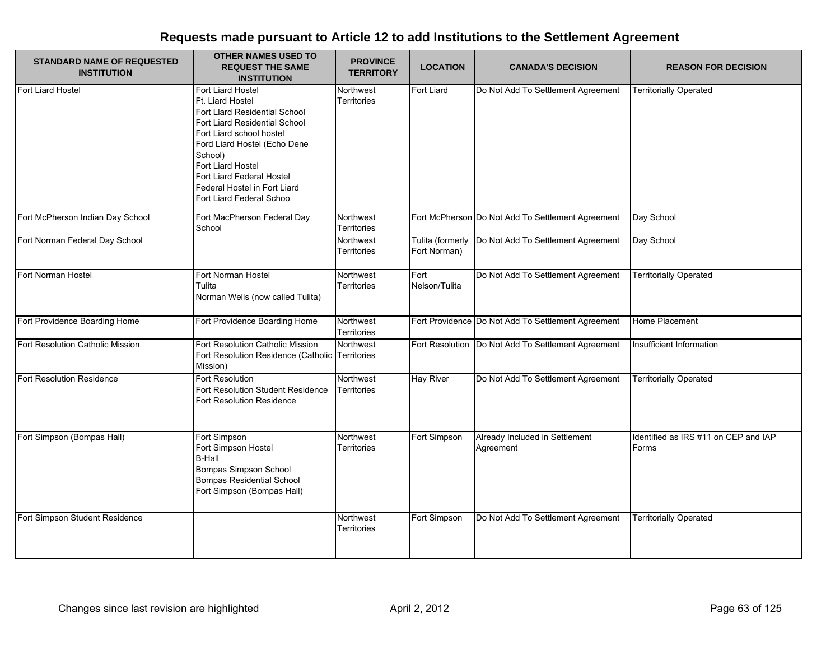| <b>STANDARD NAME OF REQUESTED</b><br><b>INSTITUTION</b> | <b>OTHER NAMES USED TO</b><br><b>REQUEST THE SAME</b><br><b>INSTITUTION</b>                                                                                                                                                                                                                  | <b>PROVINCE</b><br><b>TERRITORY</b> | <b>LOCATION</b>                  | <b>CANADA'S DECISION</b>                             | <b>REASON FOR DECISION</b>                    |
|---------------------------------------------------------|----------------------------------------------------------------------------------------------------------------------------------------------------------------------------------------------------------------------------------------------------------------------------------------------|-------------------------------------|----------------------------------|------------------------------------------------------|-----------------------------------------------|
| Fort Liard Hostel                                       | Fort Liard Hostel<br>Ft. Liard Hostel<br>Fort Llard Residential School<br>Fort Liard Residential School<br>Fort Liard school hostel<br>Ford Liard Hostel (Echo Dene<br>School)<br>Fort Liard Hostel<br>Fort Liard Federal Hostel<br>Federal Hostel in Fort Liard<br>Fort Liard Federal Schoo | Northwest<br>Territories            | <b>Fort Liard</b>                | Do Not Add To Settlement Agreement                   | <b>Territorially Operated</b>                 |
| Fort McPherson Indian Day School                        | Fort MacPherson Federal Day<br>School                                                                                                                                                                                                                                                        | Northwest<br><b>Territories</b>     |                                  | Fort McPherson Do Not Add To Settlement Agreement    | Day School                                    |
| Fort Norman Federal Day School                          |                                                                                                                                                                                                                                                                                              | Northwest<br>Territories            | Tulita (formerly<br>Fort Norman) | Do Not Add To Settlement Agreement                   | Day School                                    |
| Fort Norman Hostel                                      | Fort Norman Hostel<br>Tulita<br>Norman Wells (now called Tulita)                                                                                                                                                                                                                             | Northwest<br>Territories            | Fort<br>Nelson/Tulita            | Do Not Add To Settlement Agreement                   | <b>Territorially Operated</b>                 |
| Fort Providence Boarding Home                           | Fort Providence Boarding Home                                                                                                                                                                                                                                                                | Northwest<br>Territories            |                                  | Fort Providence Do Not Add To Settlement Agreement   | Home Placement                                |
| Fort Resolution Catholic Mission                        | Fort Resolution Catholic Mission<br>Fort Resolution Residence (Catholic<br>Mission)                                                                                                                                                                                                          | Northwest<br><b>Territories</b>     |                                  | Fort Resolution   Do Not Add To Settlement Agreement | Insufficient Information                      |
| Fort Resolution Residence                               | Fort Resolution<br>Fort Resolution Student Residence<br><b>Fort Resolution Residence</b>                                                                                                                                                                                                     | Northwest<br>Territories            | <b>Hay River</b>                 | Do Not Add To Settlement Agreement                   | <b>Territorially Operated</b>                 |
| Fort Simpson (Bompas Hall)                              | Fort Simpson<br>Fort Simpson Hostel<br><b>B-Hall</b><br>Bompas Simpson School<br><b>Bompas Residential School</b><br>Fort Simpson (Bompas Hall)                                                                                                                                              | Northwest<br>Territories            | Fort Simpson                     | Already Included in Settlement<br>Agreement          | Identified as IRS #11 on CEP and IAP<br>Forms |
| Fort Simpson Student Residence                          |                                                                                                                                                                                                                                                                                              | Northwest<br><b>Territories</b>     | Fort Simpson                     | Do Not Add To Settlement Agreement                   | <b>Territorially Operated</b>                 |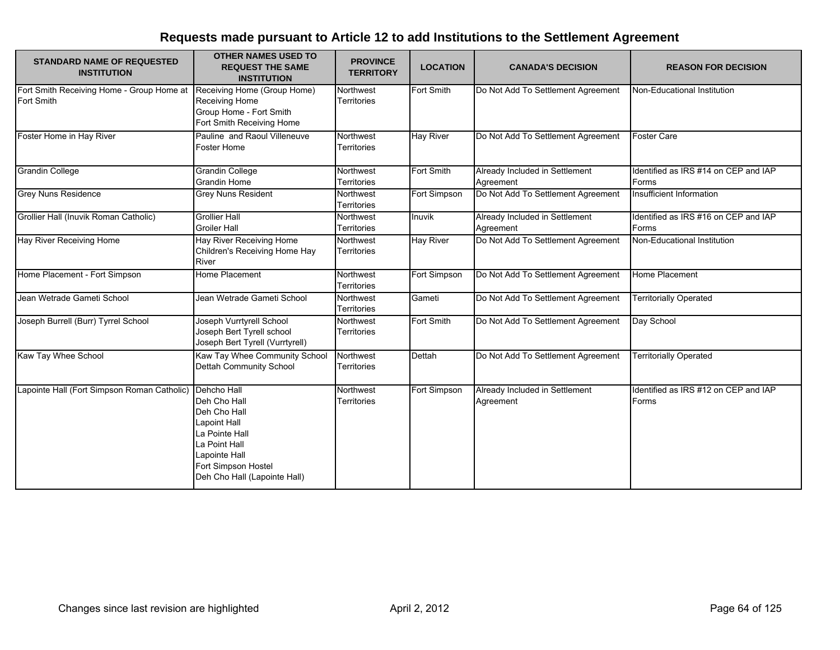| <b>STANDARD NAME OF REQUESTED</b><br><b>INSTITUTION</b>        | <b>OTHER NAMES USED TO</b><br><b>REQUEST THE SAME</b><br><b>INSTITUTION</b>                                                                                            | <b>PROVINCE</b><br><b>TERRITORY</b> | <b>LOCATION</b>  | <b>CANADA'S DECISION</b>                    | <b>REASON FOR DECISION</b>                    |
|----------------------------------------------------------------|------------------------------------------------------------------------------------------------------------------------------------------------------------------------|-------------------------------------|------------------|---------------------------------------------|-----------------------------------------------|
| Fort Smith Receiving Home - Group Home at<br><b>Fort Smith</b> | Receiving Home (Group Home)<br>Receiving Home<br>Group Home - Fort Smith<br>Fort Smith Receiving Home                                                                  | Northwest<br><b>Territories</b>     | Fort Smith       | Do Not Add To Settlement Agreement          | Non-Educational Institution                   |
| Foster Home in Hay River                                       | Pauline and Raoul Villeneuve<br><b>Foster Home</b>                                                                                                                     | Northwest<br>Territories            | <b>Hay River</b> | Do Not Add To Settlement Agreement          | <b>Foster Care</b>                            |
| <b>Grandin College</b>                                         | <b>Grandin College</b><br><b>Grandin Home</b>                                                                                                                          | Northwest<br><b>Territories</b>     | Fort Smith       | Already Included in Settlement<br>Agreement | Identified as IRS #14 on CEP and IAP<br>Forms |
| <b>Grey Nuns Residence</b>                                     | <b>Grey Nuns Resident</b>                                                                                                                                              | Northwest<br><b>Territories</b>     | Fort Simpson     | Do Not Add To Settlement Agreement          | Insufficient Information                      |
| Grollier Hall (Inuvik Roman Catholic)                          | <b>Grollier Hall</b><br><b>Groiler Hall</b>                                                                                                                            | Northwest<br><b>Territories</b>     | Inuvik           | Already Included in Settlement<br>Agreement | Identified as IRS #16 on CEP and IAP<br>Forms |
| <b>Hay River Receiving Home</b>                                | Hay River Receiving Home<br>Children's Receiving Home Hay<br>River                                                                                                     | Northwest<br><b>Territories</b>     | <b>Hay River</b> | Do Not Add To Settlement Agreement          | Non-Educational Institution                   |
| Home Placement - Fort Simpson                                  | Home Placement                                                                                                                                                         | Northwest<br>Territories            | Fort Simpson     | Do Not Add To Settlement Agreement          | Home Placement                                |
| Jean Wetrade Gameti School                                     | Jean Wetrade Gameti School                                                                                                                                             | Northwest<br>Territories            | Gameti           | Do Not Add To Settlement Agreement          | <b>Territorially Operated</b>                 |
| Joseph Burrell (Burr) Tyrrel School                            | Joseph Vurrtyrell School<br>Joseph Bert Tyrell school<br>Joseph Bert Tyrell (Vurrtyrell)                                                                               | Northwest<br>Territories            | Fort Smith       | Do Not Add To Settlement Agreement          | Day School                                    |
| Kaw Tay Whee School                                            | Kaw Tay Whee Community School<br>Dettah Community School                                                                                                               | Northwest<br>Territories            | Dettah           | Do Not Add To Settlement Agreement          | <b>Territorially Operated</b>                 |
| Lapointe Hall (Fort Simpson Roman Catholic)                    | Dehcho Hall<br>Deh Cho Hall<br>Deh Cho Hall<br>Lapoint Hall<br>La Pointe Hall<br>La Point Hall<br>Lapointe Hall<br>Fort Simpson Hostel<br>Deh Cho Hall (Lapointe Hall) | Northwest<br>Territories            | Fort Simpson     | Already Included in Settlement<br>Agreement | Identified as IRS #12 on CEP and IAP<br>Forms |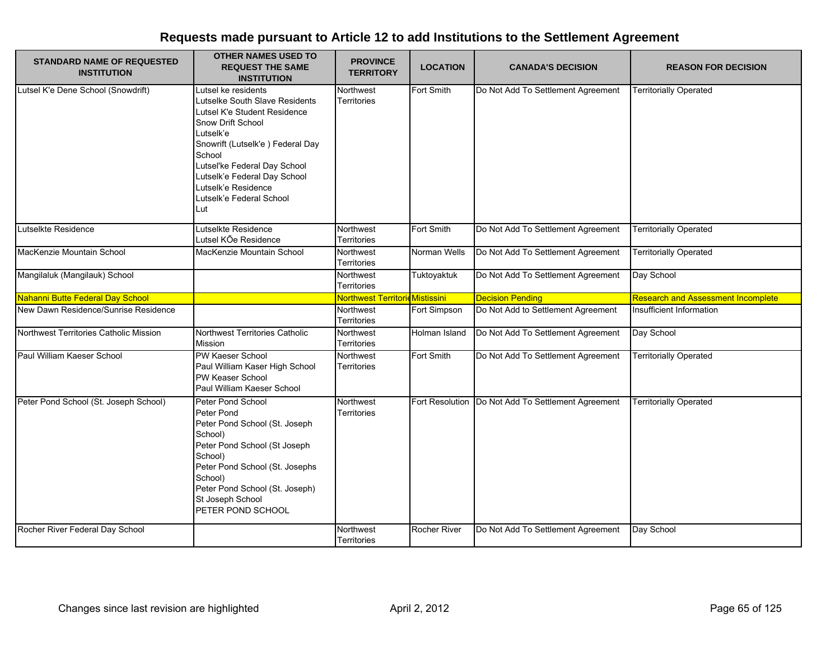| <b>STANDARD NAME OF REQUESTED</b><br><b>INSTITUTION</b> | <b>OTHER NAMES USED TO</b><br><b>REQUEST THE SAME</b><br><b>INSTITUTION</b>                                                                                                                                                                                                                    | <b>PROVINCE</b><br><b>TERRITORY</b> | <b>LOCATION</b>     | <b>CANADA'S DECISION</b>                             | <b>REASON FOR DECISION</b>                |
|---------------------------------------------------------|------------------------------------------------------------------------------------------------------------------------------------------------------------------------------------------------------------------------------------------------------------------------------------------------|-------------------------------------|---------------------|------------------------------------------------------|-------------------------------------------|
| Lutsel K'e Dene School (Snowdrift)                      | utsel ke residents<br>Lutselke South Slave Residents<br>Lutsel K'e Student Residence<br>Snow Drift School<br>Lutselk'e<br>Snowrift (Lutselk'e) Federal Day<br>School<br>Lutsel'ke Federal Day School<br>Lutselk'e Federal Day School<br>Lutselk'e Residence<br>Lutselk'e Federal School<br>Lut | Northwest<br><b>Territories</b>     | Fort Smith          | Do Not Add To Settlement Agreement                   | <b>Territorially Operated</b>             |
| Lutselkte Residence                                     | Lutselkte Residence<br>Lutsel KÕe Residence                                                                                                                                                                                                                                                    | Northwest<br>Territories            | Fort Smith          | Do Not Add To Settlement Agreement                   | <b>Territorially Operated</b>             |
| MacKenzie Mountain School                               | MacKenzie Mountain School                                                                                                                                                                                                                                                                      | Northwest<br>Territories            | Norman Wells        | Do Not Add To Settlement Agreement                   | <b>Territorially Operated</b>             |
| Mangilaluk (Mangilauk) School                           |                                                                                                                                                                                                                                                                                                | Northwest<br>Territories            | Tuktoyaktuk         | Do Not Add To Settlement Agreement                   | Day School                                |
| Nahanni Butte Federal Day School                        |                                                                                                                                                                                                                                                                                                | Northwest Territoric Mistissini     |                     | <b>Decision Pending</b>                              | <b>Research and Assessment Incomplete</b> |
| New Dawn Residence/Sunrise Residence                    |                                                                                                                                                                                                                                                                                                | Northwest<br><b>Territories</b>     | Fort Simpson        | Do Not Add to Settlement Agreement                   | Insufficient Information                  |
| Northwest Territories Catholic Mission                  | Northwest Territories Catholic<br>Mission                                                                                                                                                                                                                                                      | Northwest<br>Territories            | Holman Island       | Do Not Add To Settlement Agreement                   | Day School                                |
| Paul William Kaeser School                              | PW Kaeser School<br>Paul William Kaser High School<br>PW Keaser School<br>Paul William Kaeser School                                                                                                                                                                                           | Northwest<br>Territories            | Fort Smith          | Do Not Add To Settlement Agreement                   | <b>Territorially Operated</b>             |
| Peter Pond School (St. Joseph School)                   | Peter Pond School<br>Peter Pond<br>Peter Pond School (St. Joseph<br>School)<br>Peter Pond School (St Joseph<br>School)<br>Peter Pond School (St. Josephs<br>School)<br>Peter Pond School (St. Joseph)<br>St Joseph School<br>PETER POND SCHOOL                                                 | Northwest<br><b>Territories</b>     |                     | Fort Resolution   Do Not Add To Settlement Agreement | <b>Territorially Operated</b>             |
| Rocher River Federal Day School                         |                                                                                                                                                                                                                                                                                                | Northwest<br><b>Territories</b>     | <b>Rocher River</b> | Do Not Add To Settlement Agreement                   | Day School                                |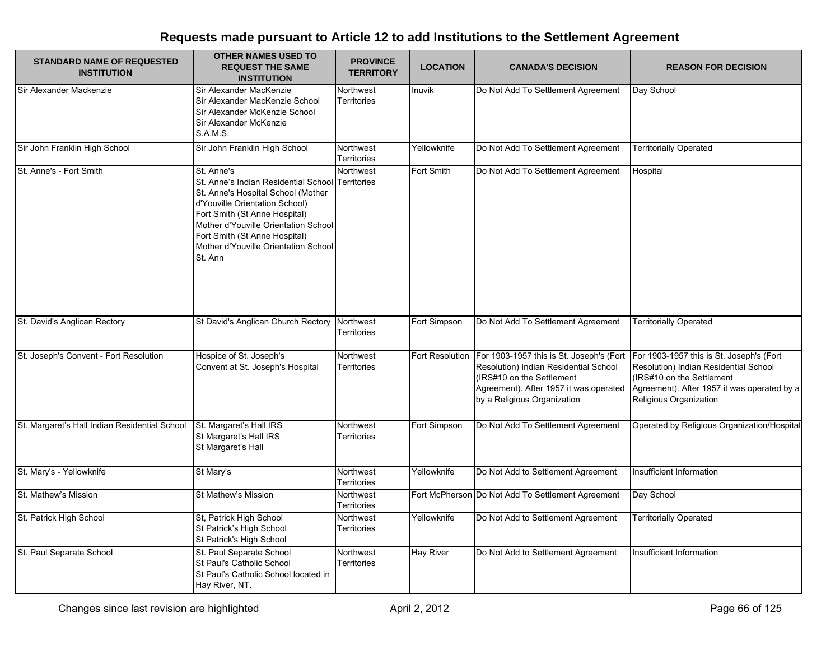| <b>STANDARD NAME OF REQUESTED</b><br><b>INSTITUTION</b> | <b>OTHER NAMES USED TO</b><br><b>REQUEST THE SAME</b><br><b>INSTITUTION</b>                                                                                                                                                                                                             | <b>PROVINCE</b><br><b>TERRITORY</b> | <b>LOCATION</b>  | <b>CANADA'S DECISION</b>                                                                                                                                                                | <b>REASON FOR DECISION</b>                                                                                                                                                              |
|---------------------------------------------------------|-----------------------------------------------------------------------------------------------------------------------------------------------------------------------------------------------------------------------------------------------------------------------------------------|-------------------------------------|------------------|-----------------------------------------------------------------------------------------------------------------------------------------------------------------------------------------|-----------------------------------------------------------------------------------------------------------------------------------------------------------------------------------------|
| Sir Alexander Mackenzie                                 | Sir Alexander MacKenzie<br>Sir Alexander MacKenzie School<br>Sir Alexander McKenzie School<br>Sir Alexander McKenzie<br><b>S.A.M.S.</b>                                                                                                                                                 | Northwest<br><b>Territories</b>     | Inuvik           | Do Not Add To Settlement Agreement                                                                                                                                                      | Day School                                                                                                                                                                              |
| Sir John Franklin High School                           | Sir John Franklin High School                                                                                                                                                                                                                                                           | Northwest<br><b>Territories</b>     | Yellowknife      | Do Not Add To Settlement Agreement                                                                                                                                                      | <b>Territorially Operated</b>                                                                                                                                                           |
| St. Anne's - Fort Smith                                 | St. Anne's<br>St. Anne's Indian Residential School<br>St. Anne's Hospital School (Mother<br>d'Youville Orientation School)<br>Fort Smith (St Anne Hospital)<br>Mother d'Youville Orientation School<br>Fort Smith (St Anne Hospital)<br>Mother d'Youville Orientation School<br>St. Ann | Northwest<br><b>Territories</b>     | Fort Smith       | Do Not Add To Settlement Agreement                                                                                                                                                      | Hospital                                                                                                                                                                                |
| St. David's Anglican Rectory                            | St David's Anglican Church Rectory                                                                                                                                                                                                                                                      | Northwest<br>Territories            | Fort Simpson     | Do Not Add To Settlement Agreement                                                                                                                                                      | <b>Territorially Operated</b>                                                                                                                                                           |
| St. Joseph's Convent - Fort Resolution                  | Hospice of St. Joseph's<br>Convent at St. Joseph's Hospital                                                                                                                                                                                                                             | Northwest<br>Territories            | Fort Resolution  | For 1903-1957 this is St. Joseph's (Fort<br>Resolution) Indian Residential School<br>(IRS#10 on the Settlement<br>Agreement). After 1957 it was operated<br>by a Religious Organization | For 1903-1957 this is St. Joseph's (Fort<br>Resolution) Indian Residential School<br>(IRS#10 on the Settlement<br>Agreement). After 1957 it was operated by a<br>Religious Organization |
| St. Margaret's Hall Indian Residential School           | St. Margaret's Hall IRS<br>St Margaret's Hall IRS<br>St Margaret's Hall                                                                                                                                                                                                                 | Northwest<br><b>Territories</b>     | Fort Simpson     | Do Not Add To Settlement Agreement                                                                                                                                                      | Operated by Religious Organization/Hospital                                                                                                                                             |
| St. Mary's - Yellowknife                                | St Mary's                                                                                                                                                                                                                                                                               | Northwest<br>Territories            | Yellowknife      | Do Not Add to Settlement Agreement                                                                                                                                                      | Insufficient Information                                                                                                                                                                |
| St. Mathew's Mission                                    | St Mathew's Mission                                                                                                                                                                                                                                                                     | Northwest<br>Territories            |                  | Fort McPherson Do Not Add To Settlement Agreement                                                                                                                                       | Day School                                                                                                                                                                              |
| St. Patrick High School                                 | St, Patrick High School<br>St Patrick's High School<br>St Patrick's High School                                                                                                                                                                                                         | Northwest<br>Territories            | Yellowknife      | Do Not Add to Settlement Agreement                                                                                                                                                      | <b>Territorially Operated</b>                                                                                                                                                           |
| St. Paul Separate School                                | St. Paul Separate School<br>St Paul's Catholic School<br>St Paul's Catholic School located in<br>Hay River, NT.                                                                                                                                                                         | <b>Northwest</b><br>Territories     | <b>Hay River</b> | Do Not Add to Settlement Agreement                                                                                                                                                      | Insufficient Information                                                                                                                                                                |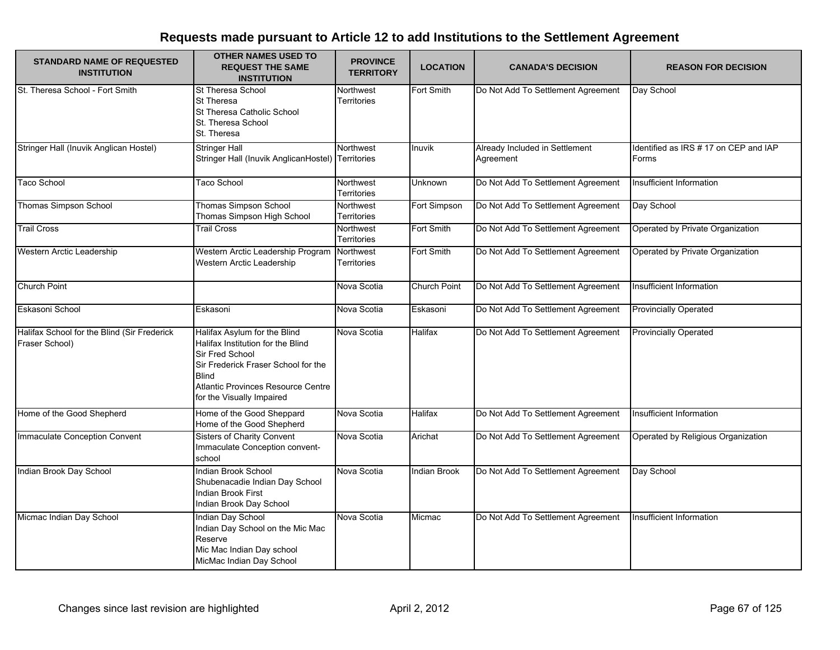| <b>STANDARD NAME OF REQUESTED</b><br><b>INSTITUTION</b>       | <b>OTHER NAMES USED TO</b><br><b>REQUEST THE SAME</b><br><b>INSTITUTION</b>                                                                                                                                    | <b>PROVINCE</b><br><b>TERRITORY</b> | <b>LOCATION</b>     | <b>CANADA'S DECISION</b>                    | <b>REASON FOR DECISION</b>                     |
|---------------------------------------------------------------|----------------------------------------------------------------------------------------------------------------------------------------------------------------------------------------------------------------|-------------------------------------|---------------------|---------------------------------------------|------------------------------------------------|
| St. Theresa School - Fort Smith                               | <b>St Theresa School</b><br><b>St Theresa</b><br>St Theresa Catholic School<br>St. Theresa School<br>St. Theresa                                                                                               | Northwest<br><b>Territories</b>     | Fort Smith          | Do Not Add To Settlement Agreement          | Day School                                     |
| Stringer Hall (Inuvik Anglican Hostel)                        | <b>Stringer Hall</b><br>Stringer Hall (Inuvik AnglicanHostel)                                                                                                                                                  | Northwest<br>Territories            | Inuvik              | Already Included in Settlement<br>Agreement | Identified as IRS # 17 on CEP and IAP<br>Forms |
| Taco School                                                   | Taco School                                                                                                                                                                                                    | Northwest<br>Territories            | Unknown             | Do Not Add To Settlement Agreement          | Insufficient Information                       |
| <b>Thomas Simpson School</b>                                  | <b>Thomas Simpson School</b><br>Thomas Simpson High School                                                                                                                                                     | Northwest<br>Territories            | Fort Simpson        | Do Not Add To Settlement Agreement          | Day School                                     |
| <b>Trail Cross</b>                                            | <b>Trail Cross</b>                                                                                                                                                                                             | Northwest<br><b>Territories</b>     | Fort Smith          | Do Not Add To Settlement Agreement          | Operated by Private Organization               |
| Western Arctic Leadership                                     | Western Arctic Leadership Program<br>Western Arctic Leadership                                                                                                                                                 | Northwest<br>Territories            | Fort Smith          | Do Not Add To Settlement Agreement          | Operated by Private Organization               |
| <b>Church Point</b>                                           |                                                                                                                                                                                                                | Nova Scotia                         | <b>Church Point</b> | Do Not Add To Settlement Agreement          | Insufficient Information                       |
| Eskasoni School                                               | Eskasoni                                                                                                                                                                                                       | Nova Scotia                         | Eskasoni            | Do Not Add To Settlement Agreement          | <b>Provincially Operated</b>                   |
| Halifax School for the Blind (Sir Frederick<br>Fraser School) | Halifax Asylum for the Blind<br>Halifax Institution for the Blind<br>Sir Fred School<br>Sir Frederick Fraser School for the<br><b>Blind</b><br>Atlantic Provinces Resource Centre<br>for the Visually Impaired | Nova Scotia                         | <b>Halifax</b>      | Do Not Add To Settlement Agreement          | <b>Provincially Operated</b>                   |
| Home of the Good Shepherd                                     | Home of the Good Sheppard<br>Home of the Good Shepherd                                                                                                                                                         | Nova Scotia                         | <b>Halifax</b>      | Do Not Add To Settlement Agreement          | Insufficient Information                       |
| Immaculate Conception Convent                                 | <b>Sisters of Charity Convent</b><br>Immaculate Conception convent-<br>school                                                                                                                                  | Nova Scotia                         | Arichat             | Do Not Add To Settlement Agreement          | Operated by Religious Organization             |
| Indian Brook Day School                                       | Indian Brook School<br>Shubenacadie Indian Day School<br>Indian Brook First<br>Indian Brook Day School                                                                                                         | Nova Scotia                         | Indian Brook        | Do Not Add To Settlement Agreement          | Day School                                     |
| Micmac Indian Day School                                      | Indian Day School<br>Indian Day School on the Mic Mac<br>Reserve<br>Mic Mac Indian Day school<br>MicMac Indian Day School                                                                                      | Nova Scotia                         | Micmac              | Do Not Add To Settlement Agreement          | Insufficient Information                       |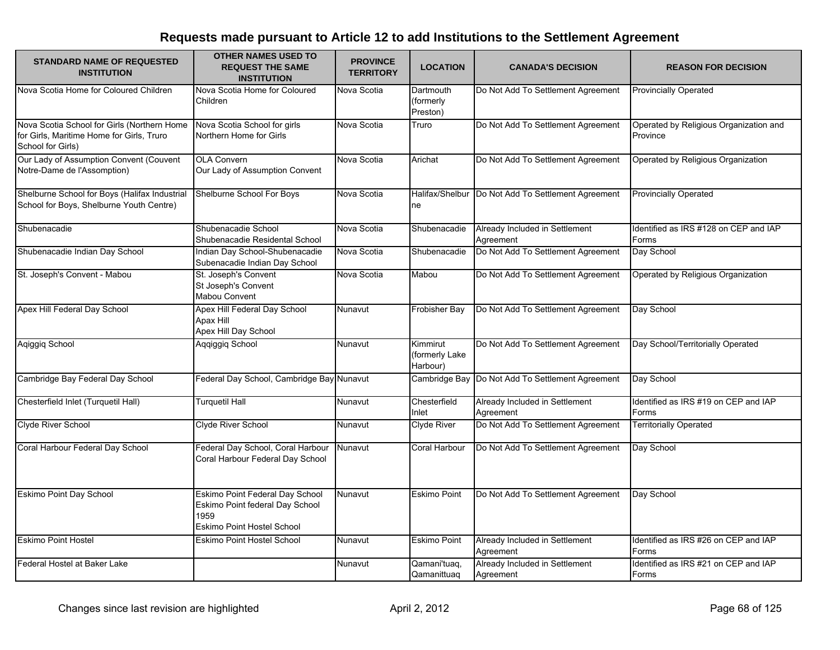| <b>STANDARD NAME OF REQUESTED</b><br><b>INSTITUTION</b>                                                       | <b>OTHER NAMES USED TO</b><br><b>REQUEST THE SAME</b><br><b>INSTITUTION</b>                                     | <b>PROVINCE</b><br><b>TERRITORY</b> | <b>LOCATION</b>                        | <b>CANADA'S DECISION</b>                             | <b>REASON FOR DECISION</b>                         |
|---------------------------------------------------------------------------------------------------------------|-----------------------------------------------------------------------------------------------------------------|-------------------------------------|----------------------------------------|------------------------------------------------------|----------------------------------------------------|
| Nova Scotia Home for Coloured Children                                                                        | Nova Scotia Home for Coloured<br>Children                                                                       | Nova Scotia                         | Dartmouth<br>(formerly<br>Preston)     | Do Not Add To Settlement Agreement                   | <b>Provincially Operated</b>                       |
| Nova Scotia School for Girls (Northern Home<br>for Girls, Maritime Home for Girls, Truro<br>School for Girls) | Nova Scotia School for girls<br>Northern Home for Girls                                                         | Nova Scotia                         | Truro                                  | Do Not Add To Settlement Agreement                   | Operated by Religious Organization and<br>Province |
| Our Lady of Assumption Convent (Couvent<br>Notre-Dame de l'Assomption)                                        | <b>OLA Convern</b><br>Our Lady of Assumption Convent                                                            | Nova Scotia                         | Arichat                                | Do Not Add To Settlement Agreement                   | Operated by Religious Organization                 |
| Shelburne School for Boys (Halifax Industrial<br>School for Boys, Shelburne Youth Centre)                     | Shelburne School For Boys                                                                                       | Nova Scotia                         | ne                                     | Halifax/Shelbur   Do Not Add To Settlement Agreement | <b>Provincially Operated</b>                       |
| Shubenacadie                                                                                                  | Shubenacadie School<br>Shubenacadie Residental School                                                           | Nova Scotia                         | Shubenacadie                           | Already Included in Settlement<br>Agreement          | Identified as IRS #128 on CEP and IAP<br>Forms     |
| Shubenacadie Indian Day School                                                                                | Indian Day School-Shubenacadie<br>Subenacadie Indian Day School                                                 | Nova Scotia                         | Shubenacadie                           | Do Not Add To Settlement Agreement                   | Day School                                         |
| St. Joseph's Convent - Mabou                                                                                  | St. Joseph's Convent<br>St Joseph's Convent<br>Mabou Convent                                                    | Nova Scotia                         | Mabou                                  | Do Not Add To Settlement Agreement                   | Operated by Religious Organization                 |
| Apex Hill Federal Day School                                                                                  | Apex Hill Federal Day School<br><b>Apax Hill</b><br>Apex Hill Day School                                        | Nunavut                             | Frobisher Bay                          | Do Not Add To Settlement Agreement                   | Day School                                         |
| Aqiggiq School                                                                                                | Aqqiggiq School                                                                                                 | Nunavut                             | Kimmirut<br>(formerly Lake<br>Harbour) | Do Not Add To Settlement Agreement                   | Day School/Territorially Operated                  |
| Cambridge Bay Federal Day School                                                                              | Federal Day School, Cambridge Bay Nunavut                                                                       |                                     |                                        | Cambridge Bay Do Not Add To Settlement Agreement     | Day School                                         |
| Chesterfield Inlet (Turquetil Hall)                                                                           | <b>Turquetil Hall</b>                                                                                           | Nunavut                             | Chesterfield<br>Inlet                  | Already Included in Settlement<br>Agreement          | Identified as IRS #19 on CEP and IAP<br>Forms      |
| Clyde River School                                                                                            | Clyde River School                                                                                              | Nunavut                             | <b>Clyde River</b>                     | Do Not Add To Settlement Agreement                   | <b>Territorially Operated</b>                      |
| Coral Harbour Federal Day School                                                                              | Federal Day School, Coral Harbour<br>Coral Harbour Federal Day School                                           | Nunavut                             | Coral Harbour                          | Do Not Add To Settlement Agreement                   | Day School                                         |
| <b>Eskimo Point Day School</b>                                                                                | Eskimo Point Federal Day School<br>Eskimo Point federal Day School<br>1959<br><b>Eskimo Point Hostel School</b> | Nunavut                             | <b>Eskimo Point</b>                    | Do Not Add To Settlement Agreement                   | Day School                                         |
| <b>Eskimo Point Hostel</b>                                                                                    | <b>Eskimo Point Hostel School</b>                                                                               | Nunavut                             | <b>Eskimo Point</b>                    | Already Included in Settlement<br>Agreement          | Identified as IRS #26 on CEP and IAP<br>Forms      |
| Federal Hostel at Baker Lake                                                                                  |                                                                                                                 | Nunavut                             | Qamani'tuaq,<br>Qamanittuag            | Already Included in Settlement<br>Agreement          | Identified as IRS #21 on CEP and IAP<br>Forms      |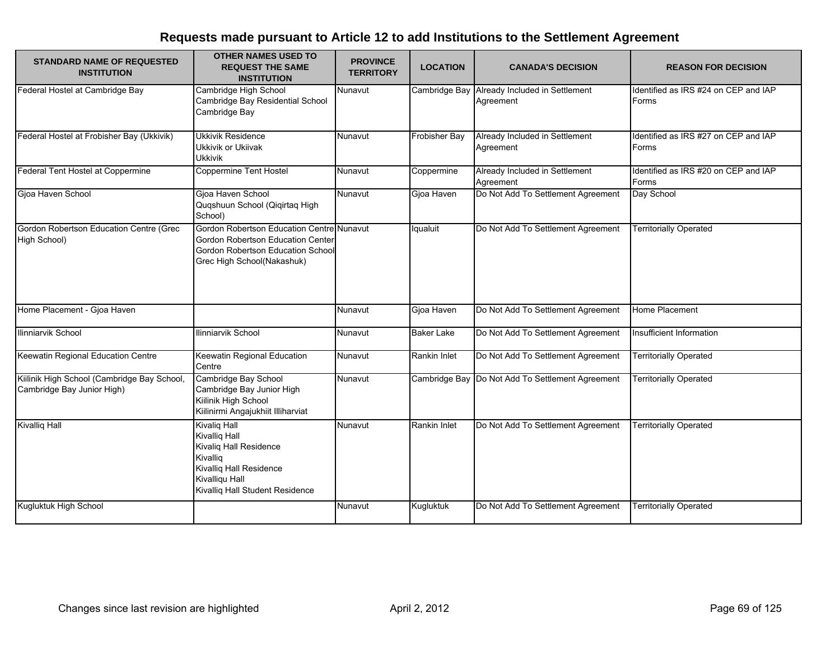| <b>STANDARD NAME OF REQUESTED</b><br><b>INSTITUTION</b>                   | <b>OTHER NAMES USED TO</b><br><b>REQUEST THE SAME</b><br><b>INSTITUTION</b>                                                                                       | <b>PROVINCE</b><br><b>TERRITORY</b> | <b>LOCATION</b>   | <b>CANADA'S DECISION</b>                                  | <b>REASON FOR DECISION</b>                    |
|---------------------------------------------------------------------------|-------------------------------------------------------------------------------------------------------------------------------------------------------------------|-------------------------------------|-------------------|-----------------------------------------------------------|-----------------------------------------------|
| Federal Hostel at Cambridge Bay                                           | Cambridge High School<br>Cambridge Bay Residential School<br>Cambridge Bay                                                                                        | Nunavut                             |                   | Cambridge Bay Already Included in Settlement<br>Agreement | Identified as IRS #24 on CEP and IAP<br>Forms |
| Federal Hostel at Frobisher Bay (Ukkivik)                                 | <b>Ukkivik Residence</b><br>Ukkivik or Ukiivak<br><b>Ukkivik</b>                                                                                                  | Nunavut                             | Frobisher Bay     | Already Included in Settlement<br>Agreement               | Identified as IRS #27 on CEP and IAP<br>Forms |
| Federal Tent Hostel at Coppermine                                         | <b>Coppermine Tent Hostel</b>                                                                                                                                     | Nunavut                             | Coppermine        | Already Included in Settlement<br>Agreement               | Identified as IRS #20 on CEP and IAP<br>Forms |
| Gjoa Haven School                                                         | Gjoa Haven School<br>Quqshuun School (Qiqirtaq High<br>School)                                                                                                    | Nunavut                             | Gjoa Haven        | Do Not Add To Settlement Agreement                        | Day School                                    |
| Gordon Robertson Education Centre (Grec<br>High School)                   | Gordon Robertson Education Centre Nunavut<br>Gordon Robertson Education Center<br>Gordon Robertson Education School<br>Grec High School(Nakashuk)                 |                                     | Iqualuit          | Do Not Add To Settlement Agreement                        | <b>Territorially Operated</b>                 |
| Home Placement - Gjoa Haven                                               |                                                                                                                                                                   | Nunavut                             | Gjoa Haven        | Do Not Add To Settlement Agreement                        | Home Placement                                |
| Ilinniarvik School                                                        | Ilinniarvik School                                                                                                                                                | Nunavut                             | <b>Baker Lake</b> | Do Not Add To Settlement Agreement                        | Insufficient Information                      |
| Keewatin Regional Education Centre                                        | Keewatin Regional Education<br>Centre                                                                                                                             | Nunavut                             | Rankin Inlet      | Do Not Add To Settlement Agreement                        | <b>Territorially Operated</b>                 |
| Kiilinik High School (Cambridge Bay School,<br>Cambridge Bay Junior High) | Cambridge Bay School<br>Cambridge Bay Junior High<br>Kiilinik High School<br>Kiilinirmi Angajukhiit Illiharviat                                                   | Nunavut                             |                   | Cambridge Bay Do Not Add To Settlement Agreement          | <b>Territorially Operated</b>                 |
| <b>Kivallig Hall</b>                                                      | <b>Kivalig Hall</b><br><b>Kivallig Hall</b><br>Kivaliq Hall Residence<br>Kivallig<br>Kivalliq Hall Residence<br>Kivalliqu Hall<br>Kivalliq Hall Student Residence | Nunavut                             | Rankin Inlet      | Do Not Add To Settlement Agreement                        | <b>Territorially Operated</b>                 |
| Kugluktuk High School                                                     |                                                                                                                                                                   | Nunavut                             | Kugluktuk         | Do Not Add To Settlement Agreement                        | <b>Territorially Operated</b>                 |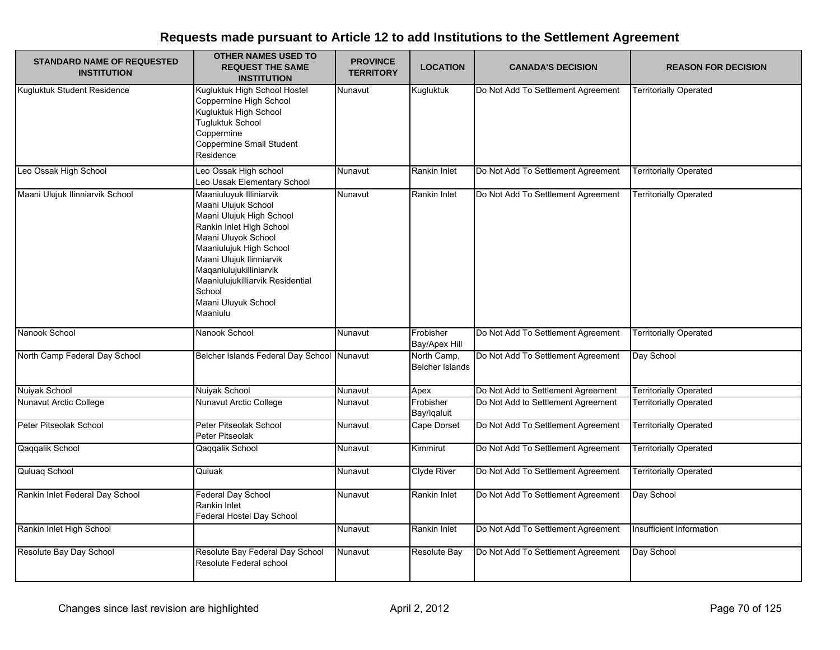| <b>STANDARD NAME OF REQUESTED</b><br><b>INSTITUTION</b> | <b>OTHER NAMES USED TO</b><br><b>REQUEST THE SAME</b><br><b>INSTITUTION</b>                                                                                                                                                                                                                      | <b>PROVINCE</b><br><b>TERRITORY</b> | <b>LOCATION</b>                       | <b>CANADA'S DECISION</b>           | <b>REASON FOR DECISION</b>    |
|---------------------------------------------------------|--------------------------------------------------------------------------------------------------------------------------------------------------------------------------------------------------------------------------------------------------------------------------------------------------|-------------------------------------|---------------------------------------|------------------------------------|-------------------------------|
| Kugluktuk Student Residence                             | Kugluktuk High School Hostel<br>Coppermine High School<br>Kugluktuk High School<br><b>Tugluktuk School</b><br>Coppermine<br><b>Coppermine Small Student</b><br>Residence                                                                                                                         | Nunavut                             | Kugluktuk                             | Do Not Add To Settlement Agreement | <b>Territorially Operated</b> |
| Leo Ossak High School                                   | Leo Ossak High school<br>Leo Ussak Elementary School                                                                                                                                                                                                                                             | Nunavut                             | Rankin Inlet                          | Do Not Add To Settlement Agreement | <b>Territorially Operated</b> |
| Maani Ulujuk Ilinniarvik School                         | Maaniuluyuk Illiniarvik<br>Maani Ulujuk School<br>Maani Ulujuk High School<br>Rankin Inlet High School<br>Maani Uluyok School<br>Maaniulujuk High School<br>Maani Ulujuk Ilinniarvik<br>Maqaniulujukilliniarvik<br>Maaniulujukilliarvik Residential<br>School<br>Maani Uluyuk School<br>Maaniulu | Nunavut                             | Rankin Inlet                          | Do Not Add To Settlement Agreement | <b>Territorially Operated</b> |
| Nanook School                                           | Nanook School                                                                                                                                                                                                                                                                                    | Nunavut                             | Frobisher<br>Bay/Apex Hill            | Do Not Add To Settlement Agreement | <b>Territorially Operated</b> |
| North Camp Federal Day School                           | Belcher Islands Federal Day School Nunavut                                                                                                                                                                                                                                                       |                                     | North Camp,<br><b>Belcher Islands</b> | Do Not Add To Settlement Agreement | Day School                    |
| Nuiyak School                                           | Nuiyak School                                                                                                                                                                                                                                                                                    | Nunavut                             | Apex                                  | Do Not Add to Settlement Agreement | <b>Territorially Operated</b> |
| Nunavut Arctic College                                  | Nunavut Arctic College                                                                                                                                                                                                                                                                           | Nunavut                             | Frobisher<br>Bay/Iqaluit              | Do Not Add to Settlement Agreement | <b>Territorially Operated</b> |
| Peter Pitseolak School                                  | Peter Pitseolak School<br>Peter Pitseolak                                                                                                                                                                                                                                                        | Nunavut                             | Cape Dorset                           | Do Not Add To Settlement Agreement | <b>Territorially Operated</b> |
| Qaqqalik School                                         | Qaqqalik School                                                                                                                                                                                                                                                                                  | Nunavut                             | Kimmirut                              | Do Not Add To Settlement Agreement | <b>Territorially Operated</b> |
| Quluaq School                                           | Quluak                                                                                                                                                                                                                                                                                           | Nunavut                             | <b>Clyde River</b>                    | Do Not Add To Settlement Agreement | <b>Territorially Operated</b> |
| Rankin Inlet Federal Day School                         | <b>Federal Day School</b><br>Rankin Inlet<br>Federal Hostel Day School                                                                                                                                                                                                                           | Nunavut                             | Rankin Inlet                          | Do Not Add To Settlement Agreement | Day School                    |
| Rankin Inlet High School                                |                                                                                                                                                                                                                                                                                                  | Nunavut                             | Rankin Inlet                          | Do Not Add To Settlement Agreement | Insufficient Information      |
| Resolute Bay Day School                                 | Resolute Bay Federal Day School<br>Resolute Federal school                                                                                                                                                                                                                                       | Nunavut                             | Resolute Bay                          | Do Not Add To Settlement Agreement | Day School                    |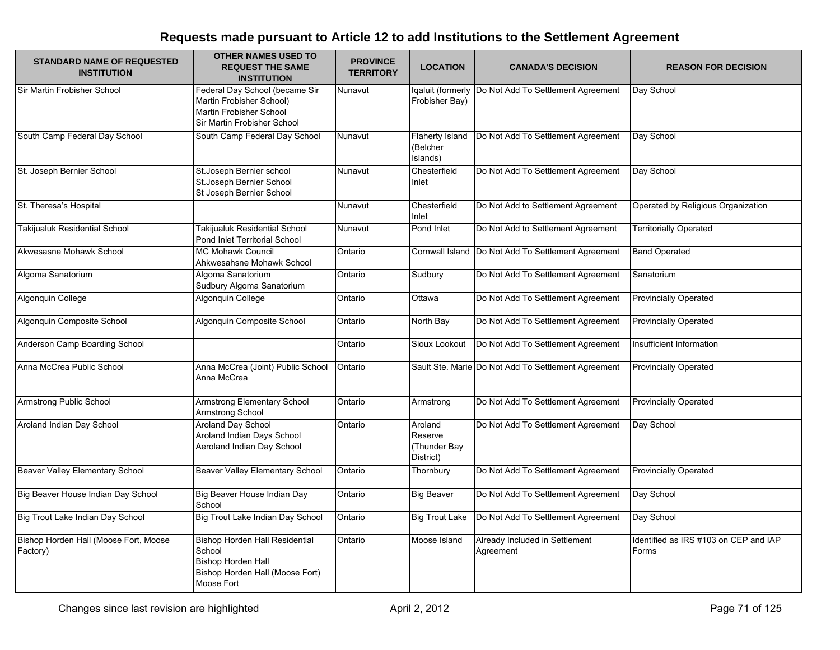| <b>STANDARD NAME OF REQUESTED</b><br><b>INSTITUTION</b> | <b>OTHER NAMES USED TO</b><br><b>REQUEST THE SAME</b><br><b>INSTITUTION</b>                                                   | <b>PROVINCE</b><br><b>TERRITORY</b> | <b>LOCATION</b>                                 | <b>CANADA'S DECISION</b>                            | <b>REASON FOR DECISION</b>                     |
|---------------------------------------------------------|-------------------------------------------------------------------------------------------------------------------------------|-------------------------------------|-------------------------------------------------|-----------------------------------------------------|------------------------------------------------|
| Sir Martin Frobisher School                             | Federal Day School (became Sir<br>Martin Frobisher School)<br><b>Martin Frobisher School</b><br>Sir Martin Frobisher School   | Nunavut                             | qaluit (formerly<br>Frobisher Bay)              | Do Not Add To Settlement Agreement                  | Day School                                     |
| South Camp Federal Day School                           | South Camp Federal Day School                                                                                                 | Nunavut                             | <b>Flaherty Island</b><br>(Belcher<br>Islands)  | Do Not Add To Settlement Agreement                  | Day School                                     |
| St. Joseph Bernier School                               | St. Joseph Bernier school<br>St.Joseph Bernier School<br>St Joseph Bernier School                                             | Nunavut                             | Chesterfield<br>Inlet                           | Do Not Add To Settlement Agreement                  | Day School                                     |
| St. Theresa's Hospital                                  |                                                                                                                               | Nunavut                             | Chesterfield<br>Inlet                           | Do Not Add to Settlement Agreement                  | Operated by Religious Organization             |
| <b>Takijualuk Residential School</b>                    | Takijualuk Residential School<br>Pond Inlet Territorial School                                                                | Nunavut                             | Pond Inlet                                      | Do Not Add to Settlement Agreement                  | <b>Territorially Operated</b>                  |
| Akwesasne Mohawk School                                 | <b>MC Mohawk Council</b><br>Ahkwesahsne Mohawk School                                                                         | Ontario                             | Cornwall Island                                 | Do Not Add To Settlement Agreement                  | <b>Band Operated</b>                           |
| Algoma Sanatorium                                       | Algoma Sanatorium<br>Sudbury Algoma Sanatorium                                                                                | Ontario                             | Sudbury                                         | Do Not Add To Settlement Agreement                  | Sanatorium                                     |
| Algonquin College                                       | Algonquin College                                                                                                             | Ontario                             | Ottawa                                          | Do Not Add To Settlement Agreement                  | <b>Provincially Operated</b>                   |
| Algonquin Composite School                              | Algonquin Composite School                                                                                                    | Ontario                             | North Bay                                       | Do Not Add To Settlement Agreement                  | <b>Provincially Operated</b>                   |
| Anderson Camp Boarding School                           |                                                                                                                               | Ontario                             | Sioux Lookout                                   | Do Not Add To Settlement Agreement                  | Insufficient Information                       |
| Anna McCrea Public School                               | Anna McCrea (Joint) Public School<br>Anna McCrea                                                                              | Ontario                             |                                                 | Sault Ste. Marie Do Not Add To Settlement Agreement | <b>Provincially Operated</b>                   |
| Armstrong Public School                                 | Armstrong Elementary School<br>Armstrong School                                                                               | Ontario                             | Armstrong                                       | Do Not Add To Settlement Agreement                  | Provincially Operated                          |
| Aroland Indian Day School                               | <b>Aroland Dav School</b><br>Aroland Indian Days School<br>Aeroland Indian Day School                                         | Ontario                             | Aroland<br>Reserve<br>(Thunder Bay<br>District) | Do Not Add To Settlement Agreement                  | Day School                                     |
| <b>Beaver Valley Elementary School</b>                  | <b>Beaver Valley Elementary School</b>                                                                                        | Ontario                             | Thornbury                                       | Do Not Add To Settlement Agreement                  | <b>Provincially Operated</b>                   |
| Big Beaver House Indian Day School                      | Big Beaver House Indian Day<br>School                                                                                         | Ontario                             | <b>Big Beaver</b>                               | Do Not Add To Settlement Agreement                  | Day School                                     |
| Big Trout Lake Indian Day School                        | Big Trout Lake Indian Day School                                                                                              | Ontario                             | <b>Big Trout Lake</b>                           | Do Not Add To Settlement Agreement                  | Day School                                     |
| Bishop Horden Hall (Moose Fort, Moose<br>Factory)       | <b>Bishop Horden Hall Residential</b><br>School<br><b>Bishop Horden Hall</b><br>Bishop Horden Hall (Moose Fort)<br>Moose Fort | Ontario                             | Moose Island                                    | Already Included in Settlement<br>Agreement         | Identified as IRS #103 on CEP and IAP<br>Forms |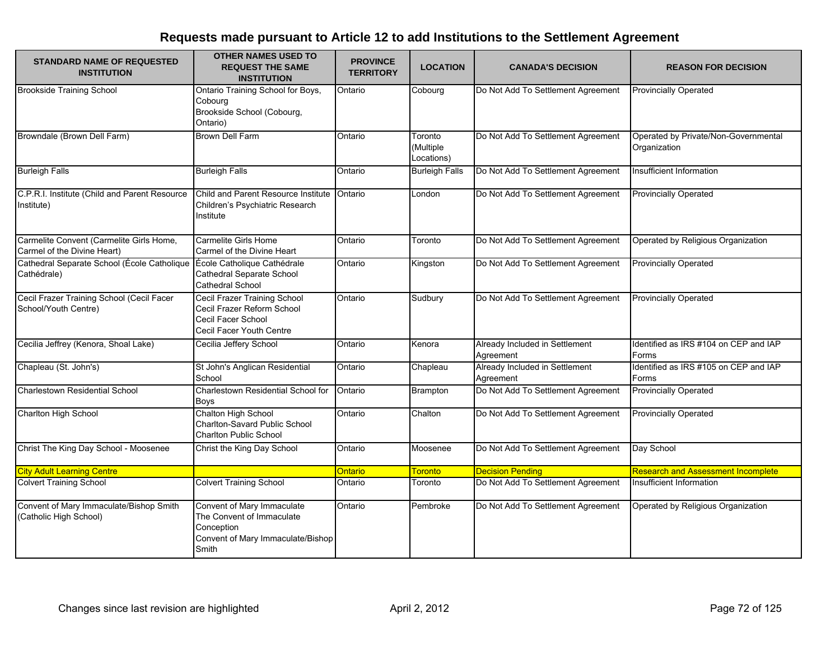| <b>STANDARD NAME OF REQUESTED</b><br><b>INSTITUTION</b>                 | <b>OTHER NAMES USED TO</b><br><b>REQUEST THE SAME</b><br><b>INSTITUTION</b>                                         | <b>PROVINCE</b><br><b>TERRITORY</b> | <b>LOCATION</b>                    | <b>CANADA'S DECISION</b>                    | <b>REASON FOR DECISION</b>                           |
|-------------------------------------------------------------------------|---------------------------------------------------------------------------------------------------------------------|-------------------------------------|------------------------------------|---------------------------------------------|------------------------------------------------------|
| <b>Brookside Training School</b>                                        | Ontario Training School for Boys,<br>Cobourg<br>Brookside School (Cobourg,<br>Ontario)                              | Ontario                             | Cobourg                            | Do Not Add To Settlement Agreement          | <b>Provincially Operated</b>                         |
| Browndale (Brown Dell Farm)                                             | Brown Dell Farm                                                                                                     | Ontario                             | Toronto<br>(Multiple<br>Locations) | Do Not Add To Settlement Agreement          | Operated by Private/Non-Governmental<br>Organization |
| <b>Burleigh Falls</b>                                                   | <b>Burleigh Falls</b>                                                                                               | Ontario                             | <b>Burleigh Falls</b>              | Do Not Add To Settlement Agreement          | Insufficient Information                             |
| C.P.R.I. Institute (Child and Parent Resource<br>Institute)             | Child and Parent Resource Institute<br>Children's Psychiatric Research<br>Institute                                 | Ontario                             | London                             | Do Not Add To Settlement Agreement          | <b>Provincially Operated</b>                         |
| Carmelite Convent (Carmelite Girls Home,<br>Carmel of the Divine Heart) | Carmelite Girls Home<br>Carmel of the Divine Heart                                                                  | Ontario                             | Toronto                            | Do Not Add To Settlement Agreement          | Operated by Religious Organization                   |
| Cathedral Separate School (École Catholique<br>Cathédrale)              | École Catholique Cathédrale<br>Cathedral Separate School<br>Cathedral School                                        | Ontario                             | Kingston                           | Do Not Add To Settlement Agreement          | <b>Provincially Operated</b>                         |
| Cecil Frazer Training School (Cecil Facer<br>School/Youth Centre)       | Cecil Frazer Training School<br>Cecil Frazer Reform School<br>Cecil Facer School<br>Cecil Facer Youth Centre        | Ontario                             | Sudbury                            | Do Not Add To Settlement Agreement          | <b>Provincially Operated</b>                         |
| Cecilia Jeffrey (Kenora, Shoal Lake)                                    | Cecilia Jeffery School                                                                                              | Ontario                             | Kenora                             | Already Included in Settlement<br>Agreement | Identified as IRS #104 on CEP and IAP<br>Forms       |
| Chapleau (St. John's)                                                   | St John's Anglican Residential<br>School                                                                            | Ontario                             | Chapleau                           | Already Included in Settlement<br>Agreement | Identified as IRS #105 on CEP and IAP<br>Forms       |
| Charlestown Residential School                                          | Charlestown Residential School for<br><b>Boys</b>                                                                   | Ontario                             | <b>Brampton</b>                    | Do Not Add To Settlement Agreement          | <b>Provincially Operated</b>                         |
| Charlton High School                                                    | Chalton High School<br><b>Charlton-Savard Public School</b><br><b>Charlton Public School</b>                        | Ontario                             | Chalton                            | Do Not Add To Settlement Agreement          | <b>Provincially Operated</b>                         |
| Christ The King Day School - Moosenee                                   | Christ the King Day School                                                                                          | Ontario                             | Moosenee                           | Do Not Add To Settlement Agreement          | Day School                                           |
| <b>City Adult Learning Centre</b>                                       |                                                                                                                     | <b>Ontario</b>                      | <b>Toronto</b>                     | <b>Decision Pending</b>                     | <b>Research and Assessment Incomplete</b>            |
| <b>Colvert Training School</b>                                          | <b>Colvert Training School</b>                                                                                      | Ontario                             | Toronto                            | Do Not Add To Settlement Agreement          | Insufficient Information                             |
| Convent of Mary Immaculate/Bishop Smith<br>(Catholic High School)       | Convent of Mary Immaculate<br>The Convent of Immaculate<br>Conception<br>Convent of Mary Immaculate/Bishop<br>Smith | Ontario                             | Pembroke                           | Do Not Add To Settlement Agreement          | Operated by Religious Organization                   |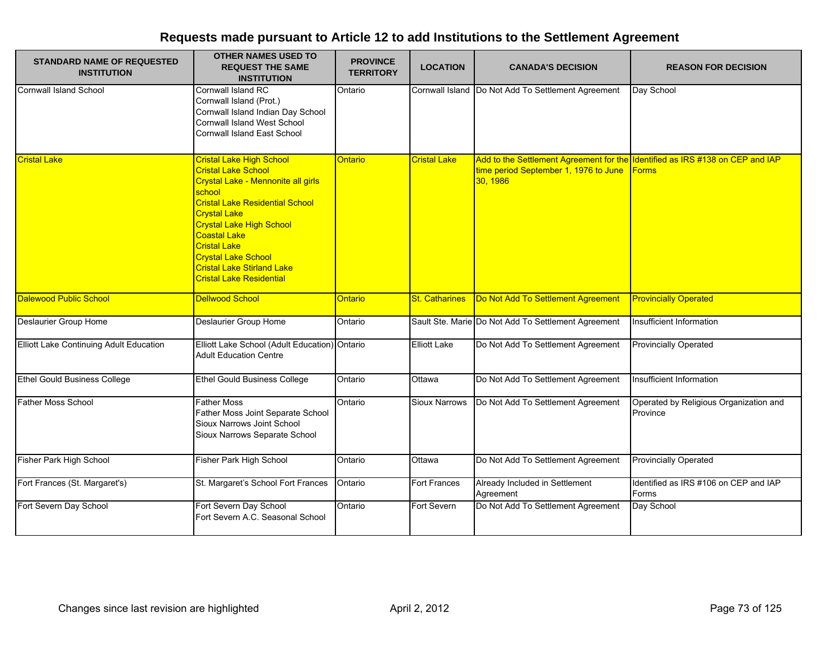| <b>STANDARD NAME OF REQUESTED</b><br><b>INSTITUTION</b> | <b>OTHER NAMES USED TO</b><br><b>REQUEST THE SAME</b><br><b>INSTITUTION</b>                                                                                                                                                                                                                                                                                    | <b>PROVINCE</b><br><b>TERRITORY</b> | <b>LOCATION</b>       | <b>CANADA'S DECISION</b>                                                                                                          | <b>REASON FOR DECISION</b>                         |
|---------------------------------------------------------|----------------------------------------------------------------------------------------------------------------------------------------------------------------------------------------------------------------------------------------------------------------------------------------------------------------------------------------------------------------|-------------------------------------|-----------------------|-----------------------------------------------------------------------------------------------------------------------------------|----------------------------------------------------|
| <b>Cornwall Island School</b>                           | Cornwall Island RC<br>Cornwall Island (Prot.)<br>Cornwall Island Indian Day School<br>Cornwall Island West School<br><b>Cornwall Island East School</b>                                                                                                                                                                                                        | Ontario                             |                       | Cornwall Island Do Not Add To Settlement Agreement                                                                                | Day School                                         |
| <b>Cristal Lake</b>                                     | <b>Cristal Lake High School</b><br><b>Cristal Lake School</b><br>Crystal Lake - Mennonite all girls<br>school<br><b>Cristal Lake Residential School</b><br><b>Crystal Lake</b><br><b>Crystal Lake High School</b><br>Coastal Lake<br><b>Cristal Lake</b><br><b>Crystal Lake School</b><br><b>Cristal Lake Stirland Lake</b><br><b>Cristal Lake Residential</b> | Ontario                             | <b>Cristal Lake</b>   | Add to the Settlement Agreement for the Identified as IRS #138 on CEP and IAP<br>time period September 1, 1976 to June<br>30.1986 | <b>Forms</b>                                       |
| <b>Dalewood Public School</b>                           | <b>Dellwood School</b>                                                                                                                                                                                                                                                                                                                                         | <b>Ontario</b>                      | <b>St. Catharines</b> | Do Not Add To Settlement Agreement                                                                                                | <b>Provincially Operated</b>                       |
| Deslaurier Group Home                                   | <b>Deslaurier Group Home</b>                                                                                                                                                                                                                                                                                                                                   | Ontario                             |                       | Sault Ste. Marie Do Not Add To Settlement Agreement                                                                               | Insufficient Information                           |
| Elliott Lake Continuing Adult Education                 | Elliott Lake School (Adult Education) Ontario<br><b>Adult Education Centre</b>                                                                                                                                                                                                                                                                                 |                                     | <b>Elliott Lake</b>   | Do Not Add To Settlement Agreement                                                                                                | <b>Provincially Operated</b>                       |
| <b>Ethel Gould Business College</b>                     | <b>Ethel Gould Business College</b>                                                                                                                                                                                                                                                                                                                            | Ontario                             | Ottawa                | Do Not Add To Settlement Agreement                                                                                                | Insufficient Information                           |
| Father Moss School                                      | <b>Father Moss</b><br>Father Moss Joint Separate School<br>Sioux Narrows Joint School<br>Sioux Narrows Separate School                                                                                                                                                                                                                                         | Ontario                             | Sioux Narrows         | Do Not Add To Settlement Agreement                                                                                                | Operated by Religious Organization and<br>Province |
| Fisher Park High School                                 | Fisher Park High School                                                                                                                                                                                                                                                                                                                                        | Ontario                             | Ottawa                | Do Not Add To Settlement Agreement                                                                                                | <b>Provincially Operated</b>                       |
| Fort Frances (St. Margaret's)                           | St. Margaret's School Fort Frances                                                                                                                                                                                                                                                                                                                             | Ontario                             | <b>Fort Frances</b>   | Already Included in Settlement<br>Agreement                                                                                       | Identified as IRS #106 on CEP and IAP<br>Forms     |
| Fort Severn Day School                                  | Fort Severn Day School<br>Fort Severn A.C. Seasonal School                                                                                                                                                                                                                                                                                                     | Ontario                             | Fort Severn           | Do Not Add To Settlement Agreement                                                                                                | Day School                                         |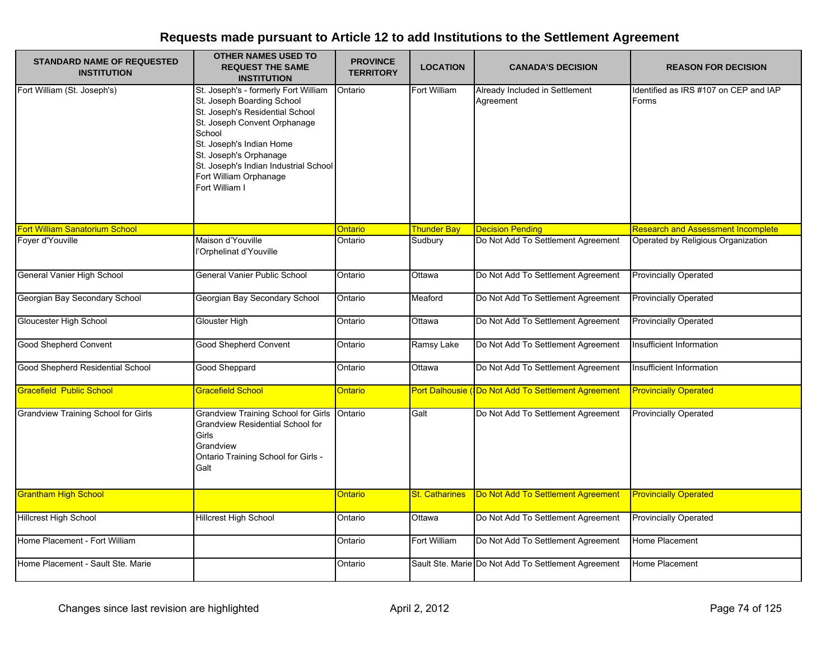| <b>STANDARD NAME OF REQUESTED</b><br><b>INSTITUTION</b> | <b>OTHER NAMES USED TO</b><br><b>REQUEST THE SAME</b><br><b>INSTITUTION</b>                                                                                                                                                                                                                | <b>PROVINCE</b><br><b>TERRITORY</b> | <b>LOCATION</b>       | <b>CANADA'S DECISION</b>                            | <b>REASON FOR DECISION</b>                     |
|---------------------------------------------------------|--------------------------------------------------------------------------------------------------------------------------------------------------------------------------------------------------------------------------------------------------------------------------------------------|-------------------------------------|-----------------------|-----------------------------------------------------|------------------------------------------------|
| Fort William (St. Joseph's)                             | St. Joseph's - formerly Fort William<br>St. Joseph Boarding School<br>St. Joseph's Residential School<br>St. Joseph Convent Orphanage<br>School<br>St. Joseph's Indian Home<br>St. Joseph's Orphanage<br>St. Joseph's Indian Industrial School<br>Fort William Orphanage<br>Fort William I | Ontario                             | Fort William          | Already Included in Settlement<br>Agreement         | Identified as IRS #107 on CEP and IAP<br>Forms |
| <b>Fort William Sanatorium School</b>                   |                                                                                                                                                                                                                                                                                            | Ontario                             | <b>Thunder Bay</b>    | <b>Decision Pending</b>                             | <b>Research and Assessment Incomplete</b>      |
| Fover d'Youville                                        | Maison d'Youville<br>l'Orphelinat d'Youville                                                                                                                                                                                                                                               | Ontario                             | Sudbury               | Do Not Add To Settlement Agreement                  | Operated by Religious Organization             |
| General Vanier High School                              | <b>General Vanier Public School</b>                                                                                                                                                                                                                                                        | Ontario                             | Ottawa                | Do Not Add To Settlement Agreement                  | <b>Provincially Operated</b>                   |
| Georgian Bay Secondary School                           | Georgian Bay Secondary School                                                                                                                                                                                                                                                              | Ontario                             | Meaford               | Do Not Add To Settlement Agreement                  | <b>Provincially Operated</b>                   |
| <b>Gloucester High School</b>                           | Glouster High                                                                                                                                                                                                                                                                              | Ontario                             | Ottawa                | Do Not Add To Settlement Agreement                  | <b>Provincially Operated</b>                   |
| <b>Good Shepherd Convent</b>                            | Good Shepherd Convent                                                                                                                                                                                                                                                                      | Ontario                             | Ramsy Lake            | Do Not Add To Settlement Agreement                  | Insufficient Information                       |
| Good Shepherd Residential School                        | <b>Good Sheppard</b>                                                                                                                                                                                                                                                                       | Ontario                             | Ottawa                | Do Not Add To Settlement Agreement                  | Insufficient Information                       |
| <b>Gracefield Public School</b>                         | Gracefield School                                                                                                                                                                                                                                                                          | Ontario                             |                       | Port Dalhousie (Do Not Add To Settlement Agreement  | <b>Provincially Operated</b>                   |
| <b>Grandview Training School for Girls</b>              | <b>Grandview Training School for Girls</b><br><b>Grandview Residential School for</b><br>Girls<br>Grandview<br>Ontario Training School for Girls -<br>Galt                                                                                                                                 | Ontario                             | Galt                  | Do Not Add To Settlement Agreement                  | <b>Provincially Operated</b>                   |
| <b>Grantham High School</b>                             |                                                                                                                                                                                                                                                                                            | Ontario                             | <b>St. Catharines</b> | Do Not Add To Settlement Agreement                  | <b>Provincially Operated</b>                   |
| <b>Hillcrest High School</b>                            | <b>Hillcrest High School</b>                                                                                                                                                                                                                                                               | Ontario                             | Ottawa                | Do Not Add To Settlement Agreement                  | <b>Provincially Operated</b>                   |
| Home Placement - Fort William                           |                                                                                                                                                                                                                                                                                            | Ontario                             | Fort William          | Do Not Add To Settlement Agreement                  | Home Placement                                 |
| Home Placement - Sault Ste. Marie                       |                                                                                                                                                                                                                                                                                            | Ontario                             |                       | Sault Ste. Marie Do Not Add To Settlement Agreement | Home Placement                                 |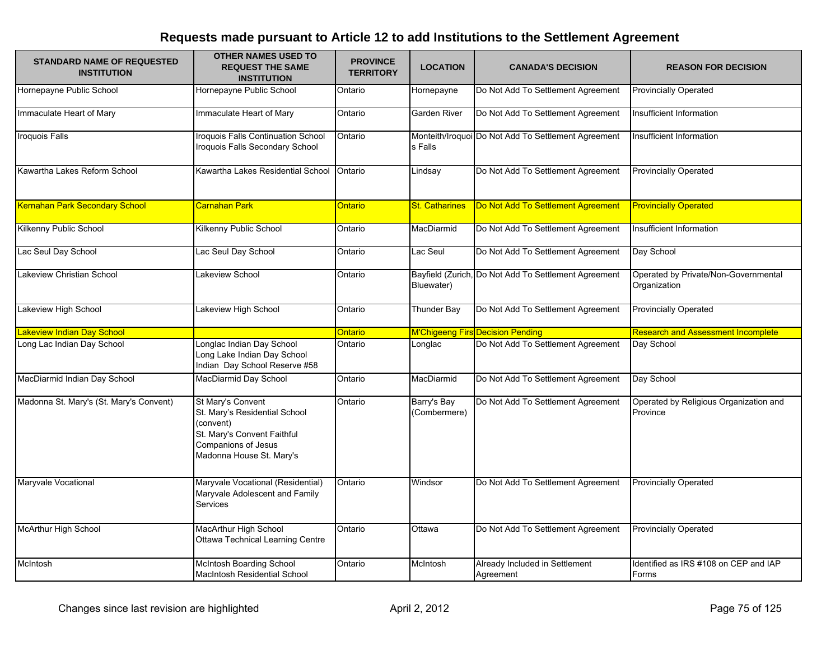| <b>STANDARD NAME OF REQUESTED</b><br><b>INSTITUTION</b> | <b>OTHER NAMES USED TO</b><br><b>REQUEST THE SAME</b><br><b>INSTITUTION</b>                                                                       | <b>PROVINCE</b><br><b>TERRITORY</b> | <b>LOCATION</b>             | <b>CANADA'S DECISION</b>                             | <b>REASON FOR DECISION</b>                           |
|---------------------------------------------------------|---------------------------------------------------------------------------------------------------------------------------------------------------|-------------------------------------|-----------------------------|------------------------------------------------------|------------------------------------------------------|
| Hornepayne Public School                                | Hornepayne Public School                                                                                                                          | Ontario                             | Hornepayne                  | Do Not Add To Settlement Agreement                   | <b>Provincially Operated</b>                         |
| Immaculate Heart of Mary                                | Immaculate Heart of Mary                                                                                                                          | Ontario                             | Garden River                | Do Not Add To Settlement Agreement                   | Insufficient Information                             |
| Iroquois Falls                                          | Iroquois Falls Continuation School<br>Iroquois Falls Secondary School                                                                             | Ontario                             | s Falls                     | Monteith/Iroquoi Do Not Add To Settlement Agreement  | Insufficient Information                             |
| Kawartha Lakes Reform School                            | Kawartha Lakes Residential School                                                                                                                 | Ontario                             | Lindsay                     | Do Not Add To Settlement Agreement                   | <b>Provincially Operated</b>                         |
| <b>Kernahan Park Secondary School</b>                   | <b>Carnahan Park</b>                                                                                                                              | Ontario                             | <b>St. Catharines</b>       | Do Not Add To Settlement Agreement                   | <b>Provincially Operated</b>                         |
| Kilkenny Public School                                  | Kilkenny Public School                                                                                                                            | Ontario                             | MacDiarmid                  | Do Not Add To Settlement Agreement                   | Insufficient Information                             |
| Lac Seul Day School                                     | Lac Seul Day School                                                                                                                               | Ontario                             | Lac Seul                    | Do Not Add To Settlement Agreement                   | Day School                                           |
| Lakeview Christian School                               | Lakeview School                                                                                                                                   | Ontario                             | Bluewater)                  | Bayfield (Zurich, Do Not Add To Settlement Agreement | Operated by Private/Non-Governmental<br>Organization |
| Lakeview High School                                    | Lakeview High School                                                                                                                              | Ontario                             | Thunder Bay                 | Do Not Add To Settlement Agreement                   | <b>Provincially Operated</b>                         |
| Lakeview Indian Day School                              |                                                                                                                                                   | Ontario                             |                             | M'Chigeeng Firs Decision Pending                     | <b>Research and Assessment Incomplete</b>            |
| Long Lac Indian Day School                              | Longlac Indian Day School<br>Long Lake Indian Day School<br>Indian Day School Reserve #58                                                         | Ontario                             | Longlac                     | Do Not Add To Settlement Agreement                   | Day School                                           |
| MacDiarmid Indian Day School                            | MacDiarmid Day School                                                                                                                             | Ontario                             | MacDiarmid                  | Do Not Add To Settlement Agreement                   | Day School                                           |
| Madonna St. Mary's (St. Mary's Convent)                 | St Mary's Convent<br>St. Mary's Residential School<br>(convent)<br>St. Mary's Convent Faithful<br>Companions of Jesus<br>Madonna House St. Mary's | Ontario                             | Barry's Bay<br>(Combermere) | Do Not Add To Settlement Agreement                   | Operated by Religious Organization and<br>Province   |
| Maryvale Vocational                                     | Maryvale Vocational (Residential)<br>Maryvale Adolescent and Family<br>Services                                                                   | Ontario                             | Windsor                     | Do Not Add To Settlement Agreement                   | <b>Provincially Operated</b>                         |
| <b>McArthur High School</b>                             | MacArthur High School<br><b>Ottawa Technical Learning Centre</b>                                                                                  | Ontario                             | Ottawa                      | Do Not Add To Settlement Agreement                   | <b>Provincially Operated</b>                         |
| McIntosh                                                | <b>McIntosh Boarding School</b><br><b>MacIntosh Residential School</b>                                                                            | Ontario                             | McIntosh                    | Already Included in Settlement<br>Agreement          | Identified as IRS #108 on CEP and IAP<br>Forms       |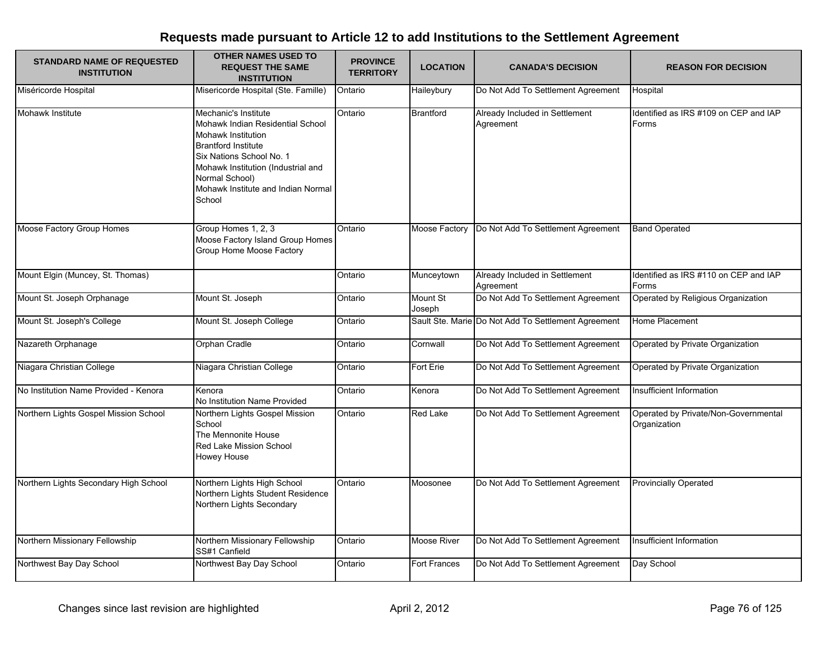| <b>STANDARD NAME OF REQUESTED</b><br><b>INSTITUTION</b> | <b>OTHER NAMES USED TO</b><br><b>REQUEST THE SAME</b><br><b>INSTITUTION</b>                                                                                                                                                                      | <b>PROVINCE</b><br><b>TERRITORY</b> | <b>LOCATION</b>     | <b>CANADA'S DECISION</b>                            | <b>REASON FOR DECISION</b>                           |
|---------------------------------------------------------|--------------------------------------------------------------------------------------------------------------------------------------------------------------------------------------------------------------------------------------------------|-------------------------------------|---------------------|-----------------------------------------------------|------------------------------------------------------|
| Miséricorde Hospital                                    | Misericorde Hospital (Ste. Famille)                                                                                                                                                                                                              | Ontario                             | Haileybury          | Do Not Add To Settlement Agreement                  | Hospital                                             |
| Mohawk Institute                                        | Mechanic's Institute<br>Mohawk Indian Residential School<br>Mohawk Institution<br><b>Brantford Institute</b><br>Six Nations School No. 1<br>Mohawk Institution (Industrial and<br>Normal School)<br>Mohawk Institute and Indian Normal<br>School | Ontario                             | <b>Brantford</b>    | Already Included in Settlement<br>Agreement         | Identified as IRS #109 on CEP and IAP<br>Forms       |
| Moose Factory Group Homes                               | Group Homes 1, 2, 3<br>Moose Factory Island Group Homes<br>Group Home Moose Factory                                                                                                                                                              | Ontario                             | Moose Factory       | Do Not Add To Settlement Agreement                  | <b>Band Operated</b>                                 |
| Mount Elgin (Muncey, St. Thomas)                        |                                                                                                                                                                                                                                                  | Ontario                             | Munceytown          | Already Included in Settlement<br>Agreement         | Identified as IRS #110 on CEP and IAP<br>Forms       |
| Mount St. Joseph Orphanage                              | Mount St. Joseph                                                                                                                                                                                                                                 | Ontario                             | Mount St<br>Joseph  | Do Not Add To Settlement Agreement                  | Operated by Religious Organization                   |
| Mount St. Joseph's College                              | Mount St. Joseph College                                                                                                                                                                                                                         | Ontario                             |                     | Sault Ste. Marie Do Not Add To Settlement Agreement | Home Placement                                       |
| Nazareth Orphanage                                      | Orphan Cradle                                                                                                                                                                                                                                    | Ontario                             | Cornwall            | Do Not Add To Settlement Agreement                  | Operated by Private Organization                     |
| Niagara Christian College                               | Niagara Christian College                                                                                                                                                                                                                        | Ontario                             | Fort Erie           | Do Not Add To Settlement Agreement                  | Operated by Private Organization                     |
| No Institution Name Provided - Kenora                   | Kenora<br>No Institution Name Provided                                                                                                                                                                                                           | Ontario                             | Kenora              | Do Not Add To Settlement Agreement                  | Insufficient Information                             |
| Northern Lights Gospel Mission School                   | Northern Lights Gospel Mission<br>School<br>The Mennonite House<br>Red Lake Mission School<br>Howey House                                                                                                                                        | Ontario                             | Red Lake            | Do Not Add To Settlement Agreement                  | Operated by Private/Non-Governmental<br>Organization |
| Northern Lights Secondary High School                   | Northern Lights High School<br>Northern Lights Student Residence<br>Northern Lights Secondary                                                                                                                                                    | Ontario                             | Moosonee            | Do Not Add To Settlement Agreement                  | <b>Provincially Operated</b>                         |
| Northern Missionary Fellowship                          | Northern Missionary Fellowship<br>SS#1 Canfield                                                                                                                                                                                                  | Ontario                             | <b>Moose River</b>  | Do Not Add To Settlement Agreement                  | Insufficient Information                             |
| Northwest Bay Day School                                | Northwest Bay Day School                                                                                                                                                                                                                         | Ontario                             | <b>Fort Frances</b> | Do Not Add To Settlement Agreement                  | Day School                                           |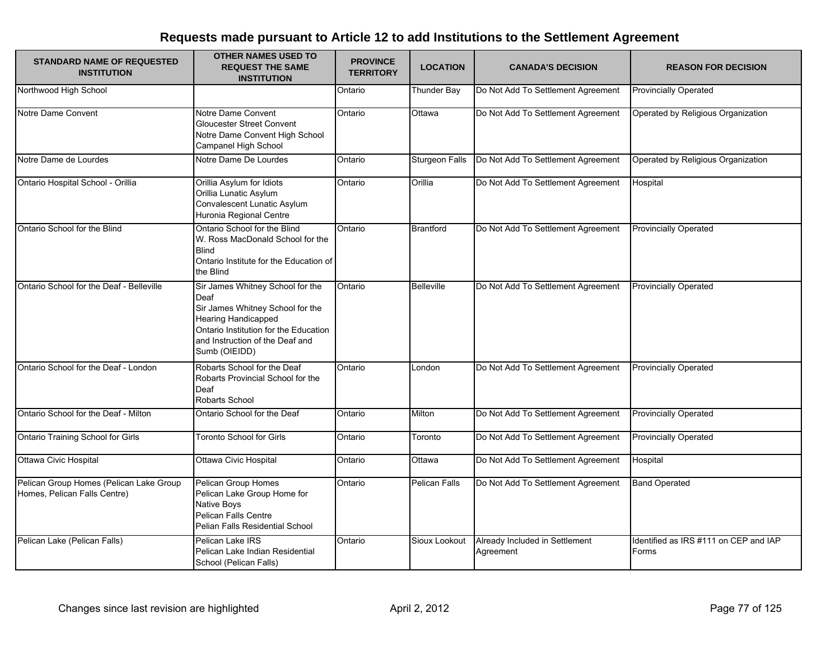| <b>STANDARD NAME OF REQUESTED</b><br><b>INSTITUTION</b>                 | <b>OTHER NAMES USED TO</b><br><b>REQUEST THE SAME</b><br><b>INSTITUTION</b>                                                                                                                             | <b>PROVINCE</b><br><b>TERRITORY</b> | <b>LOCATION</b>       | <b>CANADA'S DECISION</b>                    | <b>REASON FOR DECISION</b>                     |
|-------------------------------------------------------------------------|---------------------------------------------------------------------------------------------------------------------------------------------------------------------------------------------------------|-------------------------------------|-----------------------|---------------------------------------------|------------------------------------------------|
| Northwood High School                                                   |                                                                                                                                                                                                         | Ontario                             | Thunder Bay           | Do Not Add To Settlement Agreement          | <b>Provincially Operated</b>                   |
| Notre Dame Convent                                                      | Notre Dame Convent<br><b>Gloucester Street Convent</b><br>Notre Dame Convent High School<br>Campanel High School                                                                                        | Ontario                             | Ottawa                | Do Not Add To Settlement Agreement          | Operated by Religious Organization             |
| Notre Dame de Lourdes                                                   | Notre Dame De Lourdes                                                                                                                                                                                   | Ontario                             | <b>Sturgeon Falls</b> | Do Not Add To Settlement Agreement          | Operated by Religious Organization             |
| Ontario Hospital School - Orillia                                       | Orillia Asylum for Idiots<br>Orillia Lunatic Asylum<br>Convalescent Lunatic Asylum<br>Huronia Regional Centre                                                                                           | Ontario                             | Orillia               | Do Not Add To Settlement Agreement          | Hospital                                       |
| Ontario School for the Blind                                            | Ontario School for the Blind<br>W. Ross MacDonald School for the<br><b>Blind</b><br>Ontario Institute for the Education of<br>the Blind                                                                 | Ontario                             | <b>Brantford</b>      | Do Not Add To Settlement Agreement          | <b>Provincially Operated</b>                   |
| Ontario School for the Deaf - Belleville                                | Sir James Whitney School for the<br>Deaf<br>Sir James Whitney School for the<br><b>Hearing Handicapped</b><br>Ontario Institution for the Education<br>and Instruction of the Deaf and<br>Sumb (OIEIDD) | Ontario                             | <b>Belleville</b>     | Do Not Add To Settlement Agreement          | <b>Provincially Operated</b>                   |
| Ontario School for the Deaf - London                                    | Robarts School for the Deaf<br>Robarts Provincial School for the<br>Deaf<br>Robarts School                                                                                                              | Ontario                             | London                | Do Not Add To Settlement Agreement          | <b>Provincially Operated</b>                   |
| Ontario School for the Deaf - Milton                                    | Ontario School for the Deaf                                                                                                                                                                             | Ontario                             | Milton                | Do Not Add To Settlement Agreement          | <b>Provincially Operated</b>                   |
| Ontario Training School for Girls                                       | <b>Toronto School for Girls</b>                                                                                                                                                                         | Ontario                             | Toronto               | Do Not Add To Settlement Agreement          | <b>Provincially Operated</b>                   |
| Ottawa Civic Hospital                                                   | Ottawa Civic Hospital                                                                                                                                                                                   | Ontario                             | Ottawa                | Do Not Add To Settlement Agreement          | Hospital                                       |
| Pelican Group Homes (Pelican Lake Group<br>Homes, Pelican Falls Centre) | Pelican Group Homes<br>Pelican Lake Group Home for<br><b>Native Boys</b><br>Pelican Falls Centre<br>Pelian Falls Residential School                                                                     | Ontario                             | Pelican Falls         | Do Not Add To Settlement Agreement          | <b>Band Operated</b>                           |
| Pelican Lake (Pelican Falls)                                            | Pelican Lake IRS<br>Pelican Lake Indian Residential<br>School (Pelican Falls)                                                                                                                           | Ontario                             | Sioux Lookout         | Already Included in Settlement<br>Agreement | Identified as IRS #111 on CEP and IAP<br>Forms |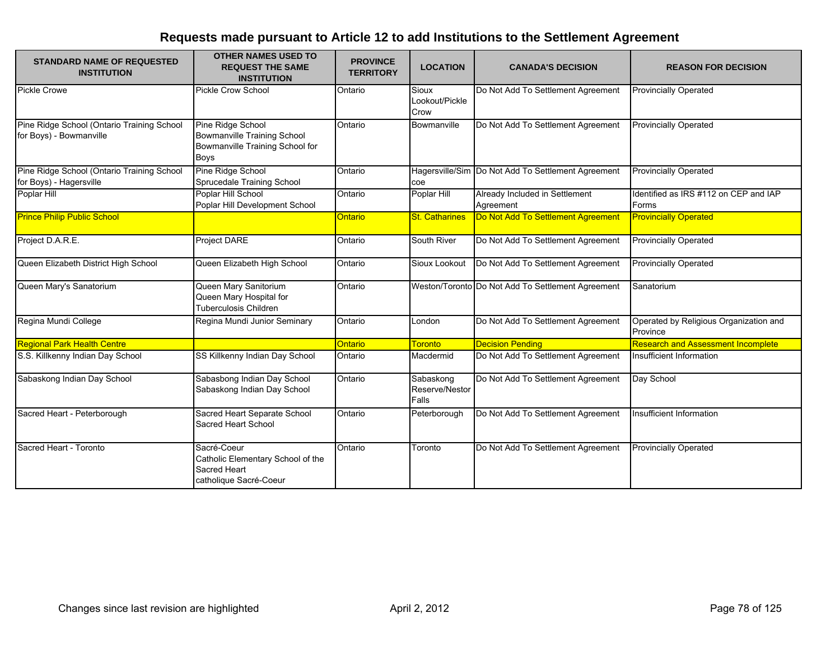| <b>STANDARD NAME OF REQUESTED</b><br><b>INSTITUTION</b>               | <b>OTHER NAMES USED TO</b><br><b>REQUEST THE SAME</b><br><b>INSTITUTION</b>                        | <b>PROVINCE</b><br><b>TERRITORY</b> | <b>LOCATION</b>                      | <b>CANADA'S DECISION</b>                           | <b>REASON FOR DECISION</b>                         |
|-----------------------------------------------------------------------|----------------------------------------------------------------------------------------------------|-------------------------------------|--------------------------------------|----------------------------------------------------|----------------------------------------------------|
| <b>Pickle Crowe</b>                                                   | Pickle Crow School                                                                                 | Ontario                             | Sioux<br>Lookout/Pickle<br>Crow      | Do Not Add To Settlement Agreement                 | <b>Provincially Operated</b>                       |
| Pine Ridge School (Ontario Training School<br>for Boys) - Bowmanville | Pine Ridge School<br>Bowmanville Training School<br>Bowmanville Training School for<br><b>Boys</b> | Ontario                             | Bowmanville                          | Do Not Add To Settlement Agreement                 | <b>Provincially Operated</b>                       |
| Pine Ridge School (Ontario Training School<br>for Boys) - Hagersville | Pine Ridge School<br>Sprucedale Training School                                                    | Ontario                             | coe                                  | Hagersville/Sim Do Not Add To Settlement Agreement | <b>Provincially Operated</b>                       |
| Poplar Hill                                                           | Poplar Hill School<br>Poplar Hill Development School                                               | Ontario                             | Poplar Hill                          | Already Included in Settlement<br>Agreement        | Identified as IRS #112 on CEP and IAP<br>Forms     |
| <b>Prince Philip Public School</b>                                    |                                                                                                    | Ontario                             | <b>St. Catharines</b>                | Do Not Add To Settlement Agreement                 | <b>Provincially Operated</b>                       |
| Project D.A.R.E.                                                      | <b>Project DARE</b>                                                                                | Ontario                             | South River                          | Do Not Add To Settlement Agreement                 | <b>Provincially Operated</b>                       |
| Queen Elizabeth District High School                                  | Queen Elizabeth High School                                                                        | Ontario                             | Sioux Lookout                        | Do Not Add To Settlement Agreement                 | <b>Provincially Operated</b>                       |
| Queen Mary's Sanatorium                                               | Queen Mary Sanitorium<br>Queen Mary Hospital for<br>Tuberculosis Children                          | Ontario                             |                                      | Weston/Toronto Do Not Add To Settlement Agreement  | Sanatorium                                         |
| Regina Mundi College                                                  | Regina Mundi Junior Seminary                                                                       | Ontario                             | London                               | Do Not Add To Settlement Agreement                 | Operated by Religious Organization and<br>Province |
| <b>Regional Park Health Centre</b>                                    |                                                                                                    | Ontario                             | <b>Toronto</b>                       | <b>Decision Pending</b>                            | <b>Research and Assessment Incomplete</b>          |
| S.S. Killkenny Indian Day School                                      | SS Killkenny Indian Day School                                                                     | Ontario                             | Macdermid                            | Do Not Add To Settlement Agreement                 | Insufficient Information                           |
| Sabaskong Indian Day School                                           | Sabasbong Indian Day School<br>Sabaskong Indian Day School                                         | Ontario                             | Sabaskong<br>Reserve/Nestor<br>Falls | Do Not Add To Settlement Agreement                 | Day School                                         |
| Sacred Heart - Peterborough                                           | Sacred Heart Separate School<br>Sacred Heart School                                                | Ontario                             | Peterborough                         | Do Not Add To Settlement Agreement                 | Insufficient Information                           |
| Sacred Heart - Toronto                                                | Sacré-Coeur<br>Catholic Elementary School of the<br><b>Sacred Heart</b><br>catholique Sacré-Coeur  | Ontario                             | Toronto                              | Do Not Add To Settlement Agreement                 | <b>Provincially Operated</b>                       |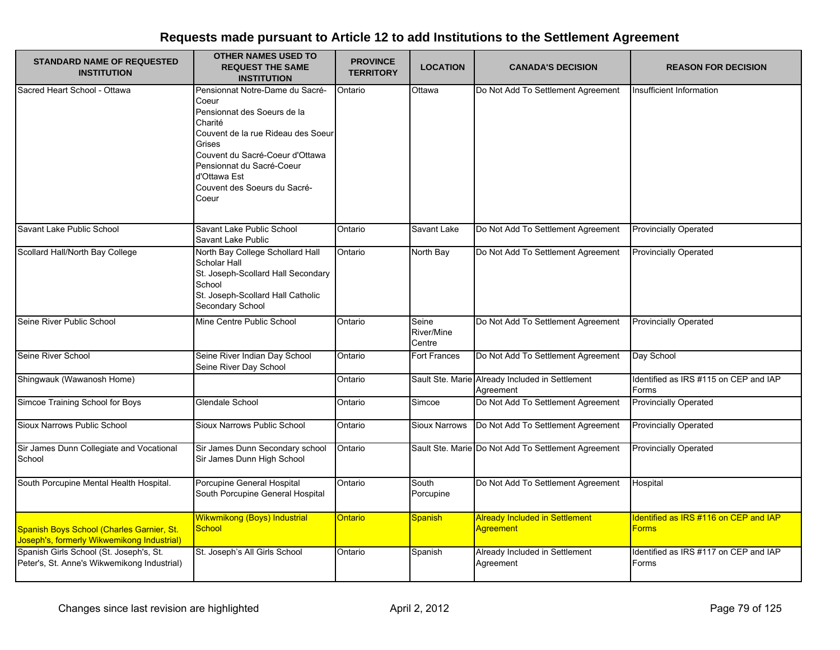| <b>STANDARD NAME OF REQUESTED</b>                                                       | <b>OTHER NAMES USED TO</b><br><b>REQUEST THE SAME</b>                                                                                                                                                                                                       | <b>PROVINCE</b>  | <b>LOCATION</b>               | <b>CANADA'S DECISION</b>                                     | <b>REASON FOR DECISION</b>                            |
|-----------------------------------------------------------------------------------------|-------------------------------------------------------------------------------------------------------------------------------------------------------------------------------------------------------------------------------------------------------------|------------------|-------------------------------|--------------------------------------------------------------|-------------------------------------------------------|
| <b>INSTITUTION</b>                                                                      | <b>INSTITUTION</b>                                                                                                                                                                                                                                          | <b>TERRITORY</b> |                               |                                                              |                                                       |
| Sacred Heart School - Ottawa                                                            | Pensionnat Notre-Dame du Sacré-<br>Coeur<br>Pensionnat des Soeurs de la<br>Charité<br>Couvent de la rue Rideau des Soeur<br>Grises<br>Couvent du Sacré-Coeur d'Ottawa<br>Pensionnat du Sacré-Coeur<br>d'Ottawa Est<br>Couvent des Soeurs du Sacré-<br>Coeur | Ontario          | Ottawa                        | Do Not Add To Settlement Agreement                           | Insufficient Information                              |
| Savant Lake Public School                                                               | Savant Lake Public School<br>Savant Lake Public                                                                                                                                                                                                             | Ontario          | Savant Lake                   | Do Not Add To Settlement Agreement                           | <b>Provincially Operated</b>                          |
| Scollard Hall/North Bay College                                                         | North Bay College Schollard Hall<br>Scholar Hall<br>St. Joseph-Scollard Hall Secondary<br>School<br>St. Joseph-Scollard Hall Catholic<br>Secondary School                                                                                                   | Ontario          | North Bay                     | Do Not Add To Settlement Agreement                           | <b>Provincially Operated</b>                          |
| Seine River Public School                                                               | Mine Centre Public School                                                                                                                                                                                                                                   | Ontario          | Seine<br>River/Mine<br>Centre | Do Not Add To Settlement Agreement                           | <b>Provincially Operated</b>                          |
| Seine River School                                                                      | Seine River Indian Day School<br>Seine River Day School                                                                                                                                                                                                     | Ontario          | <b>Fort Frances</b>           | Do Not Add To Settlement Agreement                           | Day School                                            |
| Shingwauk (Wawanosh Home)                                                               |                                                                                                                                                                                                                                                             | Ontario          |                               | Sault Ste. Marie Already Included in Settlement<br>Agreement | Identified as IRS #115 on CEP and IAP<br>Forms        |
| Simcoe Training School for Boys                                                         | Glendale School                                                                                                                                                                                                                                             | Ontario          | Simcoe                        | Do Not Add To Settlement Agreement                           | <b>Provincially Operated</b>                          |
| Sioux Narrows Public School                                                             | Sioux Narrows Public School                                                                                                                                                                                                                                 | Ontario          | <b>Sioux Narrows</b>          | Do Not Add To Settlement Agreement                           | <b>Provincially Operated</b>                          |
| Sir James Dunn Collegiate and Vocational<br>School                                      | Sir James Dunn Secondary school<br>Sir James Dunn High School                                                                                                                                                                                               | Ontario          |                               | Sault Ste. Marie Do Not Add To Settlement Agreement          | <b>Provincially Operated</b>                          |
| South Porcupine Mental Health Hospital.                                                 | Porcupine General Hospital<br>South Porcupine General Hospital                                                                                                                                                                                              | Ontario          | South<br>Porcupine            | Do Not Add To Settlement Agreement                           | Hospital                                              |
| Spanish Boys School (Charles Garnier, St.<br>Joseph's, formerly Wikwemikong Industrial) | Wikwmikong (Boys) Industrial<br>School                                                                                                                                                                                                                      | Ontario          | <b>Spanish</b>                | <b>Already Included in Settlement</b><br><b>Agreement</b>    | Identified as IRS #116 on CEP and IAP<br><b>Forms</b> |
| Spanish Girls School (St. Joseph's, St.<br>Peter's, St. Anne's Wikwemikong Industrial)  | St. Joseph's All Girls School                                                                                                                                                                                                                               | Ontario          | Spanish                       | Already Included in Settlement<br>Agreement                  | Identified as IRS #117 on CEP and IAP<br>Forms        |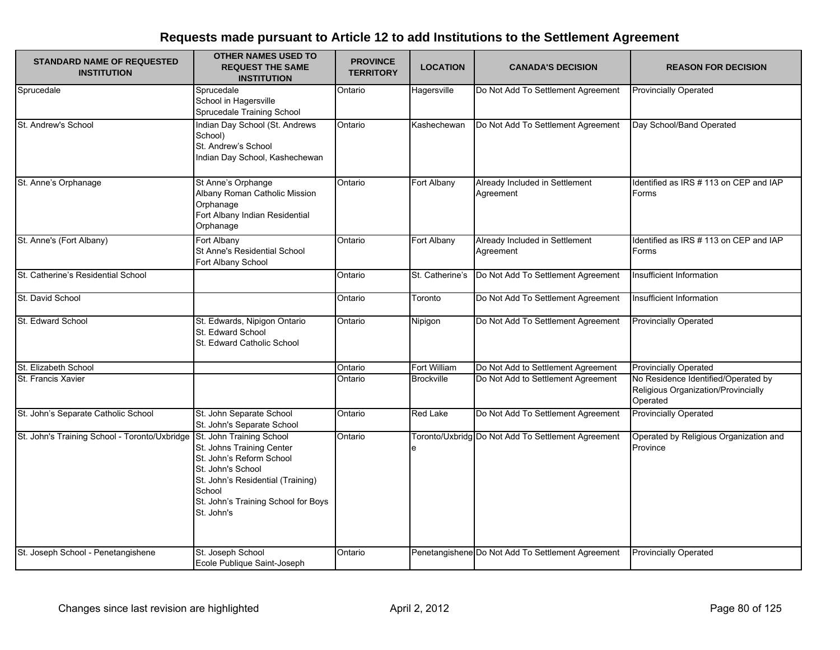| <b>STANDARD NAME OF REQUESTED</b><br><b>INSTITUTION</b> | <b>OTHER NAMES USED TO</b><br><b>REQUEST THE SAME</b><br><b>INSTITUTION</b>                                                                                                                                | <b>PROVINCE</b><br><b>TERRITORY</b> | <b>LOCATION</b>   | <b>CANADA'S DECISION</b>                           | <b>REASON FOR DECISION</b>                                                             |
|---------------------------------------------------------|------------------------------------------------------------------------------------------------------------------------------------------------------------------------------------------------------------|-------------------------------------|-------------------|----------------------------------------------------|----------------------------------------------------------------------------------------|
| Sprucedale                                              | Sprucedale<br>School in Hagersville<br>Sprucedale Training School                                                                                                                                          | Ontario                             | Hagersville       | Do Not Add To Settlement Agreement                 | <b>Provincially Operated</b>                                                           |
| St. Andrew's School                                     | Indian Day School (St. Andrews<br>School)<br>St. Andrew's School<br>Indian Day School, Kashechewan                                                                                                         | Ontario                             | Kashechewan       | Do Not Add To Settlement Agreement                 | Day School/Band Operated                                                               |
| St. Anne's Orphanage                                    | St Anne's Orphange<br>Albany Roman Catholic Mission<br>Orphanage<br>Fort Albany Indian Residential<br>Orphanage                                                                                            | Ontario                             | Fort Albany       | Already Included in Settlement<br>Agreement        | Identified as IRS # 113 on CEP and IAP<br>Forms                                        |
| St. Anne's (Fort Albany)                                | Fort Albany<br>St Anne's Residential School<br>Fort Albany School                                                                                                                                          | Ontario                             | Fort Albany       | Already Included in Settlement<br>Agreement        | Identified as IRS # 113 on CEP and IAP<br>Forms                                        |
| St. Catherine's Residential School                      |                                                                                                                                                                                                            | Ontario                             | St. Catherine's   | Do Not Add To Settlement Agreement                 | Insufficient Information                                                               |
| St. David School                                        |                                                                                                                                                                                                            | Ontario                             | Toronto           | Do Not Add To Settlement Agreement                 | Insufficient Information                                                               |
| St. Edward School                                       | St. Edwards, Nipigon Ontario<br>St. Edward School<br>St. Edward Catholic School                                                                                                                            | Ontario                             | Nipigon           | Do Not Add To Settlement Agreement                 | <b>Provincially Operated</b>                                                           |
| St. Elizabeth School                                    |                                                                                                                                                                                                            | Ontario                             | Fort William      | Do Not Add to Settlement Agreement                 | <b>Provincially Operated</b>                                                           |
| St. Francis Xavier                                      |                                                                                                                                                                                                            | Ontario                             | <b>Brockville</b> | Do Not Add to Settlement Agreement                 | No Residence Identified/Operated by<br>Religious Organization/Provincially<br>Operated |
| St. John's Separate Catholic School                     | St. John Separate School<br>St. John's Separate School                                                                                                                                                     | Ontario                             | Red Lake          | Do Not Add To Settlement Agreement                 | <b>Provincially Operated</b>                                                           |
| St. John's Training School - Toronto/Uxbridge           | St. John Training School<br>St. Johns Training Center<br>St. John's Reform School<br>St. John's School<br>St. John's Residential (Training)<br>School<br>St. John's Training School for Boys<br>St. John's | Ontario                             | е                 | Toronto/Uxbridg Do Not Add To Settlement Agreement | Operated by Religious Organization and<br>Province                                     |
| St. Joseph School - Penetangishene                      | St. Joseph School<br>Ecole Publique Saint-Joseph                                                                                                                                                           | Ontario                             |                   | Penetangishene Do Not Add To Settlement Agreement  | <b>Provincially Operated</b>                                                           |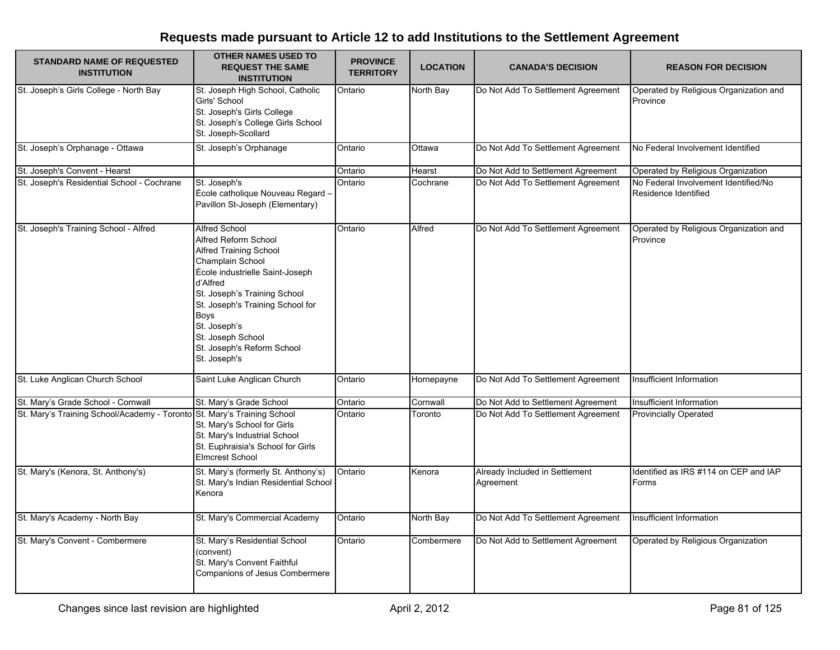| <b>STANDARD NAME OF REQUESTED</b><br><b>INSTITUTION</b>                 | <b>OTHER NAMES USED TO</b><br><b>REQUEST THE SAME</b><br><b>INSTITUTION</b>                                                                                                                                                                                                                                            | <b>PROVINCE</b><br><b>TERRITORY</b> | <b>LOCATION</b> | <b>CANADA'S DECISION</b>                    | <b>REASON FOR DECISION</b>                                   |
|-------------------------------------------------------------------------|------------------------------------------------------------------------------------------------------------------------------------------------------------------------------------------------------------------------------------------------------------------------------------------------------------------------|-------------------------------------|-----------------|---------------------------------------------|--------------------------------------------------------------|
| St. Joseph's Girls College - North Bay                                  | St. Joseph High School, Catholic<br>Girls' School<br>St. Joseph's Girls College<br>St. Joseph's College Girls School<br>St. Joseph-Scollard                                                                                                                                                                            | Ontario                             | North Bay       | Do Not Add To Settlement Agreement          | Operated by Religious Organization and<br>Province           |
| St. Joseph's Orphanage - Ottawa                                         | St. Joseph's Orphanage                                                                                                                                                                                                                                                                                                 | Ontario                             | Ottawa          | Do Not Add To Settlement Agreement          | No Federal Involvement Identified                            |
| St. Joseph's Convent - Hearst                                           |                                                                                                                                                                                                                                                                                                                        | Ontario                             | Hearst          | Do Not Add to Settlement Agreement          | Operated by Religious Organization                           |
| St. Joseph's Residential School - Cochrane                              | St. Joseph's<br>École catholique Nouveau Regard -<br>Pavillon St-Joseph (Elementary)                                                                                                                                                                                                                                   | Ontario                             | Cochrane        | Do Not Add To Settlement Agreement          | No Federal Involvement Identified/No<br>Residence Identified |
| St. Joseph's Training School - Alfred                                   | <b>Alfred School</b><br>Alfred Reform School<br><b>Alfred Training School</b><br>Champlain School<br>École industrielle Saint-Joseph<br>d'Alfred<br>St. Joseph's Training School<br>St. Joseph's Training School for<br><b>Boys</b><br>St. Joseph's<br>St. Joseph School<br>St. Joseph's Reform School<br>St. Joseph's | Ontario                             | Alfred          | Do Not Add To Settlement Agreement          | Operated by Religious Organization and<br>Province           |
| St. Luke Anglican Church School                                         | Saint Luke Anglican Church                                                                                                                                                                                                                                                                                             | Ontario                             | Hornepayne      | Do Not Add To Settlement Agreement          | Insufficient Information                                     |
| St. Mary's Grade School - Cornwall                                      | St. Mary's Grade School                                                                                                                                                                                                                                                                                                | Ontario                             | Cornwall        | Do Not Add to Settlement Agreement          | Insufficient Information                                     |
| St. Mary's Training School/Academy - Toronto St. Mary's Training School | St. Mary's School for Girls<br>St. Mary's Industrial School<br>St. Euphraisia's School for Girls<br><b>Elmcrest School</b>                                                                                                                                                                                             | Ontario                             | Toronto         | Do Not Add To Settlement Agreement          | <b>Provincially Operated</b>                                 |
| St. Mary's (Kenora, St. Anthony's)                                      | St. Mary's (formerly St. Anthony's)<br>St. Mary's Indian Residential School<br>Kenora                                                                                                                                                                                                                                  | Ontario                             | Kenora          | Already Included in Settlement<br>Agreement | Identified as IRS #114 on CEP and IAP<br>Forms               |
| St. Mary's Academy - North Bay                                          | St. Mary's Commercial Academy                                                                                                                                                                                                                                                                                          | Ontario                             | North Bay       | Do Not Add To Settlement Agreement          | Insufficient Information                                     |
| St. Mary's Convent - Combermere                                         | St. Mary's Residential School<br>(convent)<br>St. Mary's Convent Faithful<br>Companions of Jesus Combermere                                                                                                                                                                                                            | Ontario                             | Combermere      | Do Not Add to Settlement Agreement          | Operated by Religious Organization                           |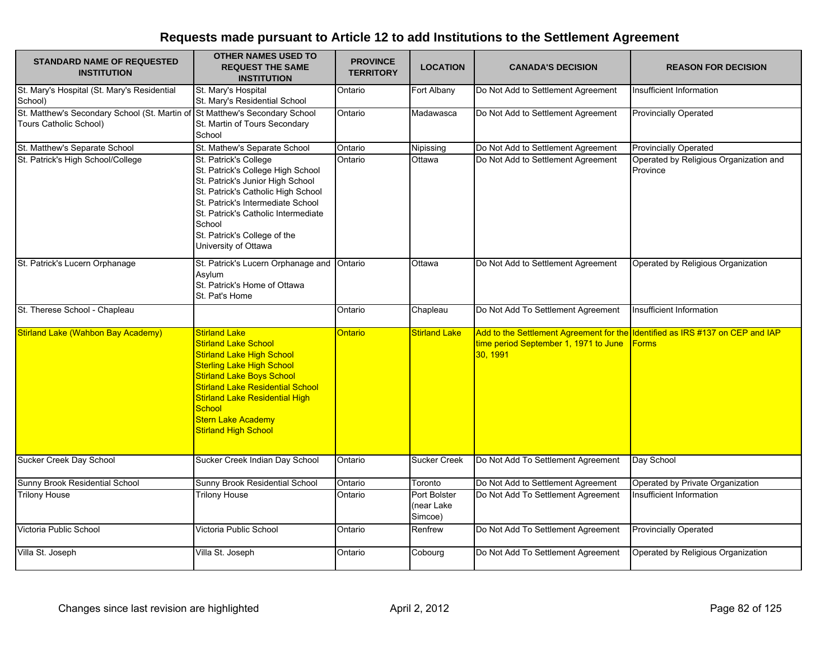| <b>STANDARD NAME OF REQUESTED</b><br><b>INSTITUTION</b>                                               | <b>OTHER NAMES USED TO</b><br><b>REQUEST THE SAME</b><br><b>INSTITUTION</b>                                                                                                                                                                                                                                               | <b>PROVINCE</b><br><b>TERRITORY</b> | <b>LOCATION</b>                       | <b>CANADA'S DECISION</b>                                                                                                           | <b>REASON FOR DECISION</b>                         |
|-------------------------------------------------------------------------------------------------------|---------------------------------------------------------------------------------------------------------------------------------------------------------------------------------------------------------------------------------------------------------------------------------------------------------------------------|-------------------------------------|---------------------------------------|------------------------------------------------------------------------------------------------------------------------------------|----------------------------------------------------|
| St. Mary's Hospital (St. Mary's Residential<br>School)                                                | St. Mary's Hospital<br>St. Mary's Residential School                                                                                                                                                                                                                                                                      | Ontario                             | Fort Albany                           | Do Not Add to Settlement Agreement                                                                                                 | Insufficient Information                           |
| St. Matthew's Secondary School (St. Martin of St Matthew's Secondary School<br>Tours Catholic School) | St. Martin of Tours Secondary<br>School                                                                                                                                                                                                                                                                                   | Ontario                             | Madawasca                             | Do Not Add to Settlement Agreement                                                                                                 | <b>Provincially Operated</b>                       |
| St. Matthew's Separate School                                                                         | St. Mathew's Separate School                                                                                                                                                                                                                                                                                              | Ontario                             | Nipissing                             | Do Not Add to Settlement Agreement                                                                                                 | <b>Provincially Operated</b>                       |
| St. Patrick's High School/College                                                                     | St. Patrick's College<br>St. Patrick's College High School<br>St. Patrick's Junior High School<br>St. Patrick's Catholic High School<br>St. Patrick's Intermediate School<br>St. Patrick's Catholic Intermediate<br>School<br>St. Patrick's College of the<br>University of Ottawa                                        | Ontario                             | Ottawa                                | Do Not Add to Settlement Agreement                                                                                                 | Operated by Religious Organization and<br>Province |
| St. Patrick's Lucern Orphanage                                                                        | St. Patrick's Lucern Orphanage and<br>Asylum<br>St. Patrick's Home of Ottawa<br>St. Pat's Home                                                                                                                                                                                                                            | Ontario                             | Ottawa                                | Do Not Add to Settlement Agreement                                                                                                 | Operated by Religious Organization                 |
| St. Therese School - Chapleau                                                                         |                                                                                                                                                                                                                                                                                                                           | Ontario                             | Chapleau                              | Do Not Add To Settlement Agreement                                                                                                 | Insufficient Information                           |
| <b>Stirland Lake (Wahbon Bay Academy)</b>                                                             | <b>Stirland Lake</b><br><b>Stirland Lake School</b><br><b>Stirland Lake High School</b><br><b>Sterling Lake High School</b><br><b>Stirland Lake Boys School</b><br><b>Stirland Lake Residential School</b><br><b>Stirland Lake Residential High</b><br>School<br><b>Stern Lake Academy</b><br><b>Stirland High School</b> | Ontario                             | <b>Stirland Lake</b>                  | Add to the Settlement Agreement for the Identified as IRS #137 on CEP and IAP<br>time period September 1, 1971 to June<br>30, 1991 | <b>Forms</b>                                       |
| Sucker Creek Day School                                                                               | Sucker Creek Indian Day School                                                                                                                                                                                                                                                                                            | Ontario                             | <b>Sucker Creek</b>                   | Do Not Add To Settlement Agreement                                                                                                 | Day School                                         |
| Sunny Brook Residential School                                                                        | Sunny Brook Residential School                                                                                                                                                                                                                                                                                            | Ontario                             | Toronto                               | Do Not Add to Settlement Agreement                                                                                                 | Operated by Private Organization                   |
| <b>Trilony House</b>                                                                                  | <b>Trilony House</b>                                                                                                                                                                                                                                                                                                      | Ontario                             | Port Bolster<br>(near Lake<br>Simcoe) | Do Not Add To Settlement Agreement                                                                                                 | Insufficient Information                           |
| Victoria Public School                                                                                | Victoria Public School                                                                                                                                                                                                                                                                                                    | Ontario                             | Renfrew                               | Do Not Add To Settlement Agreement                                                                                                 | <b>Provincially Operated</b>                       |
| Villa St. Joseph                                                                                      | Villa St. Joseph                                                                                                                                                                                                                                                                                                          | Ontario                             | Cobourg                               | Do Not Add To Settlement Agreement                                                                                                 | Operated by Religious Organization                 |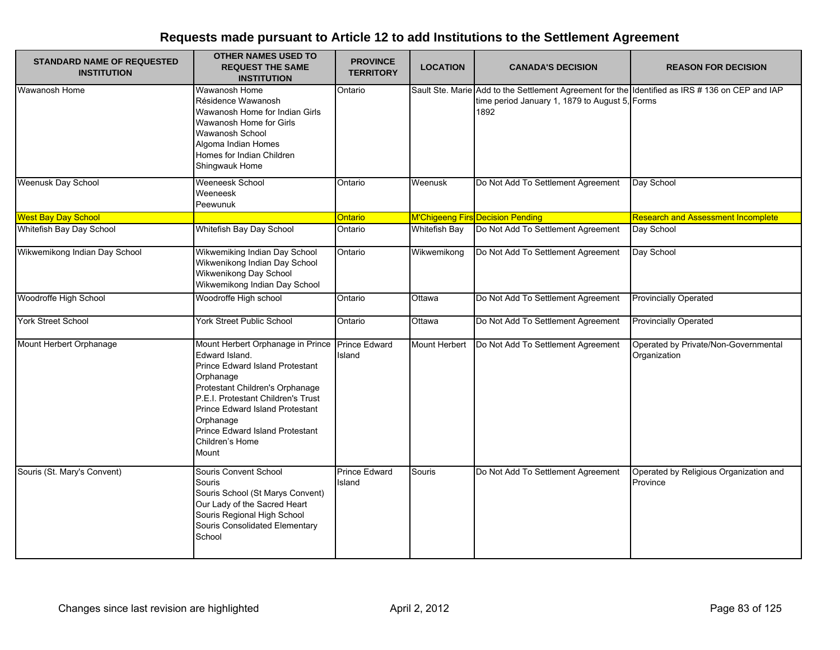| <b>STANDARD NAME OF REQUESTED</b><br><b>INSTITUTION</b> | <b>OTHER NAMES USED TO</b><br><b>REQUEST THE SAME</b><br><b>INSTITUTION</b>                                                                                                                                                                                                                 | <b>PROVINCE</b><br><b>TERRITORY</b> | <b>LOCATION</b>      | <b>CANADA'S DECISION</b>                                                                                                                                 | <b>REASON FOR DECISION</b>                           |
|---------------------------------------------------------|---------------------------------------------------------------------------------------------------------------------------------------------------------------------------------------------------------------------------------------------------------------------------------------------|-------------------------------------|----------------------|----------------------------------------------------------------------------------------------------------------------------------------------------------|------------------------------------------------------|
| Wawanosh Home                                           | Wawanosh Home<br>Résidence Wawanosh<br>Wawanosh Home for Indian Girls<br>Wawanosh Home for Girls<br>Wawanosh School<br>Algoma Indian Homes<br>Homes for Indian Children<br>Shingwauk Home                                                                                                   | Ontario                             |                      | Sault Ste. Marie Add to the Settlement Agreement for the Identified as IRS #136 on CEP and IAP<br>time period January 1, 1879 to August 5, Forms<br>1892 |                                                      |
| Weenusk Day School                                      | Weeneesk School<br>Weeneesk<br>Peewunuk                                                                                                                                                                                                                                                     | Ontario                             | Weenusk              | Do Not Add To Settlement Agreement                                                                                                                       | Day School                                           |
| <b>West Bay Day School</b>                              |                                                                                                                                                                                                                                                                                             | Ontario                             |                      | <b>M'Chigeeng Firs Decision Pending</b>                                                                                                                  | <b>Research and Assessment Incomplete</b>            |
| Whitefish Bay Day School                                | Whitefish Bay Day School                                                                                                                                                                                                                                                                    | Ontario                             | <b>Whitefish Bay</b> | Do Not Add To Settlement Agreement                                                                                                                       | Day School                                           |
| Wikwemikong Indian Day School                           | Wikwemiking Indian Day School<br>Wikwenikong Indian Day School<br>Wikwenikong Day School<br>Wikwemikong Indian Day School                                                                                                                                                                   | Ontario                             | Wikwemikong          | Do Not Add To Settlement Agreement                                                                                                                       | Day School                                           |
| Woodroffe High School                                   | Woodroffe High school                                                                                                                                                                                                                                                                       | Ontario                             | Ottawa               | Do Not Add To Settlement Agreement                                                                                                                       | <b>Provincially Operated</b>                         |
| York Street School                                      | York Street Public School                                                                                                                                                                                                                                                                   | Ontario                             | Ottawa               | Do Not Add To Settlement Agreement                                                                                                                       | <b>Provincially Operated</b>                         |
| Mount Herbert Orphanage                                 | Mount Herbert Orphanage in Prince<br>Edward Island.<br>Prince Edward Island Protestant<br>Orphanage<br>Protestant Children's Orphanage<br>P.E.I. Protestant Children's Trust<br>Prince Edward Island Protestant<br>Orphanage<br>Prince Edward Island Protestant<br>Children's Home<br>Mount | <b>Prince Edward</b><br>Island      | Mount Herbert        | Do Not Add To Settlement Agreement                                                                                                                       | Operated by Private/Non-Governmental<br>Organization |
| Souris (St. Mary's Convent)                             | Souris Convent School<br>Souris<br>Souris School (St Marys Convent)<br>Our Lady of the Sacred Heart<br>Souris Regional High School<br>Souris Consolidated Elementary<br>School                                                                                                              | <b>Prince Edward</b><br>Island      | Souris               | Do Not Add To Settlement Agreement                                                                                                                       | Operated by Religious Organization and<br>Province   |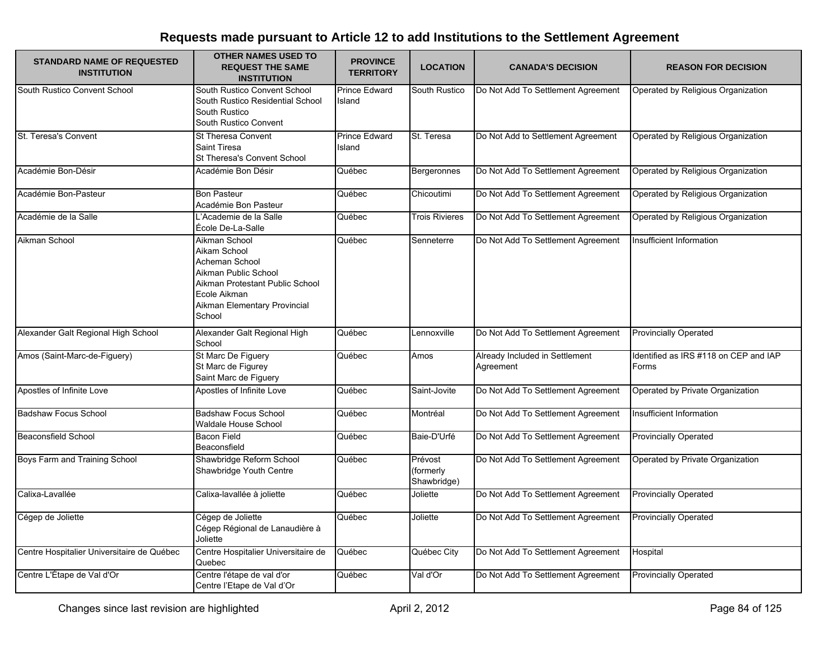| <b>STANDARD NAME OF REQUESTED</b><br><b>INSTITUTION</b> | <b>OTHER NAMES USED TO</b><br><b>REQUEST THE SAME</b><br><b>INSTITUTION</b>                                                                                          | <b>PROVINCE</b><br><b>TERRITORY</b> | <b>LOCATION</b>                     | <b>CANADA'S DECISION</b>                    | <b>REASON FOR DECISION</b>                     |
|---------------------------------------------------------|----------------------------------------------------------------------------------------------------------------------------------------------------------------------|-------------------------------------|-------------------------------------|---------------------------------------------|------------------------------------------------|
| South Rustico Convent School                            | South Rustico Convent School<br>South Rustico Residential School<br>South Rustico<br>South Rustico Convent                                                           | <b>Prince Edward</b><br>Island      | South Rustico                       | Do Not Add To Settlement Agreement          | Operated by Religious Organization             |
| St. Teresa's Convent                                    | St Theresa Convent<br><b>Saint Tiresa</b><br>St Theresa's Convent School                                                                                             | <b>Prince Edward</b><br>Island      | St. Teresa                          | Do Not Add to Settlement Agreement          | Operated by Religious Organization             |
| Académie Bon-Désir                                      | Académie Bon Désir                                                                                                                                                   | Québec                              | <b>Bergeronnes</b>                  | Do Not Add To Settlement Agreement          | Operated by Religious Organization             |
| Académie Bon-Pasteur                                    | <b>Bon Pasteur</b><br>Académie Bon Pasteur                                                                                                                           | Québec                              | Chicoutimi                          | Do Not Add To Settlement Agreement          | Operated by Religious Organization             |
| Académie de la Salle                                    | L'Academie de la Salle<br>École De-La-Salle                                                                                                                          | Québec                              | <b>Trois Rivieres</b>               | Do Not Add To Settlement Agreement          | Operated by Religious Organization             |
| Aikman School                                           | Aikman School<br>Aikam School<br>Acheman School<br>Aikman Public School<br>Aikman Protestant Public School<br>Ecole Aikman<br>Aikman Elementary Provincial<br>School | Québec                              | Senneterre                          | Do Not Add To Settlement Agreement          | Insufficient Information                       |
| Alexander Galt Regional High School                     | Alexander Galt Regional High<br>School                                                                                                                               | Québec                              | Lennoxville                         | Do Not Add To Settlement Agreement          | <b>Provincially Operated</b>                   |
| Amos (Saint-Marc-de-Figuery)                            | St Marc De Figuery<br>St Marc de Figurey<br>Saint Marc de Figuery                                                                                                    | Québec                              | Amos                                | Already Included in Settlement<br>Agreement | Identified as IRS #118 on CEP and IAP<br>Forms |
| Apostles of Infinite Love                               | Apostles of Infinite Love                                                                                                                                            | Québec                              | Saint-Jovite                        | Do Not Add To Settlement Agreement          | Operated by Private Organization               |
| <b>Badshaw Focus School</b>                             | <b>Badshaw Focus School</b><br><b>Waldale House School</b>                                                                                                           | Québec                              | Montréal                            | Do Not Add To Settlement Agreement          | Insufficient Information                       |
| <b>Beaconsfield School</b>                              | <b>Bacon Field</b><br>Beaconsfield                                                                                                                                   | Québec                              | Baie-D'Urfé                         | Do Not Add To Settlement Agreement          | <b>Provincially Operated</b>                   |
| Boys Farm and Training School                           | Shawbridge Reform School<br>Shawbridge Youth Centre                                                                                                                  | Québec                              | Prévost<br>(formerly<br>Shawbridge) | Do Not Add To Settlement Agreement          | Operated by Private Organization               |
| Calixa-Lavallée                                         | Calixa-lavallée à joliette                                                                                                                                           | Québec                              | Joliette                            | Do Not Add To Settlement Agreement          | <b>Provincially Operated</b>                   |
| Cégep de Joliette                                       | Cégep de Joliette<br>Cégep Régional de Lanaudière à<br>Joliette                                                                                                      | Québec                              | Joliette                            | Do Not Add To Settlement Agreement          | <b>Provincially Operated</b>                   |
| Centre Hospitalier Universitaire de Québec              | Centre Hospitalier Universitaire de<br>Quebec                                                                                                                        | Québec                              | Québec City                         | Do Not Add To Settlement Agreement          | Hospital                                       |
| Centre L'Étape de Val d'Or                              | Centre l'étape de val d'or<br>Centre l'Etape de Val d'Or                                                                                                             | Québec                              | Val d'Or                            | Do Not Add To Settlement Agreement          | <b>Provincially Operated</b>                   |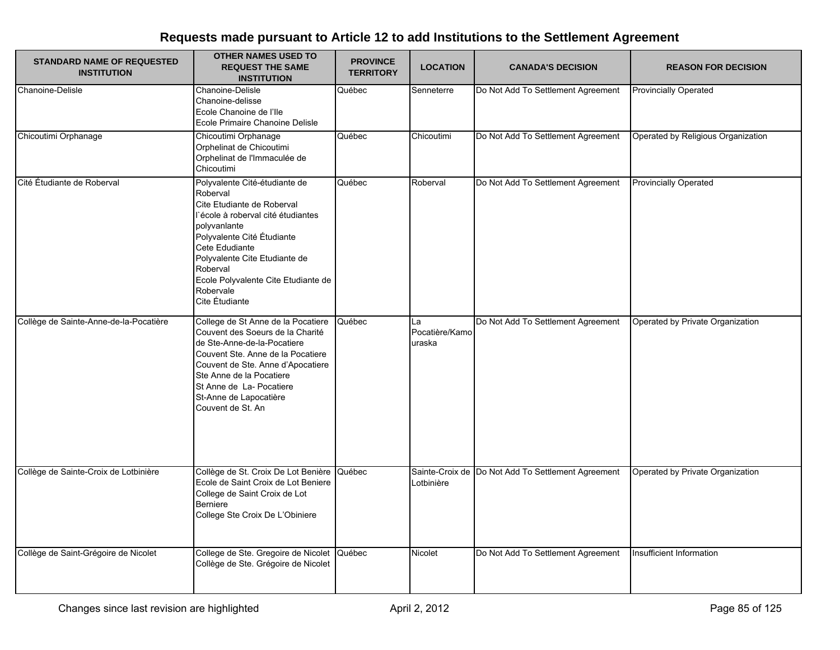| <b>STANDARD NAME OF REQUESTED</b><br><b>INSTITUTION</b> | <b>OTHER NAMES USED TO</b><br><b>REQUEST THE SAME</b><br><b>INSTITUTION</b>                                                                                                                                                                                                                      | <b>PROVINCE</b><br><b>TERRITORY</b> | <b>LOCATION</b>                | <b>CANADA'S DECISION</b>                           | <b>REASON FOR DECISION</b>         |
|---------------------------------------------------------|--------------------------------------------------------------------------------------------------------------------------------------------------------------------------------------------------------------------------------------------------------------------------------------------------|-------------------------------------|--------------------------------|----------------------------------------------------|------------------------------------|
| Chanoine-Delisle                                        | Chanoine-Delisle<br>Chanoine-delisse<br>Ecole Chanoine de l'Ile<br>Ecole Primaire Chanoine Delisle                                                                                                                                                                                               | Québec                              | Senneterre                     | Do Not Add To Settlement Agreement                 | <b>Provincially Operated</b>       |
| Chicoutimi Orphanage                                    | Chicoutimi Orphanage<br>Orphelinat de Chicoutimi<br>Orphelinat de l'Immaculée de<br>Chicoutimi                                                                                                                                                                                                   | Québec                              | Chicoutimi                     | Do Not Add To Settlement Agreement                 | Operated by Religious Organization |
| Cité Étudiante de Roberval                              | Polyvalente Cité-étudiante de<br>Roberval<br>Cite Etudiante de Roberval<br>l'école à roberval cité étudiantes<br>polyvanlante<br>Polyvalente Cité Étudiante<br>Cete Edudiante<br>Polyvalente Cite Etudiante de<br>Roberval<br>Ecole Polyvalente Cite Etudiante de<br>Robervale<br>Cite Étudiante | Québec                              | Roberval                       | Do Not Add To Settlement Agreement                 | <b>Provincially Operated</b>       |
| Collège de Sainte-Anne-de-la-Pocatière                  | College de St Anne de la Pocatiere<br>Couvent des Soeurs de la Charité<br>de Ste-Anne-de-la-Pocatiere<br>Couvent Ste. Anne de la Pocatiere<br>Couvent de Ste. Anne d'Apocatiere<br>Ste Anne de la Pocatiere<br>St Anne de La- Pocatiere<br>St-Anne de Lapocatière<br>Couvent de St. An           | Québec                              | La<br>Pocatière/Kamo<br>uraska | Do Not Add To Settlement Agreement                 | Operated by Private Organization   |
| Collège de Sainte-Croix de Lotbinière                   | Collège de St. Croix De Lot Benière Québec<br>Ecole de Saint Croix de Lot Beniere<br>College de Saint Croix de Lot<br>Berniere<br>College Ste Croix De L'Obiniere                                                                                                                                |                                     | Lotbinière                     | Sainte-Croix de Do Not Add To Settlement Agreement | Operated by Private Organization   |
| Collège de Saint-Grégoire de Nicolet                    | College de Ste. Gregoire de Nicolet Québec<br>Collège de Ste. Grégoire de Nicolet                                                                                                                                                                                                                |                                     | Nicolet                        | Do Not Add To Settlement Agreement                 | Insufficient Information           |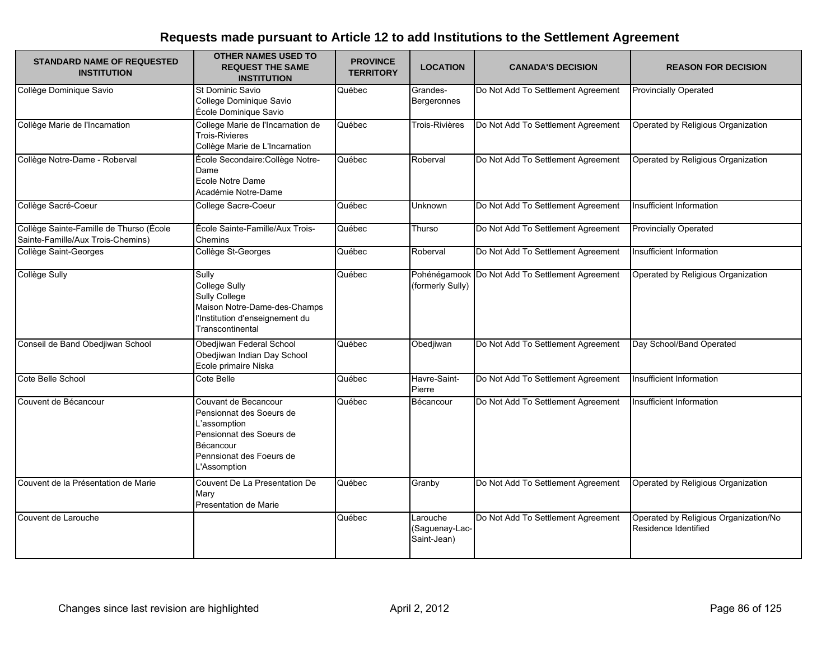| <b>STANDARD NAME OF REQUESTED</b><br><b>INSTITUTION</b>                      | <b>OTHER NAMES USED TO</b><br><b>REQUEST THE SAME</b><br><b>INSTITUTION</b>                                                                           | <b>PROVINCE</b><br><b>TERRITORY</b> | <b>LOCATION</b>                           | <b>CANADA'S DECISION</b>                        | <b>REASON FOR DECISION</b>                                    |
|------------------------------------------------------------------------------|-------------------------------------------------------------------------------------------------------------------------------------------------------|-------------------------------------|-------------------------------------------|-------------------------------------------------|---------------------------------------------------------------|
| Collège Dominique Savio                                                      | St Dominic Savio<br>College Dominique Savio<br>École Dominique Savio                                                                                  | Québec                              | Grandes-<br>Bergeronnes                   | Do Not Add To Settlement Agreement              | <b>Provincially Operated</b>                                  |
| Collège Marie de l'Incarnation                                               | College Marie de l'Incarnation de<br><b>Trois-Rivieres</b><br>Collège Marie de L'Incarnation                                                          | Québec                              | Trois-Rivières                            | Do Not Add To Settlement Agreement              | Operated by Religious Organization                            |
| Collège Notre-Dame - Roberval                                                | École Secondaire: Collège Notre-<br>Dame<br>Ecole Notre Dame<br>Académie Notre-Dame                                                                   | Québec                              | Roberval                                  | Do Not Add To Settlement Agreement              | Operated by Religious Organization                            |
| Collège Sacré-Coeur                                                          | College Sacre-Coeur                                                                                                                                   | Québec                              | Unknown                                   | Do Not Add To Settlement Agreement              | Insufficient Information                                      |
| Collège Sainte-Famille de Thurso (École<br>Sainte-Famille/Aux Trois-Chemins) | École Sainte-Famille/Aux Trois-<br>Chemins                                                                                                            | Québec                              | Thurso                                    | Do Not Add To Settlement Agreement              | <b>Provincially Operated</b>                                  |
| Collège Saint-Georges                                                        | Collège St-Georges                                                                                                                                    | Québec                              | Roberval                                  | Do Not Add To Settlement Agreement              | Insufficient Information                                      |
| <b>Collège Sully</b>                                                         | Sully<br><b>College Sully</b><br><b>Sully College</b><br>Maison Notre-Dame-des-Champs<br>l'Institution d'enseignement du<br>Transcontinental          | Québec                              | (formerly Sully)                          | Pohénégamook Do Not Add To Settlement Agreement | Operated by Religious Organization                            |
| Conseil de Band Obedjiwan School                                             | Obedjiwan Federal School<br>Obedjiwan Indian Day School<br>Ecole primaire Niska                                                                       | Québec                              | Obedjiwan                                 | Do Not Add To Settlement Agreement              | Day School/Band Operated                                      |
| Cote Belle School                                                            | Cote Belle                                                                                                                                            | Québec                              | Havre-Saint-<br>Pierre                    | Do Not Add To Settlement Agreement              | Insufficient Information                                      |
| Couvent de Bécancour                                                         | Couvant de Becancour<br>Pensionnat des Soeurs de<br>L'assomption<br>Pensionnat des Soeurs de<br>Bécancour<br>Pennsionat des Foeurs de<br>L'Assomption | Québec                              | Bécancour                                 | Do Not Add To Settlement Agreement              | Insufficient Information                                      |
| Couvent de la Présentation de Marie                                          | Couvent De La Presentation De<br>Mary<br>Presentation de Marie                                                                                        | Québec                              | Granby                                    | Do Not Add To Settlement Agreement              | Operated by Religious Organization                            |
| Couvent de Larouche                                                          |                                                                                                                                                       | Québec                              | Larouche<br>(Saguenay-Lac-<br>Saint-Jean) | Do Not Add To Settlement Agreement              | Operated by Religious Organization/No<br>Residence Identified |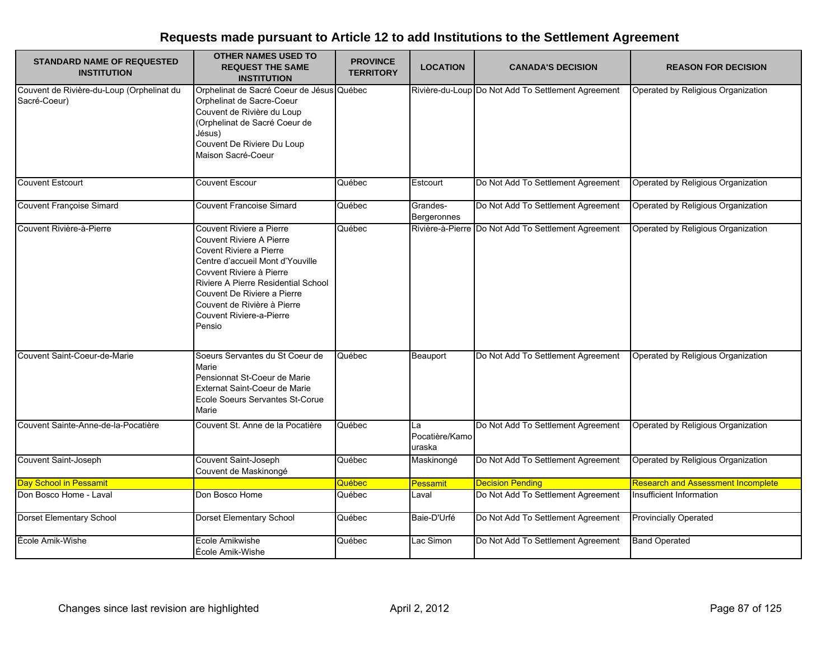| <b>STANDARD NAME OF REQUESTED</b><br><b>INSTITUTION</b>   | <b>OTHER NAMES USED TO</b><br><b>REQUEST THE SAME</b><br><b>INSTITUTION</b>                                                                                                                                                                                                                       | <b>PROVINCE</b><br><b>TERRITORY</b> | <b>LOCATION</b>                | <b>CANADA'S DECISION</b>                            | <b>REASON FOR DECISION</b>         |
|-----------------------------------------------------------|---------------------------------------------------------------------------------------------------------------------------------------------------------------------------------------------------------------------------------------------------------------------------------------------------|-------------------------------------|--------------------------------|-----------------------------------------------------|------------------------------------|
| Couvent de Rivière-du-Loup (Orphelinat du<br>Sacré-Coeur) | Orphelinat de Sacré Coeur de Jésus Québec<br>Orphelinat de Sacre-Coeur<br>Couvent de Rivière du Loup<br>(Orphelinat de Sacré Coeur de<br>Jésus)<br>Couvent De Riviere Du Loup<br>Maison Sacré-Coeur                                                                                               |                                     |                                | Rivière-du-Loup Do Not Add To Settlement Agreement  | Operated by Religious Organization |
| <b>Couvent Estcourt</b>                                   | <b>Couvent Escour</b>                                                                                                                                                                                                                                                                             | Québec                              | Estcourt                       | Do Not Add To Settlement Agreement                  | Operated by Religious Organization |
| <b>Couvent Françoise Simard</b>                           | <b>Couvent Francoise Simard</b>                                                                                                                                                                                                                                                                   | Québec                              | Grandes-<br>Bergeronnes        | Do Not Add To Settlement Agreement                  | Operated by Religious Organization |
| Couvent Rivière-à-Pierre                                  | Couvent Riviere a Pierre<br><b>Couvent Riviere A Pierre</b><br>Covent Riviere a Pierre<br>Centre d'accueil Mont d'Youville<br>Covvent Riviere à Pierre<br>Riviere A Pierre Residential School<br>Couvent De Riviere a Pierre<br>Couvent de Rivière à Pierre<br>Couvent Riviere-a-Pierre<br>Pensio | Québec                              |                                | Rivière-à-Pierre Do Not Add To Settlement Agreement | Operated by Religious Organization |
| Couvent Saint-Coeur-de-Marie                              | Soeurs Servantes du St Coeur de<br>Marie<br>Pensionnat St-Coeur de Marie<br>Externat Saint-Coeur de Marie<br>Ecole Soeurs Servantes St-Corue<br>Marie                                                                                                                                             | Québec                              | Beauport                       | Do Not Add To Settlement Agreement                  | Operated by Religious Organization |
| Couvent Sainte-Anne-de-la-Pocatière                       | Couvent St. Anne de la Pocatière                                                                                                                                                                                                                                                                  | Québec                              | La<br>Pocatière/Kamo<br>uraska | Do Not Add To Settlement Agreement                  | Operated by Religious Organization |
| Couvent Saint-Joseph                                      | Couvent Saint-Joseph<br>Couvent de Maskinongé                                                                                                                                                                                                                                                     | Québec                              | Maskinongé                     | Do Not Add To Settlement Agreement                  | Operated by Religious Organization |
| Day School in Pessamit                                    |                                                                                                                                                                                                                                                                                                   | Québec                              | Pessamit                       | <b>Decision Pending</b>                             | Research and Assessment Incomplete |
| Don Bosco Home - Laval                                    | Don Bosco Home                                                                                                                                                                                                                                                                                    | Québec                              | Laval                          | Do Not Add To Settlement Agreement                  | Insufficient Information           |
| Dorset Elementary School                                  | <b>Dorset Elementary School</b>                                                                                                                                                                                                                                                                   | Québec                              | Baie-D'Urfé                    | Do Not Add To Settlement Agreement                  | <b>Provincially Operated</b>       |
| École Amik-Wishe                                          | Ecole Amikwishe<br>École Amik-Wishe                                                                                                                                                                                                                                                               | Québec                              | Lac Simon                      | Do Not Add To Settlement Agreement                  | <b>Band Operated</b>               |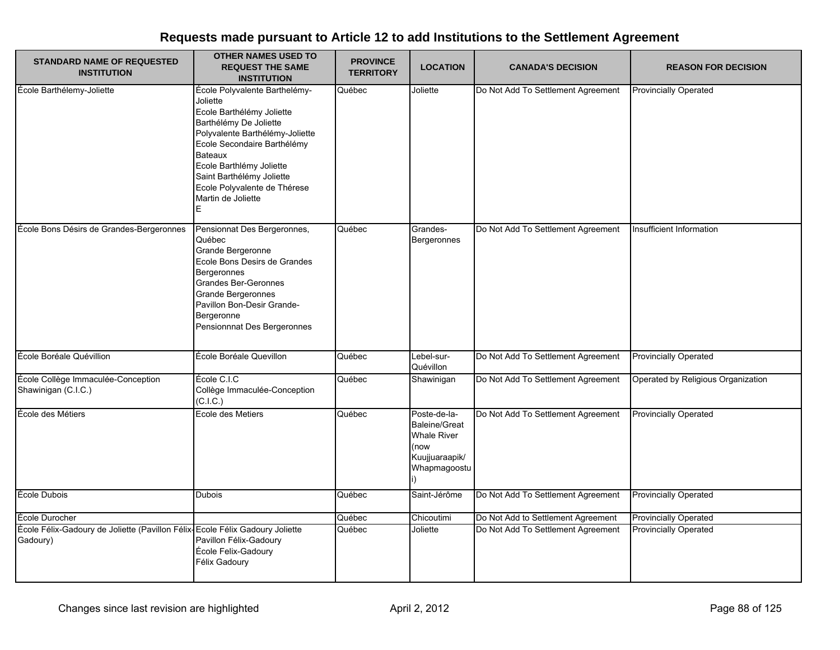| <b>STANDARD NAME OF REQUESTED</b><br><b>INSTITUTION</b>                                  | <b>OTHER NAMES USED TO</b><br><b>REQUEST THE SAME</b><br><b>INSTITUTION</b>                                                                                                                                                                                                                              | <b>PROVINCE</b><br><b>TERRITORY</b> | <b>LOCATION</b>                                                                                      | <b>CANADA'S DECISION</b>           | <b>REASON FOR DECISION</b>         |
|------------------------------------------------------------------------------------------|----------------------------------------------------------------------------------------------------------------------------------------------------------------------------------------------------------------------------------------------------------------------------------------------------------|-------------------------------------|------------------------------------------------------------------------------------------------------|------------------------------------|------------------------------------|
| École Barthélemy-Joliette                                                                | École Polyvalente Barthelémy-<br>Joliette<br>Ecole Barthélémy Joliette<br>Barthélémy De Joliette<br>Polyvalente Barthélémy-Joliette<br>Ecole Secondaire Barthélémy<br><b>Bateaux</b><br>Ecole Barthlémy Joliette<br>Saint Barthélémy Joliette<br>Ecole Polyvalente de Thérese<br>Martin de Joliette<br>E | Québec                              | Joliette                                                                                             | Do Not Add To Settlement Agreement | <b>Provincially Operated</b>       |
| École Bons Désirs de Grandes-Bergeronnes                                                 | Pensionnat Des Bergeronnes,<br>Québec<br>Grande Bergeronne<br>Ecole Bons Desirs de Grandes<br><b>Bergeronnes</b><br>Grandes Ber-Geronnes<br>Grande Bergeronnes<br>Pavillon Bon-Desir Grande-<br>Bergeronne<br>Pensionnnat Des Bergeronnes                                                                | Québec                              | Grandes-<br>Bergeronnes                                                                              | Do Not Add To Settlement Agreement | Insufficient Information           |
| École Boréale Quévillion                                                                 | École Boréale Quevillon                                                                                                                                                                                                                                                                                  | Québec                              | Lebel-sur-<br>Quévillon                                                                              | Do Not Add To Settlement Agreement | <b>Provincially Operated</b>       |
| École Collège Immaculée-Conception<br>Shawinigan (C.I.C.)                                | École C.I.C<br>Collège Immaculée-Conception<br>(C.I.C.)                                                                                                                                                                                                                                                  | Québec                              | Shawinigan                                                                                           | Do Not Add To Settlement Agreement | Operated by Religious Organization |
| École des Métiers                                                                        | Ecole des Metiers                                                                                                                                                                                                                                                                                        | Québec                              | Poste-de-la-<br><b>Baleine/Great</b><br><b>Whale River</b><br>(now<br>Kuujjuaraapik/<br>Whapmagoostu | Do Not Add To Settlement Agreement | <b>Provincially Operated</b>       |
| École Dubois                                                                             | <b>Dubois</b>                                                                                                                                                                                                                                                                                            | Québec                              | Saint-Jérôme                                                                                         | Do Not Add To Settlement Agreement | <b>Provincially Operated</b>       |
| École Durocher                                                                           |                                                                                                                                                                                                                                                                                                          | Québec                              | Chicoutimi                                                                                           | Do Not Add to Settlement Agreement | <b>Provincially Operated</b>       |
| École Félix-Gadoury de Joliette (Pavillon Félix-Ecole Félix Gadoury Joliette<br>Gadoury) | Pavillon Félix-Gadoury<br>École Felix-Gadoury<br>Félix Gadoury                                                                                                                                                                                                                                           | Québec                              | Joliette                                                                                             | Do Not Add To Settlement Agreement | <b>Provincially Operated</b>       |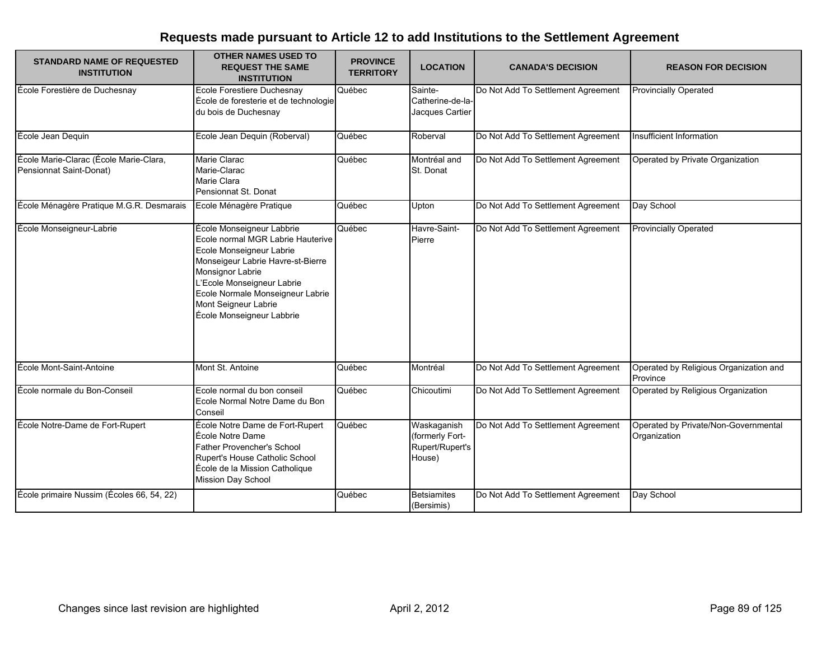| <b>STANDARD NAME OF REQUESTED</b><br><b>INSTITUTION</b>           | <b>OTHER NAMES USED TO</b><br><b>REQUEST THE SAME</b><br><b>INSTITUTION</b>                                                                                                                                                                                                | <b>PROVINCE</b><br><b>TERRITORY</b> | <b>LOCATION</b>                                             | <b>CANADA'S DECISION</b>           | <b>REASON FOR DECISION</b>                           |
|-------------------------------------------------------------------|----------------------------------------------------------------------------------------------------------------------------------------------------------------------------------------------------------------------------------------------------------------------------|-------------------------------------|-------------------------------------------------------------|------------------------------------|------------------------------------------------------|
| École Forestière de Duchesnay                                     | <b>Ecole Forestiere Duchesnay</b><br>École de foresterie et de technologie<br>du bois de Duchesnay                                                                                                                                                                         | Québec                              | Sainte-<br>Catherine-de-la-<br>Jacques Cartier              | Do Not Add To Settlement Agreement | <b>Provincially Operated</b>                         |
| École Jean Dequin                                                 | Ecole Jean Dequin (Roberval)                                                                                                                                                                                                                                               | Québec                              | Roberval                                                    | Do Not Add To Settlement Agreement | Insufficient Information                             |
| École Marie-Clarac (École Marie-Clara,<br>Pensionnat Saint-Donat) | Marie Clarac<br>Marie-Clarac<br>Marie Clara<br>Pensionnat St. Donat                                                                                                                                                                                                        | Québec                              | Montréal and<br>St. Donat                                   | Do Not Add To Settlement Agreement | Operated by Private Organization                     |
| École Ménagère Pratique M.G.R. Desmarais                          | Ecole Ménagère Pratique                                                                                                                                                                                                                                                    | Québec                              | Upton                                                       | Do Not Add To Settlement Agreement | Day School                                           |
| École Monseigneur-Labrie                                          | École Monseigneur Labbrie<br>Ecole normal MGR Labrie Hauterive<br>Ecole Monseigneur Labrie<br>Monseigeur Labrie Havre-st-Bierre<br>Monsignor Labrie<br>L'Ecole Monseigneur Labrie<br>Ecole Normale Monseigneur Labrie<br>Mont Seigneur Labrie<br>École Monseigneur Labbrie | Québec                              | Havre-Saint-<br>Pierre                                      | Do Not Add To Settlement Agreement | <b>Provincially Operated</b>                         |
| École Mont-Saint-Antoine                                          | Mont St. Antoine                                                                                                                                                                                                                                                           | Québec                              | Montréal                                                    | Do Not Add To Settlement Agreement | Operated by Religious Organization and<br>Province   |
| École normale du Bon-Conseil                                      | Ecole normal du bon conseil<br>Ecole Normal Notre Dame du Bon<br>Conseil                                                                                                                                                                                                   | Québec                              | Chicoutimi                                                  | Do Not Add To Settlement Agreement | Operated by Religious Organization                   |
| École Notre-Dame de Fort-Rupert                                   | École Notre Dame de Fort-Rupert<br>École Notre Dame<br><b>Father Provencher's School</b><br>Rupert's House Catholic School<br>École de la Mission Catholique<br>Mission Day School                                                                                         | Québec                              | Waskaganish<br>(formerly Fort-<br>Rupert/Rupert's<br>House) | Do Not Add To Settlement Agreement | Operated by Private/Non-Governmental<br>Organization |
| École primaire Nussim (Écoles 66, 54, 22)                         |                                                                                                                                                                                                                                                                            | Québec                              | <b>Betsiamites</b><br>(Bersimis)                            | Do Not Add To Settlement Agreement | Day School                                           |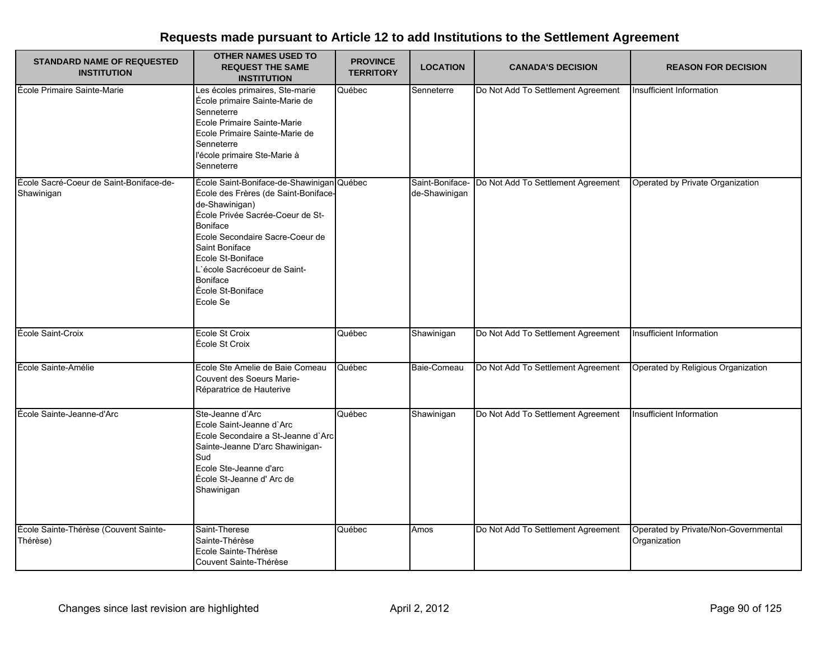| <b>STANDARD NAME OF REQUESTED</b><br><b>INSTITUTION</b> | <b>OTHER NAMES USED TO</b><br><b>REQUEST THE SAME</b><br><b>INSTITUTION</b>                                                                                                                                                                                                                                       | <b>PROVINCE</b><br><b>TERRITORY</b> | <b>LOCATION</b>                  | <b>CANADA'S DECISION</b>           | <b>REASON FOR DECISION</b>                           |
|---------------------------------------------------------|-------------------------------------------------------------------------------------------------------------------------------------------------------------------------------------------------------------------------------------------------------------------------------------------------------------------|-------------------------------------|----------------------------------|------------------------------------|------------------------------------------------------|
| École Primaire Sainte-Marie                             | Les écoles primaires, Ste-marie<br>École primaire Sainte-Marie de<br>Senneterre<br>Ecole Primaire Sainte-Marie<br>Ecole Primaire Sainte-Marie de<br>Senneterre<br>l'école primaire Ste-Marie à<br>Senneterre                                                                                                      | Québec                              | Senneterre                       | Do Not Add To Settlement Agreement | Insufficient Information                             |
| École Sacré-Coeur de Saint-Boniface-de-<br>Shawinigan   | École Saint-Boniface-de-Shawinigan Québec<br>École des Frères (de Saint-Boniface-<br>de-Shawinigan)<br>École Privée Sacrée-Coeur de St-<br><b>Boniface</b><br>Ecole Secondaire Sacre-Coeur de<br>Saint Boniface<br>Ecole St-Boniface<br>L'école Sacrécoeur de Saint-<br>Boniface<br>École St-Boniface<br>Ecole Se |                                     | Saint-Boniface-<br>de-Shawinigan | Do Not Add To Settlement Agreement | Operated by Private Organization                     |
| École Saint-Croix                                       | Ecole St Croix<br>École St Croix                                                                                                                                                                                                                                                                                  | Québec                              | Shawinigan                       | Do Not Add To Settlement Agreement | Insufficient Information                             |
| École Sainte-Amélie                                     | Ecole Ste Amelie de Baie Comeau<br>Couvent des Soeurs Marie-<br>Réparatrice de Hauterive                                                                                                                                                                                                                          | Québec                              | Baie-Comeau                      | Do Not Add To Settlement Agreement | Operated by Religious Organization                   |
| École Sainte-Jeanne-d'Arc                               | Ste-Jeanne d'Arc<br>Ecole Saint-Jeanne d'Arc<br>Ecole Secondaire a St-Jeanne d'Arc<br>Sainte-Jeanne D'arc Shawinigan-<br>Sud<br>Ecole Ste-Jeanne d'arc<br>École St-Jeanne d'Arc de<br>Shawinigan                                                                                                                  | Québec                              | Shawinigan                       | Do Not Add To Settlement Agreement | Insufficient Information                             |
| École Sainte-Thérèse (Couvent Sainte-<br>Thérèse)       | Saint-Therese<br>Sainte-Thérèse<br>Ecole Sainte-Thérèse<br>Couvent Sainte-Thérèse                                                                                                                                                                                                                                 | Québec                              | Amos                             | Do Not Add To Settlement Agreement | Operated by Private/Non-Governmental<br>Organization |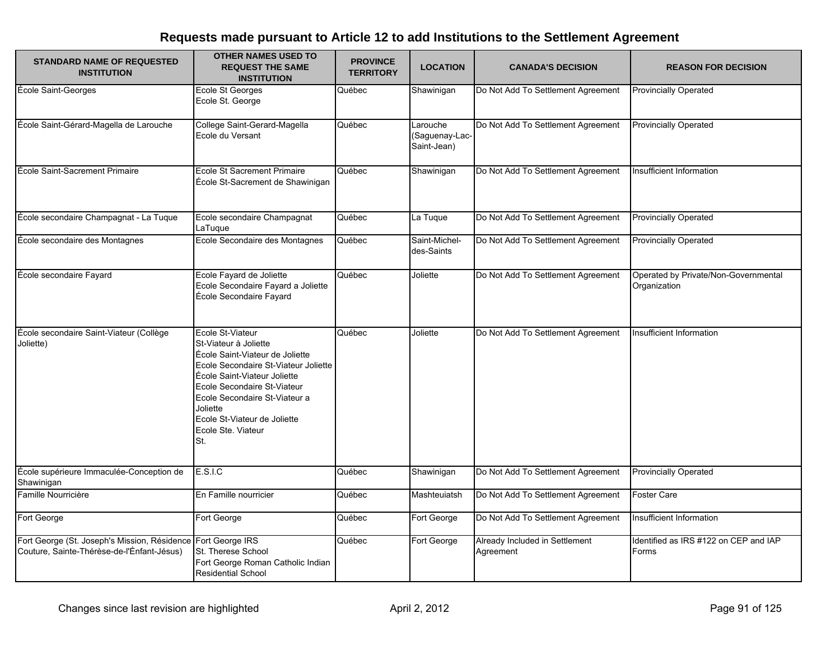| <b>STANDARD NAME OF REQUESTED</b><br><b>INSTITUTION</b>                                                    | <b>OTHER NAMES USED TO</b><br><b>REQUEST THE SAME</b><br><b>INSTITUTION</b>                                                                                                                                                                                                                   | <b>PROVINCE</b><br><b>TERRITORY</b> | <b>LOCATION</b>                           | <b>CANADA'S DECISION</b>                    | <b>REASON FOR DECISION</b>                           |
|------------------------------------------------------------------------------------------------------------|-----------------------------------------------------------------------------------------------------------------------------------------------------------------------------------------------------------------------------------------------------------------------------------------------|-------------------------------------|-------------------------------------------|---------------------------------------------|------------------------------------------------------|
| École Saint-Georges                                                                                        | Ecole St Georges<br>Ecole St. George                                                                                                                                                                                                                                                          | Québec                              | Shawinigan                                | Do Not Add To Settlement Agreement          | <b>Provincially Operated</b>                         |
| École Saint-Gérard-Magella de Larouche                                                                     | College Saint-Gerard-Magella<br>Ecole du Versant                                                                                                                                                                                                                                              | Québec                              | Larouche<br>(Saguenay-Lac-<br>Saint-Jean) | Do Not Add To Settlement Agreement          | <b>Provincially Operated</b>                         |
| École Saint-Sacrement Primaire                                                                             | <b>Ecole St Sacrement Primaire</b><br>École St-Sacrement de Shawinigan                                                                                                                                                                                                                        | Québec                              | Shawinigan                                | Do Not Add To Settlement Agreement          | Insufficient Information                             |
| École secondaire Champagnat - La Tuque                                                                     | Ecole secondaire Champagnat<br>LaTuque                                                                                                                                                                                                                                                        | Québec                              | La Tuque                                  | Do Not Add To Settlement Agreement          | <b>Provincially Operated</b>                         |
| École secondaire des Montagnes                                                                             | Ecole Secondaire des Montagnes                                                                                                                                                                                                                                                                | Québec                              | Saint-Michel-<br>des-Saints               | Do Not Add To Settlement Agreement          | <b>Provincially Operated</b>                         |
| École secondaire Fayard                                                                                    | Ecole Fayard de Joliette<br>Ecole Secondaire Fayard a Joliette<br>École Secondaire Fayard                                                                                                                                                                                                     | Québec                              | Joliette                                  | Do Not Add To Settlement Agreement          | Operated by Private/Non-Governmental<br>Organization |
| École secondaire Saint-Viateur (Collège<br>Joliette)                                                       | Ecole St-Viateur<br>St-Viateur à Joliette<br>École Saint-Viateur de Joliette<br>Ecole Secondaire St-Viateur Joliette<br>École Saint-Viateur Joliette<br>Ecole Secondaire St-Viateur<br>Ecole Secondaire St-Viateur a<br>Joliette<br>Ecole St-Viateur de Joliette<br>Ecole Ste. Viateur<br>St. | Québec                              | Joliette                                  | Do Not Add To Settlement Agreement          | Insufficient Information                             |
| École supérieure Immaculée-Conception de<br>Shawinigan                                                     | E.S.I.C                                                                                                                                                                                                                                                                                       | Québec                              | Shawinigan                                | Do Not Add To Settlement Agreement          | <b>Provincially Operated</b>                         |
| Famille Nourricière                                                                                        | En Famille nourricier                                                                                                                                                                                                                                                                         | Québec                              | Mashteuiatsh                              | Do Not Add To Settlement Agreement          | <b>Foster Care</b>                                   |
| Fort George                                                                                                | Fort George                                                                                                                                                                                                                                                                                   | Québec                              | Fort George                               | Do Not Add To Settlement Agreement          | Insufficient Information                             |
| Fort George (St. Joseph's Mission, Résidence Fort George IRS<br>Couture, Sainte-Thérèse-de-l'Énfant-Jésus) | St. Therese School<br>Fort George Roman Catholic Indian<br><b>Residential School</b>                                                                                                                                                                                                          | Québec                              | Fort George                               | Already Included in Settlement<br>Agreement | Identified as IRS #122 on CEP and IAP<br>Forms       |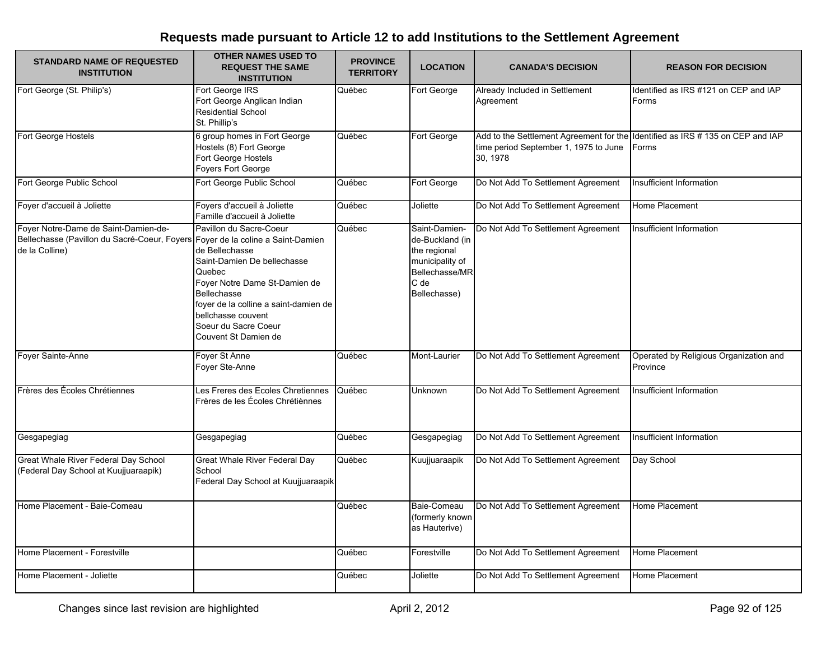| <b>STANDARD NAME OF REQUESTED</b><br><b>INSTITUTION</b>                                                                                  | <b>OTHER NAMES USED TO</b><br><b>REQUEST THE SAME</b><br><b>INSTITUTION</b>                                                                                                                                                                              | <b>PROVINCE</b><br><b>TERRITORY</b> | <b>LOCATION</b>                                                                                               | <b>CANADA'S DECISION</b>                                                                                                            | <b>REASON FOR DECISION</b>                         |
|------------------------------------------------------------------------------------------------------------------------------------------|----------------------------------------------------------------------------------------------------------------------------------------------------------------------------------------------------------------------------------------------------------|-------------------------------------|---------------------------------------------------------------------------------------------------------------|-------------------------------------------------------------------------------------------------------------------------------------|----------------------------------------------------|
| Fort George (St. Philip's)                                                                                                               | Fort George IRS<br>Fort George Anglican Indian<br><b>Residential School</b><br>St. Phillip's                                                                                                                                                             | Québec                              | Fort George                                                                                                   | Already Included in Settlement<br>Agreement                                                                                         | Identified as IRS #121 on CEP and IAP<br>Forms     |
| Fort George Hostels                                                                                                                      | 6 group homes in Fort George<br>Hostels (8) Fort George<br>Fort George Hostels<br>Foyers Fort George                                                                                                                                                     | Québec                              | Fort George                                                                                                   | Add to the Settlement Agreement for the Ildentified as IRS # 135 on CEP and IAP<br>time period September 1, 1975 to June<br>30.1978 | Forms                                              |
| Fort George Public School                                                                                                                | Fort George Public School                                                                                                                                                                                                                                | Québec                              | Fort George                                                                                                   | Do Not Add To Settlement Agreement                                                                                                  | Insufficient Information                           |
| Foyer d'accueil à Joliette                                                                                                               | Foyers d'accueil à Joliette<br>Famille d'accueil à Joliette                                                                                                                                                                                              | Québec                              | Joliette                                                                                                      | Do Not Add To Settlement Agreement                                                                                                  | Home Placement                                     |
| Foyer Notre-Dame de Saint-Damien-de-<br>Bellechasse (Pavillon du Sacré-Coeur, Foyers Foyer de la coline a Saint-Damien<br>de la Colline) | Pavillon du Sacre-Coeur<br>de Bellechasse<br>Saint-Damien De bellechasse<br>Quebec<br>Foyer Notre Dame St-Damien de<br><b>Bellechasse</b><br>foyer de la colline a saint-damien de<br>bellchasse couvent<br>Soeur du Sacre Coeur<br>Couvent St Damien de | Québec                              | Saint-Damien-<br>de-Buckland (in<br>the regional<br>municipality of<br>Bellechasse/MR<br>C de<br>Bellechasse) | Do Not Add To Settlement Agreement                                                                                                  | Insufficient Information                           |
| Foyer Sainte-Anne                                                                                                                        | Foyer St Anne<br>Foyer Ste-Anne                                                                                                                                                                                                                          | Québec                              | Mont-Laurier                                                                                                  | Do Not Add To Settlement Agreement                                                                                                  | Operated by Religious Organization and<br>Province |
| Frères des Écoles Chrétiennes                                                                                                            | Les Freres des Ecoles Chretiennes<br>Frères de les Écoles Chrétiènnes                                                                                                                                                                                    | Québec                              | Unknown                                                                                                       | Do Not Add To Settlement Agreement                                                                                                  | Insufficient Information                           |
| Gesgapegiag                                                                                                                              | Gesgapegiag                                                                                                                                                                                                                                              | Québec                              | Gesgapegiag                                                                                                   | Do Not Add To Settlement Agreement                                                                                                  | Insufficient Information                           |
| Great Whale River Federal Day School<br>(Federal Day School at Kuujjuaraapik)                                                            | <b>Great Whale River Federal Day</b><br>School<br>Federal Day School at Kuujjuaraapik                                                                                                                                                                    | Québec                              | Kuujjuaraapik                                                                                                 | Do Not Add To Settlement Agreement                                                                                                  | Day School                                         |
| Home Placement - Baie-Comeau                                                                                                             |                                                                                                                                                                                                                                                          | Québec                              | Baie-Comeau<br>(formerly known)<br>as Hauterive)                                                              | Do Not Add To Settlement Agreement                                                                                                  | Home Placement                                     |
| Home Placement - Forestville                                                                                                             |                                                                                                                                                                                                                                                          | Québec                              | Forestville                                                                                                   | Do Not Add To Settlement Agreement                                                                                                  | Home Placement                                     |
| Home Placement - Joliette                                                                                                                |                                                                                                                                                                                                                                                          | Québec                              | Joliette                                                                                                      | Do Not Add To Settlement Agreement                                                                                                  | Home Placement                                     |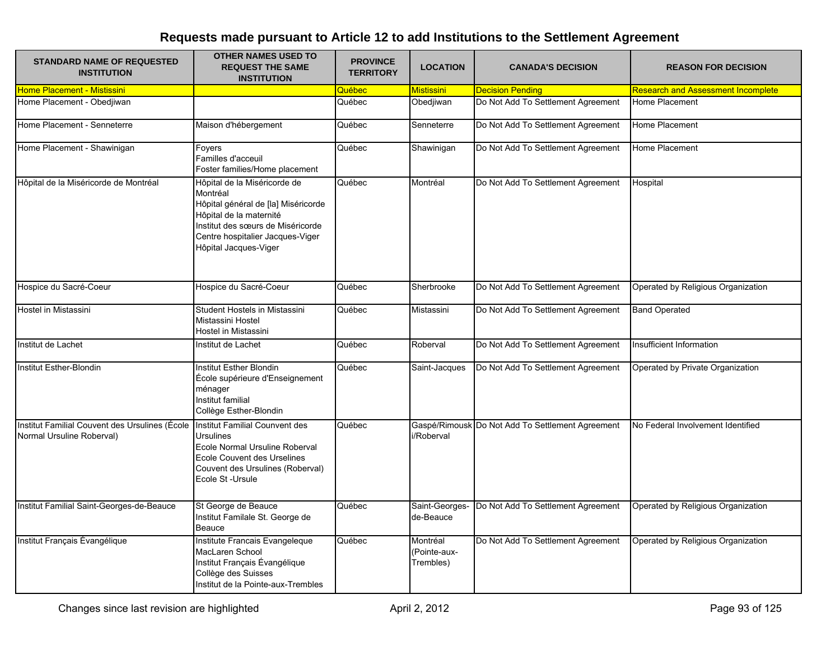| <b>STANDARD NAME OF REQUESTED</b><br><b>INSTITUTION</b>                     | <b>OTHER NAMES USED TO</b><br><b>REQUEST THE SAME</b><br><b>INSTITUTION</b>                                                                                                                                  | <b>PROVINCE</b><br><b>TERRITORY</b> | <b>LOCATION</b>                      | <b>CANADA'S DECISION</b>                         | <b>REASON FOR DECISION</b>                |
|-----------------------------------------------------------------------------|--------------------------------------------------------------------------------------------------------------------------------------------------------------------------------------------------------------|-------------------------------------|--------------------------------------|--------------------------------------------------|-------------------------------------------|
| Home Placement - Mistissini                                                 |                                                                                                                                                                                                              | Québec                              | <u>Mistissini</u>                    | <b>Decision Pending</b>                          | <b>Research and Assessment Incomplete</b> |
| Home Placement - Obedjiwan                                                  |                                                                                                                                                                                                              | Québec                              | Obedjiwan                            | Do Not Add To Settlement Agreement               | Home Placement                            |
| Home Placement - Senneterre                                                 | Maison d'hébergement                                                                                                                                                                                         | Québec                              | Senneterre                           | Do Not Add To Settlement Agreement               | Home Placement                            |
| Home Placement - Shawinigan                                                 | Foyers<br>Familles d'acceuil<br>Foster families/Home placement                                                                                                                                               | Québec                              | Shawinigan                           | Do Not Add To Settlement Agreement               | Home Placement                            |
| Hôpital de la Miséricorde de Montréal                                       | Hôpital de la Miséricorde de<br>Montréal<br>Hôpital général de [la] Miséricorde<br>Hôpital de la maternité<br>Institut des sœurs de Miséricorde<br>Centre hospitalier Jacques-Viger<br>Hôpital Jacques-Viger | Québec                              | Montréal                             | Do Not Add To Settlement Agreement               | Hospital                                  |
| Hospice du Sacré-Coeur                                                      | Hospice du Sacré-Coeur                                                                                                                                                                                       | Québec                              | Sherbrooke                           | Do Not Add To Settlement Agreement               | Operated by Religious Organization        |
| Hostel in Mistassini                                                        | Student Hostels in Mistassini<br>Mistassini Hostel<br>Hostel in Mistassini                                                                                                                                   | Québec                              | Mistassini                           | Do Not Add To Settlement Agreement               | <b>Band Operated</b>                      |
| Institut de Lachet                                                          | Institut de Lachet                                                                                                                                                                                           | Québec                              | Roberval                             | Do Not Add To Settlement Agreement               | Insufficient Information                  |
| Institut Esther-Blondin                                                     | Institut Esther Blondin<br>École supérieure d'Enseignement<br>ménager<br>Institut familial<br>Collège Esther-Blondin                                                                                         | Québec                              | Saint-Jacques                        | Do Not Add To Settlement Agreement               | Operated by Private Organization          |
| Institut Familial Couvent des Ursulines (École<br>Normal Ursuline Roberval) | <b>Institut Familial Counvent des</b><br><b>Ursulines</b><br>Ecole Normal Ursuline Roberval<br><b>Ecole Couvent des Urselines</b><br>Couvent des Ursulines (Roberval)<br>Ecole St -Ursule                    | Québec                              | i/Roberval                           | Gaspé/Rimousk Do Not Add To Settlement Agreement | No Federal Involvement Identified         |
| Institut Familial Saint-Georges-de-Beauce                                   | St George de Beauce<br>Institut Familale St. George de<br>Beauce                                                                                                                                             | Québec                              | Saint-Georges-<br>de-Beauce          | Do Not Add To Settlement Agreement               | Operated by Religious Organization        |
| Institut Français Évangélique                                               | Institute Francais Evangeleque<br>MacLaren School<br>Institut Français Évangélique<br>Collège des Suisses<br>Institut de la Pointe-aux-Trembles                                                              | Québec                              | Montréal<br>Pointe-aux-<br>Trembles) | Do Not Add To Settlement Agreement               | Operated by Religious Organization        |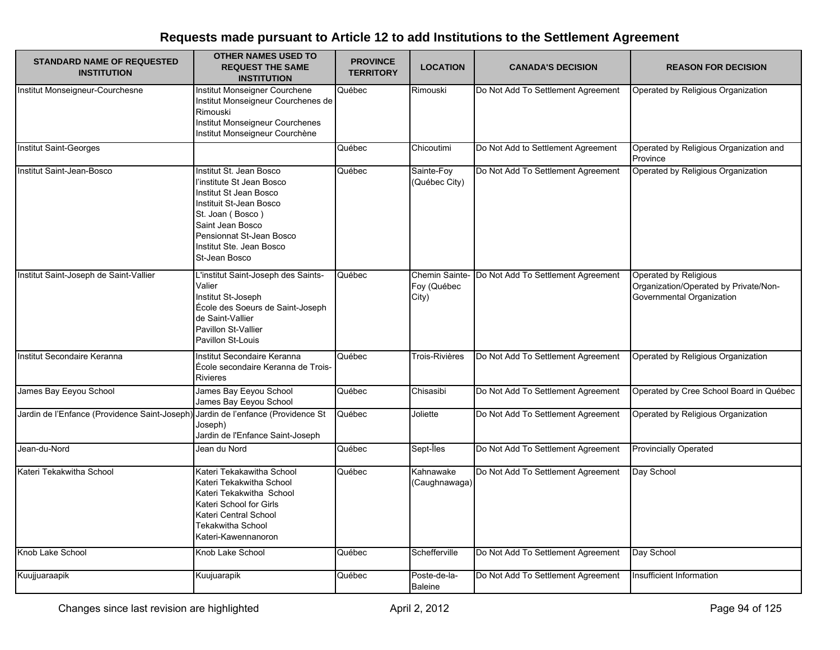| <b>STANDARD NAME OF REQUESTED</b><br><b>INSTITUTION</b>                          | <b>OTHER NAMES USED TO</b><br><b>REQUEST THE SAME</b><br><b>INSTITUTION</b>                                                                                                                                                | <b>PROVINCE</b><br><b>TERRITORY</b> | <b>LOCATION</b>                        | <b>CANADA'S DECISION</b>           | <b>REASON FOR DECISION</b>                                                                  |
|----------------------------------------------------------------------------------|----------------------------------------------------------------------------------------------------------------------------------------------------------------------------------------------------------------------------|-------------------------------------|----------------------------------------|------------------------------------|---------------------------------------------------------------------------------------------|
| Institut Monseigneur-Courchesne                                                  | Institut Monseigner Courchene<br>Institut Monseigneur Courchenes de<br>Rimouski<br>Institut Monseigneur Courchenes<br>Institut Monseigneur Courchène                                                                       | Québec                              | Rimouski                               | Do Not Add To Settlement Agreement | Operated by Religious Organization                                                          |
| <b>Institut Saint-Georges</b>                                                    |                                                                                                                                                                                                                            | Québec                              | Chicoutimi                             | Do Not Add to Settlement Agreement | Operated by Religious Organization and<br>Province                                          |
| Institut Saint-Jean-Bosco                                                        | Institut St. Jean Bosco<br>l'institute St Jean Bosco<br>Institut St Jean Bosco<br>Instituit St-Jean Bosco<br>St. Joan (Bosco)<br>Saint Jean Bosco<br>Pensionnat St-Jean Bosco<br>Institut Ste. Jean Bosco<br>St-Jean Bosco | Québec                              | Sainte-Foy<br>(Québec City)            | Do Not Add To Settlement Agreement | Operated by Religious Organization                                                          |
| Institut Saint-Joseph de Saint-Vallier                                           | L'institut Saint-Joseph des Saints-<br>Valier<br>Institut St-Joseph<br>École des Soeurs de Saint-Joseph<br>de Saint-Vallier<br>Pavillon St-Vallier<br>Pavillon St-Louis                                                    | Québec                              | Chemin Sainte-<br>Foy (Québec<br>City) | Do Not Add To Settlement Agreement | Operated by Religious<br>Organization/Operated by Private/Non-<br>Governmental Organization |
| Institut Secondaire Keranna                                                      | Institut Secondaire Keranna<br>École secondaire Keranna de Trois-<br><b>Rivieres</b>                                                                                                                                       | Québec                              | Trois-Rivières                         | Do Not Add To Settlement Agreement | Operated by Religious Organization                                                          |
| James Bay Eeyou School                                                           | James Bay Eeyou School<br>James Bay Eeyou School                                                                                                                                                                           | Québec                              | Chisasibi                              | Do Not Add To Settlement Agreement | Operated by Cree School Board in Québec                                                     |
| Jardin de l'Enfance (Providence Saint-Joseph) Jardin de l'enfance (Providence St | Joseph)<br>Jardin de l'Enfance Saint-Joseph                                                                                                                                                                                | Québec                              | Joliette                               | Do Not Add To Settlement Agreement | Operated by Religious Organization                                                          |
| Jean-du-Nord                                                                     | Jean du Nord                                                                                                                                                                                                               | Québec                              | Sept-Îles                              | Do Not Add To Settlement Agreement | <b>Provincially Operated</b>                                                                |
| Kateri Tekakwitha School                                                         | Kateri Tekakawitha School<br>Kateri Tekakwitha School<br>Kateri Tekakwitha School<br>Kateri School for Girls<br>Kateri Central School<br>Tekakwitha School<br>Kateri-Kawennanoron                                          | Québec                              | Kahnawake<br>(Caughnawaga)             | Do Not Add To Settlement Agreement | Day School                                                                                  |
| Knob Lake School                                                                 | Knob Lake School                                                                                                                                                                                                           | Québec                              | Schefferville                          | Do Not Add To Settlement Agreement | Day School                                                                                  |
| Kuujjuaraapik                                                                    | Kuujuarapik                                                                                                                                                                                                                | Québec                              | Poste-de-la-<br><b>Baleine</b>         | Do Not Add To Settlement Agreement | Insufficient Information                                                                    |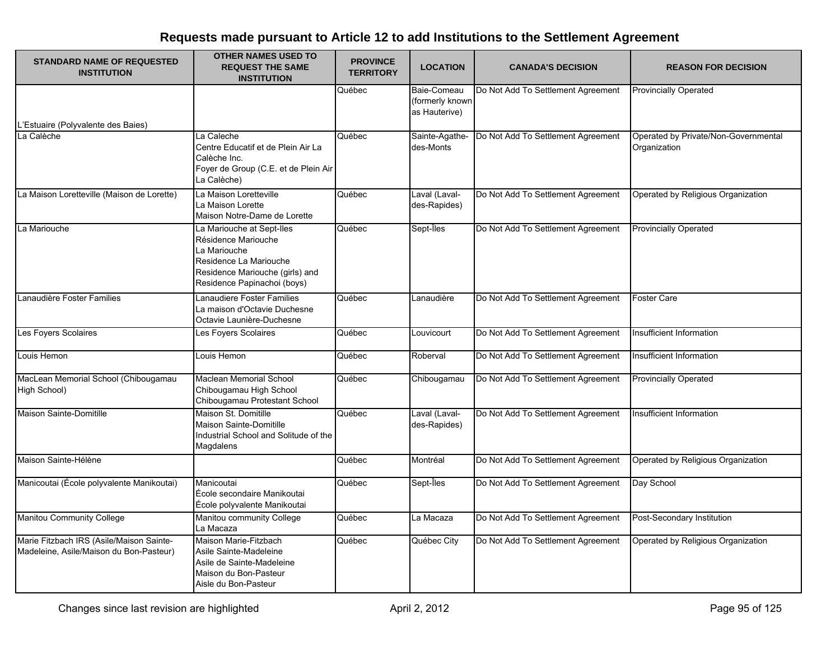| <b>STANDARD NAME OF REQUESTED</b><br><b>INSTITUTION</b>                             | <b>OTHER NAMES USED TO</b><br><b>REQUEST THE SAME</b><br><b>INSTITUTION</b>                                                                                  | <b>PROVINCE</b><br><b>TERRITORY</b> | <b>LOCATION</b>                                 | <b>CANADA'S DECISION</b>           | <b>REASON FOR DECISION</b>                           |
|-------------------------------------------------------------------------------------|--------------------------------------------------------------------------------------------------------------------------------------------------------------|-------------------------------------|-------------------------------------------------|------------------------------------|------------------------------------------------------|
| L'Estuaire (Polyvalente des Baies)                                                  |                                                                                                                                                              | Québec                              | Baie-Comeau<br>(formerly known<br>as Hauterive) | Do Not Add To Settlement Agreement | <b>Provincially Operated</b>                         |
| La Calèche                                                                          | La Caleche<br>Centre Educatif et de Plein Air La<br>Calèche Inc.<br>Foyer de Group (C.E. et de Plein Air<br>La Calèche)                                      | Québec                              | Sainte-Agathe-<br>des-Monts                     | Do Not Add To Settlement Agreement | Operated by Private/Non-Governmental<br>Organization |
| La Maison Loretteville (Maison de Lorette)                                          | La Maison Loretteville<br>La Maison Lorette<br>Maison Notre-Dame de Lorette                                                                                  | Québec                              | Laval (Laval-<br>des-Rapides)                   | Do Not Add To Settlement Agreement | Operated by Religious Organization                   |
| La Mariouche                                                                        | La Mariouche at Sept-Iles<br>Résidence Mariouche<br>La Mariouche<br>Residence La Mariouche<br>Residence Mariouche (girls) and<br>Residence Papinachoi (boys) | Québec                              | Sept-Îles                                       | Do Not Add To Settlement Agreement | <b>Provincially Operated</b>                         |
| Lanaudière Foster Families                                                          | Lanaudiere Foster Families<br>La maison d'Octavie Duchesne<br>Octavie Launière-Duchesne                                                                      | Québec                              | Lanaudière                                      | Do Not Add To Settlement Agreement | <b>Foster Care</b>                                   |
| Les Foyers Scolaires                                                                | Les Foyers Scolaires                                                                                                                                         | Québec                              | Louvicourt                                      | Do Not Add To Settlement Agreement | Insufficient Information                             |
| Louis Hemon                                                                         | Louis Hemon                                                                                                                                                  | Québec                              | Roberval                                        | Do Not Add To Settlement Agreement | Insufficient Information                             |
| MacLean Memorial School (Chibougamau<br>High School)                                | Maclean Memorial School<br>Chibougamau High School<br>Chibougamau Protestant School                                                                          | Québec                              | Chibougamau                                     | Do Not Add To Settlement Agreement | <b>Provincially Operated</b>                         |
| Maison Sainte-Domitille                                                             | Maison St. Domitille<br>Maison Sainte-Domitille<br>Industrial School and Solitude of the<br>Magdalens                                                        | Québec                              | Laval (Laval-<br>des-Rapides)                   | Do Not Add To Settlement Agreement | Insufficient Information                             |
| Maison Sainte-Hélène                                                                |                                                                                                                                                              | Québec                              | Montréal                                        | Do Not Add To Settlement Agreement | Operated by Religious Organization                   |
| Manicoutai (École polyvalente Manikoutai)                                           | Manicoutai<br>École secondaire Manikoutai<br>École polyvalente Manikoutai                                                                                    | Québec                              | Sept-Îles                                       | Do Not Add To Settlement Agreement | Day School                                           |
| Manitou Community College                                                           | Manitou community College<br>La Macaza                                                                                                                       | Québec                              | La Macaza                                       | Do Not Add To Settlement Agreement | Post-Secondary Institution                           |
| Marie Fitzbach IRS (Asile/Maison Sainte-<br>Madeleine, Asile/Maison du Bon-Pasteur) | Maison Marie-Fitzbach<br>Asile Sainte-Madeleine<br>Asile de Sainte-Madeleine<br>Maison du Bon-Pasteur<br>Aisle du Bon-Pasteur                                | Québec                              | Québec City                                     | Do Not Add To Settlement Agreement | Operated by Religious Organization                   |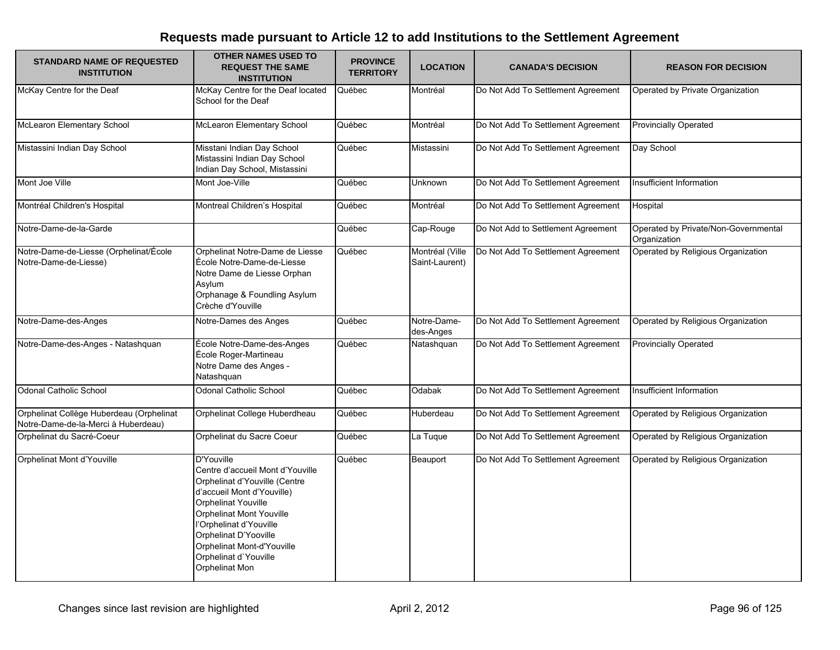| <b>STANDARD NAME OF REQUESTED</b><br><b>INSTITUTION</b>                         | <b>OTHER NAMES USED TO</b><br><b>REQUEST THE SAME</b><br><b>INSTITUTION</b>                                                                                                                                                                                                                          | <b>PROVINCE</b><br><b>TERRITORY</b> | <b>LOCATION</b>                   | <b>CANADA'S DECISION</b>           | <b>REASON FOR DECISION</b>                           |
|---------------------------------------------------------------------------------|------------------------------------------------------------------------------------------------------------------------------------------------------------------------------------------------------------------------------------------------------------------------------------------------------|-------------------------------------|-----------------------------------|------------------------------------|------------------------------------------------------|
| McKay Centre for the Deaf                                                       | McKay Centre for the Deaf located<br>School for the Deaf                                                                                                                                                                                                                                             | Québec                              | Montréal                          | Do Not Add To Settlement Agreement | Operated by Private Organization                     |
| McLearon Elementary School                                                      | <b>McLearon Elementary School</b>                                                                                                                                                                                                                                                                    | Québec                              | Montréal                          | Do Not Add To Settlement Agreement | <b>Provincially Operated</b>                         |
| Mistassini Indian Day School                                                    | Misstani Indian Day School<br>Mistassini Indian Day School<br>Indian Day School, Mistassini                                                                                                                                                                                                          | Québec                              | Mistassini                        | Do Not Add To Settlement Agreement | Day School                                           |
| Mont Joe Ville                                                                  | Mont Joe-Ville                                                                                                                                                                                                                                                                                       | Québec                              | Unknown                           | Do Not Add To Settlement Agreement | Insufficient Information                             |
| Montréal Children's Hospital                                                    | Montreal Children's Hospital                                                                                                                                                                                                                                                                         | Québec                              | Montréal                          | Do Not Add To Settlement Agreement | Hospital                                             |
| Notre-Dame-de-la-Garde                                                          |                                                                                                                                                                                                                                                                                                      | Québec                              | Cap-Rouge                         | Do Not Add to Settlement Agreement | Operated by Private/Non-Governmental<br>Organization |
| Notre-Dame-de-Liesse (Orphelinat/École<br>Notre-Dame-de-Liesse)                 | Orphelinat Notre-Dame de Liesse<br>École Notre-Dame-de-Liesse<br>Notre Dame de Liesse Orphan<br>Asylum<br>Orphanage & Foundling Asylum<br>Crèche d'Youville                                                                                                                                          | Québec                              | Montréal (Ville<br>Saint-Laurent) | Do Not Add To Settlement Agreement | Operated by Religious Organization                   |
| Notre-Dame-des-Anges                                                            | Notre-Dames des Anges                                                                                                                                                                                                                                                                                | Québec                              | Notre-Dame-<br>des-Anges          | Do Not Add To Settlement Agreement | Operated by Religious Organization                   |
| Notre-Dame-des-Anges - Natashquan                                               | École Notre-Dame-des-Anges<br>École Roger-Martineau<br>Notre Dame des Anges -<br>Natashquan                                                                                                                                                                                                          | Québec                              | Natashquan                        | Do Not Add To Settlement Agreement | <b>Provincially Operated</b>                         |
| Odonal Catholic School                                                          | Odonal Catholic School                                                                                                                                                                                                                                                                               | Québec                              | Odabak                            | Do Not Add To Settlement Agreement | Insufficient Information                             |
| Orphelinat Collège Huberdeau (Orphelinat<br>Notre-Dame-de-la-Merci à Huberdeau) | Orphelinat College Huberdheau                                                                                                                                                                                                                                                                        | Québec                              | Huberdeau                         | Do Not Add To Settlement Agreement | Operated by Religious Organization                   |
| Orphelinat du Sacré-Coeur                                                       | Orphelinat du Sacre Coeur                                                                                                                                                                                                                                                                            | Québec                              | La Tugue                          | Do Not Add To Settlement Agreement | Operated by Religious Organization                   |
| Orphelinat Mont d'Youville                                                      | D'Youville<br>Centre d'accueil Mont d'Youville<br>Orphelinat d'Youville (Centre<br>d'accueil Mont d'Youville)<br>Orphelinat Youville<br><b>Orphelinat Mont Youville</b><br>l'Orphelinat d'Youville<br>Orphelinat D'Yooville<br>Orphelinat Mont-d'Youville<br>Orphelinat d'Youville<br>Orphelinat Mon | Québec                              | Beauport                          | Do Not Add To Settlement Agreement | Operated by Religious Organization                   |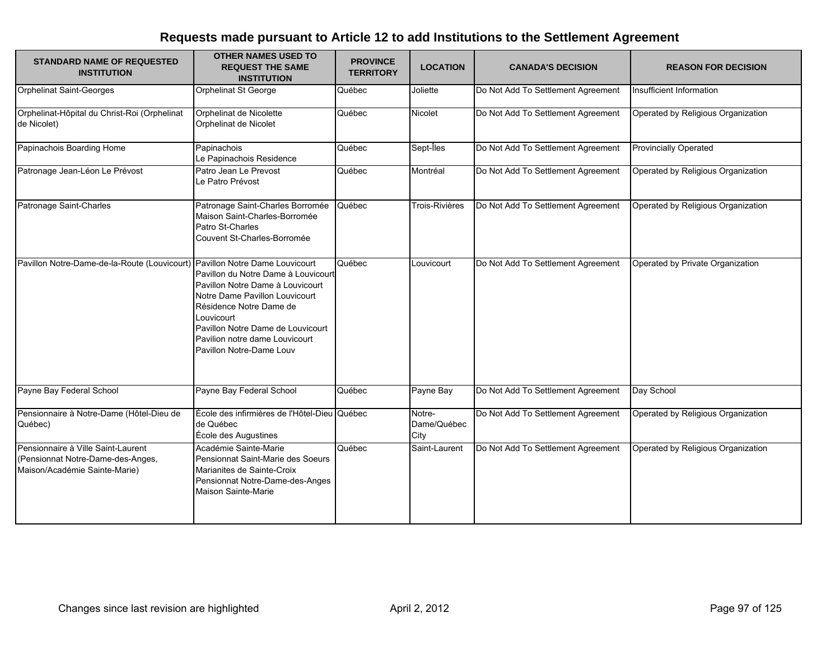| <b>STANDARD NAME OF REQUESTED</b><br><b>INSTITUTION</b>                                                  | <b>OTHER NAMES USED TO</b><br><b>REQUEST THE SAME</b><br><b>INSTITUTION</b>                                                                                                                                                                           | <b>PROVINCE</b><br><b>TERRITORY</b> | <b>LOCATION</b>               | <b>CANADA'S DECISION</b>           | <b>REASON FOR DECISION</b>         |
|----------------------------------------------------------------------------------------------------------|-------------------------------------------------------------------------------------------------------------------------------------------------------------------------------------------------------------------------------------------------------|-------------------------------------|-------------------------------|------------------------------------|------------------------------------|
| <b>Orphelinat Saint-Georges</b>                                                                          | <b>Orphelinat St George</b>                                                                                                                                                                                                                           | Québec                              | Joliette                      | Do Not Add To Settlement Agreement | Insufficient Information           |
| Orphelinat-Hôpital du Christ-Roi (Orphelinat<br>de Nicolet)                                              | Orphelinat de Nicolette<br>Orphelinat de Nicolet                                                                                                                                                                                                      | Québec                              | Nicolet                       | Do Not Add To Settlement Agreement | Operated by Religious Organization |
| Papinachois Boarding Home                                                                                | Papinachois<br>Le Papinachois Residence                                                                                                                                                                                                               | Québec                              | Sept-Îles                     | Do Not Add To Settlement Agreement | <b>Provincially Operated</b>       |
| Patronage Jean-Léon Le Prévost                                                                           | Patro Jean Le Prevost<br>Le Patro Prévost                                                                                                                                                                                                             | Québec                              | Montréal                      | Do Not Add To Settlement Agreement | Operated by Religious Organization |
| Patronage Saint-Charles                                                                                  | Patronage Saint-Charles Borromée<br>Maison Saint-Charles-Borromée<br>Patro St-Charles<br>Couvent St-Charles-Borromée                                                                                                                                  | Québec                              | <b>Trois-Rivières</b>         | Do Not Add To Settlement Agreement | Operated by Religious Organization |
| Pavillon Notre-Dame-de-la-Route (Louvicourt) Pavillon Notre Dame Louvicourt                              | Pavillon du Notre Dame à Louvicourt<br>Pavillon Notre Dame à Louvicourt<br>Notre Dame Pavillon Louvicourt<br>Résidence Notre Dame de<br>Louvicourt<br>Pavillon Notre Dame de Louvicourt<br>Pavilion notre dame Louvicourt<br>Pavillon Notre-Dame Louv | Québec                              | Louvicourt                    | Do Not Add To Settlement Agreement | Operated by Private Organization   |
| Payne Bay Federal School                                                                                 | Payne Bay Federal School                                                                                                                                                                                                                              | Québec                              | Payne Bay                     | Do Not Add To Settlement Agreement | Day School                         |
| Pensionnaire à Notre-Dame (Hôtel-Dieu de<br>Québec)                                                      | École des infirmières de l'Hôtel-Dieu Québec<br>de Québec<br>École des Augustines                                                                                                                                                                     |                                     | Notre-<br>Dame/Québec<br>City | Do Not Add To Settlement Agreement | Operated by Religious Organization |
| Pensionnaire à Ville Saint-Laurent<br>(Pensionnat Notre-Dame-des-Anges,<br>Maison/Académie Sainte-Marie) | Académie Sainte-Marie<br>Pensionnat Saint-Marie des Soeurs<br>Marianites de Sainte-Croix<br>Pensionnat Notre-Dame-des-Anges<br>Maison Sainte-Marie                                                                                                    | Québec                              | Saint-Laurent                 | Do Not Add To Settlement Agreement | Operated by Religious Organization |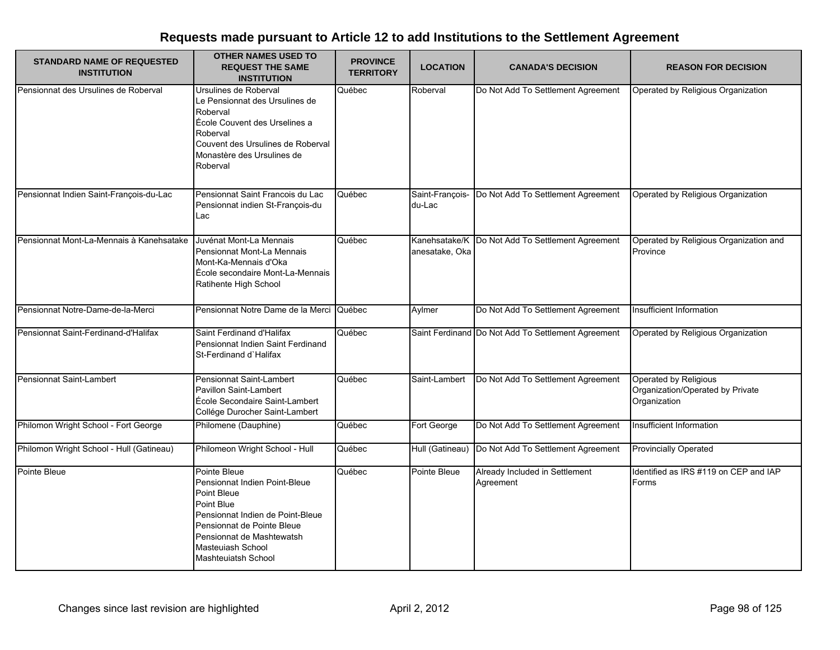| <b>STANDARD NAME OF REQUESTED</b><br><b>INSTITUTION</b> | <b>OTHER NAMES USED TO</b><br><b>REQUEST THE SAME</b><br><b>INSTITUTION</b>                                                                                                                                                  | <b>PROVINCE</b><br><b>TERRITORY</b> | <b>LOCATION</b>           | <b>CANADA'S DECISION</b>                           | <b>REASON FOR DECISION</b>                                                |
|---------------------------------------------------------|------------------------------------------------------------------------------------------------------------------------------------------------------------------------------------------------------------------------------|-------------------------------------|---------------------------|----------------------------------------------------|---------------------------------------------------------------------------|
| Pensionnat des Ursulines de Roberval                    | Ursulines de Roberval<br>Le Pensionnat des Ursulines de<br>Roberval<br>École Couvent des Urselines a<br>Roberval<br>Couvent des Ursulines de Roberval<br>Monastère des Ursulines de<br>Roberval                              | Québec                              | Roberval                  | Do Not Add To Settlement Agreement                 | Operated by Religious Organization                                        |
| Pensionnat Indien Saint-François-du-Lac                 | Pensionnat Saint Francois du Lac<br>Pensionnat indien St-François-du<br>Lac                                                                                                                                                  | Québec                              | Saint-François-<br>du-Lac | Do Not Add To Settlement Agreement                 | Operated by Religious Organization                                        |
| Pensionnat Mont-La-Mennais à Kanehsatake                | Juvénat Mont-La Mennais<br>Pensionnat Mont-La Mennais<br>Mont-Ka-Mennais d'Oka<br>École secondaire Mont-La-Mennais<br>Ratihente High School                                                                                  | Québec                              | anesatake, Oka            | Kanehsatake/K   Do Not Add To Settlement Agreement | Operated by Religious Organization and<br>Province                        |
| Pensionnat Notre-Dame-de-la-Merci                       | Pensionnat Notre Dame de la Merci                                                                                                                                                                                            | Québec                              | Aylmer                    | Do Not Add To Settlement Agreement                 | Insufficient Information                                                  |
| Pensionnat Saint-Ferdinand-d'Halifax                    | Saint Ferdinand d'Halifax<br>Pensionnat Indien Saint Ferdinand<br>St-Ferdinand d'Halifax                                                                                                                                     | Québec                              |                           | Saint Ferdinand Do Not Add To Settlement Agreement | Operated by Religious Organization                                        |
| Pensionnat Saint-Lambert                                | Pensionnat Saint-Lambert<br>Pavillon Saint-Lambert<br>École Secondaire Saint-Lambert<br>Collége Durocher Saint-Lambert                                                                                                       | Québec                              | Saint-Lambert             | Do Not Add To Settlement Agreement                 | Operated by Religious<br>Organization/Operated by Private<br>Organization |
| Philomon Wright School - Fort George                    | Philomene (Dauphine)                                                                                                                                                                                                         | Québec                              | Fort George               | Do Not Add To Settlement Agreement                 | Insufficient Information                                                  |
| Philomon Wright School - Hull (Gatineau)                | Philomeon Wright School - Hull                                                                                                                                                                                               | Québec                              | Hull (Gatineau)           | Do Not Add To Settlement Agreement                 | <b>Provincially Operated</b>                                              |
| Pointe Bleue                                            | Pointe Bleue<br>Pensionnat Indien Point-Bleue<br>Point Bleue<br>Point Blue<br>Pensionnat Indien de Point-Bleue<br>Pensionnat de Pointe Bleue<br>Pensionnat de Mashtewatsh<br>Masteuiash School<br><b>Mashteuiatsh School</b> | Québec                              | Pointe Bleue              | Already Included in Settlement<br>Agreement        | Identified as IRS #119 on CEP and IAP<br>Forms                            |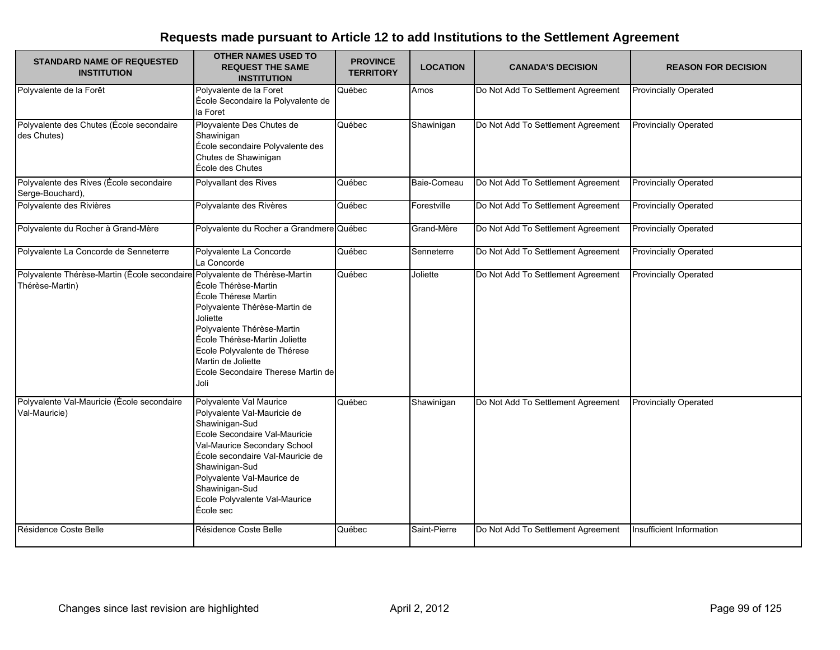| <b>STANDARD NAME OF REQUESTED</b><br><b>INSTITUTION</b>                                       | <b>OTHER NAMES USED TO</b><br><b>REQUEST THE SAME</b><br><b>INSTITUTION</b>                                                                                                                                                                                                                   | <b>PROVINCE</b><br><b>TERRITORY</b> | <b>LOCATION</b> | <b>CANADA'S DECISION</b>           | <b>REASON FOR DECISION</b>   |
|-----------------------------------------------------------------------------------------------|-----------------------------------------------------------------------------------------------------------------------------------------------------------------------------------------------------------------------------------------------------------------------------------------------|-------------------------------------|-----------------|------------------------------------|------------------------------|
| Polyvalente de la Forêt                                                                       | Polyvalente de la Foret<br>École Secondaire la Polyvalente de<br>la Foret                                                                                                                                                                                                                     | Québec                              | Amos            | Do Not Add To Settlement Agreement | <b>Provincially Operated</b> |
| Polyvalente des Chutes (École secondaire<br>des Chutes)                                       | Ployvalente Des Chutes de<br>Shawinigan<br>École secondaire Polyvalente des<br>Chutes de Shawinigan<br>École des Chutes                                                                                                                                                                       | Québec                              | Shawinigan      | Do Not Add To Settlement Agreement | <b>Provincially Operated</b> |
| Polyvalente des Rives (École secondaire<br>Serge-Bouchard),                                   | Polyvallant des Rives                                                                                                                                                                                                                                                                         | Québec                              | Baie-Comeau     | Do Not Add To Settlement Agreement | <b>Provincially Operated</b> |
| Polyvalente des Rivières                                                                      | Polyvalante des Rivères                                                                                                                                                                                                                                                                       | Québec                              | Forestville     | Do Not Add To Settlement Agreement | <b>Provincially Operated</b> |
| Polyvalente du Rocher à Grand-Mère                                                            | Polyvalente du Rocher a Grandmere Québec                                                                                                                                                                                                                                                      |                                     | Grand-Mère      | Do Not Add To Settlement Agreement | <b>Provincially Operated</b> |
| Polyvalente La Concorde de Senneterre                                                         | Polyvalente La Concorde<br>La Concorde                                                                                                                                                                                                                                                        | Québec                              | Senneterre      | Do Not Add To Settlement Agreement | <b>Provincially Operated</b> |
| Polyvalente Thérèse-Martin (École secondaire Polyvalente de Thérèse-Martin<br>Thérèse-Martin) | École Thérèse-Martin<br>École Thérese Martin<br>Polyvalente Thérèse-Martin de<br>Joliette<br>Polyvalente Thérèse-Martin<br>École Thérèse-Martin Joliette<br>Ecole Polyvalente de Thérese<br>Martin de Joliette<br>Ecole Secondaire Therese Martin de<br>Joli                                  | Québec                              | Joliette        | Do Not Add To Settlement Agreement | <b>Provincially Operated</b> |
| Polyvalente Val-Mauricie (École secondaire<br>Val-Mauricie)                                   | Polyvalente Val Maurice<br>Polyvalente Val-Mauricie de<br>Shawinigan-Sud<br>Ecole Secondaire Val-Mauricie<br>Val-Maurice Secondary School<br>École secondaire Val-Mauricie de<br>Shawinigan-Sud<br>Polyvalente Val-Maurice de<br>Shawinigan-Sud<br>Ecole Polyvalente Val-Maurice<br>École sec | Québec                              | Shawinigan      | Do Not Add To Settlement Agreement | <b>Provincially Operated</b> |
| Résidence Coste Belle                                                                         | Résidence Coste Belle                                                                                                                                                                                                                                                                         | Québec                              | Saint-Pierre    | Do Not Add To Settlement Agreement | Insufficient Information     |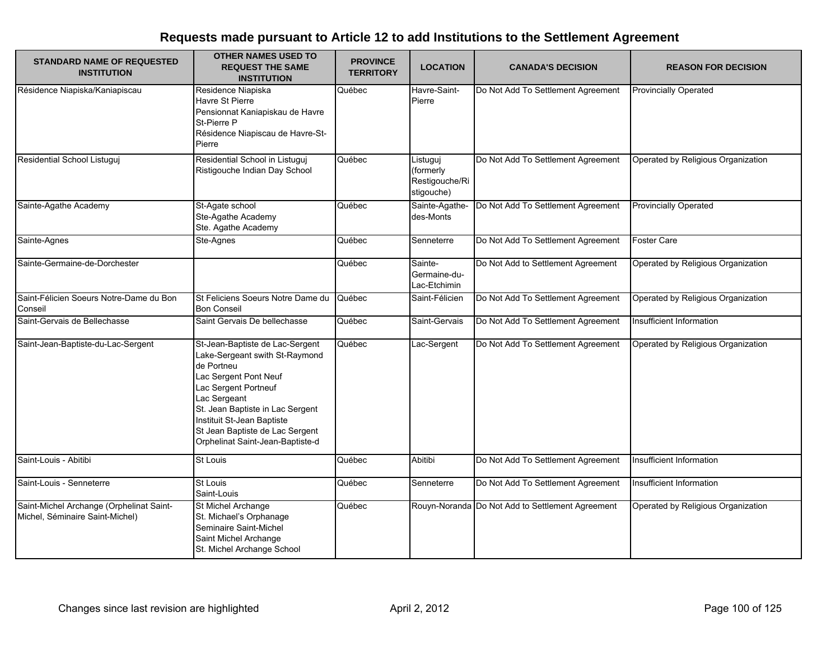| <b>STANDARD NAME OF REQUESTED</b><br><b>INSTITUTION</b>                     | <b>OTHER NAMES USED TO</b><br><b>REQUEST THE SAME</b><br><b>INSTITUTION</b>                                                                                                                                                                                                               | <b>PROVINCE</b><br><b>TERRITORY</b> | <b>LOCATION</b>                                       | <b>CANADA'S DECISION</b>                         | <b>REASON FOR DECISION</b>         |
|-----------------------------------------------------------------------------|-------------------------------------------------------------------------------------------------------------------------------------------------------------------------------------------------------------------------------------------------------------------------------------------|-------------------------------------|-------------------------------------------------------|--------------------------------------------------|------------------------------------|
| Résidence Niapiska/Kaniapiscau                                              | Residence Niapiska<br>Havre St Pierre<br>Pensionnat Kaniapiskau de Havre<br>St-Pierre P<br>Résidence Niapiscau de Havre-St-<br>Pierre                                                                                                                                                     | Québec                              | Havre-Saint-<br>Pierre                                | Do Not Add To Settlement Agreement               | <b>Provincially Operated</b>       |
| Residential School Listuguj                                                 | Residential School in Listuguj<br>Ristigouche Indian Day School                                                                                                                                                                                                                           | Québec                              | Listuguj<br>(formerly<br>Restigouche/Ri<br>stigouche) | Do Not Add To Settlement Agreement               | Operated by Religious Organization |
| Sainte-Agathe Academy                                                       | St-Agate school<br>Ste-Agathe Academy<br>Ste. Agathe Academy                                                                                                                                                                                                                              | Québec                              | Sainte-Agathe-<br>des-Monts                           | Do Not Add To Settlement Agreement               | <b>Provincially Operated</b>       |
| Sainte-Agnes                                                                | Ste-Agnes                                                                                                                                                                                                                                                                                 | Québec                              | Senneterre                                            | Do Not Add To Settlement Agreement               | <b>Foster Care</b>                 |
| Sainte-Germaine-de-Dorchester                                               |                                                                                                                                                                                                                                                                                           | Québec                              | Sainte-<br>Germaine-du-<br>Lac-Etchimin               | Do Not Add to Settlement Agreement               | Operated by Religious Organization |
| Saint-Félicien Soeurs Notre-Dame du Bon<br>Conseil                          | St Feliciens Soeurs Notre Dame du<br><b>Bon Conseil</b>                                                                                                                                                                                                                                   | Québec                              | Saint-Félicien                                        | Do Not Add To Settlement Agreement               | Operated by Religious Organization |
| Saint-Gervais de Bellechasse                                                | Saint Gervais De bellechasse                                                                                                                                                                                                                                                              | Québec                              | Saint-Gervais                                         | Do Not Add To Settlement Agreement               | Insufficient Information           |
| Saint-Jean-Baptiste-du-Lac-Sergent                                          | St-Jean-Baptiste de Lac-Sergent<br>Lake-Sergeant swith St-Raymond<br>de Portneu<br>Lac Sergent Pont Neuf<br>Lac Sergent Portneuf<br>Lac Sergeant<br>St. Jean Baptiste in Lac Sergent<br>Instituit St-Jean Baptiste<br>St Jean Baptiste de Lac Sergent<br>Orphelinat Saint-Jean-Baptiste-d | Québec                              | Lac-Sergent                                           | Do Not Add To Settlement Agreement               | Operated by Religious Organization |
| Saint-Louis - Abitibi                                                       | <b>St Louis</b>                                                                                                                                                                                                                                                                           | Québec                              | Abitibi                                               | Do Not Add To Settlement Agreement               | Insufficient Information           |
| Saint-Louis - Senneterre                                                    | <b>St Louis</b><br>Saint-Louis                                                                                                                                                                                                                                                            | Québec                              | Senneterre                                            | Do Not Add To Settlement Agreement               | Insufficient Information           |
| Saint-Michel Archange (Orphelinat Saint-<br>Michel, Séminaire Saint-Michel) | St Michel Archange<br>St. Michael's Orphanage<br>Seminaire Saint-Michel<br>Saint Michel Archange<br>St. Michel Archange School                                                                                                                                                            | Québec                              |                                                       | Rouyn-Noranda Do Not Add to Settlement Agreement | Operated by Religious Organization |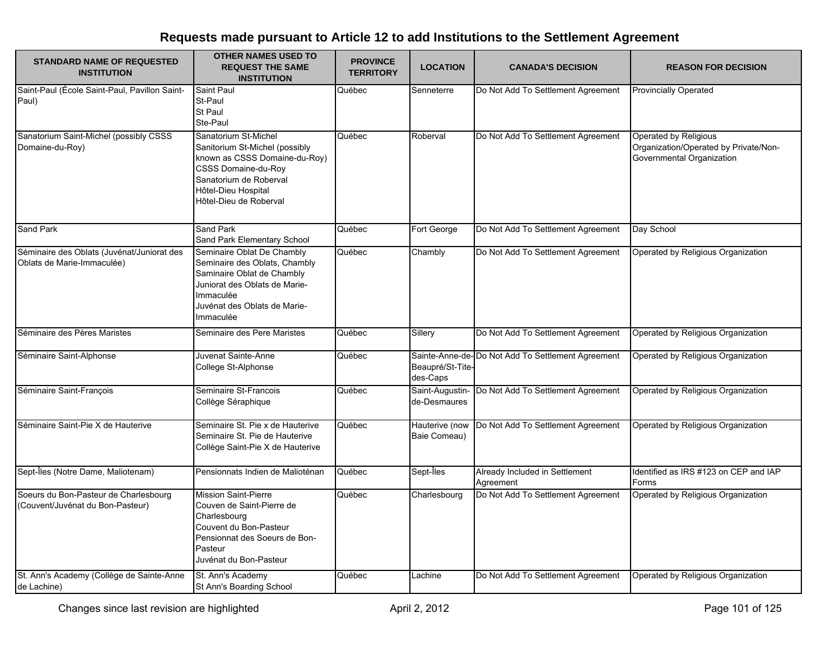| <b>STANDARD NAME OF REQUESTED</b><br><b>INSTITUTION</b>                   | <b>OTHER NAMES USED TO</b><br><b>REQUEST THE SAME</b><br><b>INSTITUTION</b>                                                                                                                      | <b>PROVINCE</b><br><b>TERRITORY</b> | <b>LOCATION</b>                 | <b>CANADA'S DECISION</b>                           | <b>REASON FOR DECISION</b>                                                                  |
|---------------------------------------------------------------------------|--------------------------------------------------------------------------------------------------------------------------------------------------------------------------------------------------|-------------------------------------|---------------------------------|----------------------------------------------------|---------------------------------------------------------------------------------------------|
| Saint-Paul (École Saint-Paul, Pavillon Saint-<br>Paul)                    | <b>Saint Paul</b><br>St-Paul<br>St Paul<br>Ste-Paul                                                                                                                                              | Québec                              | Senneterre                      | Do Not Add To Settlement Agreement                 | <b>Provincially Operated</b>                                                                |
| Sanatorium Saint-Michel (possibly CSSS<br>Domaine-du-Roy)                 | Sanatorium St-Michel<br>Sanitorium St-Michel (possibly<br>known as CSSS Domaine-du-Roy)<br><b>CSSS Domaine-du-Roy</b><br>Sanatorium de Roberval<br>Hôtel-Dieu Hospital<br>Hôtel-Dieu de Roberval | Québec                              | Roberval                        | Do Not Add To Settlement Agreement                 | Operated by Religious<br>Organization/Operated by Private/Non-<br>Governmental Organization |
| Sand Park                                                                 | Sand Park<br>Sand Park Elementary School                                                                                                                                                         | Québec                              | Fort George                     | Do Not Add To Settlement Agreement                 | Day School                                                                                  |
| Séminaire des Oblats (Juvénat/Juniorat des<br>Oblats de Marie-Immaculée)  | Seminaire Oblat De Chambly<br>Seminaire des Oblats, Chambly<br>Saminaire Oblat de Chambly<br>Juniorat des Oblats de Marie-<br>Immaculée<br>Juvénat des Oblats de Marie-<br>Immaculée             | Québec                              | Chambly                         | Do Not Add To Settlement Agreement                 | Operated by Religious Organization                                                          |
| Séminaire des Pères Maristes                                              | Seminaire des Pere Maristes                                                                                                                                                                      | Québec                              | Sillery                         | Do Not Add To Settlement Agreement                 | Operated by Religious Organization                                                          |
| Séminaire Saint-Alphonse                                                  | Juvenat Sainte-Anne<br>College St-Alphonse                                                                                                                                                       | Québec                              | Beaupré/St-Tite-<br>des-Caps    | Sainte-Anne-de- Do Not Add To Settlement Agreement | Operated by Religious Organization                                                          |
| Séminaire Saint-François                                                  | Seminaire St-Francois<br>Collège Séraphique                                                                                                                                                      | Québec                              | Saint-Augustin-<br>de-Desmaures | Do Not Add To Settlement Agreement                 | Operated by Religious Organization                                                          |
| Séminaire Saint-Pie X de Hauterive                                        | Seminaire St. Pie x de Hauterive<br>Seminaire St. Pie de Hauterive<br>Collège Saint-Pie X de Hauterive                                                                                           | Québec                              | Hauterive (now<br>Baie Comeau)  | Do Not Add To Settlement Agreement                 | Operated by Religious Organization                                                          |
| Sept-Îles (Notre Dame, Maliotenam)                                        | Pensionnats Indien de Malioténan                                                                                                                                                                 | Québec                              | Sept-Îles                       | Already Included in Settlement<br>Agreement        | Identified as IRS #123 on CEP and IAP<br>Forms                                              |
| Soeurs du Bon-Pasteur de Charlesbourg<br>(Couvent/Juvénat du Bon-Pasteur) | <b>Mission Saint-Pierre</b><br>Couven de Saint-Pierre de<br>Charlesbourg<br>Couvent du Bon-Pasteur<br>Pensionnat des Soeurs de Bon-<br>Pasteur<br>Juvénat du Bon-Pasteur                         | Québec                              | Charlesbourg                    | Do Not Add To Settlement Agreement                 | Operated by Religious Organization                                                          |
| St. Ann's Academy (Collège de Sainte-Anne<br>de Lachine)                  | St. Ann's Academy<br>St Ann's Boarding School                                                                                                                                                    | Québec                              | Lachine                         | Do Not Add To Settlement Agreement                 | Operated by Religious Organization                                                          |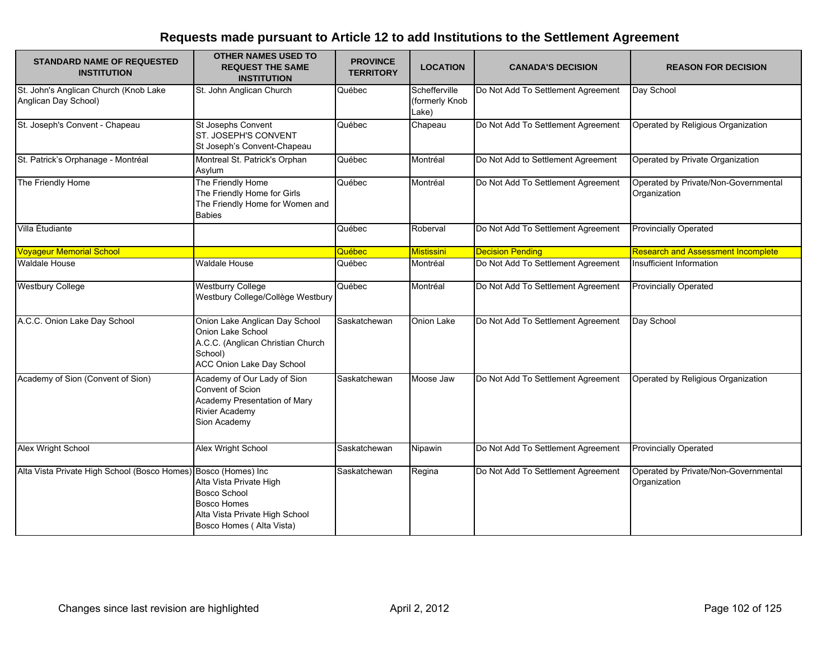| <b>STANDARD NAME OF REQUESTED</b><br><b>INSTITUTION</b>        | <b>OTHER NAMES USED TO</b><br><b>REQUEST THE SAME</b><br><b>INSTITUTION</b>                                                        | <b>PROVINCE</b><br><b>TERRITORY</b> | <b>LOCATION</b>                          | <b>CANADA'S DECISION</b>           | <b>REASON FOR DECISION</b>                           |
|----------------------------------------------------------------|------------------------------------------------------------------------------------------------------------------------------------|-------------------------------------|------------------------------------------|------------------------------------|------------------------------------------------------|
| St. John's Anglican Church (Knob Lake<br>Anglican Day School)  | St. John Anglican Church                                                                                                           | Québec                              | Schefferville<br>(formerly Knob<br>Lake) | Do Not Add To Settlement Agreement | Day School                                           |
| St. Joseph's Convent - Chapeau                                 | St Josephs Convent<br>ST. JOSEPH'S CONVENT<br>St Joseph's Convent-Chapeau                                                          | Québec                              | Chapeau                                  | Do Not Add To Settlement Agreement | Operated by Religious Organization                   |
| St. Patrick's Orphanage - Montréal                             | Montreal St. Patrick's Orphan<br>Asylum                                                                                            | Québec                              | Montréal                                 | Do Not Add to Settlement Agreement | Operated by Private Organization                     |
| The Friendly Home                                              | The Friendly Home<br>The Friendly Home for Girls<br>The Friendly Home for Women and<br><b>Babies</b>                               | Québec                              | Montréal                                 | Do Not Add To Settlement Agreement | Operated by Private/Non-Governmental<br>Organization |
| Villa Étudiante                                                |                                                                                                                                    | Québec                              | Roberval                                 | Do Not Add To Settlement Agreement | <b>Provincially Operated</b>                         |
| <b>Voyageur Memorial School</b>                                |                                                                                                                                    | Québec                              | <b>Mistissini</b>                        | <b>Decision Pending</b>            | <b>Research and Assessment Incomplete</b>            |
| <b>Waldale House</b>                                           | Waldale House                                                                                                                      | Québec                              | Montréal                                 | Do Not Add To Settlement Agreement | Insufficient Information                             |
| <b>Westbury College</b>                                        | <b>Westburry College</b><br>Westbury College/Collège Westbury                                                                      | Québec                              | Montréal                                 | Do Not Add To Settlement Agreement | <b>Provincially Operated</b>                         |
| A.C.C. Onion Lake Day School                                   | Onion Lake Anglican Day School<br>Onion Lake School<br>A.C.C. (Anglican Christian Church<br>School)<br>ACC Onion Lake Day School   | Saskatchewan                        | Onion Lake                               | Do Not Add To Settlement Agreement | Day School                                           |
| Academy of Sion (Convent of Sion)                              | Academy of Our Lady of Sion<br>Convent of Scion<br>Academy Presentation of Mary<br><b>Rivier Academy</b><br>Sion Academy           | Saskatchewan                        | Moose Jaw                                | Do Not Add To Settlement Agreement | Operated by Religious Organization                   |
| Alex Wright School                                             | Alex Wright School                                                                                                                 | Saskatchewan                        | Nipawin                                  | Do Not Add To Settlement Agreement | <b>Provincially Operated</b>                         |
| Alta Vista Private High School (Bosco Homes) Bosco (Homes) Inc | Alta Vista Private High<br><b>Bosco School</b><br><b>Bosco Homes</b><br>Alta Vista Private High School<br>Bosco Homes (Alta Vista) | Saskatchewan                        | Regina                                   | Do Not Add To Settlement Agreement | Operated by Private/Non-Governmental<br>Organization |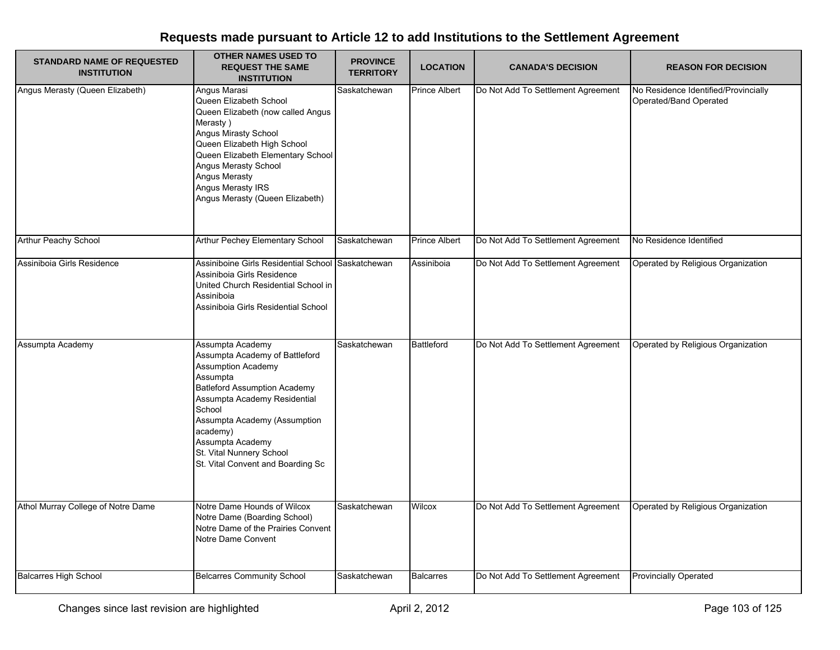| <b>STANDARD NAME OF REQUESTED</b><br><b>INSTITUTION</b> | <b>OTHER NAMES USED TO</b><br><b>REQUEST THE SAME</b><br><b>INSTITUTION</b>                                                                                                                                                                                                                                   | <b>PROVINCE</b><br><b>TERRITORY</b> | <b>LOCATION</b>      | <b>CANADA'S DECISION</b>           | <b>REASON FOR DECISION</b>                                     |
|---------------------------------------------------------|---------------------------------------------------------------------------------------------------------------------------------------------------------------------------------------------------------------------------------------------------------------------------------------------------------------|-------------------------------------|----------------------|------------------------------------|----------------------------------------------------------------|
| Angus Merasty (Queen Elizabeth)                         | Angus Marasi<br>Queen Elizabeth School<br>Queen Elizabeth (now called Angus<br>Merasty)<br>Angus Mirasty School<br>Queen Elizabeth High School<br>Queen Elizabeth Elementary School<br>Angus Merasty School<br><b>Angus Merasty</b><br>Angus Merasty IRS<br>Angus Merasty (Queen Elizabeth)                   | Saskatchewan                        | <b>Prince Albert</b> | Do Not Add To Settlement Agreement | No Residence Identified/Provincially<br>Operated/Band Operated |
| Arthur Peachy School                                    | Arthur Pechey Elementary School                                                                                                                                                                                                                                                                               | Saskatchewan                        | <b>Prince Albert</b> | Do Not Add To Settlement Agreement | No Residence Identified                                        |
| Assiniboia Girls Residence                              | Assiniboine Girls Residential School Saskatchewan<br>Assiniboia Girls Residence<br>United Church Residential School in<br>Assiniboia<br>Assiniboia Girls Residential School                                                                                                                                   |                                     | Assiniboia           | Do Not Add To Settlement Agreement | Operated by Religious Organization                             |
| Assumpta Academy                                        | Assumpta Academy<br>Assumpta Academy of Battleford<br><b>Assumption Academy</b><br>Assumpta<br><b>Batleford Assumption Academy</b><br>Assumpta Academy Residential<br>School<br>Assumpta Academy (Assumption<br>academy)<br>Assumpta Academy<br>St. Vital Nunnery School<br>St. Vital Convent and Boarding Sc | Saskatchewan                        | Battleford           | Do Not Add To Settlement Agreement | Operated by Religious Organization                             |
| Athol Murray College of Notre Dame                      | Notre Dame Hounds of Wilcox<br>Notre Dame (Boarding School)<br>Notre Dame of the Prairies Convent<br>Notre Dame Convent                                                                                                                                                                                       | Saskatchewan                        | Wilcox               | Do Not Add To Settlement Agreement | Operated by Religious Organization                             |
| <b>Balcarres High School</b>                            | <b>Belcarres Community School</b>                                                                                                                                                                                                                                                                             | Saskatchewan                        | <b>Balcarres</b>     | Do Not Add To Settlement Agreement | <b>Provincially Operated</b>                                   |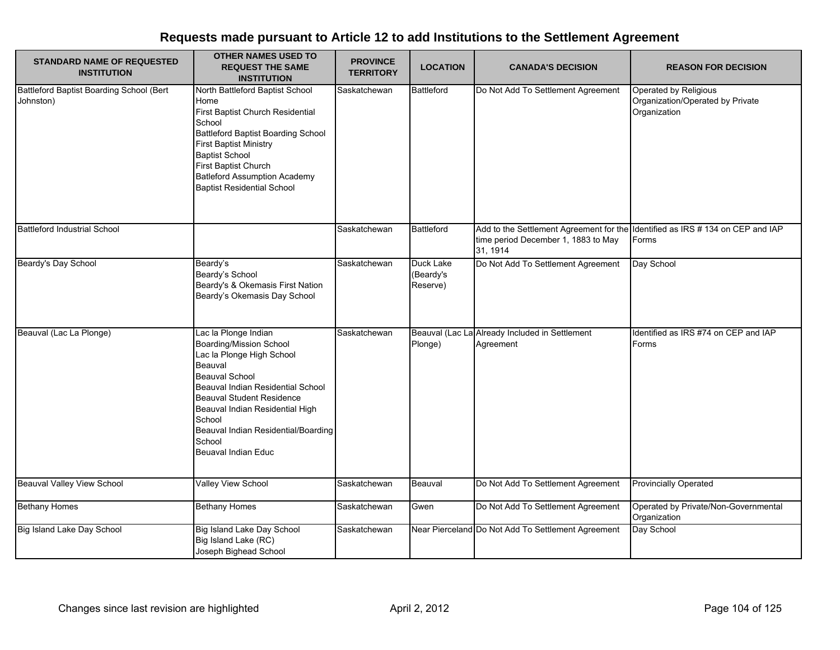| <b>STANDARD NAME OF REQUESTED</b><br><b>INSTITUTION</b> | <b>OTHER NAMES USED TO</b><br><b>REQUEST THE SAME</b><br><b>INSTITUTION</b>                                                                                                                                                                                                                                    | <b>PROVINCE</b><br><b>TERRITORY</b> | <b>LOCATION</b>                           | <b>CANADA'S DECISION</b>                                                                                                          | <b>REASON FOR DECISION</b>                                                |
|---------------------------------------------------------|----------------------------------------------------------------------------------------------------------------------------------------------------------------------------------------------------------------------------------------------------------------------------------------------------------------|-------------------------------------|-------------------------------------------|-----------------------------------------------------------------------------------------------------------------------------------|---------------------------------------------------------------------------|
| Battleford Baptist Boarding School (Bert<br>Johnston)   | North Battleford Baptist School<br>Home<br>First Baptist Church Residential<br>School<br>Battleford Baptist Boarding School<br><b>First Baptist Ministry</b><br><b>Baptist School</b><br>First Baptist Church<br><b>Batleford Assumption Academy</b><br><b>Baptist Residential School</b>                      | Saskatchewan                        | Battleford                                | Do Not Add To Settlement Agreement                                                                                                | Operated by Religious<br>Organization/Operated by Private<br>Organization |
| <b>Battleford Industrial School</b>                     |                                                                                                                                                                                                                                                                                                                | Saskatchewan                        | <b>Battleford</b>                         | Add to the Settlement Agreement for the Identified as IRS # 134 on CEP and IAP<br>time period December 1, 1883 to May<br>31, 1914 | Forms                                                                     |
| Beardy's Day School                                     | Beardy's<br>Beardy's School<br>Beardy's & Okemasis First Nation<br>Beardy's Okemasis Day School                                                                                                                                                                                                                | Saskatchewan                        | <b>Duck Lake</b><br>(Beardy's<br>Reserve) | Do Not Add To Settlement Agreement                                                                                                | Day School                                                                |
| Beauval (Lac La Plonge)                                 | Lac la Plonge Indian<br>Boarding/Mission School<br>Lac la Plonge High School<br>Beauval<br><b>Beauval School</b><br>Beauval Indian Residential School<br>Beauval Student Residence<br>Beauval Indian Residential High<br>School<br>Beauval Indian Residential/Boarding<br>School<br><b>Beuaval Indian Educ</b> | Saskatchewan                        | Plonge)                                   | Beauval (Lac La Already Included in Settlement<br>Agreement                                                                       | Identified as IRS #74 on CEP and IAP<br>Forms                             |
| <b>Beauval Valley View School</b>                       | Valley View School                                                                                                                                                                                                                                                                                             | Saskatchewan                        | Beauval                                   | Do Not Add To Settlement Agreement                                                                                                | <b>Provincially Operated</b>                                              |
| <b>Bethany Homes</b>                                    | <b>Bethany Homes</b>                                                                                                                                                                                                                                                                                           | Saskatchewan                        | Gwen                                      | Do Not Add To Settlement Agreement                                                                                                | Operated by Private/Non-Governmental<br>Organization                      |
| Big Island Lake Day School                              | Big Island Lake Day School<br>Big Island Lake (RC)<br>Joseph Bighead School                                                                                                                                                                                                                                    | Saskatchewan                        |                                           | Near Pierceland Do Not Add To Settlement Agreement                                                                                | Day School                                                                |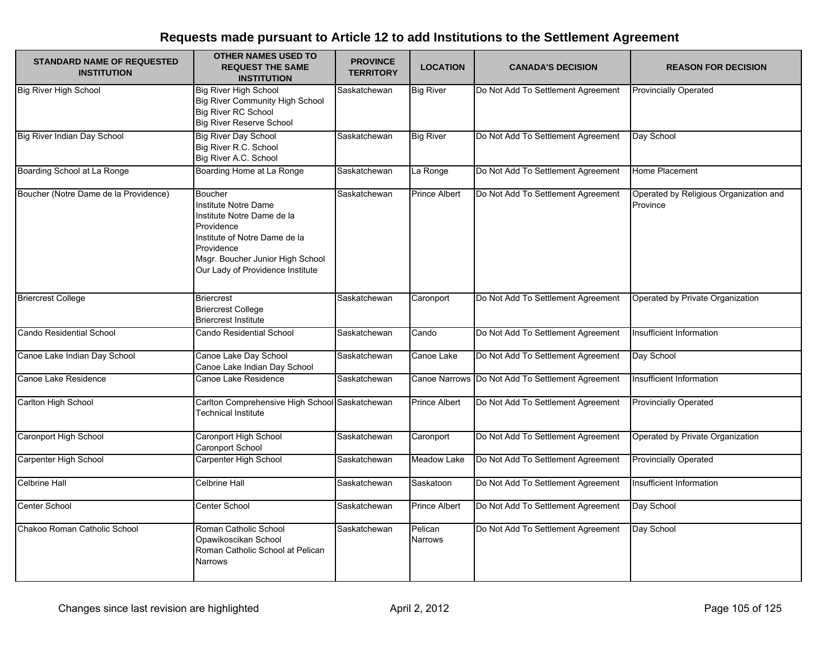| <b>STANDARD NAME OF REQUESTED</b><br><b>INSTITUTION</b> | <b>OTHER NAMES USED TO</b><br><b>REQUEST THE SAME</b><br><b>INSTITUTION</b>                                                                                                                        | <b>PROVINCE</b><br><b>TERRITORY</b> | <b>LOCATION</b>           | <b>CANADA'S DECISION</b>                         | <b>REASON FOR DECISION</b>                         |
|---------------------------------------------------------|----------------------------------------------------------------------------------------------------------------------------------------------------------------------------------------------------|-------------------------------------|---------------------------|--------------------------------------------------|----------------------------------------------------|
| <b>Big River High School</b>                            | <b>Big River High School</b><br><b>Big River Community High School</b><br><b>Big River RC School</b><br><b>Big River Reserve School</b>                                                            | Saskatchewan                        | <b>Big River</b>          | Do Not Add To Settlement Agreement               | <b>Provincially Operated</b>                       |
| Big River Indian Day School                             | <b>Big River Day School</b><br>Big River R.C. School<br>Big River A.C. School                                                                                                                      | Saskatchewan                        | <b>Big River</b>          | Do Not Add To Settlement Agreement               | Day School                                         |
| Boarding School at La Ronge                             | Boarding Home at La Ronge                                                                                                                                                                          | Saskatchewan                        | La Ronge                  | Do Not Add To Settlement Agreement               | Home Placement                                     |
| Boucher (Notre Dame de la Providence)                   | Boucher<br>Institute Notre Dame<br>Institute Notre Dame de la<br>Providence<br>Institute of Notre Dame de la<br>Providence<br>Msgr. Boucher Junior High School<br>Our Lady of Providence Institute | Saskatchewan                        | Prince Albert             | Do Not Add To Settlement Agreement               | Operated by Religious Organization and<br>Province |
| <b>Briercrest College</b>                               | <b>Briercrest</b><br><b>Briercrest College</b><br><b>Briercrest Institute</b>                                                                                                                      | Saskatchewan                        | Caronport                 | Do Not Add To Settlement Agreement               | Operated by Private Organization                   |
| Cando Residential School                                | <b>Cando Residential School</b>                                                                                                                                                                    | Saskatchewan                        | Cando                     | Do Not Add To Settlement Agreement               | Insufficient Information                           |
| Canoe Lake Indian Day School                            | Canoe Lake Day School<br>Canoe Lake Indian Day School                                                                                                                                              | Saskatchewan                        | Canoe Lake                | Do Not Add To Settlement Agreement               | Day School                                         |
| Canoe Lake Residence                                    | Canoe Lake Residence                                                                                                                                                                               | Saskatchewan                        |                           | Canoe Narrows Do Not Add To Settlement Agreement | Insufficient Information                           |
| Carlton High School                                     | Carlton Comprehensive High School Saskatchewan<br><b>Technical Institute</b>                                                                                                                       |                                     | Prince Albert             | Do Not Add To Settlement Agreement               | <b>Provincially Operated</b>                       |
| Caronport High School                                   | Caronport High School<br>Caronport School                                                                                                                                                          | Saskatchewan                        | Caronport                 | Do Not Add To Settlement Agreement               | Operated by Private Organization                   |
| Carpenter High School                                   | Carpenter High School                                                                                                                                                                              | Saskatchewan                        | Meadow Lake               | Do Not Add To Settlement Agreement               | <b>Provincially Operated</b>                       |
| <b>Celbrine Hall</b>                                    | Celbrine Hall                                                                                                                                                                                      | Saskatchewan                        | Saskatoon                 | Do Not Add To Settlement Agreement               | Insufficient Information                           |
| Center School                                           | Center School                                                                                                                                                                                      | Saskatchewan                        | Prince Albert             | Do Not Add To Settlement Agreement               | Day School                                         |
| Chakoo Roman Catholic School                            | Roman Catholic School<br>Opawikoscikan School<br>Roman Catholic School at Pelican<br>Narrows                                                                                                       | Saskatchewan                        | Pelican<br><b>Narrows</b> | Do Not Add To Settlement Agreement               | Day School                                         |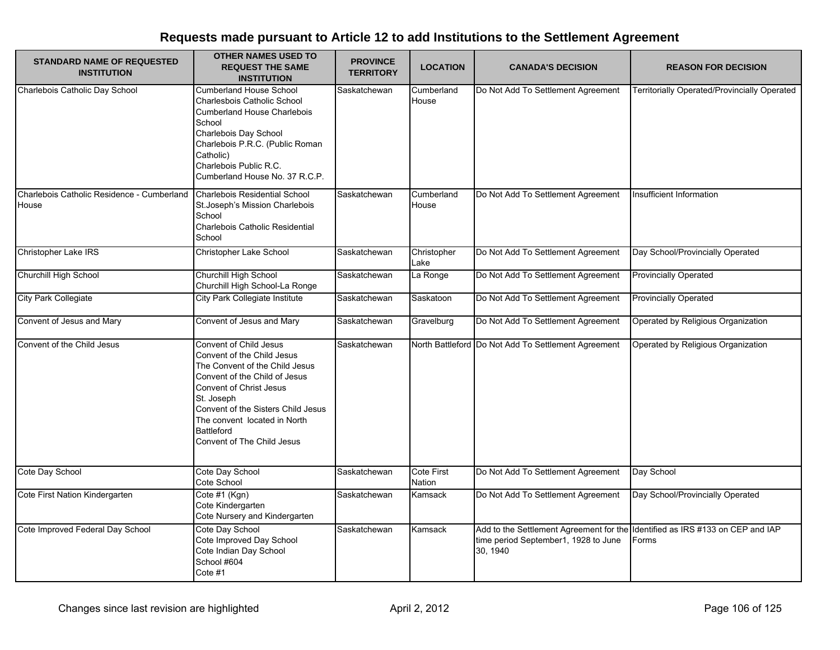| <b>STANDARD NAME OF REQUESTED</b><br><b>INSTITUTION</b> | <b>OTHER NAMES USED TO</b><br><b>REQUEST THE SAME</b>                                                                                                                                                                                                                                     | <b>PROVINCE</b><br><b>TERRITORY</b> | <b>LOCATION</b>      | <b>CANADA'S DECISION</b>                                                                    | <b>REASON FOR DECISION</b>                     |
|---------------------------------------------------------|-------------------------------------------------------------------------------------------------------------------------------------------------------------------------------------------------------------------------------------------------------------------------------------------|-------------------------------------|----------------------|---------------------------------------------------------------------------------------------|------------------------------------------------|
|                                                         | <b>INSTITUTION</b>                                                                                                                                                                                                                                                                        |                                     |                      |                                                                                             |                                                |
| Charlebois Catholic Day School                          | <b>Cumberland House School</b><br>Charlesbois Catholic School<br><b>Cumberland House Charlebois</b><br>School<br>Charlebois Day School<br>Charlebois P.R.C. (Public Roman<br>Catholic)<br>Charlebois Public R.C.<br>Cumberland House No. 37 R.C.P.                                        | Saskatchewan                        | Cumberland<br>House  | Do Not Add To Settlement Agreement                                                          | Territorially Operated/Provincially Operated   |
| Charlebois Catholic Residence - Cumberland<br>House     | Charlebois Residential School<br>St. Joseph's Mission Charlebois<br>School<br>Charlebois Catholic Residential<br>School                                                                                                                                                                   | Saskatchewan                        | Cumberland<br>House  | Do Not Add To Settlement Agreement                                                          | Insufficient Information                       |
| Christopher Lake IRS                                    | Christopher Lake School                                                                                                                                                                                                                                                                   | Saskatchewan                        | Christopher<br>Lake  | Do Not Add To Settlement Agreement                                                          | Day School/Provincially Operated               |
| Churchill High School                                   | Churchill High School<br>Churchill High School-La Ronge                                                                                                                                                                                                                                   | Saskatchewan                        | La Ronge             | Do Not Add To Settlement Agreement                                                          | <b>Provincially Operated</b>                   |
| <b>City Park Collegiate</b>                             | City Park Collegiate Institute                                                                                                                                                                                                                                                            | Saskatchewan                        | Saskatoon            | Do Not Add To Settlement Agreement                                                          | <b>Provincially Operated</b>                   |
| Convent of Jesus and Mary                               | Convent of Jesus and Mary                                                                                                                                                                                                                                                                 | Saskatchewan                        | Gravelburg           | Do Not Add To Settlement Agreement                                                          | Operated by Religious Organization             |
| Convent of the Child Jesus                              | Convent of Child Jesus<br>Convent of the Child Jesus<br>The Convent of the Child Jesus<br>Convent of the Child of Jesus<br>Convent of Christ Jesus<br>St. Joseph<br>Convent of the Sisters Child Jesus<br>The convent located in North<br><b>Battleford</b><br>Convent of The Child Jesus | Saskatchewan                        |                      | North Battleford Do Not Add To Settlement Agreement                                         | Operated by Religious Organization             |
| Cote Day School                                         | Cote Day School<br>Cote School                                                                                                                                                                                                                                                            | Saskatchewan                        | Cote First<br>Nation | Do Not Add To Settlement Agreement                                                          | Day School                                     |
| Cote First Nation Kindergarten                          | Cote #1 (Kgn)<br>Cote Kindergarten<br>Cote Nursery and Kindergarten                                                                                                                                                                                                                       | Saskatchewan                        | Kamsack              | Do Not Add To Settlement Agreement                                                          | Day School/Provincially Operated               |
| Cote Improved Federal Day School                        | Cote Day School<br>Cote Improved Day School<br>Cote Indian Day School<br>School #604<br>Cote #1                                                                                                                                                                                           | Saskatchewan                        | Kamsack              | Add to the Settlement Agreement for the<br>time period September1, 1928 to June<br>30, 1940 | Identified as IRS #133 on CEP and IAP<br>Forms |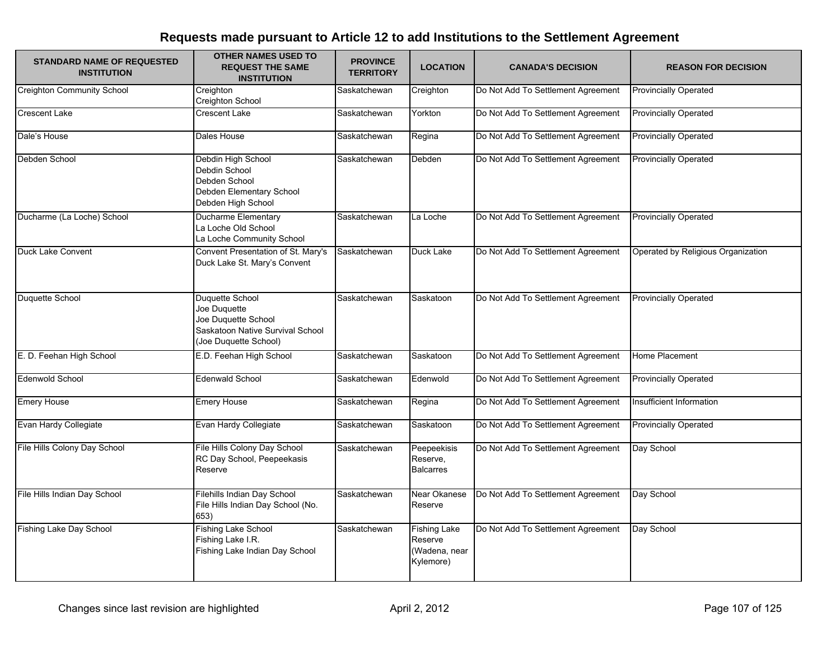| <b>STANDARD NAME OF REQUESTED</b><br><b>INSTITUTION</b> | <b>OTHER NAMES USED TO</b><br><b>REQUEST THE SAME</b><br><b>INSTITUTION</b>                                         | <b>PROVINCE</b><br><b>TERRITORY</b> | <b>LOCATION</b>                                              | <b>CANADA'S DECISION</b>           | <b>REASON FOR DECISION</b>         |
|---------------------------------------------------------|---------------------------------------------------------------------------------------------------------------------|-------------------------------------|--------------------------------------------------------------|------------------------------------|------------------------------------|
| <b>Creighton Community School</b>                       | Creighton<br>Creighton School                                                                                       | Saskatchewan                        | Creighton                                                    | Do Not Add To Settlement Agreement | <b>Provincially Operated</b>       |
| <b>Crescent Lake</b>                                    | <b>Crescent Lake</b>                                                                                                | Saskatchewan                        | Yorkton                                                      | Do Not Add To Settlement Agreement | <b>Provincially Operated</b>       |
| Dale's House                                            | Dales House                                                                                                         | Saskatchewan                        | Regina                                                       | Do Not Add To Settlement Agreement | <b>Provincially Operated</b>       |
| Debden School                                           | Debdin High School<br>Debdin School<br>Debden School<br>Debden Elementary School<br>Debden High School              | Saskatchewan                        | Debden                                                       | Do Not Add To Settlement Agreement | <b>Provincially Operated</b>       |
| Ducharme (La Loche) School                              | <b>Ducharme Elementary</b><br>La Loche Old School<br>La Loche Community School                                      | Saskatchewan                        | La Loche                                                     | Do Not Add To Settlement Agreement | <b>Provincially Operated</b>       |
| Duck Lake Convent                                       | Convent Presentation of St. Mary's<br>Duck Lake St. Mary's Convent                                                  | Saskatchewan                        | Duck Lake                                                    | Do Not Add To Settlement Agreement | Operated by Religious Organization |
| Duquette School                                         | Duquette School<br>Joe Duquette<br>Joe Duquette School<br>Saskatoon Native Survival School<br>(Joe Duquette School) | Saskatchewan                        | Saskatoon                                                    | Do Not Add To Settlement Agreement | <b>Provincially Operated</b>       |
| E. D. Feehan High School                                | E.D. Feehan High School                                                                                             | Saskatchewan                        | Saskatoon                                                    | Do Not Add To Settlement Agreement | Home Placement                     |
| <b>Edenwold School</b>                                  | <b>Edenwald School</b>                                                                                              | Saskatchewan                        | Edenwold                                                     | Do Not Add To Settlement Agreement | <b>Provincially Operated</b>       |
| <b>Emery House</b>                                      | <b>Emery House</b>                                                                                                  | Saskatchewan                        | Regina                                                       | Do Not Add To Settlement Agreement | Insufficient Information           |
| Evan Hardy Collegiate                                   | Evan Hardy Collegiate                                                                                               | Saskatchewan                        | Saskatoon                                                    | Do Not Add To Settlement Agreement | <b>Provincially Operated</b>       |
| File Hills Colony Day School                            | File Hills Colony Day School<br>RC Day School, Peepeekasis<br>Reserve                                               | Saskatchewan                        | Peepeekisis<br>Reserve,<br><b>Balcarres</b>                  | Do Not Add To Settlement Agreement | Day School                         |
| File Hills Indian Day School                            | Filehills Indian Day School<br>File Hills Indian Day School (No.<br>653)                                            | Saskatchewan                        | Near Okanese<br>Reserve                                      | Do Not Add To Settlement Agreement | Day School                         |
| <b>Fishing Lake Day School</b>                          | <b>Fishing Lake School</b><br>Fishing Lake I.R.<br>Fishing Lake Indian Day School                                   | Saskatchewan                        | <b>Fishing Lake</b><br>Reserve<br>(Wadena, near<br>Kylemore) | Do Not Add To Settlement Agreement | Day School                         |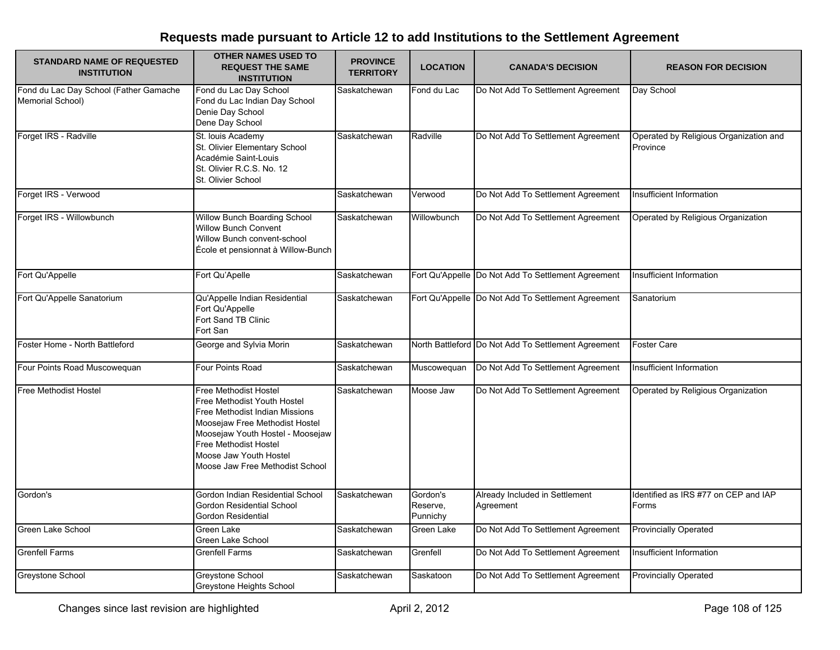| <b>STANDARD NAME OF REQUESTED</b><br><b>INSTITUTION</b>    | <b>OTHER NAMES USED TO</b><br><b>REQUEST THE SAME</b><br><b>INSTITUTION</b>                                                                                                                                                                                      | <b>PROVINCE</b><br><b>TERRITORY</b> | <b>LOCATION</b>                  | <b>CANADA'S DECISION</b>                            | <b>REASON FOR DECISION</b>                         |
|------------------------------------------------------------|------------------------------------------------------------------------------------------------------------------------------------------------------------------------------------------------------------------------------------------------------------------|-------------------------------------|----------------------------------|-----------------------------------------------------|----------------------------------------------------|
| Fond du Lac Day School (Father Gamache<br>Memorial School) | Fond du Lac Day School<br>Fond du Lac Indian Day School<br>Denie Day School<br>Dene Day School                                                                                                                                                                   | Saskatchewan                        | Fond du Lac                      | Do Not Add To Settlement Agreement                  | Day School                                         |
| Forget IRS - Radville                                      | St. Iouis Academy<br>St. Olivier Elementary School<br>Académie Saint-Louis<br>St. Olivier R.C.S. No. 12<br>St. Olivier School                                                                                                                                    | Saskatchewan                        | Radville                         | Do Not Add To Settlement Agreement                  | Operated by Religious Organization and<br>Province |
| Forget IRS - Verwood                                       |                                                                                                                                                                                                                                                                  | Saskatchewan                        | Verwood                          | Do Not Add To Settlement Agreement                  | Insufficient Information                           |
| Forget IRS - Willowbunch                                   | Willow Bunch Boarding School<br><b>Willow Bunch Convent</b><br>Willow Bunch convent-school<br>École et pensionnat à Willow-Bunch                                                                                                                                 | Saskatchewan                        | Willowbunch                      | Do Not Add To Settlement Agreement                  | Operated by Religious Organization                 |
| Fort Qu'Appelle                                            | Fort Qu'Apelle                                                                                                                                                                                                                                                   | Saskatchewan                        |                                  | Fort Qu'Appelle Do Not Add To Settlement Agreement  | Insufficient Information                           |
| Fort Qu'Appelle Sanatorium                                 | Qu'Appelle Indian Residential<br>Fort Qu'Appelle<br>Fort Sand TB Clinic<br>Fort San                                                                                                                                                                              | Saskatchewan                        |                                  | Fort Qu'Appelle Do Not Add To Settlement Agreement  | Sanatorium                                         |
| Foster Home - North Battleford                             | George and Sylvia Morin                                                                                                                                                                                                                                          | Saskatchewan                        |                                  | North Battleford Do Not Add To Settlement Agreement | <b>Foster Care</b>                                 |
| Four Points Road Muscowequan                               | Four Points Road                                                                                                                                                                                                                                                 | Saskatchewan                        | Muscowequan                      | Do Not Add To Settlement Agreement                  | Insufficient Information                           |
| Free Methodist Hostel                                      | <b>Free Methodist Hostel</b><br>Free Methodist Youth Hostel<br>Free Methodist Indian Missions<br>Moosejaw Free Methodist Hostel<br>Moosejaw Youth Hostel - Moosejaw<br><b>Free Methodist Hostel</b><br>Moose Jaw Youth Hostel<br>Moose Jaw Free Methodist School | Saskatchewan                        | Moose Jaw                        | Do Not Add To Settlement Agreement                  | Operated by Religious Organization                 |
| Gordon's                                                   | Gordon Indian Residential School<br>Gordon Residential School<br>Gordon Residential                                                                                                                                                                              | Saskatchewan                        | Gordon's<br>Reserve.<br>Punnichy | Already Included in Settlement<br>Agreement         | Identified as IRS #77 on CEP and IAP<br>Forms      |
| Green Lake School                                          | Green Lake<br><b>Green Lake School</b>                                                                                                                                                                                                                           | Saskatchewan                        | Green Lake                       | Do Not Add To Settlement Agreement                  | <b>Provincially Operated</b>                       |
| <b>Grenfell Farms</b>                                      | <b>Grenfell Farms</b>                                                                                                                                                                                                                                            | Saskatchewan                        | Grenfell                         | Do Not Add To Settlement Agreement                  | <b>Insufficient Information</b>                    |
| Greystone School                                           | Greystone School<br>Greystone Heights School                                                                                                                                                                                                                     | Saskatchewan                        | Saskatoon                        | Do Not Add To Settlement Agreement                  | <b>Provincially Operated</b>                       |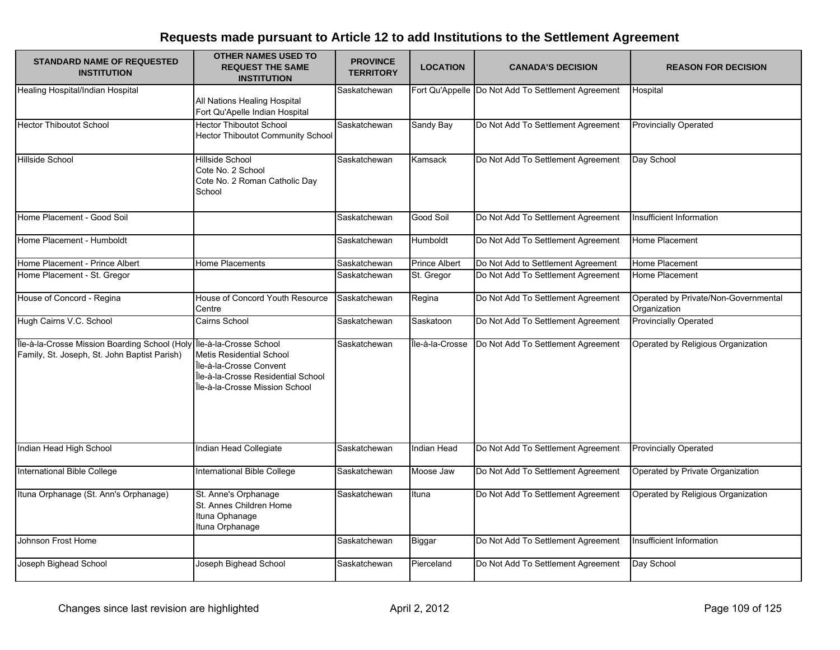| <b>STANDARD NAME OF REQUESTED</b><br><b>INSTITUTION</b>                                                              | <b>OTHER NAMES USED TO</b><br><b>REQUEST THE SAME</b><br><b>INSTITUTION</b>                                                        | <b>PROVINCE</b><br><b>TERRITORY</b> | <b>LOCATION</b> | <b>CANADA'S DECISION</b>                           | <b>REASON FOR DECISION</b>                           |
|----------------------------------------------------------------------------------------------------------------------|------------------------------------------------------------------------------------------------------------------------------------|-------------------------------------|-----------------|----------------------------------------------------|------------------------------------------------------|
| Healing Hospital/Indian Hospital                                                                                     | All Nations Healing Hospital<br>Fort Qu'Apelle Indian Hospital                                                                     | Saskatchewan                        |                 | Fort Qu'Appelle Do Not Add To Settlement Agreement | Hospital                                             |
| <b>Hector Thiboutot School</b>                                                                                       | <b>Hector Thiboutot School</b><br><b>Hector Thiboutot Community School</b>                                                         | Saskatchewan                        | Sandy Bay       | Do Not Add To Settlement Agreement                 | <b>Provincially Operated</b>                         |
| Hillside School                                                                                                      | <b>Hillside School</b><br>Cote No. 2 School<br>Cote No. 2 Roman Catholic Day<br>School                                             | Saskatchewan                        | Kamsack         | Do Not Add To Settlement Agreement                 | Day School                                           |
| Home Placement - Good Soil                                                                                           |                                                                                                                                    | Saskatchewan                        | Good Soil       | Do Not Add To Settlement Agreement                 | Insufficient Information                             |
| Home Placement - Humboldt                                                                                            |                                                                                                                                    | Saskatchewan                        | Humboldt        | Do Not Add To Settlement Agreement                 | Home Placement                                       |
| Home Placement - Prince Albert                                                                                       | Home Placements                                                                                                                    | Saskatchewan                        | Prince Albert   | Do Not Add to Settlement Agreement                 | Home Placement                                       |
| Home Placement - St. Gregor                                                                                          |                                                                                                                                    | Saskatchewan                        | St. Gregor      | Do Not Add To Settlement Agreement                 | Home Placement                                       |
| House of Concord - Regina                                                                                            | House of Concord Youth Resource<br>Centre                                                                                          | Saskatchewan                        | Regina          | Do Not Add To Settlement Agreement                 | Operated by Private/Non-Governmental<br>Organization |
| Hugh Cairns V.C. School                                                                                              | Cairns School                                                                                                                      | Saskatchewan                        | Saskatoon       | Do Not Add To Settlement Agreement                 | <b>Provincially Operated</b>                         |
| Île-à-la-Crosse Mission Boarding School (Holy Île-à-la-Crosse School<br>Family, St. Joseph, St. John Baptist Parish) | <b>Metis Residential School</b><br>Île-à-la-Crosse Convent<br>Île-à-la-Crosse Residential School<br>Île-à-la-Crosse Mission School | Saskatchewan                        | Île-à-la-Crosse | Do Not Add To Settlement Agreement                 | Operated by Religious Organization                   |
| Indian Head High School                                                                                              | Indian Head Collegiate                                                                                                             | Saskatchewan                        | Indian Head     | Do Not Add To Settlement Agreement                 | <b>Provincially Operated</b>                         |
| International Bible College                                                                                          | International Bible College                                                                                                        | Saskatchewan                        | Moose Jaw       | Do Not Add To Settlement Agreement                 | Operated by Private Organization                     |
| Ituna Orphanage (St. Ann's Orphanage)                                                                                | St. Anne's Orphanage<br>St. Annes Children Home<br>Ituna Ophanage<br>Ituna Orphanage                                               | Saskatchewan                        | Ituna           | Do Not Add To Settlement Agreement                 | Operated by Religious Organization                   |
| Johnson Frost Home                                                                                                   |                                                                                                                                    | Saskatchewan                        | <b>Biggar</b>   | Do Not Add To Settlement Agreement                 | Insufficient Information                             |
| Joseph Bighead School                                                                                                | Joseph Bighead School                                                                                                              | Saskatchewan                        | Pierceland      | Do Not Add To Settlement Agreement                 | Day School                                           |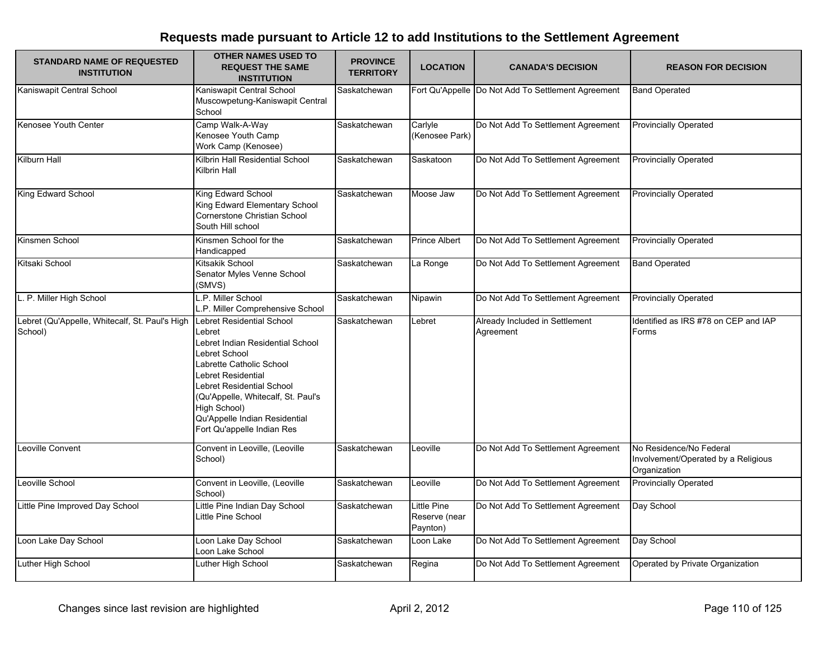| <b>STANDARD NAME OF REQUESTED</b><br><b>INSTITUTION</b>   | <b>OTHER NAMES USED TO</b><br><b>REQUEST THE SAME</b><br><b>INSTITUTION</b>                                                                                                                                                                                                                  | <b>PROVINCE</b><br><b>TERRITORY</b> | <b>LOCATION</b>                                 | <b>CANADA'S DECISION</b>                           | <b>REASON FOR DECISION</b>                                                     |
|-----------------------------------------------------------|----------------------------------------------------------------------------------------------------------------------------------------------------------------------------------------------------------------------------------------------------------------------------------------------|-------------------------------------|-------------------------------------------------|----------------------------------------------------|--------------------------------------------------------------------------------|
| Kaniswapit Central School                                 | Kaniswapit Central School<br>Muscowpetung-Kaniswapit Central<br>School                                                                                                                                                                                                                       | Saskatchewan                        |                                                 | Fort Qu'Appelle Do Not Add To Settlement Agreement | <b>Band Operated</b>                                                           |
| Kenosee Youth Center                                      | Camp Walk-A-Way<br>Kenosee Youth Camp<br>Work Camp (Kenosee)                                                                                                                                                                                                                                 | Saskatchewan                        | Carlyle<br>(Kenosee Park)                       | Do Not Add To Settlement Agreement                 | <b>Provincially Operated</b>                                                   |
| Kilburn Hall                                              | Kilbrin Hall Residential School<br><b>Kilbrin Hall</b>                                                                                                                                                                                                                                       | Saskatchewan                        | Saskatoon                                       | Do Not Add To Settlement Agreement                 | <b>Provincially Operated</b>                                                   |
| King Edward School                                        | King Edward School<br>King Edward Elementary School<br>Cornerstone Christian School<br>South Hill school                                                                                                                                                                                     | Saskatchewan                        | Moose Jaw                                       | Do Not Add To Settlement Agreement                 | <b>Provincially Operated</b>                                                   |
| Kinsmen School                                            | Kinsmen School for the<br>Handicapped                                                                                                                                                                                                                                                        | Saskatchewan                        | <b>Prince Albert</b>                            | Do Not Add To Settlement Agreement                 | <b>Provincially Operated</b>                                                   |
| Kitsaki School                                            | Kitsakik School<br>Senator Myles Venne School<br>(SMVS)                                                                                                                                                                                                                                      | Saskatchewan                        | La Ronge                                        | Do Not Add To Settlement Agreement                 | <b>Band Operated</b>                                                           |
| L. P. Miller High School                                  | L.P. Miller School<br>L.P. Miller Comprehensive School                                                                                                                                                                                                                                       | Saskatchewan                        | Nipawin                                         | Do Not Add To Settlement Agreement                 | <b>Provincially Operated</b>                                                   |
| Lebret (Qu'Appelle, Whitecalf, St. Paul's High<br>School) | Lebret Residential School<br>Lebret<br>Lebret Indian Residential School<br>Lebret School<br>Labrette Catholic School<br>Lebret Residential<br>Lebret Residential School<br>(Qu'Appelle, Whitecalf, St. Paul's<br>High School)<br>Qu'Appelle Indian Residential<br>Fort Qu'appelle Indian Res | Saskatchewan                        | Lebret                                          | Already Included in Settlement<br>Agreement        | Identified as IRS #78 on CEP and IAP<br>Forms                                  |
| Leoville Convent                                          | Convent in Leoville, (Leoville<br>School)                                                                                                                                                                                                                                                    | Saskatchewan                        | Leoville                                        | Do Not Add To Settlement Agreement                 | No Residence/No Federal<br>Involvement/Operated by a Religious<br>Organization |
| Leoville School                                           | Convent in Leoville, (Leoville<br>School)                                                                                                                                                                                                                                                    | Saskatchewan                        | Leoville                                        | Do Not Add To Settlement Agreement                 | <b>Provincially Operated</b>                                                   |
| Little Pine Improved Day School                           | Little Pine Indian Day School<br>Little Pine School                                                                                                                                                                                                                                          | Saskatchewan                        | <b>Little Pine</b><br>Reserve (near<br>Paynton) | Do Not Add To Settlement Agreement                 | Day School                                                                     |
| Loon Lake Day School                                      | Loon Lake Day School<br>Loon Lake School                                                                                                                                                                                                                                                     | Saskatchewan                        | Loon Lake                                       | Do Not Add To Settlement Agreement                 | Day School                                                                     |
| Luther High School                                        | Luther High School                                                                                                                                                                                                                                                                           | Saskatchewan                        | Regina                                          | Do Not Add To Settlement Agreement                 | Operated by Private Organization                                               |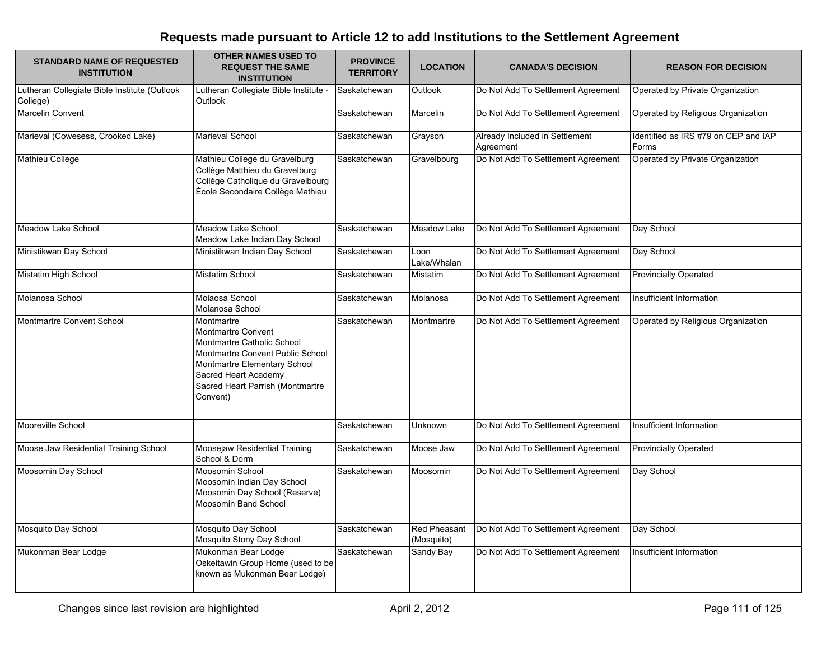| <b>STANDARD NAME OF REQUESTED</b><br><b>INSTITUTION</b>  | <b>OTHER NAMES USED TO</b><br><b>REQUEST THE SAME</b><br><b>INSTITUTION</b>                                                                                                                                       | <b>PROVINCE</b><br><b>TERRITORY</b> | <b>LOCATION</b>                   | <b>CANADA'S DECISION</b>                    | <b>REASON FOR DECISION</b>                    |
|----------------------------------------------------------|-------------------------------------------------------------------------------------------------------------------------------------------------------------------------------------------------------------------|-------------------------------------|-----------------------------------|---------------------------------------------|-----------------------------------------------|
| Lutheran Collegiate Bible Institute (Outlook<br>College) | Lutheran Collegiate Bible Institute -<br>Outlook                                                                                                                                                                  | Saskatchewan                        | Outlook                           | Do Not Add To Settlement Agreement          | Operated by Private Organization              |
| <b>Marcelin Convent</b>                                  |                                                                                                                                                                                                                   | Saskatchewan                        | Marcelin                          | Do Not Add To Settlement Agreement          | Operated by Religious Organization            |
| Marieval (Cowesess, Crooked Lake)                        | <b>Marieval School</b>                                                                                                                                                                                            | Saskatchewan                        | Grayson                           | Already Included in Settlement<br>Agreement | Identified as IRS #79 on CEP and IAP<br>Forms |
| <b>Mathieu College</b>                                   | Mathieu College du Gravelburg<br>Collège Matthieu du Gravelburg<br>Collège Catholique du Gravelbourg<br>École Secondaire Collège Mathieu                                                                          | Saskatchewan                        | Gravelbourg                       | Do Not Add To Settlement Agreement          | Operated by Private Organization              |
| <b>Meadow Lake School</b>                                | Meadow Lake School<br>Meadow Lake Indian Day School                                                                                                                                                               | Saskatchewan                        | Meadow Lake                       | Do Not Add To Settlement Agreement          | Day School                                    |
| Ministikwan Day School                                   | Ministikwan Indian Day School                                                                                                                                                                                     | Saskatchewan                        | Loon<br>Lake/Whalan               | Do Not Add To Settlement Agreement          | Day School                                    |
| Mistatim High School                                     | Mistatim School                                                                                                                                                                                                   | Saskatchewan                        | Mistatim                          | Do Not Add To Settlement Agreement          | <b>Provincially Operated</b>                  |
| Molanosa School                                          | Molaosa School<br>Molanosa School                                                                                                                                                                                 | Saskatchewan                        | Molanosa                          | Do Not Add To Settlement Agreement          | Insufficient Information                      |
| Montmartre Convent School                                | Montmartre<br><b>Montmartre Convent</b><br>Montmartre Catholic School<br>Montmartre Convent Public School<br>Montmartre Elementary School<br>Sacred Heart Academy<br>Sacred Heart Parrish (Montmartre<br>Convent) | Saskatchewan                        | Montmartre                        | Do Not Add To Settlement Agreement          | Operated by Religious Organization            |
| Mooreville School                                        |                                                                                                                                                                                                                   | Saskatchewan                        | Unknown                           | Do Not Add To Settlement Agreement          | Insufficient Information                      |
| Moose Jaw Residential Training School                    | Moosejaw Residential Training<br>School & Dorm                                                                                                                                                                    | Saskatchewan                        | Moose Jaw                         | Do Not Add To Settlement Agreement          | <b>Provincially Operated</b>                  |
| Moosomin Day School                                      | Moosomin School<br>Moosomin Indian Day School<br>Moosomin Day School (Reserve)<br>Moosomin Band School                                                                                                            | Saskatchewan                        | Moosomin                          | Do Not Add To Settlement Agreement          | Day School                                    |
| Mosquito Day School                                      | Mosquito Day School<br>Mosquito Stony Day School                                                                                                                                                                  | Saskatchewan                        | <b>Red Pheasant</b><br>(Mosquito) | Do Not Add To Settlement Agreement          | Day School                                    |
| Mukonman Bear Lodge                                      | Mukonman Bear Lodge<br>Oskeitawin Group Home (used to be<br>known as Mukonman Bear Lodge)                                                                                                                         | Saskatchewan                        | <b>Sandy Bay</b>                  | Do Not Add To Settlement Agreement          | Insufficient Information                      |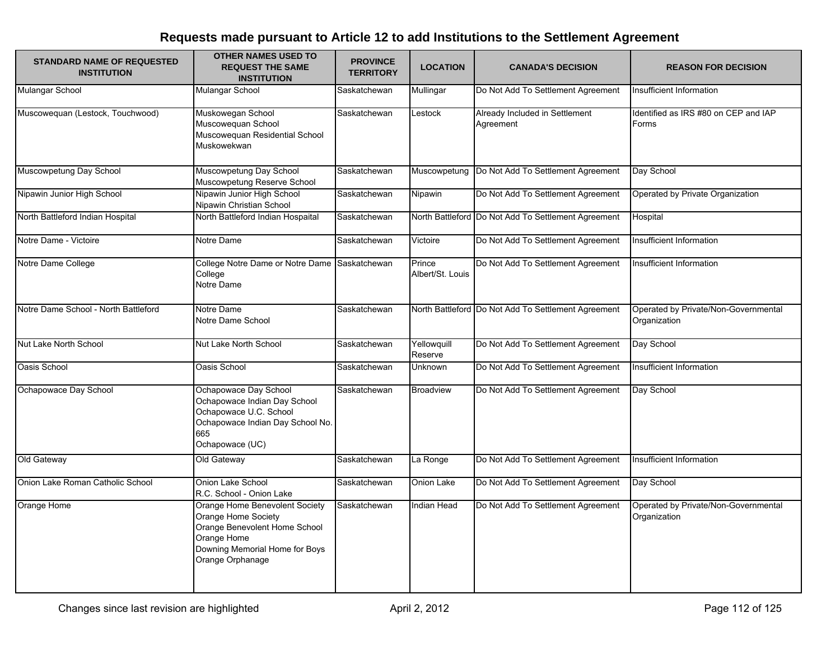| <b>STANDARD NAME OF REQUESTED</b><br><b>INSTITUTION</b> | OTHER NAMES USED TO<br><b>REQUEST THE SAME</b><br><b>INSTITUTION</b>                                                                                        | <b>PROVINCE</b><br><b>TERRITORY</b> | <b>LOCATION</b>            | <b>CANADA'S DECISION</b>                            | <b>REASON FOR DECISION</b>                           |
|---------------------------------------------------------|-------------------------------------------------------------------------------------------------------------------------------------------------------------|-------------------------------------|----------------------------|-----------------------------------------------------|------------------------------------------------------|
| Mulangar School                                         | Mulangar School                                                                                                                                             | Saskatchewan                        | Mullingar                  | Do Not Add To Settlement Agreement                  | Insufficient Information                             |
| Muscowequan (Lestock, Touchwood)                        | Muskowegan School<br>Muscowequan School<br>Muscoweguan Residential School<br>Muskowekwan                                                                    | Saskatchewan                        | Lestock                    | Already Included in Settlement<br>Agreement         | Identified as IRS #80 on CEP and IAP<br>Forms        |
| Muscowpetung Day School                                 | Muscowpetung Day School<br>Muscowpetung Reserve School                                                                                                      | Saskatchewan                        | Muscowpetung               | Do Not Add To Settlement Agreement                  | Day School                                           |
| Nipawin Junior High School                              | Nipawin Junior High School<br>Nipawin Christian School                                                                                                      | Saskatchewan                        | Nipawin                    | Do Not Add To Settlement Agreement                  | Operated by Private Organization                     |
| North Battleford Indian Hospital                        | North Battleford Indian Hospaital                                                                                                                           | Saskatchewan                        |                            | North Battleford Do Not Add To Settlement Agreement | Hospital                                             |
| Notre Dame - Victoire                                   | Notre Dame                                                                                                                                                  | Saskatchewan                        | Victoire                   | Do Not Add To Settlement Agreement                  | Insufficient Information                             |
| Notre Dame College                                      | College Notre Dame or Notre Dame Saskatchewan<br>College<br>Notre Dame                                                                                      |                                     | Prince<br>Albert/St. Louis | Do Not Add To Settlement Agreement                  | Insufficient Information                             |
| Notre Dame School - North Battleford                    | Notre Dame<br>Notre Dame School                                                                                                                             | Saskatchewan                        |                            | North Battleford Do Not Add To Settlement Agreement | Operated by Private/Non-Governmental<br>Organization |
| Nut Lake North School                                   | Nut Lake North School                                                                                                                                       | Saskatchewan                        | Yellowquill<br>Reserve     | Do Not Add To Settlement Agreement                  | Day School                                           |
| Oasis School                                            | Oasis School                                                                                                                                                | Saskatchewan                        | Unknown                    | Do Not Add To Settlement Agreement                  | Insufficient Information                             |
| Ochapowace Day School                                   | Ochapowace Day School<br>Ochapowace Indian Day School<br>Ochapowace U.C. School<br>Ochapowace Indian Day School No.<br>665<br>Ochapowace (UC)               | Saskatchewan                        | <b>Broadview</b>           | Do Not Add To Settlement Agreement                  | Day School                                           |
| Old Gateway                                             | Old Gateway                                                                                                                                                 | Saskatchewan                        | La Ronge                   | Do Not Add To Settlement Agreement                  | Insufficient Information                             |
| Onion Lake Roman Catholic School                        | Onion Lake School<br>R.C. School - Onion Lake                                                                                                               | Saskatchewan                        | Onion Lake                 | Do Not Add To Settlement Agreement                  | Day School                                           |
| Orange Home                                             | Orange Home Benevolent Society<br>Orange Home Society<br>Orange Benevolent Home School<br>Orange Home<br>Downing Memorial Home for Boys<br>Orange Orphanage | Saskatchewan                        | Indian Head                | Do Not Add To Settlement Agreement                  | Operated by Private/Non-Governmental<br>Organization |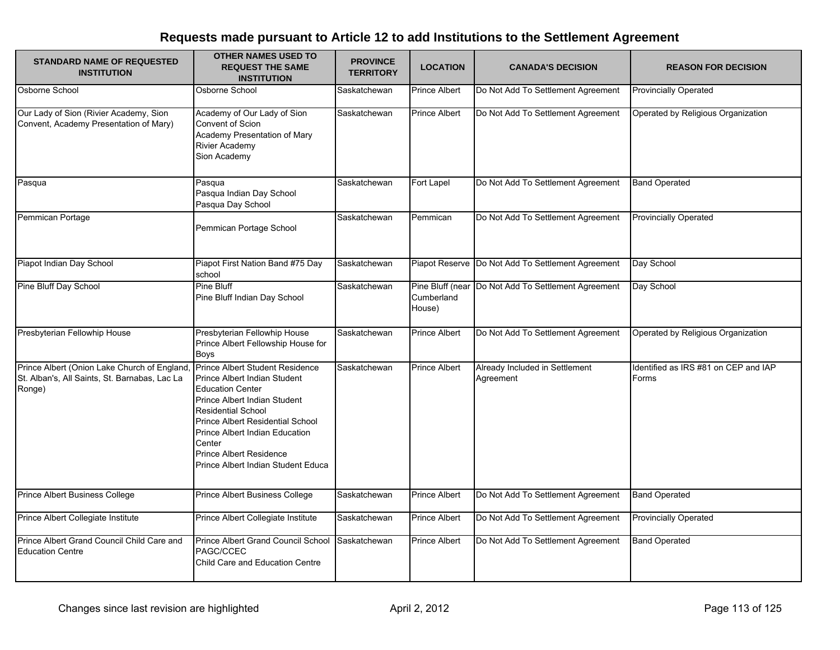| <b>STANDARD NAME OF REQUESTED</b><br><b>INSTITUTION</b>                                                 | <b>OTHER NAMES USED TO</b><br><b>REQUEST THE SAME</b><br><b>INSTITUTION</b>                                                                                                                                                                                                                                     | <b>PROVINCE</b><br><b>TERRITORY</b> | <b>LOCATION</b>                          | <b>CANADA'S DECISION</b>                          | <b>REASON FOR DECISION</b>                    |
|---------------------------------------------------------------------------------------------------------|-----------------------------------------------------------------------------------------------------------------------------------------------------------------------------------------------------------------------------------------------------------------------------------------------------------------|-------------------------------------|------------------------------------------|---------------------------------------------------|-----------------------------------------------|
| Osborne School                                                                                          | Osborne School                                                                                                                                                                                                                                                                                                  | Saskatchewan                        | <b>Prince Albert</b>                     | Do Not Add To Settlement Agreement                | <b>Provincially Operated</b>                  |
| Our Lady of Sion (Rivier Academy, Sion<br>Convent, Academy Presentation of Mary)                        | Academy of Our Lady of Sion<br>Convent of Scion<br>Academy Presentation of Mary<br><b>Rivier Academy</b><br>Sion Academy                                                                                                                                                                                        | Saskatchewan                        | Prince Albert                            | Do Not Add To Settlement Agreement                | Operated by Religious Organization            |
| Pasqua                                                                                                  | Pasqua<br>Pasqua Indian Day School<br>Pasqua Day School                                                                                                                                                                                                                                                         | Saskatchewan                        | Fort Lapel                               | Do Not Add To Settlement Agreement                | <b>Band Operated</b>                          |
| Pemmican Portage                                                                                        | Pemmican Portage School                                                                                                                                                                                                                                                                                         | Saskatchewan                        | Pemmican                                 | Do Not Add To Settlement Agreement                | <b>Provincially Operated</b>                  |
| Piapot Indian Day School                                                                                | Piapot First Nation Band #75 Day<br>school                                                                                                                                                                                                                                                                      | Saskatchewan                        |                                          | Piapot Reserve Do Not Add To Settlement Agreement | Day School                                    |
| Pine Bluff Day School                                                                                   | Pine Bluff<br>Pine Bluff Indian Day School                                                                                                                                                                                                                                                                      | Saskatchewan                        | Pine Bluff (near<br>Cumberland<br>House) | Do Not Add To Settlement Agreement                | Day School                                    |
| Presbyterian Fellowhip House                                                                            | Presbyterian Fellowhip House<br>Prince Albert Fellowship House for<br><b>Boys</b>                                                                                                                                                                                                                               | Saskatchewan                        | Prince Albert                            | Do Not Add To Settlement Agreement                | Operated by Religious Organization            |
| Prince Albert (Onion Lake Church of England,<br>St. Alban's, All Saints, St. Barnabas, Lac La<br>Ronge) | Prince Albert Student Residence<br>Prince Albert Indian Student<br><b>Education Center</b><br>Prince Albert Indian Student<br><b>Residential School</b><br>Prince Albert Residential School<br>Prince Albert Indian Education<br>Center<br><b>Prince Albert Residence</b><br>Prince Albert Indian Student Educa | Saskatchewan                        | Prince Albert                            | Already Included in Settlement<br>Agreement       | Identified as IRS #81 on CEP and IAP<br>Forms |
| <b>Prince Albert Business College</b>                                                                   | Prince Albert Business College                                                                                                                                                                                                                                                                                  | Saskatchewan                        | <b>Prince Albert</b>                     | Do Not Add To Settlement Agreement                | <b>Band Operated</b>                          |
| Prince Albert Collegiate Institute                                                                      | Prince Albert Collegiate Institute                                                                                                                                                                                                                                                                              | Saskatchewan                        | Prince Albert                            | Do Not Add To Settlement Agreement                | <b>Provincially Operated</b>                  |
| Prince Albert Grand Council Child Care and<br><b>Education Centre</b>                                   | Prince Albert Grand Council School<br>PAGC/CCEC<br>Child Care and Education Centre                                                                                                                                                                                                                              | Saskatchewan                        | <b>Prince Albert</b>                     | Do Not Add To Settlement Agreement                | <b>Band Operated</b>                          |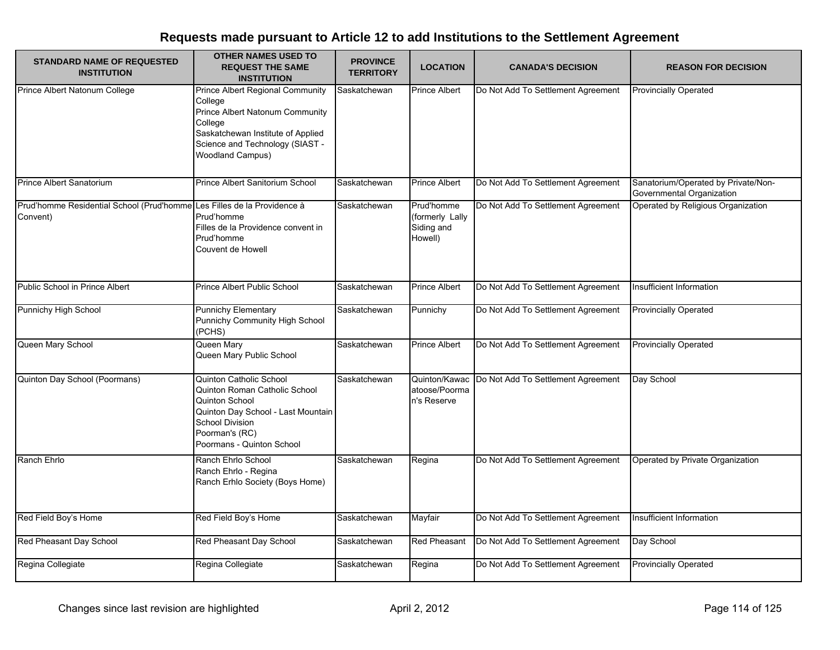| <b>STANDARD NAME OF REQUESTED</b><br><b>INSTITUTION</b>                             | <b>OTHER NAMES USED TO</b><br><b>REQUEST THE SAME</b><br><b>INSTITUTION</b>                                                                                                                         | <b>PROVINCE</b><br><b>TERRITORY</b> | <b>LOCATION</b>                                        | <b>CANADA'S DECISION</b>           | <b>REASON FOR DECISION</b>                                       |
|-------------------------------------------------------------------------------------|-----------------------------------------------------------------------------------------------------------------------------------------------------------------------------------------------------|-------------------------------------|--------------------------------------------------------|------------------------------------|------------------------------------------------------------------|
| Prince Albert Natonum College                                                       | <b>Prince Albert Regional Community</b><br>College<br>Prince Albert Natonum Community<br>College<br>Saskatchewan Institute of Applied<br>Science and Technology (SIAST -<br><b>Woodland Campus)</b> | Saskatchewan                        | <b>Prince Albert</b>                                   | Do Not Add To Settlement Agreement | <b>Provincially Operated</b>                                     |
| Prince Albert Sanatorium                                                            | Prince Albert Sanitorium School                                                                                                                                                                     | Saskatchewan                        | <b>Prince Albert</b>                                   | Do Not Add To Settlement Agreement | Sanatorium/Operated by Private/Non-<br>Governmental Organization |
| Prud'homme Residential School (Prud'homme Les Filles de la Providence à<br>Convent) | Prud'homme<br>Filles de la Providence convent in<br>Prud'homme<br>Couvent de Howell                                                                                                                 | Saskatchewan                        | Prud'homme<br>(formerly Lally<br>Siding and<br>Howell) | Do Not Add To Settlement Agreement | Operated by Religious Organization                               |
| Public School in Prince Albert                                                      | Prince Albert Public School                                                                                                                                                                         | Saskatchewan                        | <b>Prince Albert</b>                                   | Do Not Add To Settlement Agreement | Insufficient Information                                         |
| Punnichy High School                                                                | <b>Punnichy Elementary</b><br>Punnichy Community High School<br>(PCHS)                                                                                                                              | Saskatchewan                        | Punnichy                                               | Do Not Add To Settlement Agreement | <b>Provincially Operated</b>                                     |
| Queen Mary School                                                                   | Queen Mary<br>Queen Mary Public School                                                                                                                                                              | Saskatchewan                        | <b>Prince Albert</b>                                   | Do Not Add To Settlement Agreement | <b>Provincially Operated</b>                                     |
| Quinton Day School (Poormans)                                                       | Quinton Catholic School<br>Quinton Roman Catholic School<br>Quinton School<br>Quinton Day School - Last Mountain<br>School Division<br>Poorman's (RC)<br>Poormans - Quinton School                  | Saskatchewan                        | Quinton/Kawac<br>atoose/Poorma<br>n's Reserve          | Do Not Add To Settlement Agreement | Day School                                                       |
| Ranch Ehrlo                                                                         | Ranch Ehrlo School<br>Ranch Ehrlo - Regina<br>Ranch Erhlo Society (Boys Home)                                                                                                                       | Saskatchewan                        | Regina                                                 | Do Not Add To Settlement Agreement | Operated by Private Organization                                 |
| Red Field Boy's Home                                                                | Red Field Boy's Home                                                                                                                                                                                | Saskatchewan                        | Mayfair                                                | Do Not Add To Settlement Agreement | Insufficient Information                                         |
| Red Pheasant Day School                                                             | Red Pheasant Day School                                                                                                                                                                             | Saskatchewan                        | <b>Red Pheasant</b>                                    | Do Not Add To Settlement Agreement | Day School                                                       |
| Regina Collegiate                                                                   | Regina Collegiate                                                                                                                                                                                   | Saskatchewan                        | Regina                                                 | Do Not Add To Settlement Agreement | <b>Provincially Operated</b>                                     |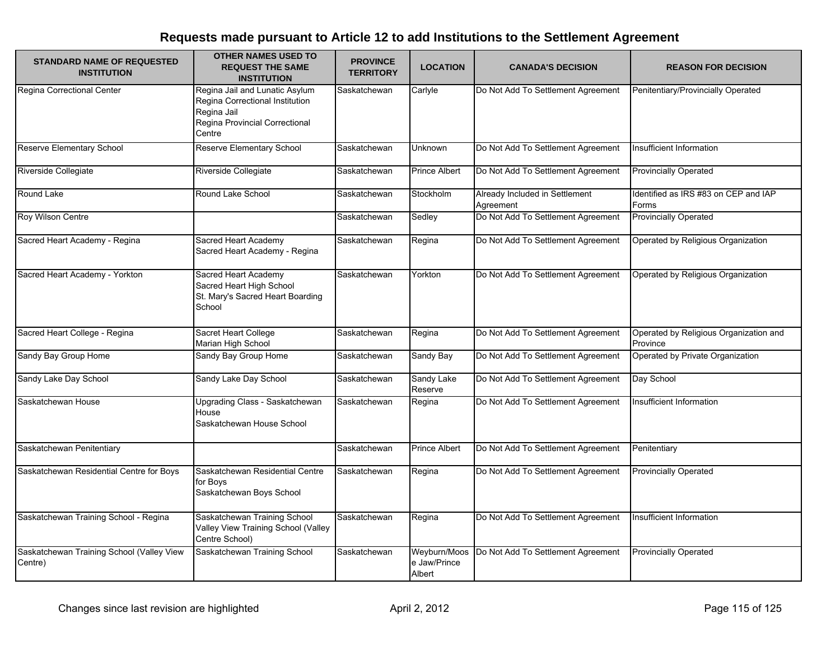| <b>STANDARD NAME OF REQUESTED</b><br><b>INSTITUTION</b> | <b>OTHER NAMES USED TO</b><br><b>REQUEST THE SAME</b><br><b>INSTITUTION</b>                                                  | <b>PROVINCE</b><br><b>TERRITORY</b> | <b>LOCATION</b>                        | <b>CANADA'S DECISION</b>                    | <b>REASON FOR DECISION</b>                         |
|---------------------------------------------------------|------------------------------------------------------------------------------------------------------------------------------|-------------------------------------|----------------------------------------|---------------------------------------------|----------------------------------------------------|
| Regina Correctional Center                              | Regina Jail and Lunatic Asylum<br>Regina Correctional Institution<br>Regina Jail<br>Regina Provincial Correctional<br>Centre | Saskatchewan                        | Carlyle                                | Do Not Add To Settlement Agreement          | Penitentiary/Provincially Operated                 |
| <b>Reserve Elementary School</b>                        | Reserve Elementary School                                                                                                    | Saskatchewan                        | Unknown                                | Do Not Add To Settlement Agreement          | Insufficient Information                           |
| Riverside Collegiate                                    | Riverside Collegiate                                                                                                         | Saskatchewan                        | Prince Albert                          | Do Not Add To Settlement Agreement          | <b>Provincially Operated</b>                       |
| Round Lake                                              | Round Lake School                                                                                                            | Saskatchewan                        | Stockholm                              | Already Included in Settlement<br>Agreement | Identified as IRS #83 on CEP and IAP<br>Forms      |
| Roy Wilson Centre                                       |                                                                                                                              | Saskatchewan                        | Sedley                                 | Do Not Add To Settlement Agreement          | <b>Provincially Operated</b>                       |
| Sacred Heart Academy - Regina                           | Sacred Heart Academy<br>Sacred Heart Academy - Regina                                                                        | Saskatchewan                        | Regina                                 | Do Not Add To Settlement Agreement          | Operated by Religious Organization                 |
| Sacred Heart Academy - Yorkton                          | Sacred Heart Academy<br>Sacred Heart High School<br>St. Mary's Sacred Heart Boarding<br>School                               | Saskatchewan                        | Yorkton                                | Do Not Add To Settlement Agreement          | Operated by Religious Organization                 |
| Sacred Heart College - Regina                           | Sacret Heart College<br>Marian High School                                                                                   | Saskatchewan                        | Regina                                 | Do Not Add To Settlement Agreement          | Operated by Religious Organization and<br>Province |
| Sandy Bay Group Home                                    | Sandy Bay Group Home                                                                                                         | Saskatchewan                        | Sandy Bay                              | Do Not Add To Settlement Agreement          | Operated by Private Organization                   |
| Sandy Lake Day School                                   | Sandy Lake Day School                                                                                                        | Saskatchewan                        | Sandy Lake<br>Reserve                  | Do Not Add To Settlement Agreement          | Day School                                         |
| Saskatchewan House                                      | Upgrading Class - Saskatchewan<br>House<br>Saskatchewan House School                                                         | Saskatchewan                        | Regina                                 | Do Not Add To Settlement Agreement          | <b>Insufficient Information</b>                    |
| Saskatchewan Penitentiary                               |                                                                                                                              | Saskatchewan                        | <b>Prince Albert</b>                   | Do Not Add To Settlement Agreement          | Penitentiary                                       |
| Saskatchewan Residential Centre for Boys                | Saskatchewan Residential Centre<br>for Boys<br>Saskatchewan Boys School                                                      | Saskatchewan                        | Regina                                 | Do Not Add To Settlement Agreement          | <b>Provincially Operated</b>                       |
| Saskatchewan Training School - Regina                   | Saskatchewan Training School<br>Valley View Training School (Valley<br>Centre School)                                        | Saskatchewan                        | Regina                                 | Do Not Add To Settlement Agreement          | Insufficient Information                           |
| Saskatchewan Training School (Valley View<br>Centre)    | Saskatchewan Training School                                                                                                 | Saskatchewan                        | Weyburn/Moos<br>e Jaw/Prince<br>Albert | Do Not Add To Settlement Agreement          | <b>Provincially Operated</b>                       |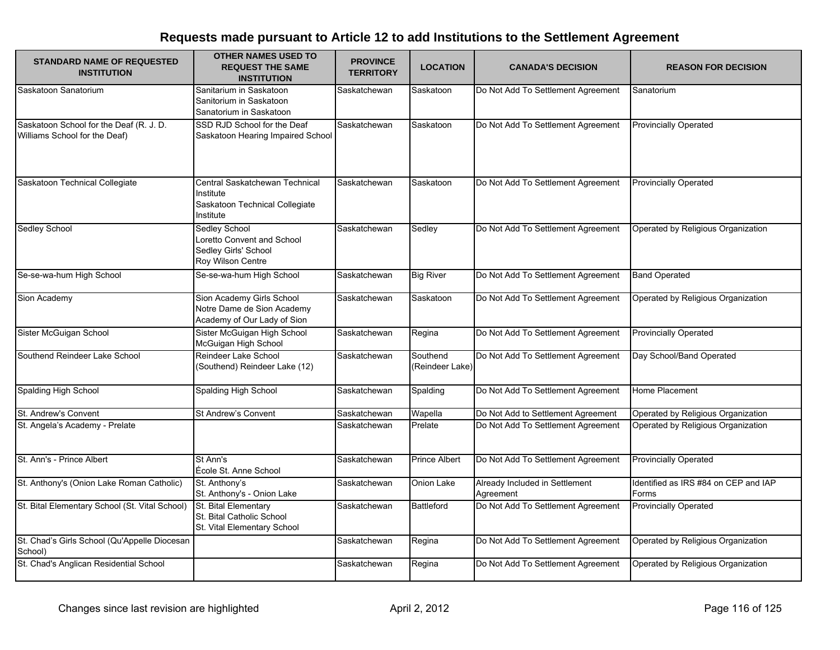| <b>STANDARD NAME OF REQUESTED</b><br><b>INSTITUTION</b>                  | <b>OTHER NAMES USED TO</b><br><b>REQUEST THE SAME</b><br><b>INSTITUTION</b>                | <b>PROVINCE</b><br><b>TERRITORY</b> | <b>LOCATION</b>             | <b>CANADA'S DECISION</b>                    | <b>REASON FOR DECISION</b>                    |
|--------------------------------------------------------------------------|--------------------------------------------------------------------------------------------|-------------------------------------|-----------------------------|---------------------------------------------|-----------------------------------------------|
| Saskatoon Sanatorium                                                     | Sanitarium in Saskatoon<br>Sanitorium in Saskatoon<br>Sanatorium in Saskatoon              | Saskatchewan                        | Saskatoon                   | Do Not Add To Settlement Agreement          | Sanatorium                                    |
| Saskatoon School for the Deaf (R. J. D.<br>Williams School for the Deaf) | SSD RJD School for the Deaf<br>Saskatoon Hearing Impaired School                           | Saskatchewan                        | Saskatoon                   | Do Not Add To Settlement Agreement          | <b>Provincially Operated</b>                  |
| Saskatoon Technical Collegiate                                           | Central Saskatchewan Technical<br>Institute<br>Saskatoon Technical Collegiate<br>Institute | Saskatchewan                        | Saskatoon                   | Do Not Add To Settlement Agreement          | <b>Provincially Operated</b>                  |
| Sedley School                                                            | Sedley School<br>Loretto Convent and School<br>Sedley Girls' School<br>Roy Wilson Centre   | Saskatchewan                        | Sedley                      | Do Not Add To Settlement Agreement          | Operated by Religious Organization            |
| Se-se-wa-hum High School                                                 | Se-se-wa-hum High School                                                                   | Saskatchewan                        | <b>Big River</b>            | Do Not Add To Settlement Agreement          | <b>Band Operated</b>                          |
| Sion Academy                                                             | Sion Academy Girls School<br>Notre Dame de Sion Academy<br>Academy of Our Lady of Sion     | Saskatchewan                        | Saskatoon                   | Do Not Add To Settlement Agreement          | Operated by Religious Organization            |
| Sister McGuigan School                                                   | Sister McGuigan High School<br>McGuigan High School                                        | Saskatchewan                        | Regina                      | Do Not Add To Settlement Agreement          | <b>Provincially Operated</b>                  |
| Southend Reindeer Lake School                                            | Reindeer Lake School<br>(Southend) Reindeer Lake (12)                                      | Saskatchewan                        | Southend<br>(Reindeer Lake) | Do Not Add To Settlement Agreement          | Day School/Band Operated                      |
| Spalding High School                                                     | Spalding High School                                                                       | Saskatchewan                        | Spalding                    | Do Not Add To Settlement Agreement          | Home Placement                                |
| St. Andrew's Convent                                                     | St Andrew's Convent                                                                        | Saskatchewan                        | Wapella                     | Do Not Add to Settlement Agreement          | Operated by Religious Organization            |
| St. Angela's Academy - Prelate                                           |                                                                                            | Saskatchewan                        | Prelate                     | Do Not Add To Settlement Agreement          | Operated by Religious Organization            |
| St. Ann's - Prince Albert                                                | St Ann's<br>École St. Anne School                                                          | Saskatchewan                        | <b>Prince Albert</b>        | Do Not Add To Settlement Agreement          | <b>Provincially Operated</b>                  |
| St. Anthony's (Onion Lake Roman Catholic)                                | St. Anthony's<br>St. Anthony's - Onion Lake                                                | Saskatchewan                        | Onion Lake                  | Already Included in Settlement<br>Agreement | Identified as IRS #84 on CEP and IAP<br>Forms |
| St. Bital Elementary School (St. Vital School)                           | St. Bital Elementary<br>St. Bital Catholic School<br>St. Vital Elementary School           | Saskatchewan                        | <b>Battleford</b>           | Do Not Add To Settlement Agreement          | <b>Provincially Operated</b>                  |
| St. Chad's Girls School (Qu'Appelle Diocesan<br>School)                  |                                                                                            | Saskatchewan                        | Regina                      | Do Not Add To Settlement Agreement          | Operated by Religious Organization            |
| St. Chad's Anglican Residential School                                   |                                                                                            | Saskatchewan                        | Regina                      | Do Not Add To Settlement Agreement          | Operated by Religious Organization            |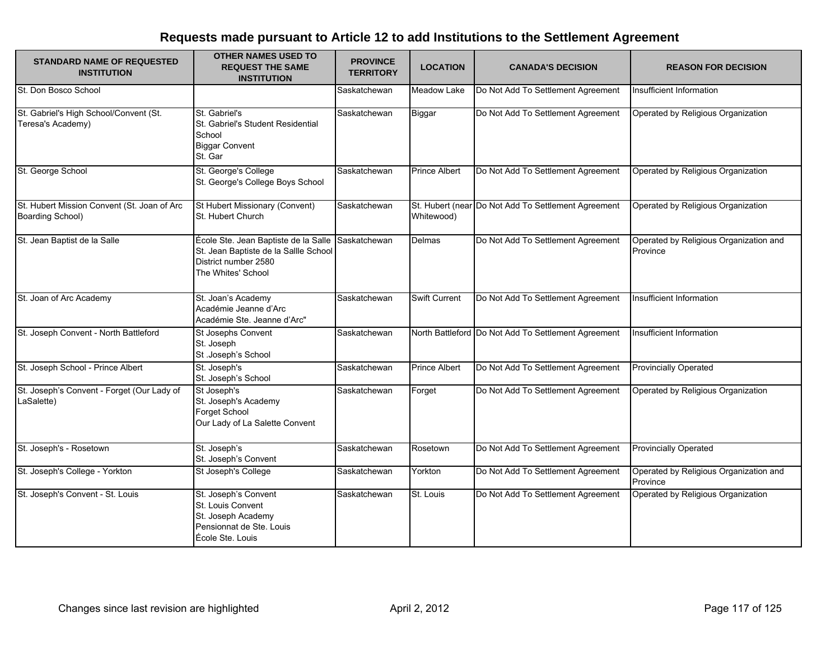| <b>STANDARD NAME OF REQUESTED</b><br><b>INSTITUTION</b>         | <b>OTHER NAMES USED TO</b><br><b>REQUEST THE SAME</b><br><b>INSTITUTION</b>                                                 | <b>PROVINCE</b><br><b>TERRITORY</b> | <b>LOCATION</b>      | <b>CANADA'S DECISION</b>                            | <b>REASON FOR DECISION</b>                         |
|-----------------------------------------------------------------|-----------------------------------------------------------------------------------------------------------------------------|-------------------------------------|----------------------|-----------------------------------------------------|----------------------------------------------------|
| St. Don Bosco School                                            |                                                                                                                             | Saskatchewan                        | Meadow Lake          | Do Not Add To Settlement Agreement                  | Insufficient Information                           |
| St. Gabriel's High School/Convent (St.<br>Teresa's Academy)     | St. Gabriel's<br>St. Gabriel's Student Residential<br>School<br><b>Biggar Convent</b><br>St. Gar                            | Saskatchewan                        | Biggar               | Do Not Add To Settlement Agreement                  | Operated by Religious Organization                 |
| St. George School                                               | St. George's College<br>St. George's College Boys School                                                                    | Saskatchewan                        | <b>Prince Albert</b> | Do Not Add To Settlement Agreement                  | Operated by Religious Organization                 |
| St. Hubert Mission Convent (St. Joan of Arc<br>Boarding School) | St Hubert Missionary (Convent)<br>St. Hubert Church                                                                         | Saskatchewan                        | Whitewood)           | St. Hubert (near Do Not Add To Settlement Agreement | Operated by Religious Organization                 |
| St. Jean Baptist de la Salle                                    | École Ste. Jean Baptiste de la Salle<br>St. Jean Baptiste de la Sallle School<br>District number 2580<br>The Whites' School | Saskatchewan                        | Delmas               | Do Not Add To Settlement Agreement                  | Operated by Religious Organization and<br>Province |
| St. Joan of Arc Academy                                         | St. Joan's Academy<br>Académie Jeanne d'Arc<br>Académie Ste. Jeanne d'Arc"                                                  | Saskatchewan                        | <b>Swift Current</b> | Do Not Add To Settlement Agreement                  | Insufficient Information                           |
| St. Joseph Convent - North Battleford                           | St Josephs Convent<br>St. Joseph<br>St .Joseph's School                                                                     | Saskatchewan                        |                      | North Battleford Do Not Add To Settlement Agreement | Insufficient Information                           |
| St. Joseph School - Prince Albert                               | St. Joseph's<br>St. Joseph's School                                                                                         | Saskatchewan                        | <b>Prince Albert</b> | Do Not Add To Settlement Agreement                  | <b>Provincially Operated</b>                       |
| St. Joseph's Convent - Forget (Our Lady of<br>LaSalette)        | St Joseph's<br>St. Joseph's Academy<br><b>Forget School</b><br>Our Lady of La Salette Convent                               | Saskatchewan                        | Forget               | Do Not Add To Settlement Agreement                  | Operated by Religious Organization                 |
| St. Joseph's - Rosetown                                         | St. Joseph's<br>St. Joseph's Convent                                                                                        | Saskatchewan                        | Rosetown             | Do Not Add To Settlement Agreement                  | <b>Provincially Operated</b>                       |
| St. Joseph's College - Yorkton                                  | St Joseph's College                                                                                                         | Saskatchewan                        | Yorkton              | Do Not Add To Settlement Agreement                  | Operated by Religious Organization and<br>Province |
| St. Joseph's Convent - St. Louis                                | St. Joseph's Convent<br>St. Louis Convent<br>St. Joseph Academy<br>Pensionnat de Ste. Louis<br>École Ste. Louis             | Saskatchewan                        | St. Louis            | Do Not Add To Settlement Agreement                  | Operated by Religious Organization                 |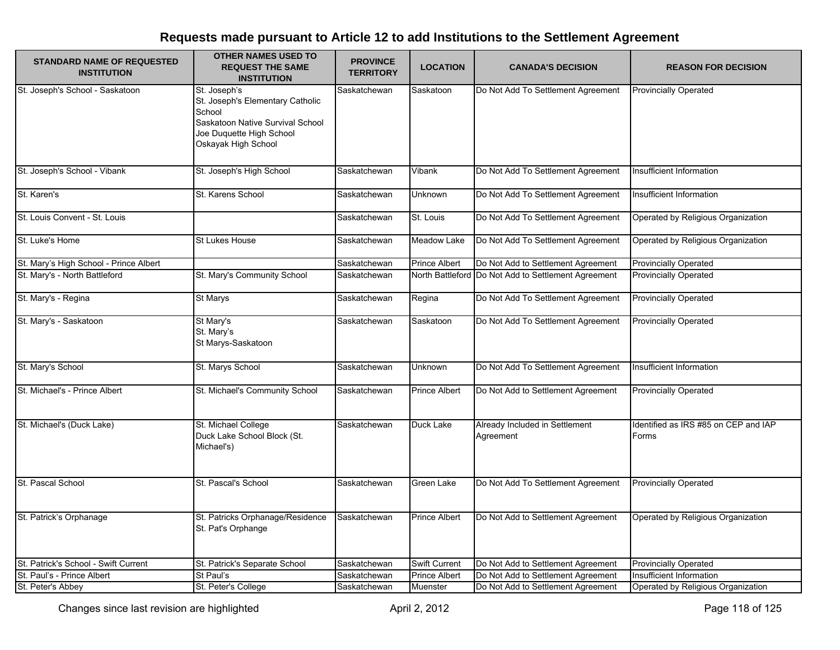| <b>STANDARD NAME OF REQUESTED</b><br><b>INSTITUTION</b> | <b>OTHER NAMES USED TO</b><br><b>REQUEST THE SAME</b><br><b>INSTITUTION</b>                                                                       | <b>PROVINCE</b><br><b>TERRITORY</b> | <b>LOCATION</b>      | <b>CANADA'S DECISION</b>                            | <b>REASON FOR DECISION</b>                    |
|---------------------------------------------------------|---------------------------------------------------------------------------------------------------------------------------------------------------|-------------------------------------|----------------------|-----------------------------------------------------|-----------------------------------------------|
| St. Joseph's School - Saskatoon                         | St. Joseph's<br>St. Joseph's Elementary Catholic<br>School<br>Saskatoon Native Survival School<br>Joe Duquette High School<br>Oskayak High School | Saskatchewan                        | Saskatoon            | Do Not Add To Settlement Agreement                  | <b>Provincially Operated</b>                  |
| St. Joseph's School - Vibank                            | St. Joseph's High School                                                                                                                          | Saskatchewan                        | Vibank               | Do Not Add To Settlement Agreement                  | Insufficient Information                      |
| St. Karen's                                             | St. Karens School                                                                                                                                 | Saskatchewan                        | Unknown              | Do Not Add To Settlement Agreement                  | Insufficient Information                      |
| St. Louis Convent - St. Louis                           |                                                                                                                                                   | Saskatchewan                        | St. Louis            | Do Not Add To Settlement Agreement                  | Operated by Religious Organization            |
| St. Luke's Home                                         | <b>St Lukes House</b>                                                                                                                             | Saskatchewan                        | Meadow Lake          | Do Not Add To Settlement Agreement                  | Operated by Religious Organization            |
| St. Mary's High School - Prince Albert                  |                                                                                                                                                   | Saskatchewan                        | <b>Prince Albert</b> | Do Not Add to Settlement Agreement                  | <b>Provincially Operated</b>                  |
| St. Mary's - North Battleford                           | St. Mary's Community School                                                                                                                       | Saskatchewan                        |                      | North Battleford Do Not Add to Settlement Agreement | <b>Provincially Operated</b>                  |
| St. Mary's - Regina                                     | St Marys                                                                                                                                          | Saskatchewan                        | Regina               | Do Not Add To Settlement Agreement                  | Provincially Operated                         |
| St. Mary's - Saskatoon                                  | St Mary's<br>St. Mary's<br>St Marys-Saskatoon                                                                                                     | Saskatchewan                        | Saskatoon            | Do Not Add To Settlement Agreement                  | <b>Provincially Operated</b>                  |
| St. Mary's School                                       | St. Marys School                                                                                                                                  | Saskatchewan                        | <b>Unknown</b>       | Do Not Add To Settlement Agreement                  | Insufficient Information                      |
| St. Michael's - Prince Albert                           | St. Michael's Community School                                                                                                                    | Saskatchewan                        | Prince Albert        | Do Not Add to Settlement Agreement                  | <b>Provincially Operated</b>                  |
| St. Michael's (Duck Lake)                               | St. Michael College<br>Duck Lake School Block (St.<br>Michael's)                                                                                  | Saskatchewan                        | Duck Lake            | Already Included in Settlement<br>Agreement         | Identified as IRS #85 on CEP and IAP<br>Forms |
| St. Pascal School                                       | St. Pascal's School                                                                                                                               | Saskatchewan                        | Green Lake           | Do Not Add To Settlement Agreement                  | <b>Provincially Operated</b>                  |
| St. Patrick's Orphanage                                 | St. Patricks Orphanage/Residence<br>St. Pat's Orphange                                                                                            | Saskatchewan                        | <b>Prince Albert</b> | Do Not Add to Settlement Agreement                  | Operated by Religious Organization            |
| St. Patrick's School - Swift Current                    | St. Patrick's Separate School                                                                                                                     | Saskatchewan                        | Swift Current        | Do Not Add to Settlement Agreement                  | <b>Provincially Operated</b>                  |
| St. Paul's - Prince Albert                              | St Paul's                                                                                                                                         | Saskatchewan                        | Prince Albert        | Do Not Add to Settlement Agreement                  | <b>Insufficient Information</b>               |
| St. Peter's Abbey                                       | St. Peter's College                                                                                                                               | Saskatchewan                        | Muenster             | Do Not Add to Settlement Agreement                  | Operated by Religious Organization            |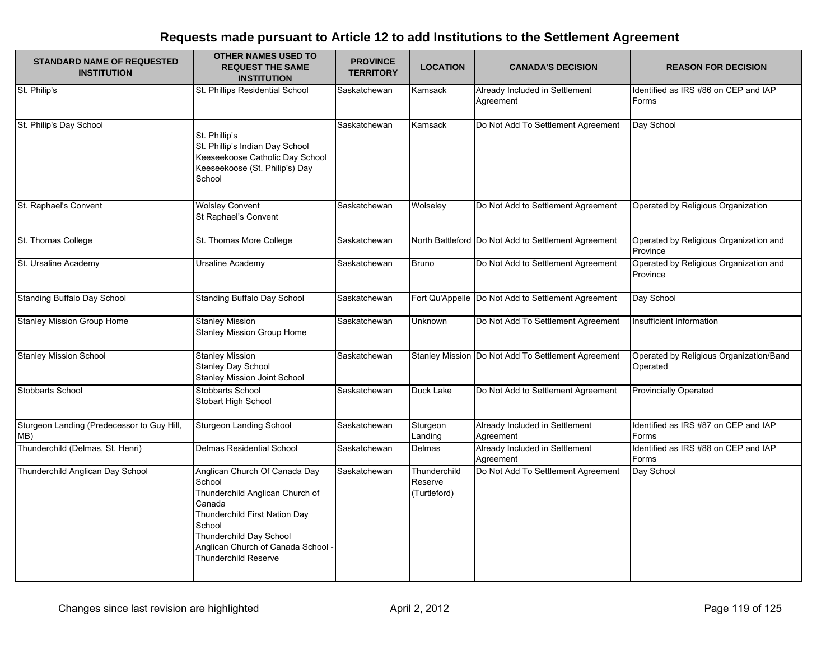| <b>STANDARD NAME OF REQUESTED</b><br><b>INSTITUTION</b> | <b>OTHER NAMES USED TO</b><br><b>REQUEST THE SAME</b><br><b>INSTITUTION</b>                                                                                                                                                   | <b>PROVINCE</b><br><b>TERRITORY</b> | <b>LOCATION</b>                         | <b>CANADA'S DECISION</b>                            | <b>REASON FOR DECISION</b>                          |
|---------------------------------------------------------|-------------------------------------------------------------------------------------------------------------------------------------------------------------------------------------------------------------------------------|-------------------------------------|-----------------------------------------|-----------------------------------------------------|-----------------------------------------------------|
| St. Philip's                                            | St. Phillips Residential School                                                                                                                                                                                               | Saskatchewan                        | Kamsack                                 | Already Included in Settlement<br>Agreement         | Identified as IRS #86 on CEP and IAP<br>Forms       |
| St. Philip's Day School                                 | St. Phillip's<br>St. Phillip's Indian Day School<br>Keeseekoose Catholic Day School<br>Keeseekoose (St. Philip's) Day<br>School                                                                                               | Saskatchewan                        | Kamsack                                 | Do Not Add To Settlement Agreement                  | Day School                                          |
| St. Raphael's Convent                                   | <b>Wolsley Convent</b><br>St Raphael's Convent                                                                                                                                                                                | Saskatchewan                        | Wolseley                                | Do Not Add to Settlement Agreement                  | Operated by Religious Organization                  |
| St. Thomas College                                      | St. Thomas More College                                                                                                                                                                                                       | Saskatchewan                        |                                         | North Battleford Do Not Add to Settlement Agreement | Operated by Religious Organization and<br>Province  |
| St. Ursaline Academy                                    | Ursaline Academy                                                                                                                                                                                                              | Saskatchewan                        | <b>Bruno</b>                            | Do Not Add to Settlement Agreement                  | Operated by Religious Organization and<br>Province  |
| <b>Standing Buffalo Day School</b>                      | Standing Buffalo Day School                                                                                                                                                                                                   | Saskatchewan                        |                                         | Fort Qu'Appelle Do Not Add to Settlement Agreement  | Day School                                          |
| <b>Stanley Mission Group Home</b>                       | <b>Stanley Mission</b><br><b>Stanley Mission Group Home</b>                                                                                                                                                                   | Saskatchewan                        | Unknown                                 | Do Not Add To Settlement Agreement                  | Insufficient Information                            |
| <b>Stanley Mission School</b>                           | <b>Stanley Mission</b><br><b>Stanley Day School</b><br>Stanley Mission Joint School                                                                                                                                           | Saskatchewan                        |                                         | Stanley Mission Do Not Add To Settlement Agreement  | Operated by Religious Organization/Band<br>Operated |
| Stobbarts School                                        | Stobbarts School<br>Stobart High School                                                                                                                                                                                       | Saskatchewan                        | Duck Lake                               | Do Not Add to Settlement Agreement                  | <b>Provincially Operated</b>                        |
| Sturgeon Landing (Predecessor to Guy Hill,<br>MB)       | <b>Sturgeon Landing School</b>                                                                                                                                                                                                | Saskatchewan                        | Sturgeon<br>Landing                     | Already Included in Settlement<br>Agreement         | Identified as IRS #87 on CEP and IAP<br>Forms       |
| Thunderchild (Delmas, St. Henri)                        | Delmas Residential School                                                                                                                                                                                                     | Saskatchewan                        | Delmas                                  | Already Included in Settlement<br>Agreement         | Identified as IRS #88 on CEP and IAP<br>Forms       |
| Thunderchild Anglican Day School                        | Anglican Church Of Canada Day<br>School<br>Thunderchild Anglican Church of<br>Canada<br>Thunderchild First Nation Day<br>School<br>Thunderchild Day School<br>Anglican Church of Canada School<br><b>Thunderchild Reserve</b> | Saskatchewan                        | Thunderchild<br>Reserve<br>(Turtleford) | Do Not Add To Settlement Agreement                  | Day School                                          |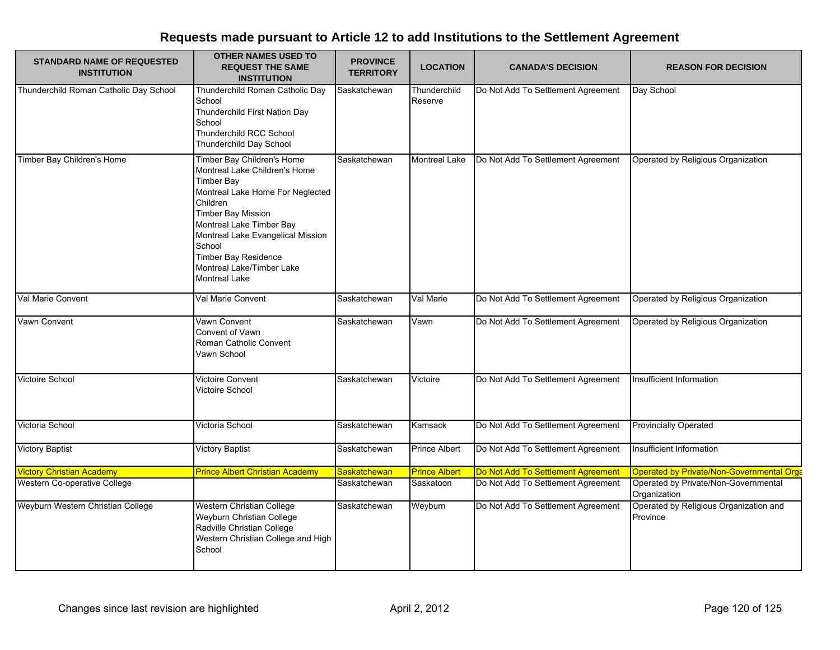| <b>STANDARD NAME OF REQUESTED</b><br><b>INSTITUTION</b> | <b>OTHER NAMES USED TO</b><br><b>REQUEST THE SAME</b><br><b>INSTITUTION</b>                                                                                                                                                                                                                                                  | <b>PROVINCE</b><br><b>TERRITORY</b> | <b>LOCATION</b>         | <b>CANADA'S DECISION</b>           | <b>REASON FOR DECISION</b>                           |
|---------------------------------------------------------|------------------------------------------------------------------------------------------------------------------------------------------------------------------------------------------------------------------------------------------------------------------------------------------------------------------------------|-------------------------------------|-------------------------|------------------------------------|------------------------------------------------------|
| Thunderchild Roman Catholic Day School                  | Thunderchild Roman Catholic Day<br>School<br>Thunderchild First Nation Day<br>School<br>Thunderchild RCC School<br>Thunderchild Day School                                                                                                                                                                                   | Saskatchewan                        | Thunderchild<br>Reserve | Do Not Add To Settlement Agreement | Day School                                           |
| Timber Bay Children's Home                              | Timber Bay Children's Home<br>Montreal Lake Children's Home<br><b>Timber Bay</b><br>Montreal Lake Home For Neglected<br>Children<br><b>Timber Bay Mission</b><br>Montreal Lake Timber Bay<br>Montreal Lake Evangelical Mission<br>School<br><b>Timber Bay Residence</b><br>Montreal Lake/Timber Lake<br><b>Montreal Lake</b> | Saskatchewan                        | <b>Montreal Lake</b>    | Do Not Add To Settlement Agreement | Operated by Religious Organization                   |
| Val Marie Convent                                       | Val Marie Convent                                                                                                                                                                                                                                                                                                            | Saskatchewan                        | Val Marie               | Do Not Add To Settlement Agreement | Operated by Religious Organization                   |
| Vawn Convent                                            | Vawn Convent<br>Convent of Vawn<br>Roman Catholic Convent<br>Vawn School                                                                                                                                                                                                                                                     | Saskatchewan                        | Vawn                    | Do Not Add To Settlement Agreement | Operated by Religious Organization                   |
| Victoire School                                         | <b>Victoire Convent</b><br>Victoire School                                                                                                                                                                                                                                                                                   | Saskatchewan                        | Victoire                | Do Not Add To Settlement Agreement | Insufficient Information                             |
| Victoria School                                         | Victoria School                                                                                                                                                                                                                                                                                                              | Saskatchewan                        | Kamsack                 | Do Not Add To Settlement Agreement | <b>Provincially Operated</b>                         |
| <b>Victory Baptist</b>                                  | <b>Victory Baptist</b>                                                                                                                                                                                                                                                                                                       | Saskatchewan                        | <b>Prince Albert</b>    | Do Not Add To Settlement Agreement | Insufficient Information                             |
| <b>Victory Christian Academy</b>                        | <b>Prince Albert Christian Academy</b>                                                                                                                                                                                                                                                                                       | Saskatchewan                        | <b>Prince Albert</b>    | Do Not Add To Settlement Agreement | Operated by Private/Non-Governmental Orga            |
| Western Co-operative College                            |                                                                                                                                                                                                                                                                                                                              | Saskatchewan                        | Saskatoon               | Do Not Add To Settlement Agreement | Operated by Private/Non-Governmental<br>Organization |
| Weyburn Western Christian College                       | <b>Western Christian College</b><br>Weyburn Christian College<br>Radville Christian College<br>Western Christian College and High<br>School                                                                                                                                                                                  | Saskatchewan                        | Weyburn                 | Do Not Add To Settlement Agreement | Operated by Religious Organization and<br>Province   |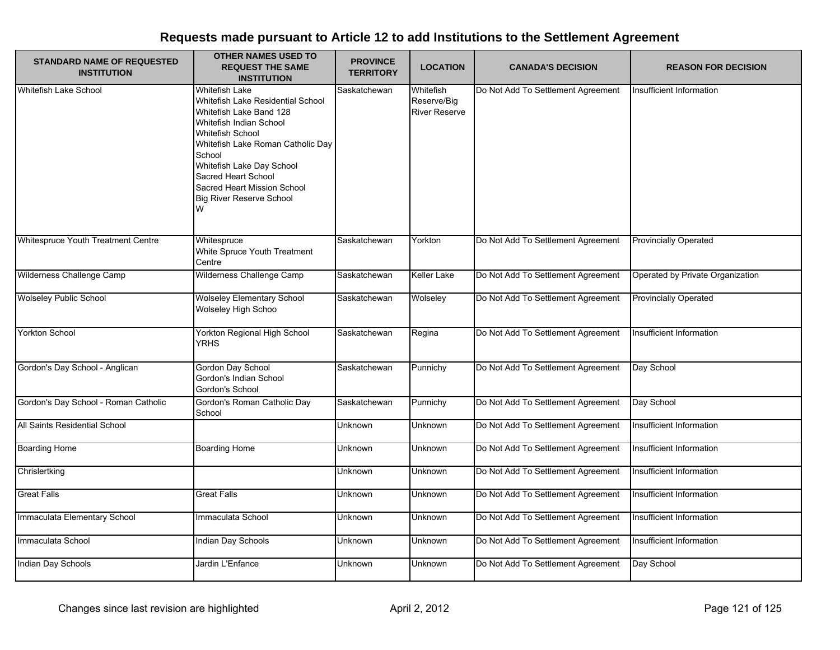| <b>STANDARD NAME OF REQUESTED</b><br><b>INSTITUTION</b> | <b>OTHER NAMES USED TO</b><br><b>REQUEST THE SAME</b><br><b>INSTITUTION</b>                                                                                                                                                                                                                                    | <b>PROVINCE</b><br><b>TERRITORY</b> | <b>LOCATION</b>                                  | <b>CANADA'S DECISION</b>           | <b>REASON FOR DECISION</b>       |
|---------------------------------------------------------|----------------------------------------------------------------------------------------------------------------------------------------------------------------------------------------------------------------------------------------------------------------------------------------------------------------|-------------------------------------|--------------------------------------------------|------------------------------------|----------------------------------|
| Whitefish Lake School                                   | Whitefish Lake<br>Whitefish Lake Residential School<br>Whitefish Lake Band 128<br>Whitefish Indian School<br><b>Whitefish School</b><br>Whitefish Lake Roman Catholic Day<br>School<br>Whitefish Lake Day School<br>Sacred Heart School<br>Sacred Heart Mission School<br><b>Big River Reserve School</b><br>W | Saskatchewan                        | Whitefish<br>Reserve/Big<br><b>River Reserve</b> | Do Not Add To Settlement Agreement | Insufficient Information         |
| Whitespruce Youth Treatment Centre                      | Whitespruce<br>White Spruce Youth Treatment<br>Centre                                                                                                                                                                                                                                                          | Saskatchewan                        | Yorkton                                          | Do Not Add To Settlement Agreement | <b>Provincially Operated</b>     |
| Wilderness Challenge Camp                               | Wilderness Challenge Camp                                                                                                                                                                                                                                                                                      | Saskatchewan                        | Keller Lake                                      | Do Not Add To Settlement Agreement | Operated by Private Organization |
| <b>Wolseley Public School</b>                           | <b>Wolseley Elementary School</b><br>Wolseley High Schoo                                                                                                                                                                                                                                                       | Saskatchewan                        | Wolseley                                         | Do Not Add To Settlement Agreement | <b>Provincially Operated</b>     |
| <b>Yorkton School</b>                                   | Yorkton Regional High School<br><b>YRHS</b>                                                                                                                                                                                                                                                                    | Saskatchewan                        | Regina                                           | Do Not Add To Settlement Agreement | Insufficient Information         |
| Gordon's Day School - Anglican                          | Gordon Day School<br>Gordon's Indian School<br>Gordon's School                                                                                                                                                                                                                                                 | Saskatchewan                        | Punnichy                                         | Do Not Add To Settlement Agreement | Day School                       |
| Gordon's Day School - Roman Catholic                    | Gordon's Roman Catholic Day<br>School                                                                                                                                                                                                                                                                          | Saskatchewan                        | Punnichy                                         | Do Not Add To Settlement Agreement | Day School                       |
| All Saints Residential School                           |                                                                                                                                                                                                                                                                                                                | Unknown                             | Unknown                                          | Do Not Add To Settlement Agreement | Insufficient Information         |
| <b>Boarding Home</b>                                    | <b>Boarding Home</b>                                                                                                                                                                                                                                                                                           | Unknown                             | Unknown                                          | Do Not Add To Settlement Agreement | Insufficient Information         |
| Chrislertking                                           |                                                                                                                                                                                                                                                                                                                | <b>Unknown</b>                      | <b>Unknown</b>                                   | Do Not Add To Settlement Agreement | Insufficient Information         |
| <b>Great Falls</b>                                      | Great Falls                                                                                                                                                                                                                                                                                                    | Unknown                             | Unknown                                          | Do Not Add To Settlement Agreement | Insufficient Information         |
| Immaculata Elementary School                            | Immaculata School                                                                                                                                                                                                                                                                                              | <b>Unknown</b>                      | <b>Unknown</b>                                   | Do Not Add To Settlement Agreement | Insufficient Information         |
| Immaculata School                                       | Indian Day Schools                                                                                                                                                                                                                                                                                             | Unknown                             | Unknown                                          | Do Not Add To Settlement Agreement | Insufficient Information         |
| Indian Day Schools                                      | Jardin L'Enfance                                                                                                                                                                                                                                                                                               | Unknown                             | Unknown                                          | Do Not Add To Settlement Agreement | Day School                       |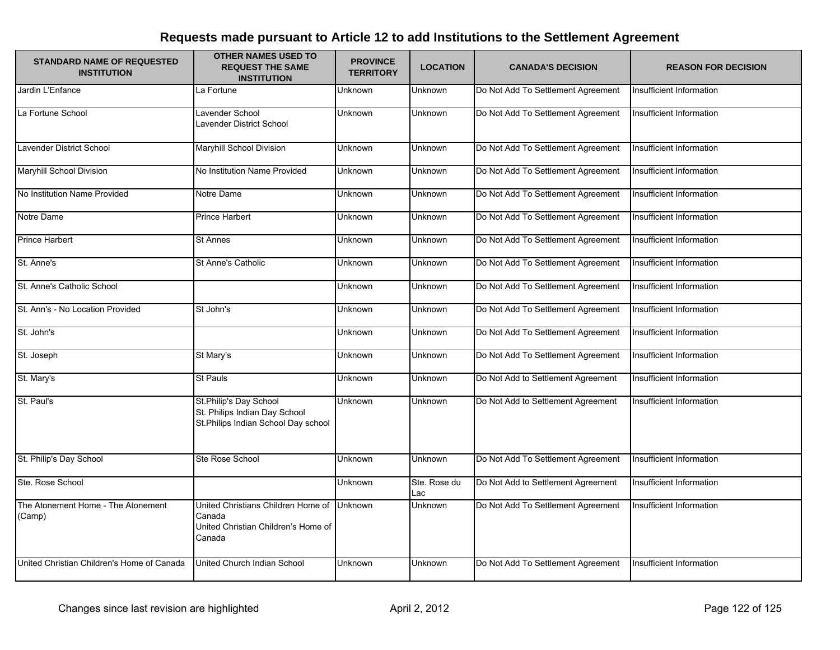| <b>STANDARD NAME OF REQUESTED</b><br><b>INSTITUTION</b> | <b>OTHER NAMES USED TO</b><br><b>REQUEST THE SAME</b><br><b>INSTITUTION</b>                    | <b>PROVINCE</b><br><b>TERRITORY</b> | <b>LOCATION</b>     | <b>CANADA'S DECISION</b>           | <b>REASON FOR DECISION</b>      |
|---------------------------------------------------------|------------------------------------------------------------------------------------------------|-------------------------------------|---------------------|------------------------------------|---------------------------------|
| Jardin L'Enfance                                        | La Fortune                                                                                     | Unknown                             | Unknown             | Do Not Add To Settlement Agreement | <b>Insufficient Information</b> |
| La Fortune School                                       | Lavender School<br>Lavender District School                                                    | Unknown                             | Unknown             | Do Not Add To Settlement Agreement | Insufficient Information        |
| Lavender District School                                | Maryhill School Division                                                                       | Unknown                             | Unknown             | Do Not Add To Settlement Agreement | Insufficient Information        |
| Maryhill School Division                                | No Institution Name Provided                                                                   | Unknown                             | Unknown             | Do Not Add To Settlement Agreement | Insufficient Information        |
| No Institution Name Provided                            | Notre Dame                                                                                     | Unknown                             | Unknown             | Do Not Add To Settlement Agreement | Insufficient Information        |
| Notre Dame                                              | <b>Prince Harbert</b>                                                                          | Unknown                             | Unknown             | Do Not Add To Settlement Agreement | Insufficient Information        |
| <b>Prince Harbert</b>                                   | <b>St Annes</b>                                                                                | Unknown                             | Unknown             | Do Not Add To Settlement Agreement | Insufficient Information        |
| St. Anne's                                              | <b>St Anne's Catholic</b>                                                                      | Unknown                             | <b>Unknown</b>      | Do Not Add To Settlement Agreement | Insufficient Information        |
| St. Anne's Catholic School                              |                                                                                                | Unknown                             | Unknown             | Do Not Add To Settlement Agreement | Insufficient Information        |
| St. Ann's - No Location Provided                        | St John's                                                                                      | Unknown                             | <b>Unknown</b>      | Do Not Add To Settlement Agreement | Insufficient Information        |
| St. John's                                              |                                                                                                | Unknown                             | Unknown             | Do Not Add To Settlement Agreement | Insufficient Information        |
| St. Joseph                                              | St Mary's                                                                                      | Unknown                             | Unknown             | Do Not Add To Settlement Agreement | Insufficient Information        |
| St. Mary's                                              | <b>St Pauls</b>                                                                                | Unknown                             | <b>Unknown</b>      | Do Not Add to Settlement Agreement | Insufficient Information        |
| St. Paul's                                              | St.Philip's Day School<br>St. Philips Indian Day School<br>St.Philips Indian School Day school | <b>Unknown</b>                      | Unknown             | Do Not Add to Settlement Agreement | Insufficient Information        |
| St. Philip's Day School                                 | Ste Rose School                                                                                | Unknown                             | <b>Unknown</b>      | Do Not Add To Settlement Agreement | Insufficient Information        |
| Ste. Rose School                                        |                                                                                                | Unknown                             | Ste. Rose du<br>Lac | Do Not Add to Settlement Agreement | Insufficient Information        |
| The Atonement Home - The Atonement<br>(Camp)            | United Christians Children Home of<br>Canada<br>United Christian Children's Home of<br>Canada  | Unknown                             | Unknown             | Do Not Add To Settlement Agreement | Insufficient Information        |
| United Christian Children's Home of Canada              | United Church Indian School                                                                    | Unknown                             | Unknown             | Do Not Add To Settlement Agreement | Insufficient Information        |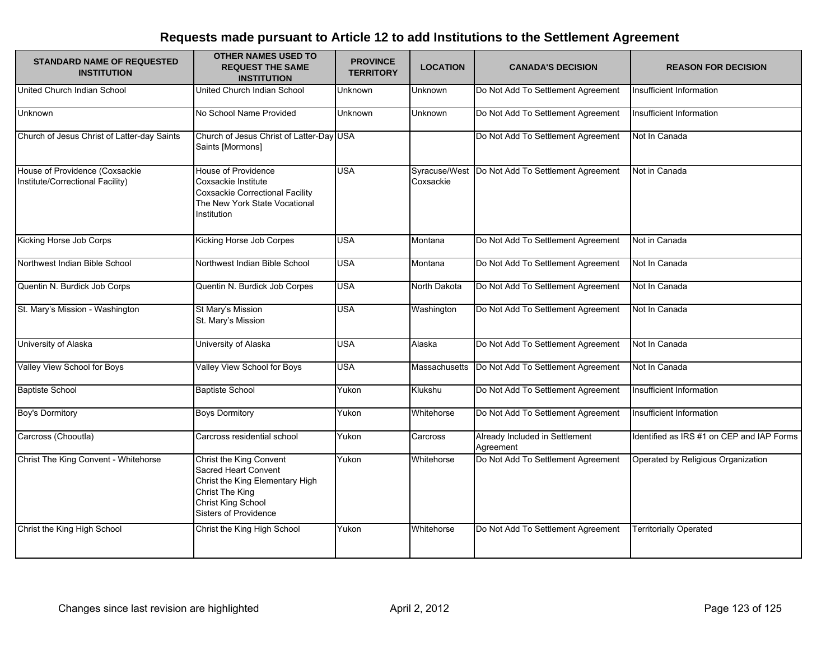| <b>STANDARD NAME OF REQUESTED</b><br><b>INSTITUTION</b>            | <b>OTHER NAMES USED TO</b><br><b>REQUEST THE SAME</b><br><b>INSTITUTION</b>                                                                                 | <b>PROVINCE</b><br><b>TERRITORY</b> | <b>LOCATION</b>            | <b>CANADA'S DECISION</b>                    | <b>REASON FOR DECISION</b>                |
|--------------------------------------------------------------------|-------------------------------------------------------------------------------------------------------------------------------------------------------------|-------------------------------------|----------------------------|---------------------------------------------|-------------------------------------------|
| United Church Indian School                                        | United Church Indian School                                                                                                                                 | <b>Unknown</b>                      | Unknown                    | Do Not Add To Settlement Agreement          | Insufficient Information                  |
| <b>Unknown</b>                                                     | No School Name Provided                                                                                                                                     | Unknown                             | Unknown                    | Do Not Add To Settlement Agreement          | Insufficient Information                  |
| Church of Jesus Christ of Latter-day Saints                        | Church of Jesus Christ of Latter-Day USA<br>Saints [Mormons]                                                                                                |                                     |                            | Do Not Add To Settlement Agreement          | Not In Canada                             |
| House of Providence (Coxsackie<br>Institute/Correctional Facility) | House of Providence<br>Coxsackie Institute<br><b>Coxsackie Correctional Facility</b><br>The New York State Vocational<br>Institution                        | <b>USA</b>                          | Syracuse/West<br>Coxsackie | Do Not Add To Settlement Agreement          | Not in Canada                             |
| Kicking Horse Job Corps                                            | Kicking Horse Job Corpes                                                                                                                                    | <b>USA</b>                          | Montana                    | Do Not Add To Settlement Agreement          | Not in Canada                             |
| Northwest Indian Bible School                                      | Northwest Indian Bible School                                                                                                                               | <b>USA</b>                          | Montana                    | Do Not Add To Settlement Agreement          | Not In Canada                             |
| Quentin N. Burdick Job Corps                                       | Quentin N. Burdick Job Corpes                                                                                                                               | <b>USA</b>                          | North Dakota               | Do Not Add To Settlement Agreement          | Not In Canada                             |
| St. Mary's Mission - Washington                                    | St Mary's Mission<br>St. Mary's Mission                                                                                                                     | <b>USA</b>                          | Washington                 | Do Not Add To Settlement Agreement          | Not In Canada                             |
| University of Alaska                                               | University of Alaska                                                                                                                                        | <b>USA</b>                          | Alaska                     | Do Not Add To Settlement Agreement          | Not In Canada                             |
| Valley View School for Boys                                        | Valley View School for Boys                                                                                                                                 | <b>USA</b>                          | Massachusetts              | Do Not Add To Settlement Agreement          | Not In Canada                             |
| <b>Baptiste School</b>                                             | <b>Baptiste School</b>                                                                                                                                      | Yukon                               | Klukshu                    | Do Not Add To Settlement Agreement          | Insufficient Information                  |
| <b>Boy's Dormitory</b>                                             | <b>Boys Dormitory</b>                                                                                                                                       | Yukon                               | Whitehorse                 | Do Not Add To Settlement Agreement          | Insufficient Information                  |
| Carcross (Chooutla)                                                | Carcross residential school                                                                                                                                 | Yukon                               | Carcross                   | Already Included in Settlement<br>Agreement | Identified as IRS #1 on CEP and IAP Forms |
| Christ The King Convent - Whitehorse                               | Christ the King Convent<br>Sacred Heart Convent<br>Christ the King Elementary High<br>Christ The King<br>Christ King School<br><b>Sisters of Providence</b> | Yukon                               | Whitehorse                 | Do Not Add To Settlement Agreement          | Operated by Religious Organization        |
| Christ the King High School                                        | Christ the King High School                                                                                                                                 | Yukon                               | Whitehorse                 | Do Not Add To Settlement Agreement          | <b>Territorially Operated</b>             |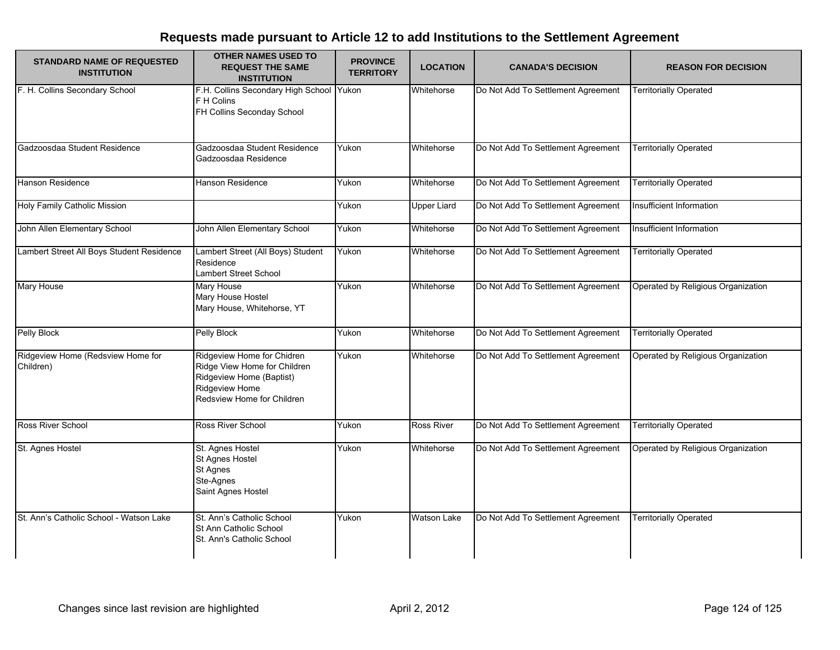| <b>STANDARD NAME OF REQUESTED</b><br><b>INSTITUTION</b> | OTHER NAMES USED TO<br><b>REQUEST THE SAME</b><br><b>INSTITUTION</b>                                                                   | <b>PROVINCE</b><br><b>TERRITORY</b> | <b>LOCATION</b>    | <b>CANADA'S DECISION</b>           | <b>REASON FOR DECISION</b>         |
|---------------------------------------------------------|----------------------------------------------------------------------------------------------------------------------------------------|-------------------------------------|--------------------|------------------------------------|------------------------------------|
| F. H. Collins Secondary School                          | F.H. Collins Secondary High School Yukon<br>F H Colins<br>FH Collins Seconday School                                                   |                                     | Whitehorse         | Do Not Add To Settlement Agreement | <b>Territorially Operated</b>      |
| Gadzoosdaa Student Residence                            | Gadzoosdaa Student Residence<br>Gadzoosdaa Residence                                                                                   | Yukon                               | Whitehorse         | Do Not Add To Settlement Agreement | <b>Territorially Operated</b>      |
| Hanson Residence                                        | Hanson Residence                                                                                                                       | Yukon                               | Whitehorse         | Do Not Add To Settlement Agreement | <b>Territorially Operated</b>      |
| Holy Family Catholic Mission                            |                                                                                                                                        | Yukon                               | <b>Upper Liard</b> | Do Not Add To Settlement Agreement | Insufficient Information           |
| John Allen Elementary School                            | John Allen Elementary School                                                                                                           | Yukon                               | Whitehorse         | Do Not Add To Settlement Agreement | Insufficient Information           |
| Lambert Street All Boys Student Residence               | Lambert Street (All Boys) Student<br>Residence<br>Lambert Street School                                                                | Yukon                               | Whitehorse         | Do Not Add To Settlement Agreement | <b>Territorially Operated</b>      |
| <b>Mary House</b>                                       | <b>Mary House</b><br>Mary House Hostel<br>Mary House, Whitehorse, YT                                                                   | Yukon                               | Whitehorse         | Do Not Add To Settlement Agreement | Operated by Religious Organization |
| <b>Pelly Block</b>                                      | <b>Pelly Block</b>                                                                                                                     | Yukon                               | Whitehorse         | Do Not Add To Settlement Agreement | <b>Territorially Operated</b>      |
| Ridgeview Home (Redsview Home for<br>Children)          | Ridgeview Home for Chidren<br>Ridge View Home for Children<br>Ridgeview Home (Baptist)<br>Ridgeview Home<br>Redsview Home for Children | Yukon                               | Whitehorse         | Do Not Add To Settlement Agreement | Operated by Religious Organization |
| Ross River School                                       | Ross River School                                                                                                                      | Yukon                               | <b>Ross River</b>  | Do Not Add To Settlement Agreement | <b>Territorially Operated</b>      |
| St. Agnes Hostel                                        | St. Agnes Hostel<br>St Agnes Hostel<br>St Agnes<br>Ste-Agnes<br>Saint Agnes Hostel                                                     | Yukon                               | Whitehorse         | Do Not Add To Settlement Agreement | Operated by Religious Organization |
| St. Ann's Catholic School - Watson Lake                 | St. Ann's Catholic School<br>St Ann Catholic School<br>St. Ann's Catholic School                                                       | Yukon                               | Watson Lake        | Do Not Add To Settlement Agreement | Territorially Operated             |